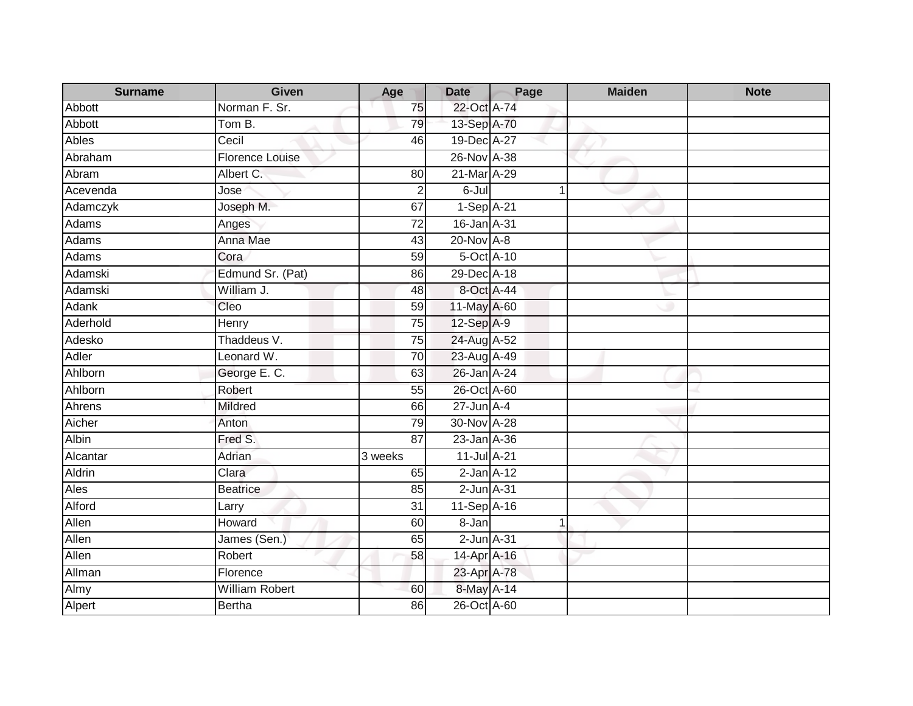| <b>Surname</b> | <b>Given</b>          | Age             | <b>Date</b>     | Page | <b>Maiden</b> | <b>Note</b> |
|----------------|-----------------------|-----------------|-----------------|------|---------------|-------------|
| Abbott         | Norman F. Sr.         | 75              | 22-Oct A-74     |      |               |             |
| <b>Abbott</b>  | Tom B.                | 79              | 13-Sep A-70     |      |               |             |
| <b>Ables</b>   | Cecil                 | 46              | 19-Dec A-27     |      |               |             |
| Abraham        | Florence Louise       |                 | 26-Nov A-38     |      |               |             |
| Abram          | Albert C.             | 80              | 21-Mar A-29     |      |               |             |
| Acevenda       | Jose                  | $\overline{2}$  | $6 -$ Jul       |      |               |             |
| Adamczyk       | Joseph M.             | 67              | $1-Sep$ A-21    |      |               |             |
| <b>Adams</b>   | Anges                 | $\overline{72}$ | 16-Jan A-31     |      |               |             |
| <b>Adams</b>   | Anna Mae              | 43              | 20-Nov A-8      |      |               |             |
| Adams          | Cora                  | 59              | 5-Oct A-10      |      |               |             |
| Adamski        | Edmund Sr. (Pat)      | 86              | 29-Dec A-18     |      |               |             |
| Adamski        | William J.            | 48              | 8-Oct A-44      |      |               |             |
| Adank          | Cleo                  | 59              | 11-May A-60     |      |               |             |
| Aderhold       | Henry                 | 75              | 12-Sep A-9      |      |               |             |
| Adesko         | Thaddeus V.           | 75              | 24-Aug A-52     |      |               |             |
| Adler          | Leonard W.            | 70              | 23-Aug A-49     |      |               |             |
| Ahlborn        | George E. C.          | 63              | 26-Jan A-24     |      |               |             |
| Ahlborn        | Robert                | 55              | 26-Oct A-60     |      |               |             |
| Ahrens         | <b>Mildred</b>        | 66              | $27$ -Jun $A-4$ |      |               |             |
| Aicher         | Anton                 | 79              | 30-Nov A-28     |      |               |             |
| <b>Albin</b>   | Fred S.               | $\overline{87}$ | 23-Jan A-36     |      |               |             |
| Alcantar       | Adrian                | 3 weeks         | 11-Jul A-21     |      |               |             |
| Aldrin         | Clara                 | 65              | $2$ -Jan $A-12$ |      |               |             |
| Ales           | <b>Beatrice</b>       | 85              | $2$ -Jun $A-31$ |      |               |             |
| Alford         | Larry                 | 31              | 11-Sep A-16     |      |               |             |
| Allen          | Howard                | 60              | 8-Jan           |      |               |             |
| Allen          | James (Sen.)          | 65              | $2$ -Jun $A-31$ |      |               |             |
| Allen          | Robert                | 58              | 14-Apr A-16     |      |               |             |
| Allman         | Florence              |                 | 23-Apr A-78     |      |               |             |
| Almy           | <b>William Robert</b> | 60              | 8-May A-14      |      |               |             |
| Alpert         | Bertha                | 86              | 26-Oct A-60     |      |               |             |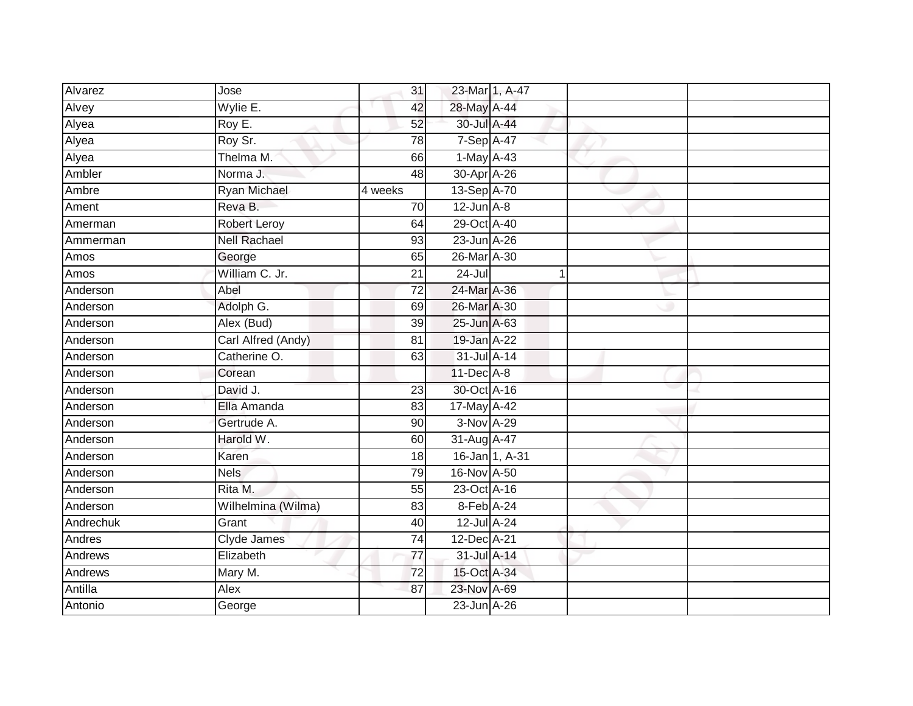| Alvarez   | Jose                | 31              | 23-Mar 1, A-47   |   |  |
|-----------|---------------------|-----------------|------------------|---|--|
| Alvey     | Wylie E.            | 42              | 28-May A-44      |   |  |
| Alyea     | Roy E.              | 52              | 30-Jul A-44      |   |  |
| Alyea     | Roy Sr.             | 78              | $7-SepA-47$      |   |  |
| Alyea     | Thelma M.           | 66              | $1$ -May $A$ -43 |   |  |
| Ambler    | Norma J.            | $\overline{48}$ | 30-Apr A-26      |   |  |
| Ambre     | <b>Ryan Michael</b> | 4 weeks         | 13-Sep A-70      |   |  |
| Ament     | Reva B.             | 70              | $12$ -Jun $A-8$  |   |  |
| Amerman   | <b>Robert Leroy</b> | 64              | 29-Oct A-40      |   |  |
| Ammerman  | <b>Nell Rachael</b> | 93              | 23-Jun A-26      |   |  |
| Amos      | George              | 65              | 26-Mar A-30      |   |  |
| Amos      | William C. Jr.      | $\overline{21}$ | 24-Jul           | 1 |  |
| Anderson  | Abel                | 72              | 24-Mar A-36      |   |  |
| Anderson  | Adolph G.           | 69              | 26-Mar A-30      |   |  |
| Anderson  | Alex (Bud)          | $\overline{39}$ | 25-Jun A-63      |   |  |
| Anderson  | Carl Alfred (Andy)  | 81              | 19-Jan A-22      |   |  |
| Anderson  | Catherine O.        | 63              | 31-Jul A-14      |   |  |
| Anderson  | Corean              |                 | 11-Dec A-8       |   |  |
| Anderson  | David J.            | 23              | 30-Oct A-16      |   |  |
| Anderson  | Ella Amanda         | 83              | 17-May A-42      |   |  |
| Anderson  | Gertrude A.         | 90              | 3-Nov A-29       |   |  |
| Anderson  | Harold W.           | 60              | 31-Aug A-47      |   |  |
| Anderson  | Karen               | 18              | 16-Jan 1, A-31   |   |  |
| Anderson  | <b>Nels</b>         | 79              | 16-Nov A-50      |   |  |
| Anderson  | Rita M.             | 55              | 23-Oct A-16      |   |  |
| Anderson  | Wilhelmina (Wilma)  | 83              | 8-Feb A-24       |   |  |
| Andrechuk | Grant               | 40              | 12-Jul A-24      |   |  |
| Andres    | Clyde James         | 74              | 12-Dec A-21      |   |  |
| Andrews   | Elizabeth           | 77              | 31-Jul A-14      |   |  |
| Andrews   | Mary M.             | 72              | 15-Oct A-34      |   |  |
| Antilla   | Alex                | 87              | 23-Nov A-69      |   |  |
| Antonio   | George              |                 | 23-Jun A-26      |   |  |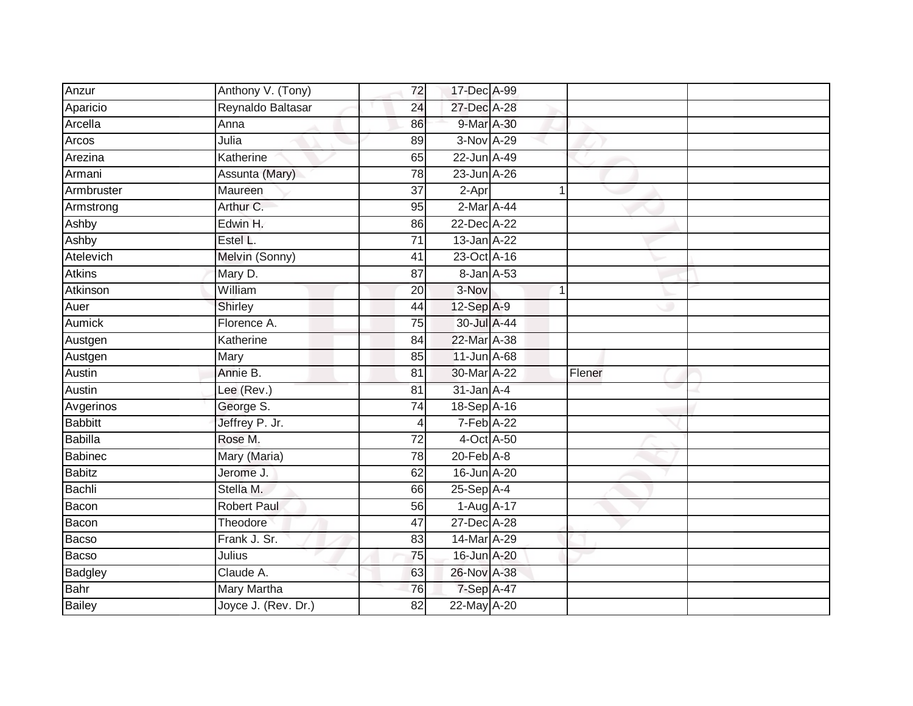| Anzur          | Anthony V. (Tony)   | 72              | 17-Dec A-99      |   |        |  |
|----------------|---------------------|-----------------|------------------|---|--------|--|
| Aparicio       | Reynaldo Baltasar   | 24              | 27-Dec A-28      |   |        |  |
| Arcella        | Anna                | 86              | 9-Mar A-30       |   |        |  |
| Arcos          | Julia               | 89              | 3-Nov A-29       |   |        |  |
| Arezina        | Katherine           | 65              | 22-Jun A-49      |   |        |  |
| Armani         | Assunta (Mary)      | 78              | 23-Jun A-26      |   |        |  |
| Armbruster     | Maureen             | 37              | 2-Apr            |   |        |  |
| Armstrong      | Arthur C.           | 95              | 2-Mar A-44       |   |        |  |
| Ashby          | Edwin H.            | 86              | 22-Dec A-22      |   |        |  |
| Ashby          | Estel L.            | $\overline{71}$ | 13-Jan A-22      |   |        |  |
| Atelevich      | Melvin (Sonny)      | 41              | 23-Oct A-16      |   |        |  |
| <b>Atkins</b>  | Mary D.             | 87              | 8-Jan A-53       |   |        |  |
| Atkinson       | William             | 20              | 3-Nov            | 1 |        |  |
| Auer           | Shirley             | 44              | 12-Sep A-9       |   |        |  |
| <b>Aumick</b>  | Florence A.         | $\overline{75}$ | 30-Jul A-44      |   |        |  |
| Austgen        | Katherine           | 84              | 22-Mar A-38      |   |        |  |
| Austgen        | Mary                | 85              | 11-Jun A-68      |   |        |  |
| Austin         | Annie B.            | 81              | 30-Mar A-22      |   | Flener |  |
| Austin         | Lee (Rev.)          | 81              | $31$ -Jan $A$ -4 |   |        |  |
| Avgerinos      | George S.           | 74              | 18-Sep A-16      |   |        |  |
| <b>Babbitt</b> | Jeffrey P. Jr.      | 4               | 7-Feb A-22       |   |        |  |
| <b>Babilla</b> | Rose M.             | $\overline{72}$ | 4-Oct A-50       |   |        |  |
| Babinec        | Mary (Maria)        | 78              | $20$ -Feb $A-8$  |   |        |  |
| <b>Babitz</b>  | Jerome J.           | 62              | 16-Jun A-20      |   |        |  |
| Bachli         | Stella M.           | 66              | $25-Sep$ A-4     |   |        |  |
| Bacon          | <b>Robert Paul</b>  | 56              | 1-Aug A-17       |   |        |  |
| Bacon          | Theodore            | $\overline{47}$ | 27-Dec A-28      |   |        |  |
| Bacso          | Frank J. Sr.        | 83              | 14-Mar A-29      |   |        |  |
| Bacso          | Julius              | 75              | 16-Jun A-20      |   |        |  |
| <b>Badgley</b> | Claude A.           | 63              | 26-Nov A-38      |   |        |  |
| <b>Bahr</b>    | Mary Martha         | 76              | 7-Sep A-47       |   |        |  |
| <b>Bailey</b>  | Joyce J. (Rev. Dr.) | $\overline{82}$ | 22-May A-20      |   |        |  |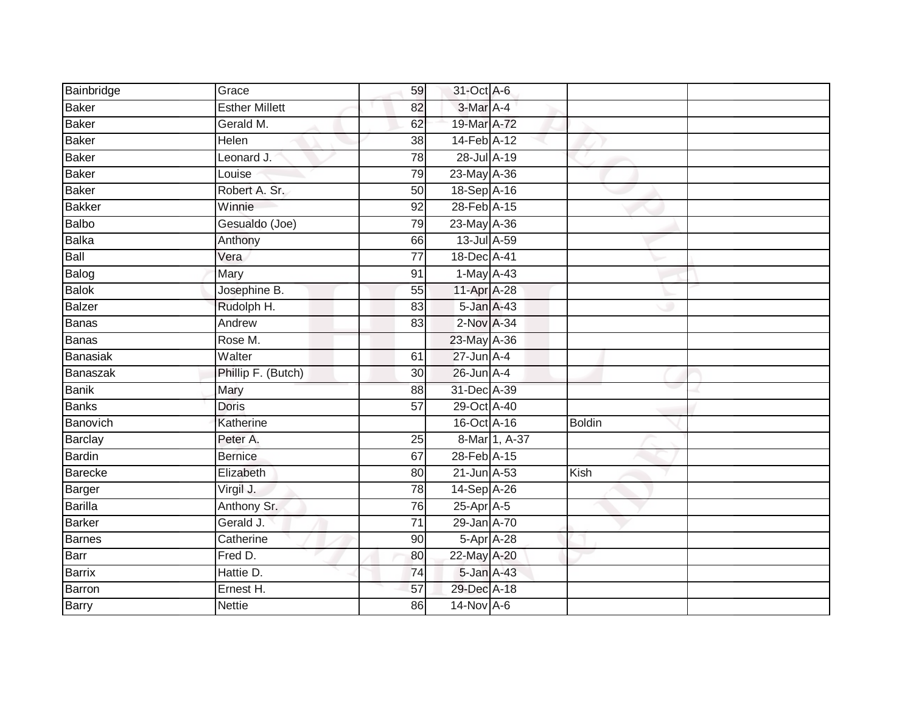| Bainbridge     | Grace                 | 59              | 31-Oct A-6         |               |               |
|----------------|-----------------------|-----------------|--------------------|---------------|---------------|
| <b>Baker</b>   | <b>Esther Millett</b> | 82              | 3-Mar A-4          |               |               |
| <b>Baker</b>   | Gerald M.             | 62              | 19-Mar A-72        |               |               |
| <b>Baker</b>   | Helen                 | 38              | 14-Feb A-12        |               |               |
| <b>Baker</b>   | Leonard J.            | 78              | 28-Jul A-19        |               |               |
| <b>Baker</b>   | Louise                | 79              | 23-May A-36        |               |               |
| <b>Baker</b>   | Robert A. Sr.         | 50              | 18-Sep A-16        |               |               |
| <b>Bakker</b>  | Winnie                | 92              | 28-Feb A-15        |               |               |
| <b>Balbo</b>   | Gesualdo (Joe)        | 79              | 23-May A-36        |               |               |
| <b>Balka</b>   | Anthony               | 66              | 13-Jul A-59        |               |               |
| Ball           | Vera                  | 77              | 18-Dec A-41        |               |               |
| Balog          | Mary                  | 91              | 1-May A-43         |               |               |
| <b>Balok</b>   | Josephine B.          | 55              | 11-Apr A-28        |               |               |
| <b>Balzer</b>  | Rudolph H.            | 83              | $5 - Jan$ $A - 43$ |               |               |
| <b>Banas</b>   | Andrew                | 83              | 2-Nov A-34         |               |               |
| <b>Banas</b>   | Rose M.               |                 | 23-May A-36        |               |               |
| Banasiak       | Walter                | 61              | $27$ -Jun $A-4$    |               |               |
| Banaszak       | Phillip F. (Butch)    | 30              | $26$ -Jun $A-4$    |               |               |
| <b>Banik</b>   | Mary                  | 88              | 31-Dec A-39        |               |               |
| <b>Banks</b>   | <b>Doris</b>          | 57              | 29-Oct A-40        |               |               |
| Banovich       | Katherine             |                 | 16-Oct A-16        |               | <b>Boldin</b> |
| Barclay        | Peter A.              | 25              |                    | 8-Mar 1, A-37 |               |
| <b>Bardin</b>  | <b>Bernice</b>        | 67              | 28-Feb A-15        |               |               |
| Barecke        | Elizabeth             | 80              | 21-Jun A-53        |               | Kish          |
| Barger         | Virgil J.             | 78              | 14-Sep A-26        |               |               |
| <b>Barilla</b> | Anthony Sr.           | 76              | 25-Apr A-5         |               |               |
| <b>Barker</b>  | Gerald J.             | $\overline{71}$ | 29-Jan A-70        |               |               |
| <b>Barnes</b>  | Catherine             | 90              | 5-Apr A-28         |               |               |
| <b>Barr</b>    | Fred D.               | 80              | 22-May A-20        |               |               |
| <b>Barrix</b>  | Hattie D.             | 74              | 5-Jan A-43         |               |               |
| Barron         | Ernest H.             | 57              | 29-Dec A-18        |               |               |
| <b>Barry</b>   | <b>Nettie</b>         | 86              | 14-Nov A-6         |               |               |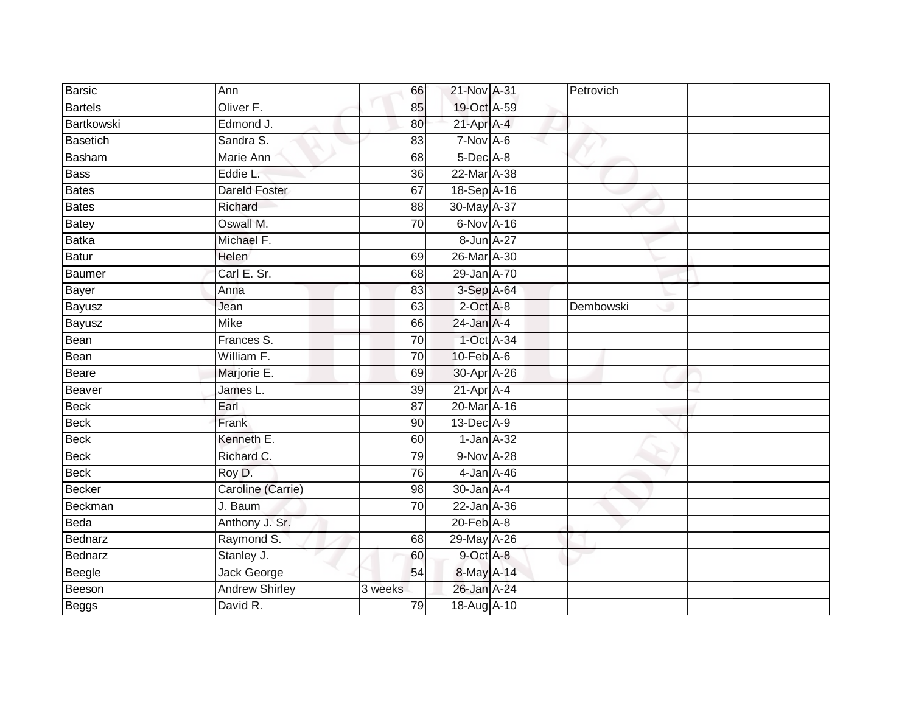| <b>Barsic</b>   | Ann                   | 66      | 21-Nov A-31      | Petrovich |  |
|-----------------|-----------------------|---------|------------------|-----------|--|
| <b>Bartels</b>  | Oliver F.             | 85      | 19-Oct A-59      |           |  |
| Bartkowski      | Edmond J.             | 80      | $21$ -Apr $A$ -4 |           |  |
| <b>Basetich</b> | Sandra S.             | 83      | $7-Nov$ A-6      |           |  |
| Basham          | Marie Ann             | 68      | 5-Dec A-8        |           |  |
| <b>Bass</b>     | Eddie L.              | 36      | 22-Mar A-38      |           |  |
| <b>Bates</b>    | <b>Dareld Foster</b>  | 67      | 18-Sep A-16      |           |  |
| <b>Bates</b>    | Richard               | 88      | 30-May A-37      |           |  |
| <b>Batey</b>    | Oswall M.             | 70      | 6-Nov A-16       |           |  |
| <b>Batka</b>    | Michael F.            |         | 8-Jun A-27       |           |  |
| <b>Batur</b>    | Helen                 | 69      | 26-Mar A-30      |           |  |
| Baumer          | Carl E. Sr.           | 68      | 29-Jan A-70      |           |  |
| Bayer           | Anna                  | 83      | 3-Sep A-64       |           |  |
| Bayusz          | Jean                  | 63      | $2$ -Oct A-8     | Dembowski |  |
| <b>Bayusz</b>   | <b>Mike</b>           | 66      | 24-Jan A-4       |           |  |
| Bean            | Frances S.            | 70      | 1-Oct A-34       |           |  |
| Bean            | William F.            | 70      | $10-FebA-6$      |           |  |
| <b>Beare</b>    | Marjorie E.           | 69      | 30-Apr A-26      |           |  |
| Beaver          | James L.              | 39      | $21$ -Apr $A$ -4 |           |  |
| <b>Beck</b>     | Earl                  | 87      | 20-Mar A-16      |           |  |
| <b>Beck</b>     | Frank                 | 90      | 13-Dec A-9       |           |  |
| <b>Beck</b>     | Kenneth E.            | 60      | $1$ -Jan $A$ -32 |           |  |
| <b>Beck</b>     | Richard C.            | 79      | 9-Nov A-28       |           |  |
| <b>Beck</b>     | Roy D.                | 76      | 4-Jan A-46       |           |  |
| <b>Becker</b>   | Caroline (Carrie)     | 98      | $30 - Jan$ A-4   |           |  |
| Beckman         | J. Baum               | 70      | 22-Jan A-36      |           |  |
| Beda            | Anthony J. Sr.        |         | $20$ -Feb $A-8$  |           |  |
| <b>Bednarz</b>  | Raymond S.            | 68      | 29-May A-26      |           |  |
| Bednarz         | Stanley J.            | 60      | 9-Oct A-8        |           |  |
| Beegle          | <b>Jack George</b>    | 54      | 8-May A-14       |           |  |
| Beeson          | <b>Andrew Shirley</b> | 3 weeks | 26-Jan A-24      |           |  |
| <b>Beggs</b>    | David R.              | 79      | 18-Aug A-10      |           |  |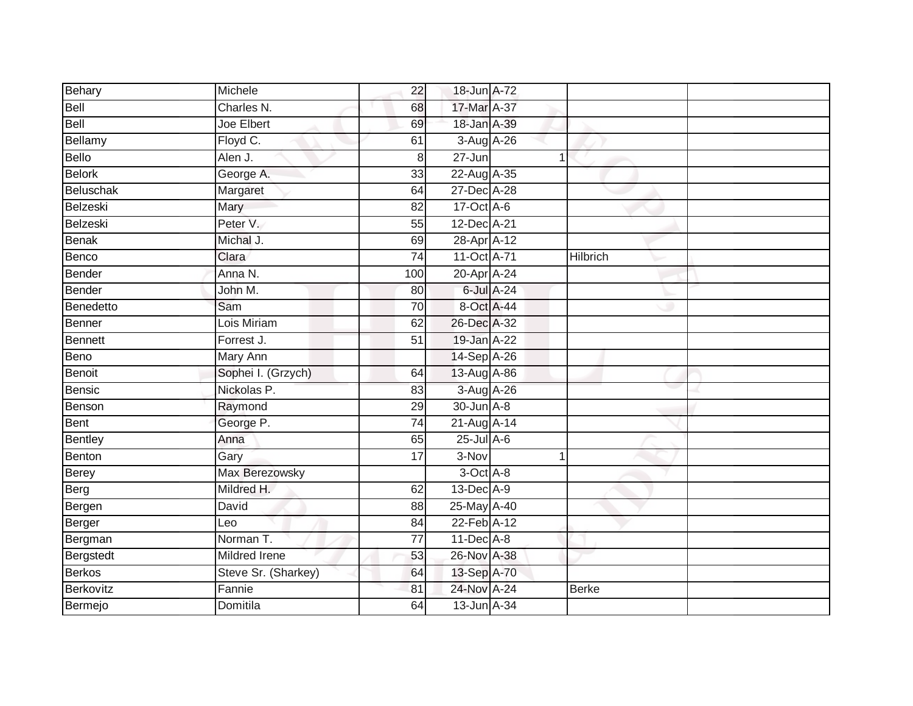| Behary       | Michele              | 22              | 18-Jun A-72   |                |                 |  |
|--------------|----------------------|-----------------|---------------|----------------|-----------------|--|
| Bell         | Charles N.           | 68              | 17-Mar A-37   |                |                 |  |
| Bell         | Joe Elbert           | 69              | 18-Jan A-39   |                |                 |  |
| Bellamy      | Floyd C.             | 61              | 3-Aug A-26    |                |                 |  |
| Bello        | Alen J.              | 8               | $27 - Jun$    | 1              |                 |  |
| Belork       | George A.            | 33              | 22-Aug A-35   |                |                 |  |
| Beluschak    | Margaret             | 64              | 27-Dec A-28   |                |                 |  |
| Belzeski     | Mary                 | 82              | 17-Oct A-6    |                |                 |  |
| Belzeski     | Peter V.             | 55              | 12-Dec A-21   |                |                 |  |
| <b>Benak</b> | Michal J.            | 69              | 28-Apr A-12   |                |                 |  |
| Benco        | Clara                | 74              | 11-Oct A-71   |                | <b>Hilbrich</b> |  |
| Bender       | Anna N.              | 100             | 20-Apr A-24   |                |                 |  |
| Bender       | John M.              | 80              | 6-Jul A-24    |                |                 |  |
| Benedetto    | Sam                  | 70              | 8-Oct A-44    |                |                 |  |
| Benner       | Lois Miriam          | 62              | 26-Dec A-32   |                |                 |  |
| Bennett      | Forrest J.           | 51              | 19-Jan A-22   |                |                 |  |
| <b>Beno</b>  | <b>Mary Ann</b>      |                 | 14-Sep A-26   |                |                 |  |
| Benoit       | Sophei I. (Grzych)   | 64              | 13-Aug A-86   |                |                 |  |
| Bensic       | Nickolas P.          | 83              | 3-Aug A-26    |                |                 |  |
| Benson       | Raymond              | $\overline{29}$ | 30-Jun A-8    |                |                 |  |
| Bent         | George P.            | $\overline{74}$ | 21-Aug A-14   |                |                 |  |
| Bentley      | Anna                 | 65              | $25$ -Jul A-6 |                |                 |  |
| Benton       | Gary                 | 17              | 3-Nov         | $\overline{1}$ |                 |  |
| Berey        | Max Berezowsky       |                 | 3-Oct A-8     |                |                 |  |
| Berg         | Mildred H.           | 62              | 13-Dec A-9    |                |                 |  |
| Bergen       | David                | 88              | 25-May A-40   |                |                 |  |
| Berger       | Leo                  | 84              | 22-Feb A-12   |                |                 |  |
| Bergman      | Norman <sub>T.</sub> | $\overline{77}$ | 11-Dec A-8    |                |                 |  |
| Bergstedt    | <b>Mildred Irene</b> | 53              | 26-Nov A-38   |                |                 |  |
| Berkos       | Steve Sr. (Sharkey)  | 64              | 13-Sep A-70   |                |                 |  |
| Berkovitz    | Fannie               | 81              | 24-Nov A-24   |                | <b>Berke</b>    |  |
| Bermejo      | Domitila             | 64              | 13-Jun A-34   |                |                 |  |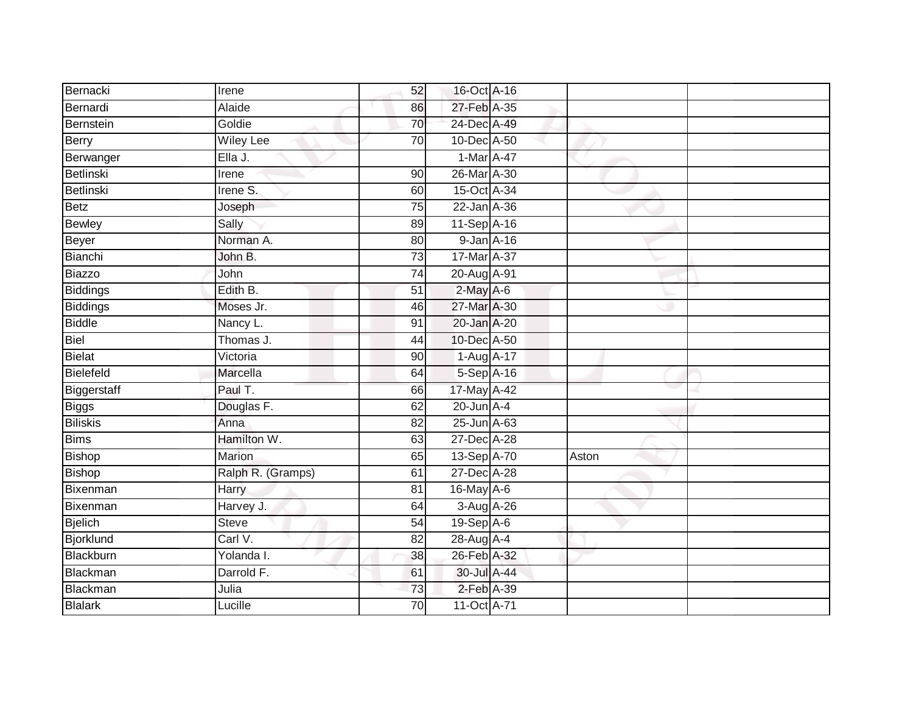| Bernacki         | Irene             | 52              | 16-Oct A-16     |       |  |
|------------------|-------------------|-----------------|-----------------|-------|--|
| Bernardi         | Alaide            | 86              | 27-Feb A-35     |       |  |
| Bernstein        | Goldie            | 70              | 24-Dec A-49     |       |  |
| Berry            | <b>Wiley Lee</b>  | 70              | 10-Dec A-50     |       |  |
| Berwanger        | Ella J.           |                 | 1-Mar A-47      |       |  |
| Betlinski        | Irene             | 90              | 26-Mar A-30     |       |  |
| Betlinski        | Irene S.          | 60              | 15-Oct A-34     |       |  |
| <b>Betz</b>      | Joseph            | 75              | 22-Jan A-36     |       |  |
| Bewley           | Sally             | 89              | 11-Sep A-16     |       |  |
| Beyer            | Norman A.         | 80              | 9-Jan A-16      |       |  |
| Bianchi          | John B.           | $\overline{73}$ | 17-Mar A-37     |       |  |
| Biazzo           | John              | 74              | 20-Aug A-91     |       |  |
| Biddings         | Edith B.          | 51              | $2$ -May A-6    |       |  |
| <b>Biddings</b>  | Moses Jr.         | 46              | 27-Mar A-30     |       |  |
| <b>Biddle</b>    | Nancy L.          | $\overline{91}$ | 20-Jan A-20     |       |  |
| Biel             | Thomas J.         | 44              | 10-Dec A-50     |       |  |
| Bielat           | Victoria          | 90              | 1-Aug A-17      |       |  |
| Bielefeld        | Marcella          | 64              | 5-Sep A-16      |       |  |
| Biggerstaff      | Paul T.           | 66              | 17-May A-42     |       |  |
| <b>Biggs</b>     | Douglas F.        | 62              | $20$ -Jun $A-4$ |       |  |
| <b>Biliskis</b>  | Anna              | 82              | 25-Jun A-63     |       |  |
| <b>Bims</b>      | Hamilton W.       | 63              | 27-Dec A-28     |       |  |
| <b>Bishop</b>    | Marion            | 65              | 13-Sep A-70     | Aston |  |
| <b>Bishop</b>    | Ralph R. (Gramps) | 61              | 27-Dec A-28     |       |  |
| Bixenman         | Harry             | 81              | 16-May A-6      |       |  |
| Bixenman         | Harvey J.         | 64              | $3-Aug$ $A-26$  |       |  |
| Bjelich          | <b>Steve</b>      | $\overline{54}$ | $19-SepA-6$     |       |  |
| <b>Bjorklund</b> | Carl V.           | 82              | 28-Aug A-4      |       |  |
| Blackburn        | Yolanda I.        | 38              | 26-Feb A-32     |       |  |
| Blackman         | Darrold F.        | 61              | 30-Jul A-44     |       |  |
| Blackman         | Julia             | 73              | 2-Feb A-39      |       |  |
| <b>Blalark</b>   | Lucille           | 70              | 11-Oct A-71     |       |  |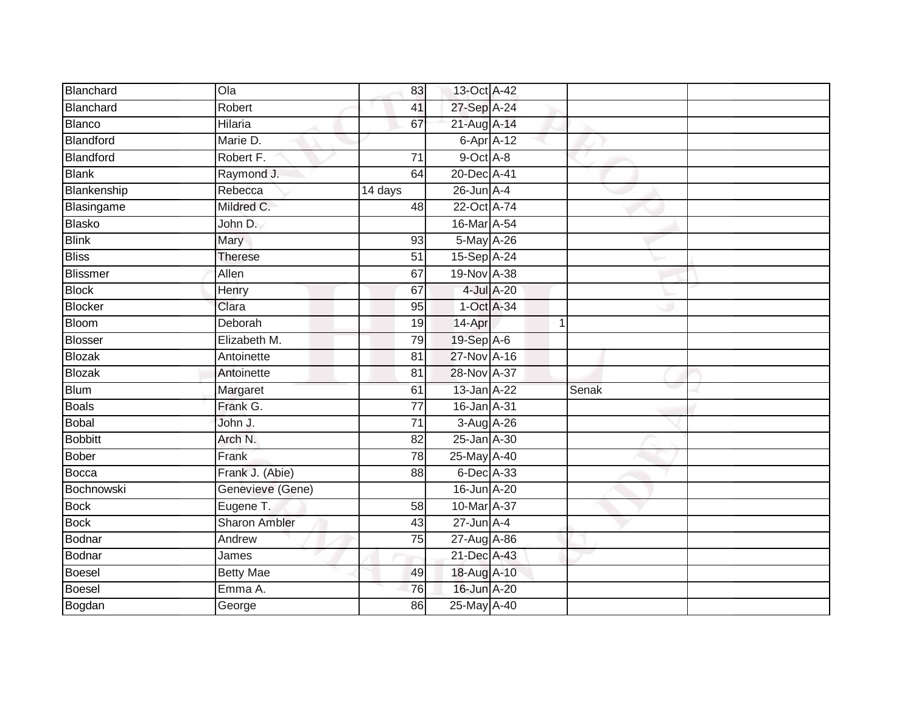| Blanchard       | Q <sub>0</sub>       | 83              | 13-Oct A-42      |             |       |  |
|-----------------|----------------------|-----------------|------------------|-------------|-------|--|
| Blanchard       | Robert               | 41              | 27-Sep A-24      |             |       |  |
| <b>Blanco</b>   | Hilaria              | 67              | 21-Aug A-14      |             |       |  |
| Blandford       | Marie D.             |                 | 6-Apr A-12       |             |       |  |
| Blandford       | Robert F.            | $\overline{71}$ | 9-Oct A-8        |             |       |  |
| <b>Blank</b>    | Raymond J.           | 64              | 20-Dec A-41      |             |       |  |
| Blankenship     | Rebecca              | 14 days         | $26$ -Jun $A-4$  |             |       |  |
| Blasingame      | Mildred C.           | 48              | 22-Oct A-74      |             |       |  |
| <b>Blasko</b>   | John D.              |                 | 16-Mar A-54      |             |       |  |
| <b>Blink</b>    | Mary                 | 93              | 5-May A-26       |             |       |  |
| <b>Bliss</b>    | Therese              | 51              | 15-Sep A-24      |             |       |  |
| <b>Blissmer</b> | Allen                | 67              | 19-Nov A-38      |             |       |  |
| <b>Block</b>    | Henry                | 67              |                  | 4-Jul A-20  |       |  |
| <b>Blocker</b>  | Clara                | 95              | 1-Oct A-34       |             |       |  |
| <b>Bloom</b>    | Deborah              | 19              | 14-Apr           | $\mathbf 1$ |       |  |
| <b>Blosser</b>  | Elizabeth M.         | 79              | 19-Sep A-6       |             |       |  |
| <b>Blozak</b>   | Antoinette           | $\overline{81}$ | 27-Nov A-16      |             |       |  |
| <b>Blozak</b>   | Antoinette           | 81              | 28-Nov A-37      |             |       |  |
| <b>Blum</b>     | Margaret             | 61              | 13-Jan A-22      |             | Senak |  |
| <b>Boals</b>    | Frank G.             | 77              | 16-Jan A-31      |             |       |  |
| <b>Bobal</b>    | John J.              | 71              | 3-Aug A-26       |             |       |  |
| <b>Bobbitt</b>  | Arch N.              | $\overline{82}$ | 25-Jan A-30      |             |       |  |
| <b>Bober</b>    | Frank                | 78              | 25-May A-40      |             |       |  |
| <b>Bocca</b>    | Frank J. (Abie)      | 88              | 6-Dec A-33       |             |       |  |
| Bochnowski      | Genevieve (Gene)     |                 | 16-Jun A-20      |             |       |  |
| <b>Bock</b>     | Eugene T.            | 58              | 10-Mar A-37      |             |       |  |
| <b>Bock</b>     | <b>Sharon Ambler</b> | 43              | $27 - Jun A - 4$ |             |       |  |
| Bodnar          | Andrew               | 75              | 27-Aug A-86      |             |       |  |
| Bodnar          | James                |                 | 21-Dec A-43      |             |       |  |
| <b>Boesel</b>   | <b>Betty Mae</b>     | 49              | 18-Aug A-10      |             |       |  |
| <b>Boesel</b>   | Emma A.              | 76              | 16-Jun A-20      |             |       |  |
| Bogdan          | George               | 86              | 25-May A-40      |             |       |  |
|                 |                      |                 |                  |             |       |  |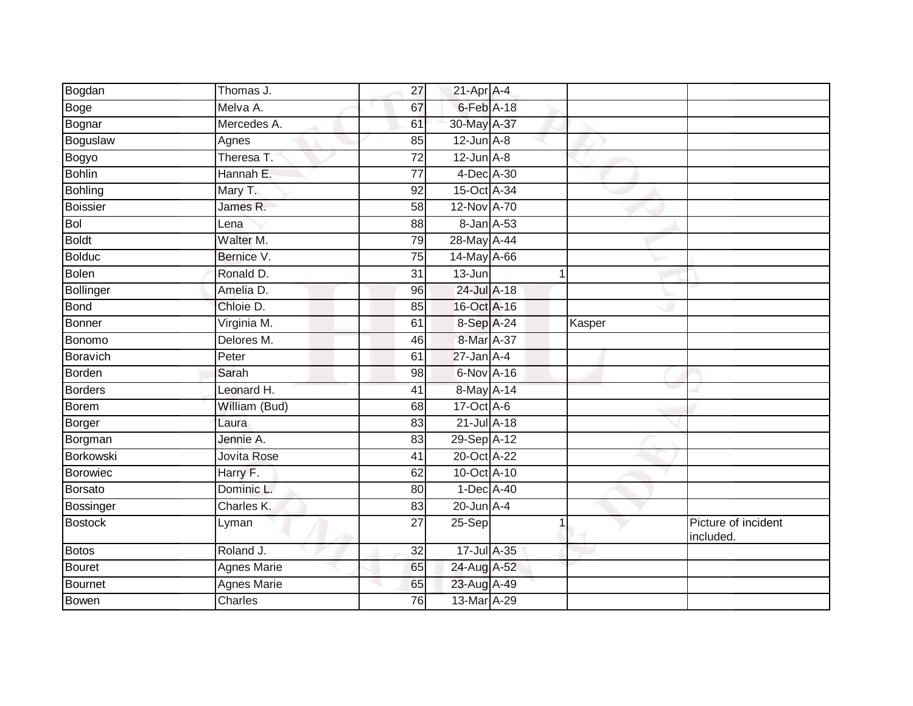| Thomas J.          | 27              |          |             |                                                                                                                                                                                                                                                                                                                                                                                                                                                                   |                                  |
|--------------------|-----------------|----------|-------------|-------------------------------------------------------------------------------------------------------------------------------------------------------------------------------------------------------------------------------------------------------------------------------------------------------------------------------------------------------------------------------------------------------------------------------------------------------------------|----------------------------------|
| Melva A.           | 67              |          |             |                                                                                                                                                                                                                                                                                                                                                                                                                                                                   |                                  |
| Mercedes A.        | 61              |          |             |                                                                                                                                                                                                                                                                                                                                                                                                                                                                   |                                  |
| Agnes              | 85              |          |             |                                                                                                                                                                                                                                                                                                                                                                                                                                                                   |                                  |
| Theresa T.         | $\overline{72}$ |          |             |                                                                                                                                                                                                                                                                                                                                                                                                                                                                   |                                  |
| Hannah E.          | 77              |          |             |                                                                                                                                                                                                                                                                                                                                                                                                                                                                   |                                  |
| Mary T.            | 92              |          |             |                                                                                                                                                                                                                                                                                                                                                                                                                                                                   |                                  |
| James R.           | 58              |          |             |                                                                                                                                                                                                                                                                                                                                                                                                                                                                   |                                  |
| Lena               | 88              |          |             |                                                                                                                                                                                                                                                                                                                                                                                                                                                                   |                                  |
| Walter M.          | 79              |          |             |                                                                                                                                                                                                                                                                                                                                                                                                                                                                   |                                  |
| Bernice V.         | 75              |          |             |                                                                                                                                                                                                                                                                                                                                                                                                                                                                   |                                  |
| Ronald D.          | 31              | 13-Jun   | $\mathbf 1$ |                                                                                                                                                                                                                                                                                                                                                                                                                                                                   |                                  |
| Amelia D.          | 96              |          |             |                                                                                                                                                                                                                                                                                                                                                                                                                                                                   |                                  |
| Chloie D.          | 85              |          |             |                                                                                                                                                                                                                                                                                                                                                                                                                                                                   |                                  |
| Virginia M.        | 61              |          |             |                                                                                                                                                                                                                                                                                                                                                                                                                                                                   |                                  |
| Delores M.         | 46              |          |             |                                                                                                                                                                                                                                                                                                                                                                                                                                                                   |                                  |
| Peter              | 61              |          |             |                                                                                                                                                                                                                                                                                                                                                                                                                                                                   |                                  |
| Sarah              | 98              |          |             |                                                                                                                                                                                                                                                                                                                                                                                                                                                                   |                                  |
| Leonard H.         | 41              |          |             |                                                                                                                                                                                                                                                                                                                                                                                                                                                                   |                                  |
| William (Bud)      | 68              |          |             |                                                                                                                                                                                                                                                                                                                                                                                                                                                                   |                                  |
| Laura              | 83              |          |             |                                                                                                                                                                                                                                                                                                                                                                                                                                                                   |                                  |
| Jennie A.          | 83              |          |             |                                                                                                                                                                                                                                                                                                                                                                                                                                                                   |                                  |
| <b>Jovita Rose</b> | 41              |          |             |                                                                                                                                                                                                                                                                                                                                                                                                                                                                   |                                  |
| Harry F.           | 62              |          |             |                                                                                                                                                                                                                                                                                                                                                                                                                                                                   |                                  |
| Dominic L.         | 80              |          |             |                                                                                                                                                                                                                                                                                                                                                                                                                                                                   |                                  |
| Charles K.         | 83              |          |             |                                                                                                                                                                                                                                                                                                                                                                                                                                                                   |                                  |
| Lyman              | $\overline{27}$ | $25-Sep$ |             |                                                                                                                                                                                                                                                                                                                                                                                                                                                                   | Picture of incident<br>included. |
| Roland J.          | 32              |          |             |                                                                                                                                                                                                                                                                                                                                                                                                                                                                   |                                  |
| Agnes Marie        | 65              |          |             |                                                                                                                                                                                                                                                                                                                                                                                                                                                                   |                                  |
| <b>Agnes Marie</b> | 65              |          |             |                                                                                                                                                                                                                                                                                                                                                                                                                                                                   |                                  |
| Charles            | 76              |          |             |                                                                                                                                                                                                                                                                                                                                                                                                                                                                   |                                  |
|                    |                 |          |             | $21$ -Apr $A$ -4<br>$6$ -Feb $A$ -18<br>30-May A-37<br>$12$ -Jun $A-8$<br>$12$ -Jun $A-8$<br>4-Dec A-30<br>15-Oct A-34<br>12-Nov A-70<br>8-Jan A-53<br>28-May A-44<br>14-May A-66<br>24-Jul A-18<br>16-Oct A-16<br>8-Sep A-24<br>8-Mar A-37<br>$27$ -Jan $A-4$<br>6-Nov A-16<br>8-May A-14<br>17-Oct A-6<br>21-Jul A-18<br>29-Sep A-12<br>20-Oct A-22<br>10-Oct A-10<br>1-Dec A-40<br>$20$ -Jun $A-4$<br>17-Jul A-35<br>24-Aug A-52<br>23-Aug A-49<br>13-Mar A-29 | Kasper                           |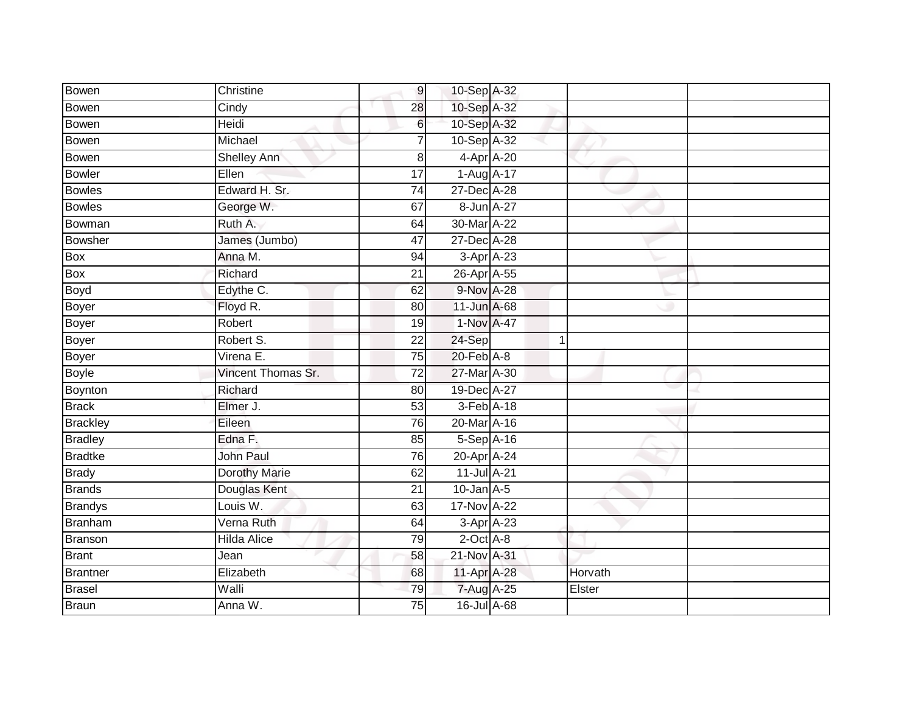| <b>Bowen</b>    | Christine          | 9               | 10-Sep A-32     |   |         |
|-----------------|--------------------|-----------------|-----------------|---|---------|
| Bowen           | Cindy              | 28              | 10-Sep A-32     |   |         |
| Bowen           | Heidi              | 6               | 10-Sep A-32     |   |         |
| <b>Bowen</b>    | Michael            |                 | 10-Sep A-32     |   |         |
| <b>Bowen</b>    | <b>Shelley Ann</b> | 8               | 4-Apr A-20      |   |         |
| <b>Bowler</b>   | Ellen              | 17              | 1-Aug A-17      |   |         |
| <b>Bowles</b>   | Edward H. Sr.      | $\overline{74}$ | 27-Dec A-28     |   |         |
| <b>Bowles</b>   | George W.          | 67              | 8-Jun A-27      |   |         |
| Bowman          | Ruth A.            | 64              | 30-Mar A-22     |   |         |
| <b>Bowsher</b>  | James (Jumbo)      | 47              | 27-Dec A-28     |   |         |
| Box             | Anna M.            | 94              | $3-Apr$ $A-23$  |   |         |
| Box             | Richard            | 21              | 26-Apr A-55     |   |         |
| Boyd            | Edythe C.          | 62              | 9-Nov A-28      |   |         |
| <b>Boyer</b>    | Floyd R.           | 80              | 11-Jun A-68     |   |         |
| <b>Boyer</b>    | Robert             | 19              | 1-Nov A-47      |   |         |
| <b>Boyer</b>    | Robert S.          | 22              | 24-Sep          | 1 |         |
| Boyer           | Virena E.          | $\overline{75}$ | $20$ -Feb $A-8$ |   |         |
| <b>Boyle</b>    | Vincent Thomas Sr. | 72              | 27-Mar A-30     |   |         |
| Boynton         | Richard            | 80              | 19-Dec A-27     |   |         |
| <b>Brack</b>    | Elmer J.           | 53              | $3-Feb$ A-18    |   |         |
| <b>Brackley</b> | Eileen             | 76              | 20-Mar A-16     |   |         |
| <b>Bradley</b>  | Edna F.            | 85              | 5-Sep A-16      |   |         |
| <b>Bradtke</b>  | <b>John Paul</b>   | 76              | 20-Apr A-24     |   |         |
| <b>Brady</b>    | Dorothy Marie      | 62              | 11-Jul A-21     |   |         |
| <b>Brands</b>   | Douglas Kent       | 21              | $10$ -Jan $A-5$ |   |         |
| <b>Brandys</b>  | Louis W.           | 63              | 17-Nov A-22     |   |         |
| <b>Branham</b>  | Verna Ruth         | 64              | $3-Apr$ $A-23$  |   |         |
| Branson         | <b>Hilda Alice</b> | 79              | $2$ -Oct $A-8$  |   |         |
| <b>Brant</b>    | Jean               | 58              | 21-Nov A-31     |   |         |
| <b>Brantner</b> | Elizabeth          | 68              | 11-Apr A-28     |   | Horvath |
| <b>Brasel</b>   | Walli              | 79              | 7-Aug A-25      |   | Elster  |
| <b>Braun</b>    | Anna W.            | $\overline{75}$ | 16-Jul A-68     |   |         |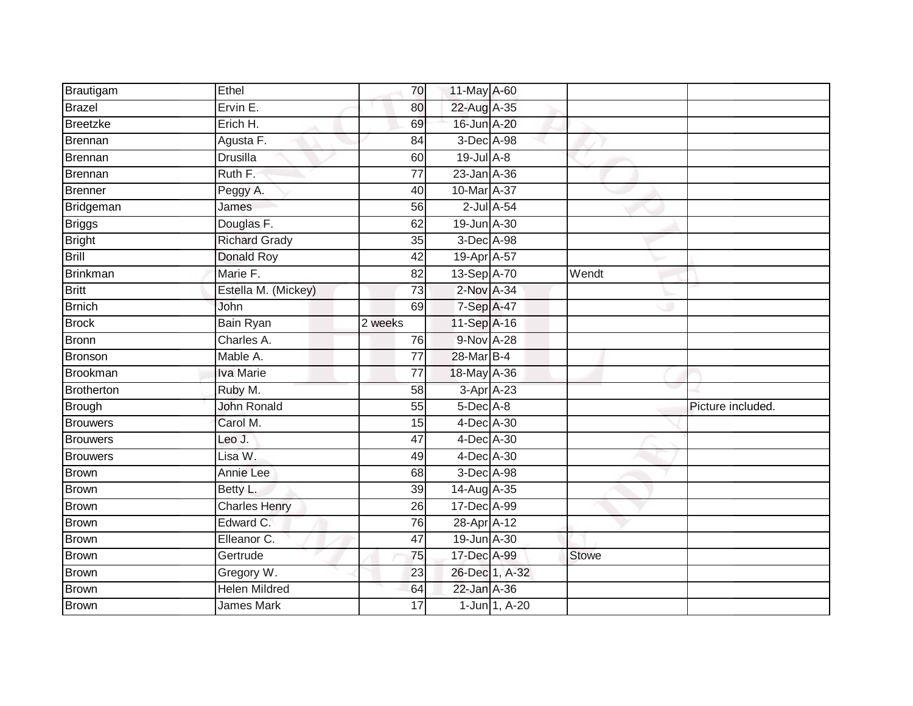| Brautigam       | Ethel                | 70              | 11-May A-60     |                  |              |                   |
|-----------------|----------------------|-----------------|-----------------|------------------|--------------|-------------------|
| Brazel          | Ervin E.             | 80              | 22-Aug A-35     |                  |              |                   |
| <b>Breetzke</b> | Erich H.             | 69              | 16-Jun A-20     |                  |              |                   |
| Brennan         | Agusta F.            | 84              | 3-Dec A-98      |                  |              |                   |
| Brennan         | <b>Drusilla</b>      | 60              | $19$ -Jul $A-8$ |                  |              |                   |
| Brennan         | Ruth F.              | $\overline{77}$ | 23-Jan A-36     |                  |              |                   |
| Brenner         | Peggy A.             | 40              | 10-Mar A-37     |                  |              |                   |
| Bridgeman       | James                | 56              |                 | $2$ -Jul $A$ -54 |              |                   |
| <b>Briggs</b>   | Douglas F.           | 62              | 19-Jun A-30     |                  |              |                   |
| <b>Bright</b>   | <b>Richard Grady</b> | 35              | 3-Dec A-98      |                  |              |                   |
| Brill           | Donald Roy           | 42              | 19-Apr A-57     |                  |              |                   |
| Brinkman        | Marie F.             | $\overline{82}$ | 13-Sep A-70     |                  | Wendt        |                   |
| <b>Britt</b>    | Estella M. (Mickey)  | 73              | 2-Nov A-34      |                  |              |                   |
| <b>Brnich</b>   | John                 | 69              | 7-Sep A-47      |                  |              |                   |
| <b>Brock</b>    | Bain Ryan            | 2 weeks         | 11-Sep A-16     |                  |              |                   |
| Bronn           | Charles A.           | 76              | 9-Nov A-28      |                  |              |                   |
| Bronson         | Mable A.             | $\overline{77}$ | 28-Mar B-4      |                  |              |                   |
| Brookman        | <b>Iva Marie</b>     | 77              | 18-May A-36     |                  |              |                   |
| Brotherton      | Ruby M.              | 58              |                 | 3-Apr A-23       |              |                   |
| <b>Brough</b>   | <b>John Ronald</b>   | 55              | $5$ -Dec $A$ -8 |                  |              | Picture included. |
| <b>Brouwers</b> | Carol M.             | 15              | 4-Dec A-30      |                  |              |                   |
| <b>Brouwers</b> | Leo J.               | 47              | 4-Dec A-30      |                  |              |                   |
| Brouwers        | Lisa W.              | 49              | 4-Dec A-30      |                  |              |                   |
| Brown           | Annie Lee            | 68              | 3-Dec A-98      |                  |              |                   |
| Brown           | Betty L.             | 39              | 14-Aug A-35     |                  |              |                   |
| Brown           | <b>Charles Henry</b> | 26              | 17-Dec A-99     |                  |              |                   |
| <b>Brown</b>    | Edward C.            | 76              | 28-Apr A-12     |                  |              |                   |
| <b>Brown</b>    | Elleanor C.          | 47              | 19-Jun A-30     |                  |              |                   |
| Brown           | Gertrude             | 75              | 17-Dec A-99     |                  | <b>Stowe</b> |                   |
| Brown           | Gregory W.           | 23              |                 | 26-Dec 1, A-32   |              |                   |
| <b>Brown</b>    | <b>Helen Mildred</b> | 64              | 22-Jan A-36     |                  |              |                   |
| Brown           | <b>James Mark</b>    | 17              |                 | 1-Jun 1, A-20    |              |                   |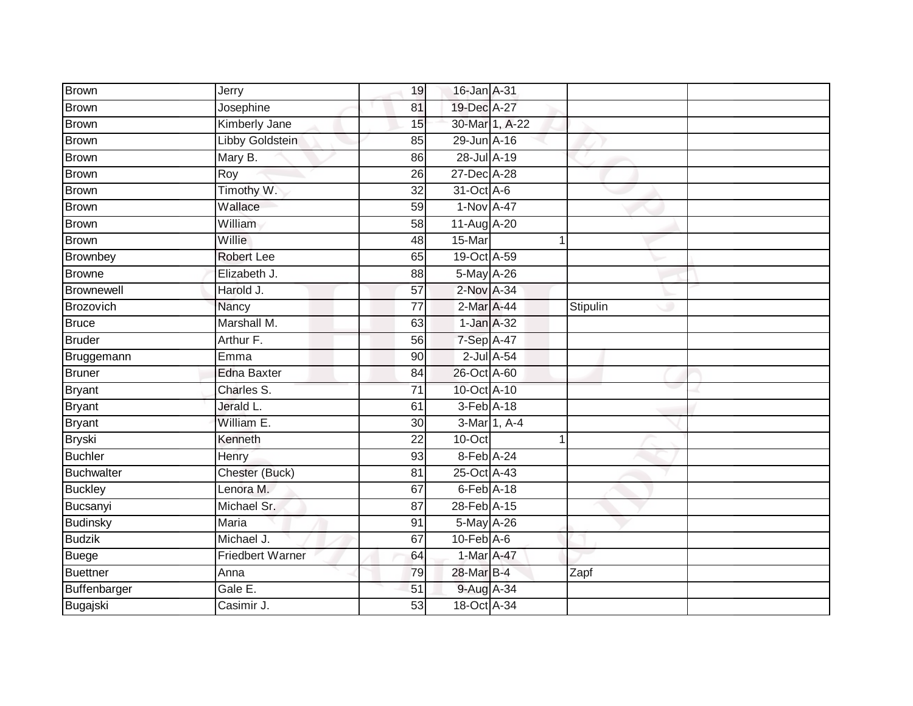| Brown             | Jerry                | 19              | 16-Jan A-31      |          |  |
|-------------------|----------------------|-----------------|------------------|----------|--|
| Brown             | Josephine            | 81              | 19-Dec A-27      |          |  |
| <b>Brown</b>      | <b>Kimberly Jane</b> | 15              | 30-Mar 1, A-22   |          |  |
| <b>Brown</b>      | Libby Goldstein      | 85              | 29-Jun A-16      |          |  |
| <b>Brown</b>      | Mary B.              | 86              | 28-Jul A-19      |          |  |
| <b>Brown</b>      | Roy                  | 26              | 27-Dec A-28      |          |  |
| <b>Brown</b>      | Timothy W.           | $\overline{32}$ | 31-Oct A-6       |          |  |
| <b>Brown</b>      | Wallace              | 59              | 1-Nov A-47       |          |  |
| <b>Brown</b>      | William              | 58              | 11-Aug A-20      |          |  |
| <b>Brown</b>      | <b>Willie</b>        | 48              | 15-Mar           |          |  |
| Brownbey          | <b>Robert Lee</b>    | 65              | 19-Oct A-59      |          |  |
| <b>Browne</b>     | Elizabeth J.         | 88              | 5-May A-26       |          |  |
| Brownewell        | Harold J.            | 57              | 2-Nov A-34       |          |  |
| Brozovich         | Nancy                | 77              | 2-Mar A-44       | Stipulin |  |
| <b>Bruce</b>      | Marshall M.          | 63              | 1-Jan A-32       |          |  |
| <b>Bruder</b>     | Arthur F.            | 56              | 7-Sep A-47       |          |  |
| Bruggemann        | Emma                 | $\overline{90}$ | $2$ -Jul $A$ -54 |          |  |
| <b>Bruner</b>     | <b>Edna Baxter</b>   | 84              | 26-Oct A-60      |          |  |
| <b>Bryant</b>     | Charles S.           | $\overline{71}$ | 10-Oct A-10      |          |  |
| <b>Bryant</b>     | Jerald L.            | 61              | 3-Feb A-18       |          |  |
| <b>Bryant</b>     | William E.           | 30              | 3-Mar 1, A-4     |          |  |
| <b>Bryski</b>     | Kenneth              | 22              | 10-Oct           | 1        |  |
| <b>Buchler</b>    | Henry                | 93              | 8-Feb A-24       |          |  |
| <b>Buchwalter</b> | Chester (Buck)       | 81              | 25-Oct A-43      |          |  |
| <b>Buckley</b>    | Lenora M.            | 67              | $6$ -Feb $A-18$  |          |  |
| Bucsanyi          | Michael Sr.          | 87              | 28-Feb A-15      |          |  |
| <b>Budinsky</b>   | <b>Maria</b>         | 91              | 5-May A-26       |          |  |
| <b>Budzik</b>     | Michael J.           | 67              | $10$ -Feb $A$ -6 |          |  |
| <b>Buege</b>      | Friedbert Warner     | 64              | 1-Mar A-47       |          |  |
| <b>Buettner</b>   | Anna                 | 79              | 28-Mar B-4       | Zapf     |  |
| Buffenbarger      | Gale E.              | 51              | 9-Aug A-34       |          |  |
| Bugajski          | Casimir J.           | $\overline{53}$ | 18-Oct A-34      |          |  |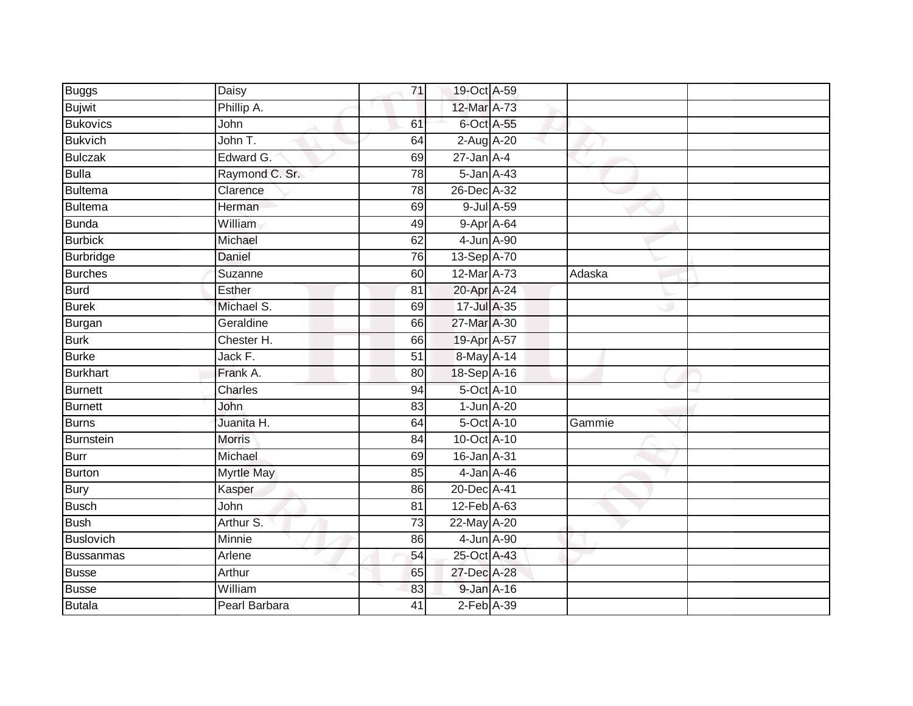| <b>Buggs</b>     | Daisy             | 71 | 19-Oct A-59      |        |  |
|------------------|-------------------|----|------------------|--------|--|
| <b>Bujwit</b>    | Phillip A.        |    | 12-Mar A-73      |        |  |
| <b>Bukovics</b>  | John              | 61 | 6-Oct A-55       |        |  |
| <b>Bukvich</b>   | John T.           | 64 | 2-Aug A-20       |        |  |
| <b>Bulczak</b>   | Edward G.         | 69 | $27$ -Jan $A-4$  |        |  |
| <b>Bulla</b>     | Raymond C. Sr.    | 78 | $5$ -Jan $A$ -43 |        |  |
| <b>Bultema</b>   | Clarence          | 78 | 26-Dec A-32      |        |  |
| <b>Bultema</b>   | Herman            | 69 | 9-Jul A-59       |        |  |
| <b>Bunda</b>     | William           | 49 | 9-Apr A-64       |        |  |
| <b>Burbick</b>   | Michael           | 62 | 4-Jun A-90       |        |  |
| <b>Burbridge</b> | Daniel            | 76 | 13-Sep A-70      |        |  |
| <b>Burches</b>   | Suzanne           | 60 | 12-Mar A-73      | Adaska |  |
| <b>Burd</b>      | Esther            | 81 | 20-Apr A-24      |        |  |
| <b>Burek</b>     | Michael S.        | 69 | 17-Jul A-35      |        |  |
| <b>Burgan</b>    | Geraldine         | 66 | 27-Mar A-30      |        |  |
| <b>Burk</b>      | Chester H.        | 66 | 19-Apr A-57      |        |  |
| <b>Burke</b>     | Jack F.           | 51 | 8-May A-14       |        |  |
| <b>Burkhart</b>  | Frank A.          | 80 | 18-Sep A-16      |        |  |
| <b>Burnett</b>   | Charles           | 94 | 5-Oct A-10       |        |  |
| <b>Burnett</b>   | John              | 83 | $1$ -Jun $A-20$  |        |  |
| <b>Burns</b>     | Juanita H.        | 64 | 5-Oct A-10       | Gammie |  |
| Burnstein        | Morris            | 84 | 10-Oct A-10      |        |  |
| <b>Burr</b>      | Michael           | 69 | 16-Jan A-31      |        |  |
| <b>Burton</b>    | <b>Myrtle May</b> | 85 | 4-Jan A-46       |        |  |
| <b>Bury</b>      | Kasper            | 86 | 20-Dec A-41      |        |  |
| <b>Busch</b>     | John              | 81 | 12-Feb A-63      |        |  |
| <b>Bush</b>      | Arthur S.         | 73 | 22-May A-20      |        |  |
| Buslovich        | Minnie            | 86 | 4-Jun A-90       |        |  |
| <b>Bussanmas</b> | Arlene            | 54 | 25-Oct A-43      |        |  |
| <b>Busse</b>     | Arthur            | 65 | 27-Dec A-28      |        |  |
| <b>Busse</b>     | William           | 83 | 9-Jan A-16       |        |  |
| <b>Butala</b>    | Pearl Barbara     | 41 | $2$ -Feb $A-39$  |        |  |
|                  |                   |    |                  |        |  |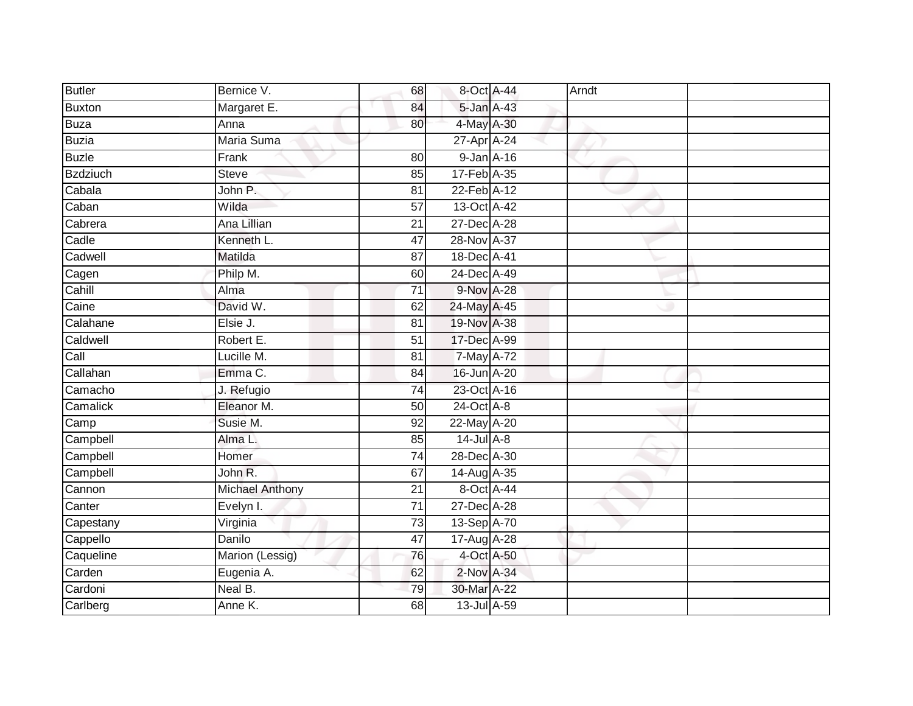| <b>Butler</b>   | Bernice V.             | 68              | 8-Oct A-44       | Arndt |  |
|-----------------|------------------------|-----------------|------------------|-------|--|
| Buxton          | Margaret E.            | 84              | 5-Jan A-43       |       |  |
| Buza            | Anna                   | 80              | 4-May A-30       |       |  |
| <b>Buzia</b>    | Maria Suma             |                 | 27-Apr A-24      |       |  |
| <b>Buzle</b>    | Frank                  | 80              | $9$ -Jan $A$ -16 |       |  |
| <b>Bzdziuch</b> | <b>Steve</b>           | 85              | 17-Feb A-35      |       |  |
| Cabala          | John P.                | 81              | 22-Feb A-12      |       |  |
| Caban           | Wilda                  | 57              | 13-Oct A-42      |       |  |
| Cabrera         | Ana Lillian            | 21              | 27-Dec A-28      |       |  |
| Cadle           | Kenneth L.             | $\overline{47}$ | 28-Nov A-37      |       |  |
| Cadwell         | Matilda                | 87              | 18-Dec A-41      |       |  |
| Cagen           | Philp M.               | 60              | 24-Dec A-49      |       |  |
| Cahill          | Alma                   | 71              | 9-Nov A-28       |       |  |
| Caine           | David W.               | 62              | 24-May A-45      |       |  |
| Calahane        | Elsie J.               | 81              | 19-Nov A-38      |       |  |
| Caldwell        | Robert E.              | $\overline{51}$ | 17-Dec A-99      |       |  |
| Call            | Lucille M.             | 81              | 7-May A-72       |       |  |
| Callahan        | Emma C.                | 84              | 16-Jun A-20      |       |  |
| Camacho         | J. Refugio             | 74              | 23-Oct A-16      |       |  |
| Camalick        | Eleanor M.             | 50              | 24-Oct A-8       |       |  |
| Camp            | Susie M.               | 92              | 22-May A-20      |       |  |
| Campbell        | Alma L.                | 85              | $14$ -Jul $A-8$  |       |  |
| Campbell        | Homer                  | 74              | 28-Dec A-30      |       |  |
| Campbell        | John R.                | 67              | 14-Aug A-35      |       |  |
| Cannon          | <b>Michael Anthony</b> | 21              | 8-Oct A-44       |       |  |
| Canter          | Evelyn I.              | $\overline{71}$ | 27-Dec A-28      |       |  |
| Capestany       | Virginia               | 73              | 13-Sep A-70      |       |  |
| Cappello        | Danilo                 | 47              | 17-Aug A-28      |       |  |
| Caqueline       | Marion (Lessig)        | 76              | 4-Oct A-50       |       |  |
| Carden          | Eugenia A.             | 62              | 2-Nov A-34       |       |  |
| Cardoni         | Neal B.                | 79              | 30-Mar A-22      |       |  |
| Carlberg        | Anne K.                | 68              | 13-Jul A-59      |       |  |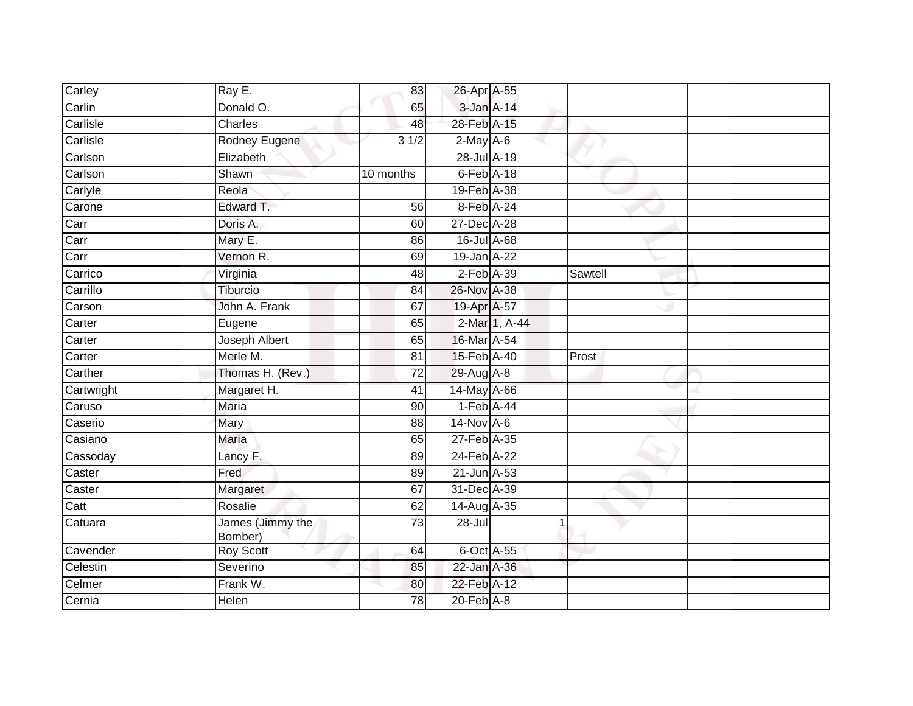| Carley     | Ray E.                      | 83              | 26-Apr A-55      |               |         |  |
|------------|-----------------------------|-----------------|------------------|---------------|---------|--|
| Carlin     | Donald O.                   | 65              | 3-Jan A-14       |               |         |  |
| Carlisle   | Charles                     | 48              | 28-Feb A-15      |               |         |  |
| Carlisle   | Rodney Eugene               | 31/2            | $2$ -May A-6     |               |         |  |
| Carlson    | Elizabeth                   |                 | 28-Jul A-19      |               |         |  |
| Carlson    | Shawn                       | 10 months       | $6$ -Feb $A$ -18 |               |         |  |
| Carlyle    | Reola                       |                 | 19-Feb A-38      |               |         |  |
| Carone     | Edward T.                   | 56              | 8-Feb A-24       |               |         |  |
| Carr       | Doris A.                    | 60              | 27-Dec A-28      |               |         |  |
| Carr       | Mary E.                     | 86              | 16-Jul A-68      |               |         |  |
| Carr       | Vernon R.                   | 69              | 19-Jan A-22      |               |         |  |
| Carrico    | Virginia                    | 48              | $2$ -Feb $A-39$  |               | Sawtell |  |
| Carrillo   | Tiburcio                    | 84              | 26-Nov A-38      |               |         |  |
| Carson     | John A. Frank               | 67              | 19-Apr A-57      |               |         |  |
| Carter     | Eugene                      | 65              |                  | 2-Mar 1, A-44 |         |  |
| Carter     | Joseph Albert               | 65              | 16-Mar A-54      |               |         |  |
| Carter     | Merle M.                    | 81              | 15-Feb A-40      |               | Prost   |  |
| Carther    | Thomas H. (Rev.)            | 72              | 29-Aug A-8       |               |         |  |
| Cartwright | Margaret H.                 | 41              | 14-May A-66      |               |         |  |
| Caruso     | <b>Maria</b>                | 90              | $1-Feb$ A-44     |               |         |  |
| Caserio    | Mary                        | 88              | $14$ -Nov A-6    |               |         |  |
| Casiano    | <b>Maria</b>                | 65              | 27-Feb A-35      |               |         |  |
| Cassoday   | Lancy F.                    | 89              | 24-Feb A-22      |               |         |  |
| Caster     | Fred                        | 89              | 21-Jun A-53      |               |         |  |
| Caster     | Margaret                    | 67              | 31-Dec A-39      |               |         |  |
| Catt       | Rosalie                     | 62              | 14-Aug A-35      |               |         |  |
| Catuara    | James (Jimmy the<br>Bomber) | $\overline{73}$ | $28 -$ Jul       |               |         |  |
| Cavender   | Roy Scott                   | 64              | 6-Oct A-55       |               |         |  |
| Celestin   | Severino                    | 85              | 22-Jan A-36      |               |         |  |
| Celmer     | Frank W.                    | 80              | 22-Feb A-12      |               |         |  |
| Cernia     | Helen                       | 78              | $20$ -Feb $A-8$  |               |         |  |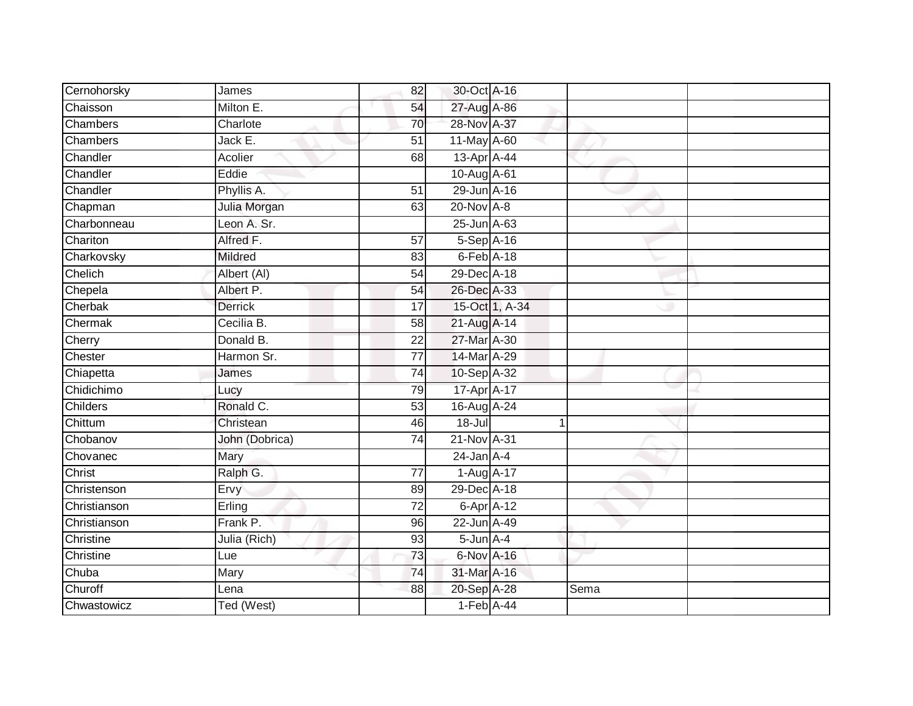| Cernohorsky     | James          | 82              | 30-Oct A-16      |                |      |  |
|-----------------|----------------|-----------------|------------------|----------------|------|--|
| Chaisson        | Milton E.      | 54              | 27-Aug A-86      |                |      |  |
| <b>Chambers</b> | Charlote       | 70              | 28-Nov A-37      |                |      |  |
| Chambers        | Jack E.        | 51              | 11-May A-60      |                |      |  |
| Chandler        | Acolier        | 68              | 13-Apr A-44      |                |      |  |
| Chandler        | Eddie          |                 | 10-Aug A-61      |                |      |  |
| Chandler        | Phyllis A.     | 51              | 29-Jun A-16      |                |      |  |
| Chapman         | Julia Morgan   | 63              | 20-Nov A-8       |                |      |  |
| Charbonneau     | Leon A. Sr.    |                 | 25-Jun A-63      |                |      |  |
| Chariton        | Alfred F.      | 57              | 5-Sep A-16       |                |      |  |
| Charkovsky      | <b>Mildred</b> | 83              | $6$ -Feb $A$ -18 |                |      |  |
| Chelich         | Albert (AI)    | $\overline{54}$ | 29-Dec A-18      |                |      |  |
| Chepela         | Albert P.      | 54              | 26-Dec A-33      |                |      |  |
| Cherbak         | <b>Derrick</b> | $\overline{17}$ |                  | 15-Oct 1, A-34 |      |  |
| Chermak         | Cecilia B.     | $\overline{58}$ | 21-Aug A-14      |                |      |  |
| Cherry          | Donald B.      | $\overline{22}$ | 27-Mar A-30      |                |      |  |
| Chester         | Harmon Sr.     | $\overline{77}$ | 14-Mar A-29      |                |      |  |
| Chiapetta       | James          | 74              | 10-Sep A-32      |                |      |  |
| Chidichimo      | Lucy           | 79              | 17-Apr A-17      |                |      |  |
| Childers        | Ronald C.      | 53              | 16-Aug A-24      |                |      |  |
| Chittum         | Christean      | 46              | $18 -$ Jul       |                |      |  |
| Chobanov        | John (Dobrica) | 74              | 21-Nov A-31      |                |      |  |
| Chovanec        | Mary           |                 | $24$ -Jan $A-4$  |                |      |  |
| Christ          | Ralph G.       | 77              | 1-Aug A-17       |                |      |  |
| Christenson     | Ervy           | 89              | 29-Dec A-18      |                |      |  |
| Christianson    | Erling         | $\overline{72}$ | $6-AprA-12$      |                |      |  |
| Christianson    | Frank P.       | 96              | 22-Jun A-49      |                |      |  |
| Christine       | Julia (Rich)   | 93              | $5$ -Jun $A-4$   |                |      |  |
| Christine       | Lue            | 73              | 6-Nov A-16       |                |      |  |
| Chuba           | Mary           | 74              | 31-Mar A-16      |                |      |  |
| Churoff         | Lena           | 88              | 20-Sep A-28      |                | Sema |  |
| Chwastowicz     | Ted (West)     |                 | $1-Feb$ A-44     |                |      |  |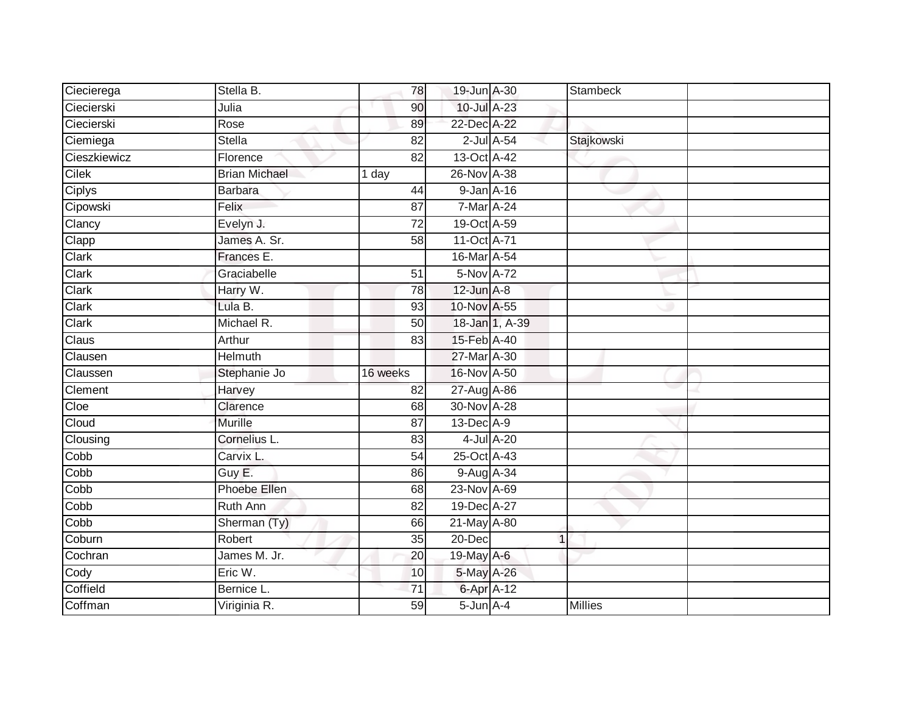| Ciecierega   | Stella B.            | 78              | 19-Jun A-30       |                | <b>Stambeck</b> |  |
|--------------|----------------------|-----------------|-------------------|----------------|-----------------|--|
| Ciecierski   | Julia                | 90              | 10-Jul A-23       |                |                 |  |
| Ciecierski   | Rose                 | 89              | 22-Dec A-22       |                |                 |  |
| Ciemiega     | <b>Stella</b>        | 82              |                   | 2-Jul A-54     | Stajkowski      |  |
| Cieszkiewicz | Florence             | $\overline{82}$ | 13-Oct A-42       |                |                 |  |
| <b>Cilek</b> | <b>Brian Michael</b> | 1 day           | 26-Nov A-38       |                |                 |  |
| Ciplys       | <b>Barbara</b>       | 44              | 9-Jan A-16        |                |                 |  |
| Cipowski     | Felix                | 87              | 7-Mar A-24        |                |                 |  |
| Clancy       | Evelyn J.            | 72              | 19-Oct A-59       |                |                 |  |
| Clapp        | James A. Sr.         | $\overline{58}$ | 11-Oct A-71       |                |                 |  |
| Clark        | Frances E.           |                 | 16-Mar A-54       |                |                 |  |
| Clark        | Graciabelle          | $\overline{51}$ | 5-Nov A-72        |                |                 |  |
| Clark        | Harry W.             | 78              | $12$ -Jun $A-8$   |                |                 |  |
| Clark        | Lula B.              | 93              | 10-Nov A-55       |                |                 |  |
| Clark        | Michael R.           | 50              |                   | 18-Jan 1, A-39 |                 |  |
| Claus        | Arthur               | 83              | 15-Feb A-40       |                |                 |  |
| Clausen      | <b>Helmuth</b>       |                 | 27-Mar A-30       |                |                 |  |
| Claussen     | Stephanie Jo         | 16 weeks        | 16-Nov A-50       |                |                 |  |
| Clement      | Harvey               | 82              | 27-Aug A-86       |                |                 |  |
| Cloe         | Clarence             | 68              | 30-Nov A-28       |                |                 |  |
| Cloud        | Murille              | 87              | 13-Dec A-9        |                |                 |  |
| Clousing     | Cornelius L.         | 83              |                   | 4-Jul A-20     |                 |  |
| Cobb         | Carvix L.            | 54              | 25-Oct A-43       |                |                 |  |
| Cobb         | Guy E.               | 86              | 9-Aug A-34        |                |                 |  |
| Cobb         | Phoebe Ellen         | 68              | 23-Nov A-69       |                |                 |  |
| Cobb         | Ruth Ann             | 82              | 19-Dec A-27       |                |                 |  |
| Copp         | Sherman (Ty)         | 66              | 21-May A-80       |                |                 |  |
| Coburn       | Robert               | 35              | $20 - Dec$        |                | $\overline{1}$  |  |
| Cochran      | James M. Jr.         | 20              | 19-May A-6        |                |                 |  |
| Cody         | Eric W.              | 10              | 5-May A-26        |                |                 |  |
| Coffield     | Bernice L.           | $\overline{71}$ | 6-Apr A-12        |                |                 |  |
| Coffman      | Viriginia R.         | 59              | $5 - Jun$ $A - 4$ |                | <b>Millies</b>  |  |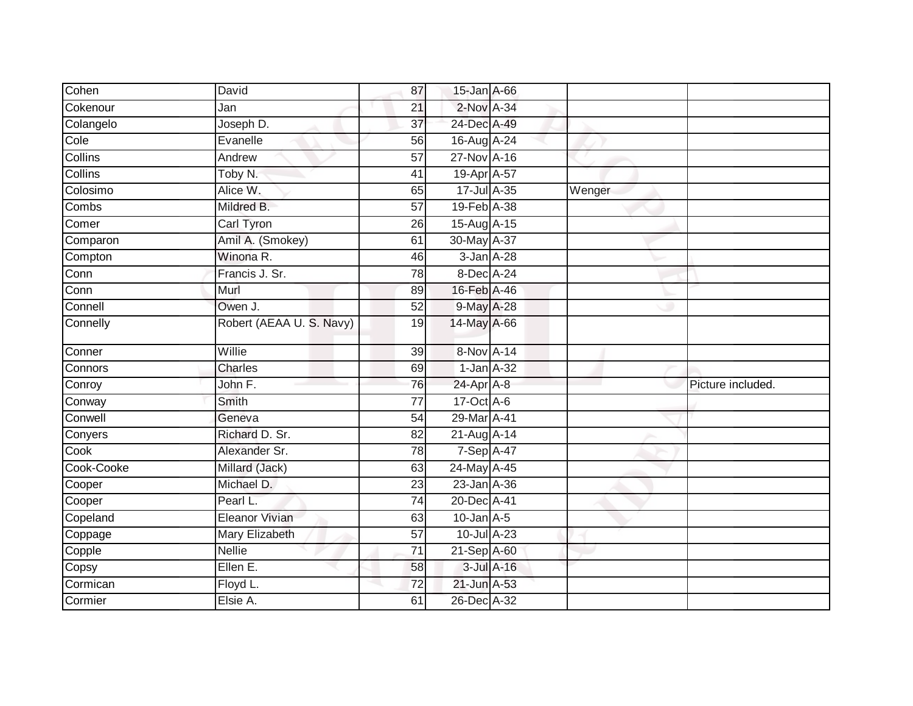| Cohen                    | David                    | 87              | 15-Jan A-66      |            |        |                   |
|--------------------------|--------------------------|-----------------|------------------|------------|--------|-------------------|
| Cokenour                 | Jan                      | 21              | $2$ -Nov $A-34$  |            |        |                   |
| Colangelo                | Joseph D.                | 37              | 24-Dec A-49      |            |        |                   |
| Cole                     | Evanelle                 | 56              | 16-Aug A-24      |            |        |                   |
| <b>Collins</b>           | Andrew                   | $\overline{57}$ | 27-Nov A-16      |            |        |                   |
| Collins                  | Toby N.                  | 41              | 19-Apr A-57      |            |        |                   |
| Colosimo                 | Alice W.                 | 65              | $17 -$ Jul A-35  |            | Wenger |                   |
| Combs                    | Mildred B.               | 57              | 19-Feb A-38      |            |        |                   |
| Comer                    | Carl Tyron               | 26              | 15-Aug A-15      |            |        |                   |
| Comparon                 | Amil A. (Smokey)         | 61              | 30-May A-37      |            |        |                   |
| Compton                  | Winona R.                | 46              | 3-Jan A-28       |            |        |                   |
| Conn                     | Francis J. Sr.           | 78              | $8$ -Dec $A$ -24 |            |        |                   |
| $\overline{\text{Conn}}$ | Murl                     | 89              | 16-Feb A-46      |            |        |                   |
| Connell                  | Owen J.                  | 52              | 9-May A-28       |            |        |                   |
| Connelly                 | Robert (AEAA U. S. Navy) | 19              | 14-May A-66      |            |        |                   |
| Conner                   | Willie                   | 39              | 8-Nov A-14       |            |        |                   |
| Connors                  | Charles                  | 69              | $1$ -Jan $A-32$  |            |        |                   |
| Conroy                   | John F.                  | 76              | 24-Apr A-8       |            |        | Picture included. |
| Conway                   | Smith                    | 77              | $17-Oct$ A-6     |            |        |                   |
| Conwell                  | Geneva                   | 54              | 29-Mar A-41      |            |        |                   |
| Conyers                  | Richard D. Sr.           | 82              | 21-Aug A-14      |            |        |                   |
| Cook                     | Alexander Sr.            | 78              | $7-Sep$ A-47     |            |        |                   |
| Cook-Cooke               | Millard (Jack)           | 63              | 24-May A-45      |            |        |                   |
| Cooper                   | Michael D.               | 23              | 23-Jan A-36      |            |        |                   |
| Cooper                   | Pearl L.                 | $\overline{74}$ | 20-Dec A-41      |            |        |                   |
| Copeland                 | Eleanor Vivian           | 63              | $10$ -Jan $A-5$  |            |        |                   |
| Coppage                  | Mary Elizabeth           | 57              | 10-Jul A-23      |            |        |                   |
| Copple                   | <b>Nellie</b>            | 71              | 21-Sep A-60      |            |        |                   |
| Copsy                    | Ellen E.                 | 58              |                  | 3-Jul A-16 |        |                   |
| Cormican                 | Floyd L.                 | 72              | 21-Jun A-53      |            |        |                   |
| Cormier                  | Elsie A.                 | 61              | 26-Dec A-32      |            |        |                   |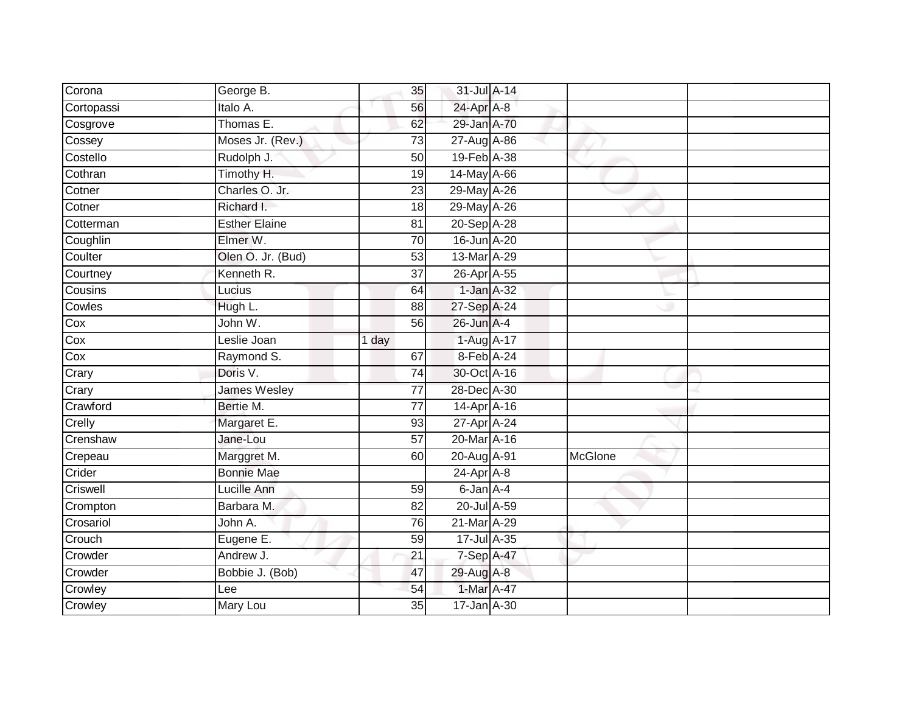| Corona     | George B.            | 35              | 31-Jul A-14      |                |  |
|------------|----------------------|-----------------|------------------|----------------|--|
| Cortopassi | Italo A.             | 56              | 24-Apr A-8       |                |  |
| Cosgrove   | Thomas E.            | 62              | 29-Jan A-70      |                |  |
| Cossey     | Moses Jr. (Rev.)     | 73              | 27-Aug A-86      |                |  |
| Costello   | Rudolph J.           | 50              | 19-Feb A-38      |                |  |
| Cothran    | Timothy H.           | 19              | 14-May A-66      |                |  |
| Cotner     | Charles O. Jr.       | 23              | 29-May A-26      |                |  |
| Cotner     | Richard I.           | 18              | 29-May A-26      |                |  |
| Cotterman  | <b>Esther Elaine</b> | 81              | 20-Sep A-28      |                |  |
| Coughlin   | Elmer W.             | 70              | 16-Jun A-20      |                |  |
| Coulter    | Olen O. Jr. (Bud)    | 53              | 13-Mar A-29      |                |  |
| Courtney   | Kenneth R.           | 37              | 26-Apr A-55      |                |  |
| Cousins    | Lucius               | 64              | $1$ -Jan $A-32$  |                |  |
| Cowles     | Hugh L.              | 88              | 27-Sep A-24      |                |  |
| Cox        | John W.              | 56              | 26-Jun A-4       |                |  |
| Cox        | Leslie Joan          | 1 day           | 1-Aug A-17       |                |  |
| Cox        | Raymond S.           | 67              | 8-Feb A-24       |                |  |
| Crary      | Doris V.             | 74              | 30-Oct A-16      |                |  |
| Crary      | <b>James Wesley</b>  | $\overline{77}$ | 28-Dec A-30      |                |  |
| Crawford   | Bertie M.            | 77              | 14-Apr A-16      |                |  |
| Crelly     | Margaret E.          | 93              | 27-Apr A-24      |                |  |
| Crenshaw   | Jane-Lou             | $\overline{57}$ | 20-Mar A-16      |                |  |
| Crepeau    | Marggret M.          | 60              | 20-Aug A-91      | <b>McGlone</b> |  |
| Crider     | <b>Bonnie Mae</b>    |                 | $24$ -Apr $A$ -8 |                |  |
| Criswell   | Lucille Ann          | 59              | 6-Jan A-4        |                |  |
| Crompton   | Barbara M.           | 82              | 20-Jul A-59      |                |  |
| Crosariol  | John A.              | 76              | 21-Mar A-29      |                |  |
| Crouch     | Eugene E.            | 59              | 17-Jul A-35      |                |  |
| Crowder    | Andrew J.            | 21              | 7-Sep A-47       |                |  |
| Crowder    | Bobbie J. (Bob)      | 47              | 29-Aug A-8       |                |  |
| Crowley    | Lee                  | 54              | 1-Mar A-47       |                |  |
| Crowley    | Mary Lou             | $\overline{35}$ | 17-Jan A-30      |                |  |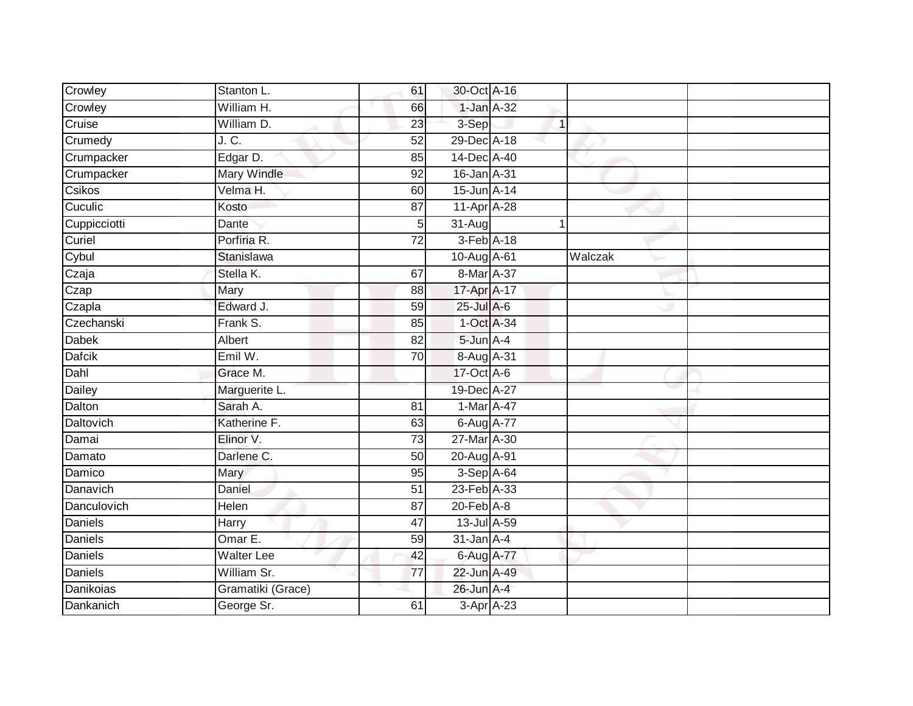| Crowley        | Stanton L.        | 61              | 30-Oct A-16      |         |  |
|----------------|-------------------|-----------------|------------------|---------|--|
| Crowley        | William H.        | 66              | 1-Jan A-32       |         |  |
| Cruise         | William D.        | $\overline{23}$ | 3-Sep            |         |  |
| Crumedy        | J. C.             | 52              | 29-Dec A-18      |         |  |
| Crumpacker     | Edgar D.          | 85              | 14-Dec A-40      |         |  |
| Crumpacker     | Mary Windle       | 92              | 16-Jan A-31      |         |  |
| Csikos         | Velma H.          | 60              | 15-Jun A-14      |         |  |
| Cuculic        | Kosto             | 87              | 11-Apr A-28      |         |  |
| Cuppicciotti   | Dante             | 5 <sub>l</sub>  | 31-Aug           |         |  |
| Curiel         | Porfiria R.       | $\overline{72}$ | 3-Feb A-18       |         |  |
| Cybul          | Stanislawa        |                 | 10-Aug A-61      | Walczak |  |
| Czaja          | Stella K.         | 67              | 8-Mar A-37       |         |  |
| Czap           | Mary              | 88              | 17-Apr A-17      |         |  |
| Czapla         | Edward J.         | 59              | $25$ -Jul $A$ -6 |         |  |
| Czechanski     | Frank S.          | 85              | 1-Oct A-34       |         |  |
| Dabek          | Albert            | $\overline{82}$ | 5-Jun A-4        |         |  |
| Dafcik         | Emil W.           | $\overline{70}$ | 8-Aug A-31       |         |  |
| Dahl           | Grace M.          |                 | $17-Oct$ A-6     |         |  |
| Dailey         | Marguerite L.     |                 | 19-Dec A-27      |         |  |
| Dalton         | Sarah A.          | $\overline{81}$ | 1-Mar A-47       |         |  |
| Daltovich      | Katherine F.      | 63              | 6-Aug A-77       |         |  |
| Damai          | Elinor V.         | 73              | 27-Mar A-30      |         |  |
| Damato         | Darlene C.        | 50              | 20-Aug A-91      |         |  |
| Damico         | Mary              | 95              | 3-Sep A-64       |         |  |
| Danavich       | Daniel            | 51              | 23-Feb A-33      |         |  |
| Danculovich    | Helen             | 87              | $20$ -Feb $A-8$  |         |  |
| <b>Daniels</b> | Harry             | $\overline{47}$ | 13-Jul A-59      |         |  |
| <b>Daniels</b> | Omar E.           | 59              | $31$ -Jan $A-4$  |         |  |
| <b>Daniels</b> | <b>Walter Lee</b> | 42              | 6-Aug A-77       |         |  |
| Daniels        | William Sr.       | 77              | 22-Jun A-49      |         |  |
| Danikoias      | Gramatiki (Grace) |                 | 26-Jun A-4       |         |  |
| Dankanich      | George Sr.        | 61              | 3-Apr A-23       |         |  |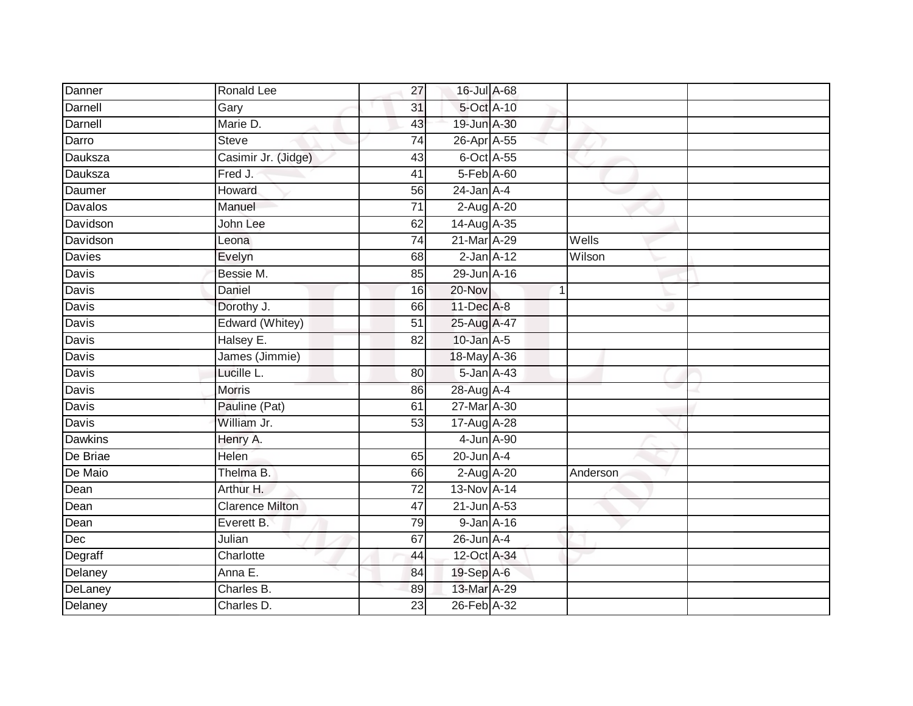| Danner         | Ronald Lee             | 27              | 16-Jul A-68       |   |          |
|----------------|------------------------|-----------------|-------------------|---|----------|
| Darnell        | Gary                   | 31              | 5-Oct A-10        |   |          |
| Darnell        | Marie D.               | 43              | 19-Jun A-30       |   |          |
| Darro          | <b>Steve</b>           | 74              | 26-Apr A-55       |   |          |
| Dauksza        | Casimir Jr. (Jidge)    | $\overline{43}$ | 6-Oct A-55        |   |          |
| Dauksza        | Fred J.                | 41              | 5-Feb A-60        |   |          |
| Daumer         | Howard                 | 56              | $24$ -Jan $A-4$   |   |          |
| Davalos        | Manuel                 | 71              | $2-Aug$ $A-20$    |   |          |
| Davidson       | John Lee               | 62              | 14-Aug A-35       |   |          |
| Davidson       | Leona                  | $\overline{74}$ | 21-Mar A-29       |   | Wells    |
| Davies         | Evelyn                 | 68              | $2$ -Jan $A-12$   |   | Wilson   |
| Davis          | Bessie M.              | 85              | 29-Jun A-16       |   |          |
| Davis          | Daniel                 | 16              | 20-Nov            | 1 |          |
| Davis          | Dorothy J.             | 66              | 11-Dec A-8        |   |          |
| Davis          | Edward (Whitey)        | $\overline{51}$ | 25-Aug A-47       |   |          |
| Davis          | Halsey E.              | 82              | $10$ -Jan $A-5$   |   |          |
| <b>Davis</b>   | James (Jimmie)         |                 | 18-May A-36       |   |          |
| Davis          | Lucille L.             | 80              | 5-Jan A-43        |   |          |
| Davis          | Morris                 | 86              | 28-Aug A-4        |   |          |
| <b>Davis</b>   | Pauline (Pat)          | 61              | 27-Mar A-30       |   |          |
| Davis          | William Jr.            | 53              | 17-Aug A-28       |   |          |
| <b>Dawkins</b> | Henry A.               |                 | 4-Jun A-90        |   |          |
| De Briae       | Helen                  | 65              | $20$ -Jun $A-4$   |   |          |
| De Maio        | Thelma B.              | 66              | 2-Aug A-20        |   | Anderson |
| Dean           | Arthur H.              | 72              | 13-Nov A-14       |   |          |
| Dean           | <b>Clarence Milton</b> | 47              | $21$ -Jun $A$ -53 |   |          |
| Dean           | Everett B.             | 79              | 9-Jan A-16        |   |          |
| Dec            | Julian                 | 67              | $26$ -Jun $A$ -4  |   |          |
| Degraff        | Charlotte              | 44              | 12-Oct A-34       |   |          |
| Delaney        | Anna E.                | 84              | 19-Sep A-6        |   |          |
| DeLaney        | Charles B.             | 89              | 13-Mar A-29       |   |          |
| Delaney        | Charles D.             | $\overline{23}$ | 26-Feb A-32       |   |          |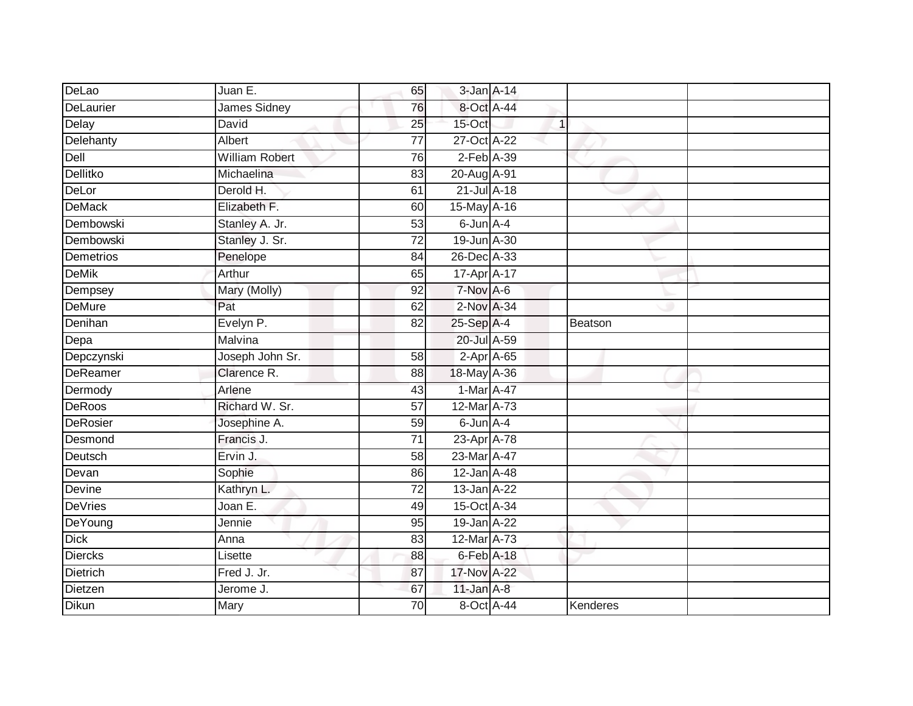| DeLao          | Juan E.               | 65              | $3$ -Jan $A$ -14 |                |  |
|----------------|-----------------------|-----------------|------------------|----------------|--|
| DeLaurier      | James Sidney          | 76              | 8-Oct A-44       |                |  |
| Delay          | David                 | $\overline{25}$ | 15-Oct           | $\overline{1}$ |  |
| Delehanty      | Albert                | $\overline{77}$ | 27-Oct A-22      |                |  |
| Dell           | <b>William Robert</b> | 76              | $2$ -Feb $A-39$  |                |  |
| Dellitko       | Michaelina            | 83              | 20-Aug A-91      |                |  |
| DeLor          | Derold H.             | 61              | $21$ -Jul $A-18$ |                |  |
| <b>DeMack</b>  | Elizabeth F.          | 60              | 15-May A-16      |                |  |
| Dembowski      | Stanley A. Jr.        | 53              | 6-Jun A-4        |                |  |
| Dembowski      | Stanley J. Sr.        | $\overline{72}$ | 19-Jun A-30      |                |  |
| Demetrios      | Penelope              | 84              | 26-Dec A-33      |                |  |
| <b>DeMik</b>   | Arthur                | 65              | 17-Apr A-17      |                |  |
| Dempsey        | Mary (Molly)          | 92              | 7-Nov A-6        |                |  |
| <b>DeMure</b>  | Pat                   | 62              | 2-Nov A-34       |                |  |
| Denihan        | Evelyn P.             | $\overline{82}$ | 25-Sep A-4       | Beatson        |  |
| Depa           | Malvina               |                 | 20-Jul A-59      |                |  |
| Depczynski     | Joseph John Sr.       | 58              | $2-Apr$ A-65     |                |  |
| DeReamer       | Clarence R.           | 88              | 18-May A-36      |                |  |
| Dermody        | Arlene                | 43              | 1-Mar A-47       |                |  |
| DeRoos         | Richard W. Sr.        | $\overline{57}$ | 12-Mar A-73      |                |  |
| DeRosier       | Josephine A.          | 59              | 6-Jun A-4        |                |  |
| Desmond        | Francis J.            | $\overline{71}$ | 23-Apr A-78      |                |  |
| Deutsch        | Ervin J.              | 58              | 23-Mar A-47      |                |  |
| Devan          | Sophie                | 86              | 12-Jan A-48      |                |  |
| Devine         | Kathryn L.            | 72              | 13-Jan A-22      |                |  |
| <b>DeVries</b> | Joan E.               | 49              | 15-Oct A-34      |                |  |
| DeYoung        | Jennie                | 95              | 19-Jan A-22      |                |  |
| <b>Dick</b>    | Anna                  | 83              | 12-Mar A-73      |                |  |
| <b>Diercks</b> | Lisette               | 88              | 6-Feb A-18       |                |  |
| Dietrich       | Fred J. Jr.           | 87              | 17-Nov A-22      |                |  |
| Dietzen        | Jerome J.             | 67              | $11$ -Jan $A-8$  |                |  |
| Dikun          | Mary                  | 70              | 8-Oct A-44       | Kenderes       |  |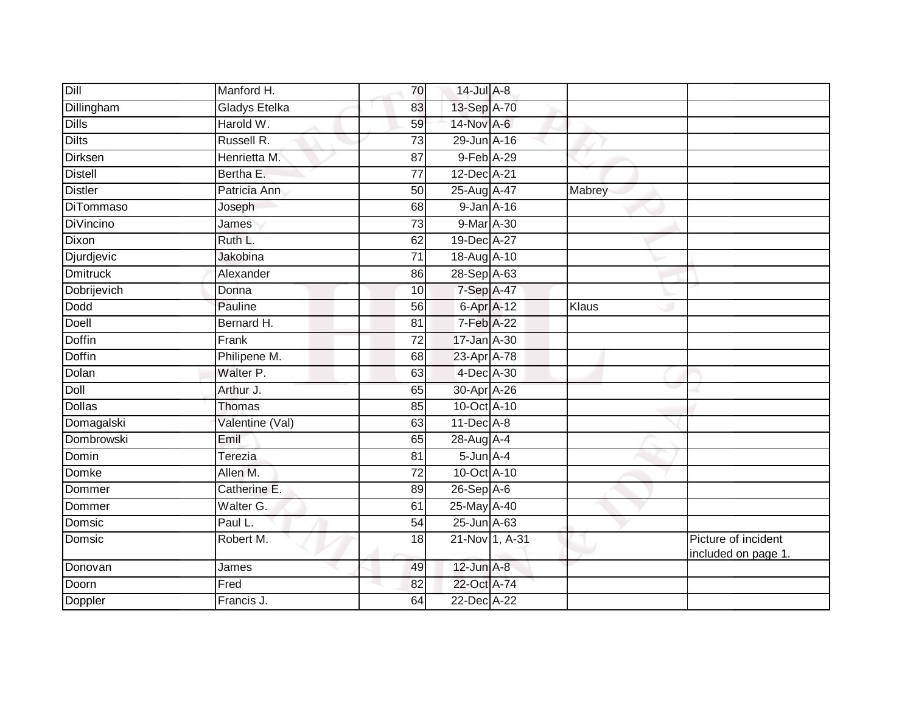| Manford H.           | 70              |  |                                                                                                                                                                                                                                                                                                                                                                                                                                                                                        |                                            |
|----------------------|-----------------|--|----------------------------------------------------------------------------------------------------------------------------------------------------------------------------------------------------------------------------------------------------------------------------------------------------------------------------------------------------------------------------------------------------------------------------------------------------------------------------------------|--------------------------------------------|
| <b>Gladys Etelka</b> | 83              |  |                                                                                                                                                                                                                                                                                                                                                                                                                                                                                        |                                            |
| Harold W.            | 59              |  |                                                                                                                                                                                                                                                                                                                                                                                                                                                                                        |                                            |
| Russell R.           | 73              |  |                                                                                                                                                                                                                                                                                                                                                                                                                                                                                        |                                            |
| Henrietta M.         | $\overline{87}$ |  |                                                                                                                                                                                                                                                                                                                                                                                                                                                                                        |                                            |
| Bertha E.            | 77              |  |                                                                                                                                                                                                                                                                                                                                                                                                                                                                                        |                                            |
| Patricia Ann         | 50              |  | Mabrey                                                                                                                                                                                                                                                                                                                                                                                                                                                                                 |                                            |
| Joseph               | 68              |  |                                                                                                                                                                                                                                                                                                                                                                                                                                                                                        |                                            |
| James                | 73              |  |                                                                                                                                                                                                                                                                                                                                                                                                                                                                                        |                                            |
| Ruth L.              | 62              |  |                                                                                                                                                                                                                                                                                                                                                                                                                                                                                        |                                            |
| Jakobina             | $\overline{71}$ |  |                                                                                                                                                                                                                                                                                                                                                                                                                                                                                        |                                            |
| Alexander            | 86              |  |                                                                                                                                                                                                                                                                                                                                                                                                                                                                                        |                                            |
| Donna                | 10              |  |                                                                                                                                                                                                                                                                                                                                                                                                                                                                                        |                                            |
| Pauline              | 56              |  | Klaus                                                                                                                                                                                                                                                                                                                                                                                                                                                                                  |                                            |
| Bernard H.           | 81              |  |                                                                                                                                                                                                                                                                                                                                                                                                                                                                                        |                                            |
| Frank                | 72              |  |                                                                                                                                                                                                                                                                                                                                                                                                                                                                                        |                                            |
| Philipene M.         | 68              |  |                                                                                                                                                                                                                                                                                                                                                                                                                                                                                        |                                            |
| Walter P.            | 63              |  |                                                                                                                                                                                                                                                                                                                                                                                                                                                                                        |                                            |
| Arthur J.            | 65              |  |                                                                                                                                                                                                                                                                                                                                                                                                                                                                                        |                                            |
| <b>Thomas</b>        | 85              |  |                                                                                                                                                                                                                                                                                                                                                                                                                                                                                        |                                            |
| Valentine (Val)      | 63              |  |                                                                                                                                                                                                                                                                                                                                                                                                                                                                                        |                                            |
| Emil                 | 65              |  |                                                                                                                                                                                                                                                                                                                                                                                                                                                                                        |                                            |
| Terezia              | 81              |  |                                                                                                                                                                                                                                                                                                                                                                                                                                                                                        |                                            |
| Allen M.             | $\overline{72}$ |  |                                                                                                                                                                                                                                                                                                                                                                                                                                                                                        |                                            |
| Catherine E.         | 89              |  |                                                                                                                                                                                                                                                                                                                                                                                                                                                                                        |                                            |
| Walter G.            | 61              |  |                                                                                                                                                                                                                                                                                                                                                                                                                                                                                        |                                            |
| Paul L.              | $\overline{54}$ |  |                                                                                                                                                                                                                                                                                                                                                                                                                                                                                        |                                            |
| Robert M.            | 18              |  |                                                                                                                                                                                                                                                                                                                                                                                                                                                                                        | Picture of incident<br>included on page 1. |
| James                | 49              |  |                                                                                                                                                                                                                                                                                                                                                                                                                                                                                        |                                            |
| Fred                 | 82              |  |                                                                                                                                                                                                                                                                                                                                                                                                                                                                                        |                                            |
| Francis J.           | 64              |  |                                                                                                                                                                                                                                                                                                                                                                                                                                                                                        |                                            |
|                      |                 |  | 14-Jul A-8<br>13-Sep A-70<br>14-Nov A-6<br>29-Jun A-16<br>9-Feb A-29<br>12-Dec A-21<br>25-Aug A-47<br>9-Jan A-16<br>9-Mar A-30<br>19-Dec A-27<br>18-Aug A-10<br>28-Sep A-63<br>$7-Sep$ A-47<br>6-Apr A-12<br>7-Feb A-22<br>17-Jan A-30<br>23-Apr A-78<br>4-Dec A-30<br>30-Apr A-26<br>10-Oct A-10<br>$11$ -Dec $A-8$<br>28-Aug A-4<br>$5 - Jun$ $A - 4$<br>10-Oct A-10<br>$26-SepA-6$<br>25-May A-40<br>25-Jun A-63<br>21-Nov 1, A-31<br>$12$ -Jun $A-8$<br>22-Oct A-74<br>22-Dec A-22 |                                            |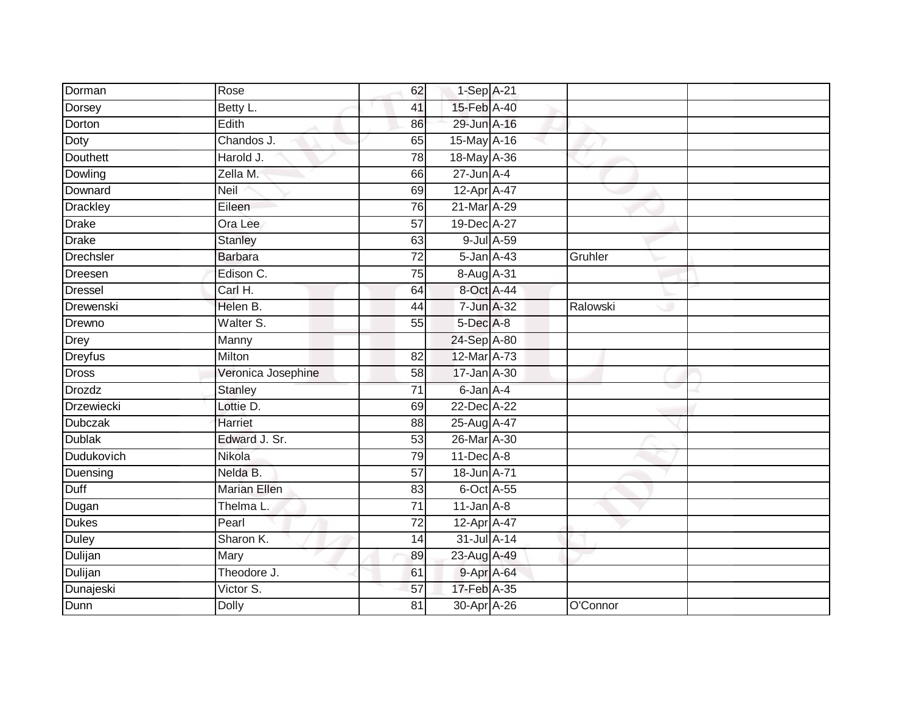| Dorman            | Rose                | 62              | 1-Sep A-21      |          |
|-------------------|---------------------|-----------------|-----------------|----------|
| Dorsey            | Betty L.            | 41              | 15-Feb A-40     |          |
| Dorton            | Edith               | 86              | 29-Jun A-16     |          |
| Doty              | Chandos J.          | 65              | 15-May A-16     |          |
| <b>Douthett</b>   | Harold J.           | $\overline{78}$ | 18-May A-36     |          |
| Dowling           | Zella M.            | 66              | $27$ -Jun $A-4$ |          |
| Downard           | Neil                | 69              | 12-Apr A-47     |          |
| <b>Drackley</b>   | Eileen              | 76              | 21-Mar A-29     |          |
| <b>Drake</b>      | Ora Lee             | $\overline{57}$ | 19-Dec A-27     |          |
| <b>Drake</b>      | <b>Stanley</b>      | 63              | 9-Jul A-59      |          |
| <b>Drechsler</b>  | <b>Barbara</b>      | 72              | 5-Jan A-43      | Gruhler  |
| Dreesen           | Edison C.           | 75              | 8-Aug A-31      |          |
| <b>Dressel</b>    | Carl H.             | 64              | 8-Oct A-44      |          |
| Drewenski         | Helen B.            | 44              | 7-Jun A-32      | Ralowski |
| Drewno            | Walter S.           | 55              | 5-Dec A-8       |          |
| <b>Drey</b>       | Manny               |                 | 24-Sep A-80     |          |
| <b>Dreyfus</b>    | Milton              | $\overline{82}$ | 12-Mar A-73     |          |
| <b>Dross</b>      | Veronica Josephine  | 58              | 17-Jan A-30     |          |
| <b>Drozdz</b>     | <b>Stanley</b>      | $\overline{71}$ | 6-Jan A-4       |          |
| <b>Drzewiecki</b> | Lottie D.           | 69              | 22-Dec A-22     |          |
| <b>Dubczak</b>    | Harriet             | 88              | 25-Aug A-47     |          |
| <b>Dublak</b>     | Edward J. Sr.       | 53              | 26-Mar A-30     |          |
| Dudukovich        | Nikola              | 79              | $11$ -Dec $A-8$ |          |
| Duensing          | Nelda B.            | 57              | 18-Jun A-71     |          |
| Duff              | <b>Marian Ellen</b> | 83              | 6-Oct A-55      |          |
| Dugan             | Thelma L.           | 71              | $11$ -Jan $A-8$ |          |
| <b>Dukes</b>      | Pearl               | $\overline{72}$ | 12-Apr A-47     |          |
| Duley             | Sharon K.           | 14              | 31-Jul A-14     |          |
| Dulijan           | Mary                | 89              | 23-Aug A-49     |          |
| Dulijan           | Theodore J.         | 61              | 9-Apr A-64      |          |
| Dunajeski         | Victor S.           | 57              | 17-Feb A-35     |          |
| Dunn              | <b>Dolly</b>        | $\overline{81}$ | 30-Apr A-26     | O'Connor |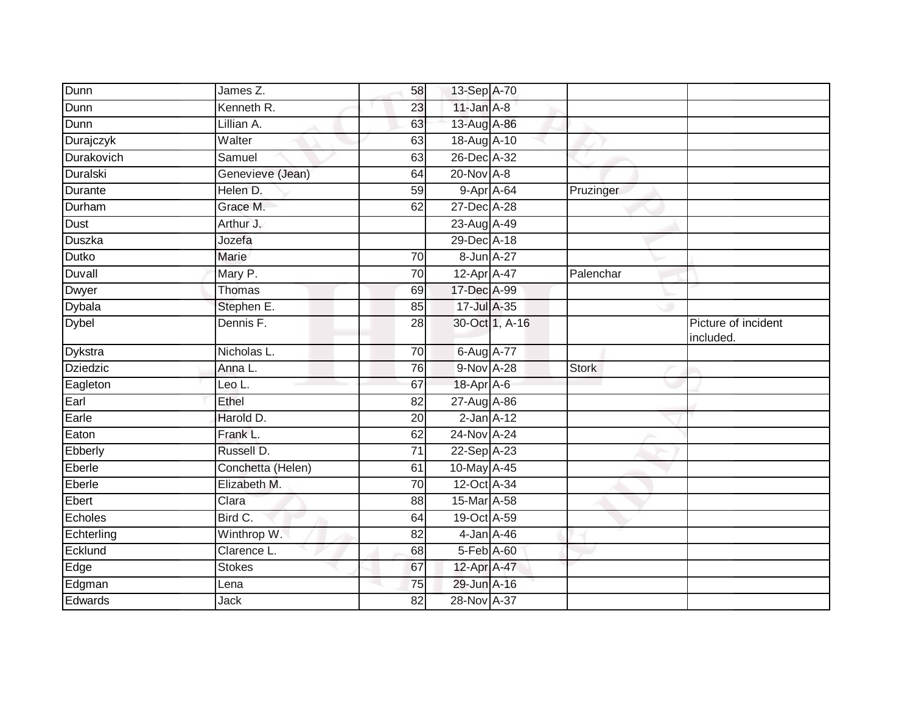| Dunn           | James Z.            | 58              | 13-Sep A-70       |                |              |                                  |
|----------------|---------------------|-----------------|-------------------|----------------|--------------|----------------------------------|
| Dunn           | Kenneth R.          | 23              | $11$ -Jan $A-8$   |                |              |                                  |
| Dunn           | Lillian A.          | 63              | 13-Aug A-86       |                |              |                                  |
| Durajczyk      | Walter              | 63              | 18-Aug A-10       |                |              |                                  |
| Durakovich     | Samuel              | 63              | 26-Dec A-32       |                |              |                                  |
| Duralski       | Genevieve (Jean)    | 64              | 20-Nov A-8        |                |              |                                  |
| <b>Durante</b> | Helen D.            | 59              | 9-Apr A-64        |                | Pruzinger    |                                  |
| Durham         | Grace M.            | 62              | 27-Dec A-28       |                |              |                                  |
| Dust           | Arthur J.           |                 | 23-Aug A-49       |                |              |                                  |
| <b>Duszka</b>  | Jozefa              |                 | 29-Dec A-18       |                |              |                                  |
| Dutko          | Marie               | 70              | 8-Jun A-27        |                |              |                                  |
| Duvall         | Mary P.             | 70              | $12$ -Apr $A$ -47 |                | Palenchar    |                                  |
| Dwyer          | Thomas              | 69              | 17-Dec A-99       |                |              |                                  |
| Dybala         | Stephen E.          | 85              | 17-Jul A-35       |                |              |                                  |
| <b>Dybel</b>   | Dennis F.           | 28              |                   | 30-Oct 1, A-16 |              | Picture of incident<br>included. |
| Dykstra        | Nicholas L.         | 70              | 6-Aug A-77        |                |              |                                  |
| Dziedzic       | Anna L.             | $\overline{76}$ | 9-Nov A-28        |                | <b>Stork</b> |                                  |
| Eagleton       | Leo L.              | 67              | 18-Apr A-6        |                |              |                                  |
| Earl           | Ethel               | 82              | 27-Aug A-86       |                |              |                                  |
| Earle          | Harold D.           | 20              | $2$ -Jan $A-12$   |                |              |                                  |
| Eaton          | Frank L.            | 62              | 24-Nov A-24       |                |              |                                  |
| Ebberly        | Russell D.          | 71              | 22-Sep A-23       |                |              |                                  |
| Eberle         | Conchetta (Helen)   | 61              | 10-May A-45       |                |              |                                  |
| Eberle         | Elizabeth M.        | 70              | 12-Oct A-34       |                |              |                                  |
| Ebert          | $\overline{Cl}$ ara | 88              | 15-Mar A-58       |                |              |                                  |
| Echoles        | Bird C.             | 64              | 19-Oct A-59       |                |              |                                  |
| Echterling     | Winthrop W.         | 82              | 4-Jan A-46        |                |              |                                  |
| Ecklund        | Clarence L.         | 68              | 5-Feb A-60        |                |              |                                  |
| Edge           | <b>Stokes</b>       | 67              | 12-Apr A-47       |                |              |                                  |
| Edgman         | Lena                | 75              | 29-Jun A-16       |                |              |                                  |
| Edwards        | Jack                | 82              | 28-Nov A-37       |                |              |                                  |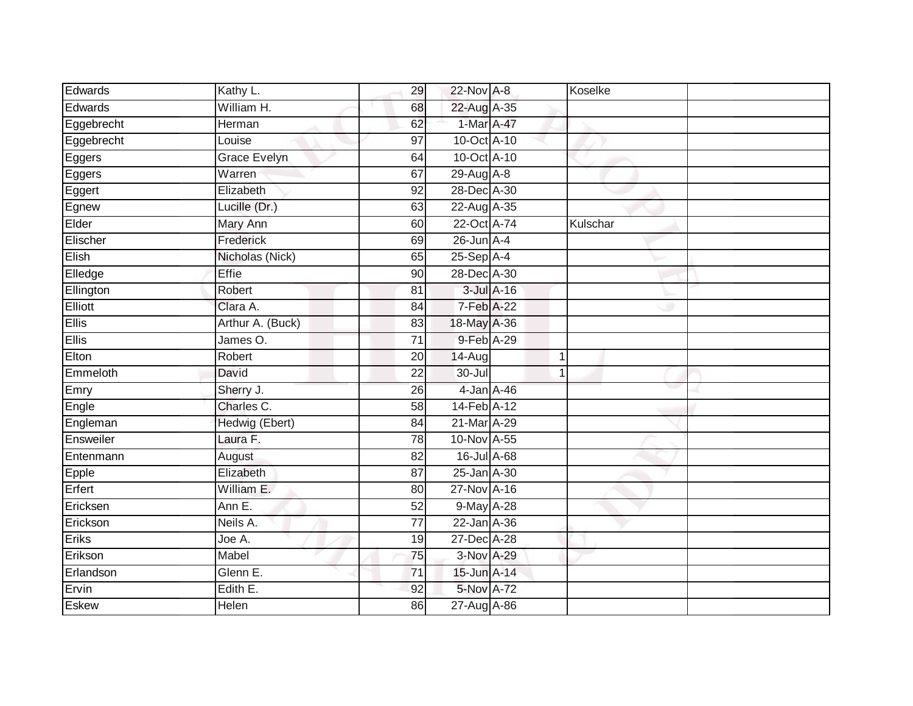| Edwards      | Kathy L.            | 29              | 22-Nov A-8        |                | Koselke  |  |
|--------------|---------------------|-----------------|-------------------|----------------|----------|--|
| Edwards      | William H.          | 68              | 22-Aug A-35       |                |          |  |
| Eggebrecht   | <b>Herman</b>       | 62              | 1-Mar A-47        |                |          |  |
| Eggebrecht   | Louise              | 97              | 10-Oct A-10       |                |          |  |
| Eggers       | <b>Grace Evelyn</b> | 64              | 10-Oct A-10       |                |          |  |
| Eggers       | Warren              | 67              | $29$ -Aug $A - 8$ |                |          |  |
| Eggert       | Elizabeth           | 92              | 28-Dec A-30       |                |          |  |
| Egnew        | Lucille (Dr.)       | 63              | 22-Aug A-35       |                |          |  |
| Elder        | Mary Ann            | 60              | 22-Oct A-74       |                | Kulschar |  |
| Elischer     | Frederick           | 69              | $26$ -Jun $A-4$   |                |          |  |
| Elish        | Nicholas (Nick)     | 65              | 25-Sep A-4        |                |          |  |
| Elledge      | Effie               | 90              | 28-Dec A-30       |                |          |  |
| Ellington    | Robert              | 81              | $3$ -Jul $A-16$   |                |          |  |
| Elliott      | Clara A.            | 84              | $7-Feb$ A-22      |                |          |  |
| <b>Ellis</b> | Arthur A. (Buck)    | 83              | 18-May A-36       |                |          |  |
| <b>Ellis</b> | James O.            | 71              | 9-Feb A-29        |                |          |  |
| Elton        | Robert              | 20              | $14-Aug$          | $\mathbf 1$    |          |  |
| Emmeloth     | David               | 22              | $30 -$ Jul        | $\overline{1}$ |          |  |
| Emry         | Sherry J.           | 26              | 4-Jan A-46        |                |          |  |
| Engle        | Charles C.          | 58              | 14-Feb A-12       |                |          |  |
| Engleman     | Hedwig (Ebert)      | 84              | 21-Mar A-29       |                |          |  |
| Ensweiler    | Laura F.            | 78              | 10-Nov A-55       |                |          |  |
| Entenmann    | August              | 82              | 16-Jul A-68       |                |          |  |
| $E$ pple     | Elizabeth           | 87              | 25-Jan A-30       |                |          |  |
| Erfert       | William E.          | 80              | 27-Nov A-16       |                |          |  |
| Ericksen     | Ann E.              | 52              | 9-May A-28        |                |          |  |
| Erickson     | Neils A.            | $\overline{77}$ | 22-Jan A-36       |                |          |  |
| Eriks        | Joe A.              | 19              | 27-Dec A-28       |                |          |  |
| Erikson      | Mabel               | 75              | 3-Nov A-29        |                |          |  |
| Erlandson    | Glenn E.            | $\overline{71}$ | 15-Jun A-14       |                |          |  |
| Ervin        | Edith E.            | 92              | 5-Nov A-72        |                |          |  |
| Eskew        | Helen               | 86              | 27-Aug A-86       |                |          |  |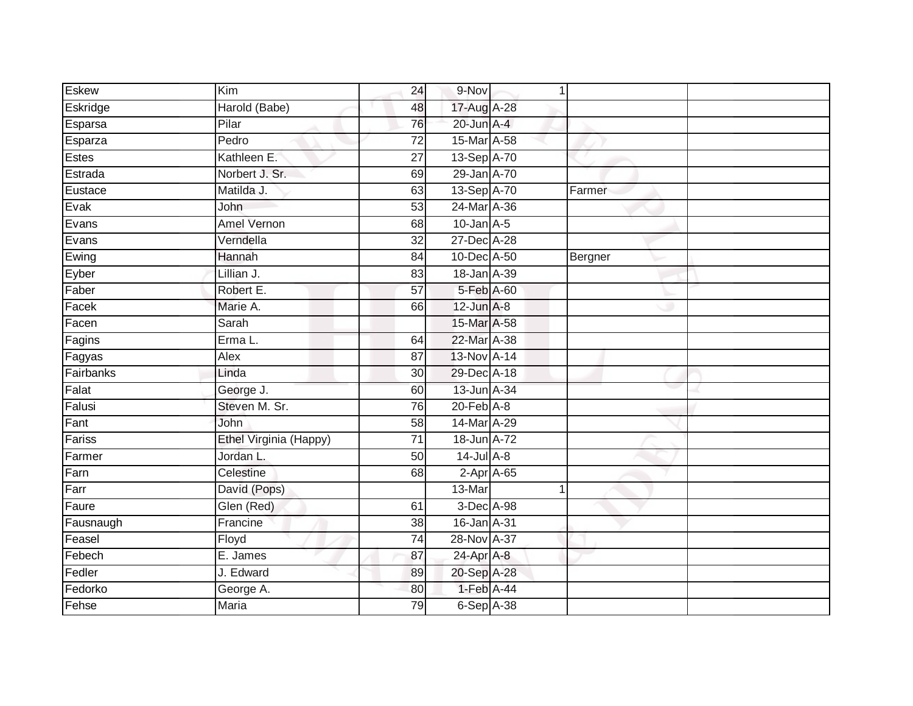| <b>Eskew</b> | $\overline{Kim}$       | 24              | 9-Nov                       | 1 |         |  |
|--------------|------------------------|-----------------|-----------------------------|---|---------|--|
| Eskridge     | Harold (Babe)          | 48              | 17-Aug A-28                 |   |         |  |
| Esparsa      | Pilar                  | 76              | 20-Jun A-4                  |   |         |  |
| Esparza      | Pedro                  | 72              | 15-Mar A-58                 |   |         |  |
| Estes        | Kathleen E.            | $\overline{27}$ | 13-Sep A-70                 |   |         |  |
| Estrada      | Norbert J. Sr.         | 69              | 29-Jan A-70                 |   |         |  |
| Eustace      | Matilda J.             | 63              | 13-Sep A-70                 |   | Farmer  |  |
| Evak         | John                   | 53              | 24-Mar A-36                 |   |         |  |
| Evans        | <b>Amel Vernon</b>     | 68              | $10$ -Jan $A-5$             |   |         |  |
| Evans        | Verndella              | 32              | 27-Dec A-28                 |   |         |  |
| Ewing        | Hannah                 | 84              | 10-Dec A-50                 |   | Bergner |  |
| Eyber        | Lillian J.             | 83              | 18-Jan A-39                 |   |         |  |
| Faber        | Robert E.              | 57              | 5-Feb A-60                  |   |         |  |
| Facek        | Marie A.               | 66              | $12$ -Jun $A-8$             |   |         |  |
| Facen        | Sarah                  |                 | 15-Mar A-58                 |   |         |  |
| Fagins       | Erma L.                | 64              | 22-Mar A-38                 |   |         |  |
| Fagyas       | <b>Alex</b>            | $\overline{87}$ | 13-Nov A-14                 |   |         |  |
| Fairbanks    | Linda                  | 30              | 29-Dec A-18                 |   |         |  |
| Falat        | George J.              | 60              | 13-Jun A-34                 |   |         |  |
| Falusi       | Steven M. Sr.          | $\overline{76}$ | $20$ -Feb $\overline{A}$ -8 |   |         |  |
| Fant         | John                   | 58              | 14-Mar A-29                 |   |         |  |
| Fariss       | Ethel Virginia (Happy) | $\overline{71}$ | 18-Jun A-72                 |   |         |  |
| Farmer       | Jordan L.              | 50              | $14$ -Jul A-8               |   |         |  |
| Farn         | Celestine              | 68              | $2$ -Apr $A$ -65            |   |         |  |
| Farr         | David (Pops)           |                 | 13-Mar                      |   |         |  |
| Faure        | Glen (Red)             | 61              | 3-Dec A-98                  |   |         |  |
| Fausnaugh    | Francine               | $\overline{38}$ | 16-Jan A-31                 |   |         |  |
| Feasel       | Floyd                  | 74              | 28-Nov A-37                 |   |         |  |
| Febech       | E. James               | 87              | 24-Apr A-8                  |   |         |  |
| Fedler       | J. Edward              | 89              | 20-Sep A-28                 |   |         |  |
| Fedorko      | George A.              | 80              | 1-Feb A-44                  |   |         |  |
| Fehse        | <b>Maria</b>           | 79              | 6-Sep A-38                  |   |         |  |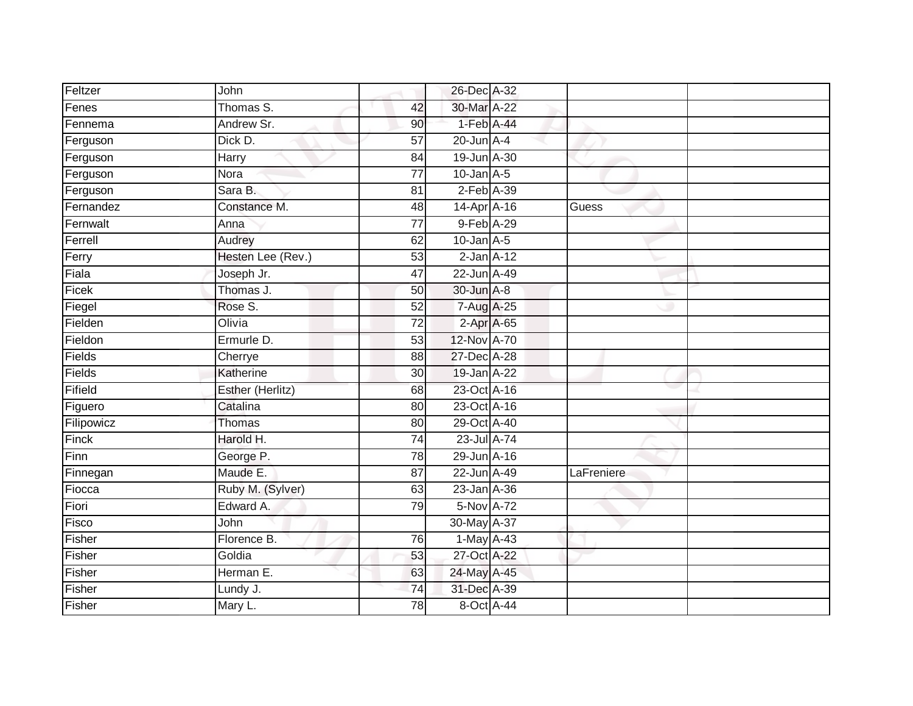| Feltzer    | John               |                 | 26-Dec A-32     |            |
|------------|--------------------|-----------------|-----------------|------------|
| Fenes      | Thomas S.          | 42              | 30-Mar A-22     |            |
| Fennema    | Andrew Sr.         | 90              | $1-Feb$ $A-44$  |            |
| Ferguson   | Dick D.            | $\overline{57}$ | $20$ -Jun $A-4$ |            |
| Ferguson   | Harry              | $\overline{84}$ | 19-Jun A-30     |            |
| Ferguson   | Nora               | $\overline{77}$ | $10$ -Jan $A-5$ |            |
| Ferguson   | Sara <sub>B.</sub> | 81              | $2$ -Feb $A-39$ |            |
| Fernandez  | Constance M.       | 48              | 14-Apr A-16     | Guess      |
| Fernwalt   | Anna               | 77              | 9-Feb A-29      |            |
| Ferrell    | Audrey             | 62              | $10$ -Jan $A-5$ |            |
| Ferry      | Hesten Lee (Rev.)  | 53              | $2$ -Jan $A-12$ |            |
| Fiala      | Joseph Jr.         | 47              | 22-Jun A-49     |            |
| Ficek      | Thomas J.          | 50              | 30-Jun A-8      |            |
| Fiegel     | Rose S.            | 52              | 7-Aug A-25      |            |
| Fielden    | Olivia             | $\overline{72}$ | 2-Apr A-65      |            |
| Fieldon    | Ermurle D.         | 53              | 12-Nov A-70     |            |
| Fields     | Cherrye            | 88              | 27-Dec A-28     |            |
| Fields     | Katherine          | 30              | 19-Jan A-22     |            |
| Fifield    | Esther (Herlitz)   | 68              | 23-Oct A-16     |            |
| Figuero    | Catalina           | 80              | 23-Oct A-16     |            |
| Filipowicz | Thomas             | 80              | 29-Oct A-40     |            |
| Finck      | Harold H.          | $\overline{74}$ | 23-Jul A-74     |            |
| Finn       | George P.          | $\overline{78}$ | 29-Jun A-16     |            |
| Finnegan   | Maude E.           | 87              | 22-Jun A-49     | LaFreniere |
| Fiocca     | Ruby M. (Sylver)   | 63              | 23-Jan A-36     |            |
| Fiori      | Edward A.          | 79              | 5-Nov A-72      |            |
| Fisco      | John               |                 | 30-May A-37     |            |
| Fisher     | Florence B.        | 76              | 1-May A-43      |            |
| Fisher     | Goldia             | 53              | 27-Oct A-22     |            |
| Fisher     | Herman E.          | 63              | 24-May A-45     |            |
| Fisher     | Lundy J.           | $\overline{74}$ | 31-Dec A-39     |            |
| Fisher     | Mary L.            | $\overline{78}$ | 8-Oct A-44      |            |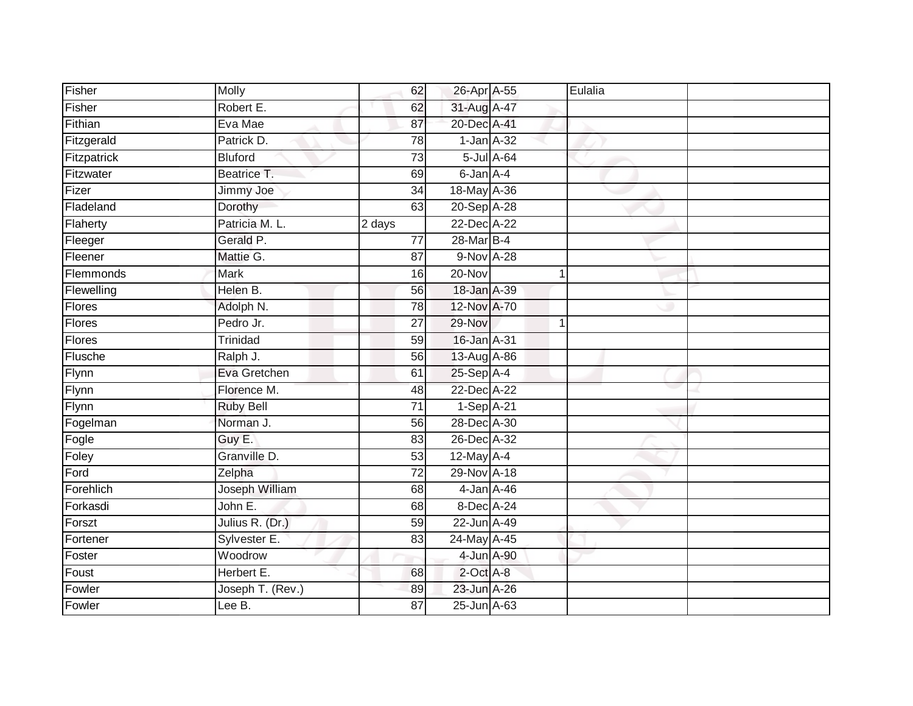| Fisher        | Molly            | 62              | 26-Apr A-55     |            | Eulalia |  |
|---------------|------------------|-----------------|-----------------|------------|---------|--|
| Fisher        | Robert E.        | 62              | 31-Aug A-47     |            |         |  |
| Fithian       | Eva Mae          | 87              | 20-Dec A-41     |            |         |  |
| Fitzgerald    | Patrick D.       | 78              | $1$ -Jan $A-32$ |            |         |  |
| Fitzpatrick   | <b>Bluford</b>   | 73              |                 | 5-Jul A-64 |         |  |
| Fitzwater     | Beatrice T.      | 69              | 6-Jan A-4       |            |         |  |
| Fizer         | Jimmy Joe        | 34              | 18-May A-36     |            |         |  |
| Fladeland     | Dorothy          | 63              | 20-Sep A-28     |            |         |  |
| Flaherty      | Patricia M. L.   | 2 days          | 22-Dec A-22     |            |         |  |
| Fleeger       | Gerald P.        | $\overline{77}$ | 28-Mar B-4      |            |         |  |
| Fleener       | Mattie G.        | 87              | 9-Nov A-28      |            |         |  |
| Flemmonds     | <b>Mark</b>      | 16              | 20-Nov          |            | 1       |  |
| Flewelling    | Helen B.         | 56              | 18-Jan A-39     |            |         |  |
| Flores        | Adolph N.        | 78              | 12-Nov A-70     |            |         |  |
| <b>Flores</b> | Pedro Jr.        | $\overline{27}$ | 29-Nov          |            | 1       |  |
| <b>Flores</b> | Trinidad         | 59              | 16-Jan A-31     |            |         |  |
| Flusche       | Ralph J.         | 56              | 13-Aug A-86     |            |         |  |
| Flynn         | Eva Gretchen     | 61              | $25-Sep$ A-4    |            |         |  |
| Flynn         | Florence M.      | 48              | 22-Dec A-22     |            |         |  |
| Flynn         | <b>Ruby Bell</b> | $\overline{71}$ | 1-Sep A-21      |            |         |  |
| Fogelman      | Norman J.        | 56              | 28-Dec A-30     |            |         |  |
| Fogle         | Guy E.           | 83              | 26-Dec A-32     |            |         |  |
| Foley         | Granville D.     | 53              | $12$ -May $A-4$ |            |         |  |
| Ford          | Zelpha           | 72              | 29-Nov A-18     |            |         |  |
| Forehlich     | Joseph William   | 68              | 4-Jan A-46      |            |         |  |
| Forkasdi      | John E.          | 68              | 8-Dec A-24      |            |         |  |
| Forszt        | Julius R. (Dr.)  | 59              | 22-Jun A-49     |            |         |  |
| Fortener      | Sylvester E.     | 83              | 24-May A-45     |            |         |  |
| Foster        | Woodrow          |                 | 4-Jun A-90      |            |         |  |
| Foust         | Herbert E.       | 68              | $2$ -Oct $A-8$  |            |         |  |
| Fowler        | Joseph T. (Rev.) | 89              | 23-Jun A-26     |            |         |  |
| Fowler        | Lee B.           | 87              | 25-Jun A-63     |            |         |  |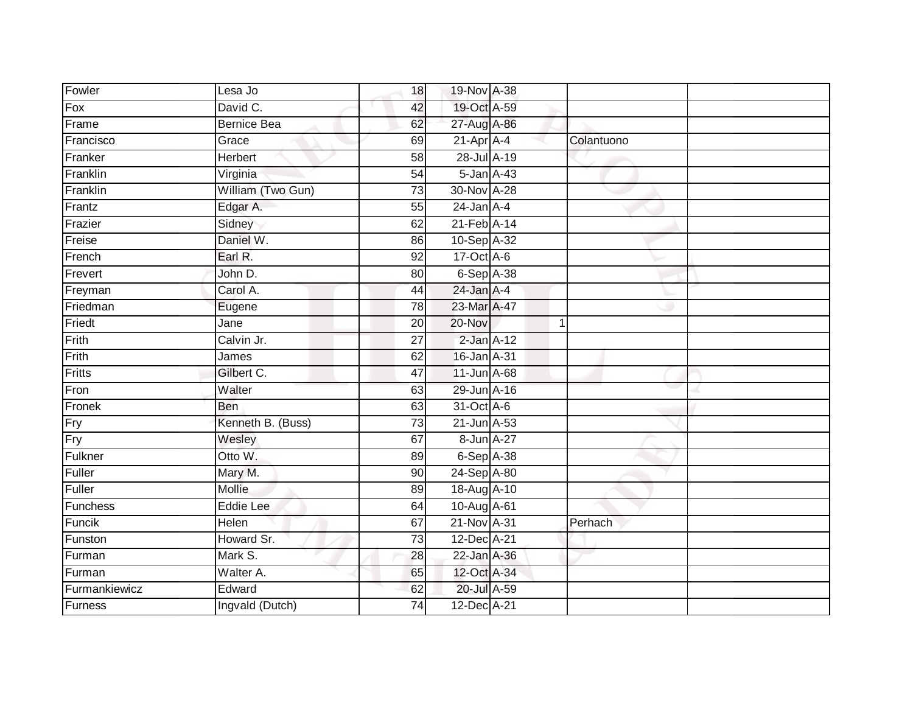| Fowler        | Lesa Jo            | 18              | 19-Nov A-38      |             |            |  |
|---------------|--------------------|-----------------|------------------|-------------|------------|--|
| Fox           | David C.           | 42              | 19-Oct A-59      |             |            |  |
| Frame         | <b>Bernice Bea</b> | 62              | 27-Aug A-86      |             |            |  |
| Francisco     | Grace              | 69              | $21-Apr$ A-4     |             | Colantuono |  |
| Franker       | <b>Herbert</b>     | $\overline{58}$ | 28-Jul A-19      |             |            |  |
| Franklin      | Virginia           | 54              | $5 - Jan A - 43$ |             |            |  |
| Franklin      | William (Two Gun)  | $\overline{73}$ | 30-Nov A-28      |             |            |  |
| Frantz        | Edgar A.           | 55              | $24$ -Jan $A-4$  |             |            |  |
| Frazier       | Sidney             | 62              | 21-Feb A-14      |             |            |  |
| Freise        | Daniel W.          | 86              | 10-Sep A-32      |             |            |  |
| French        | Earl R.            | 92              | $17-Oct$ A-6     |             |            |  |
| Frevert       | John D.            | 80              | $6-Sep$ A-38     |             |            |  |
| Freyman       | Carol A.           | 44              | 24-Jan A-4       |             |            |  |
| Friedman      | Eugene             | 78              | 23-Mar A-47      |             |            |  |
| Friedt        | Jane               | 20              | $20 - Nov$       | $\mathbf 1$ |            |  |
| Frith         | Calvin Jr.         | 27              | $2$ -Jan $A-12$  |             |            |  |
| Frith         | James              | 62              | 16-Jan A-31      |             |            |  |
| Fritts        | Gilbert C.         | 47              | 11-Jun A-68      |             |            |  |
| Fron          | Walter             | 63              | 29-Jun A-16      |             |            |  |
| Fronek        | Ben                | 63              | 31-Oct A-6       |             |            |  |
| Fry           | Kenneth B. (Buss)  | $\overline{73}$ | 21-Jun A-53      |             |            |  |
| Fry           | Wesley             | 67              | 8-Jun A-27       |             |            |  |
| Fulkner       | Otto W.            | 89              | $6-Sep$ A-38     |             |            |  |
| Fuller        | Mary M.            | 90              | 24-Sep A-80      |             |            |  |
| Fuller        | Mollie             | 89              | 18-Aug A-10      |             |            |  |
| Funchess      | <b>Eddie Lee</b>   | 64              | 10-Aug A-61      |             |            |  |
| Funcik        | Helen              | 67              | 21-Nov A-31      |             | Perhach    |  |
| Funston       | Howard Sr.         | 73              | $12$ -Dec A-21   |             |            |  |
| Furman        | Mark S.            | 28              | 22-Jan A-36      |             |            |  |
| Furman        | Walter A.          | 65              | 12-Oct A-34      |             |            |  |
| Furmankiewicz | Edward             | 62              | 20-Jul A-59      |             |            |  |
| Furness       | Ingvald (Dutch)    | $\overline{74}$ | 12-Dec A-21      |             |            |  |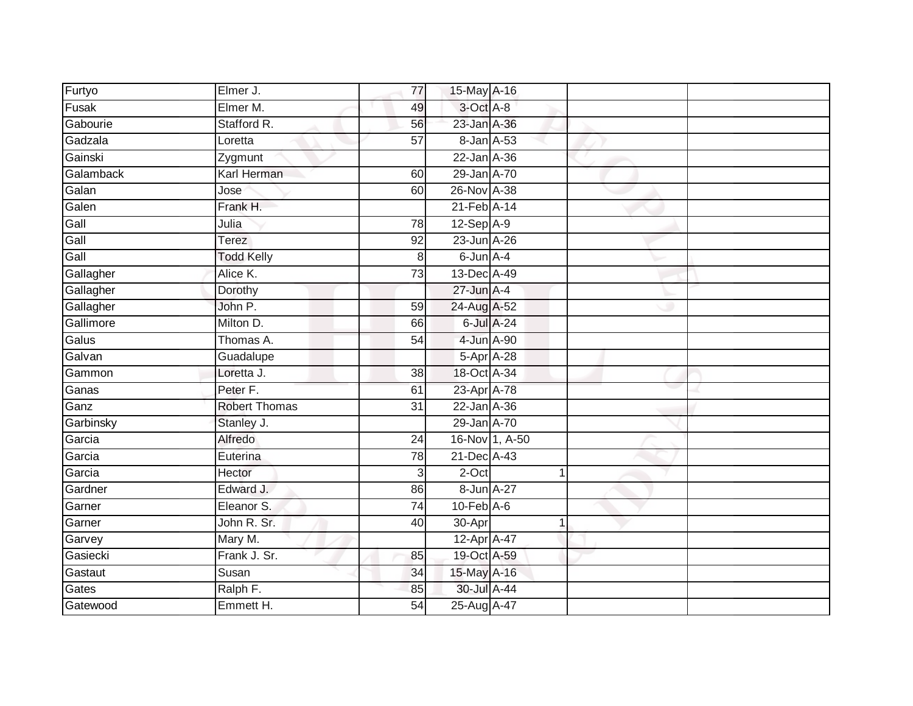| Furtyo    | Elmer J.             | 77              | 15-May A-16       |                |  |
|-----------|----------------------|-----------------|-------------------|----------------|--|
| Fusak     | Elmer M.             | 49              | 3-Oct A-8         |                |  |
| Gabourie  | Stafford R.          | 56              | 23-Jan A-36       |                |  |
| Gadzala   | Loretta              | 57              | 8-Jan A-53        |                |  |
| Gainski   | Zygmunt              |                 | $22$ -Jan $A-36$  |                |  |
| Galamback | Karl Herman          | 60              | 29-Jan A-70       |                |  |
| Galan     | Jose                 | 60              | 26-Nov A-38       |                |  |
| Galen     | Frank H.             |                 | 21-Feb A-14       |                |  |
| Gall      | Julia                | 78              | $12-Sep$ A-9      |                |  |
| Gall      | Terez                | 92              | 23-Jun A-26       |                |  |
| Gall      | <b>Todd Kelly</b>    | $\,8\,$         | 6-Jun A-4         |                |  |
| Gallagher | Alice K.             | 73              | 13-Dec A-49       |                |  |
| Gallagher | Dorothy              |                 | 27-Jun A-4        |                |  |
| Gallagher | John P.              | 59              | 24-Aug A-52       |                |  |
| Gallimore | Milton D.            | 66              | 6-Jul A-24        |                |  |
| Galus     | Thomas A.            | 54              | 4-Jun A-90        |                |  |
| Galvan    | Guadalupe            |                 | 5-Apr A-28        |                |  |
| Gammon    | Loretta J.           | $\overline{38}$ | 18-Oct A-34       |                |  |
| Ganas     | Peter F.             | 61              | 23-Apr A-78       |                |  |
| Ganz      | <b>Robert Thomas</b> | $\overline{31}$ | $22$ -Jan $A-36$  |                |  |
| Garbinsky | Stanley J.           |                 | 29-Jan A-70       |                |  |
| Garcia    | Alfredo              | 24              |                   | 16-Nov 1, A-50 |  |
| Garcia    | Euterina             | 78              | $21$ -Dec $A$ -43 |                |  |
| Garcia    | Hector               | 3               | 2-Oct             | $\mathbf{1}$   |  |
| Gardner   | Edward J.            | 86              | 8-Jun A-27        |                |  |
| Garner    | Eleanor S.           | 74              | $10$ -Feb $A$ -6  |                |  |
| Garner    | John R. Sr.          | 40              | 30-Apr            | $\mathbf{1}$   |  |
| Garvey    | Mary M.              |                 | 12-Apr A-47       |                |  |
| Gasiecki  | Frank J. Sr.         | 85              | 19-Oct A-59       |                |  |
| Gastaut   | Susan                | 34              | 15-May A-16       |                |  |
| Gates     | Ralph F.             | 85              | 30-Jul A-44       |                |  |
| Gatewood  | Emmett H.            | $\overline{54}$ | 25-Aug A-47       |                |  |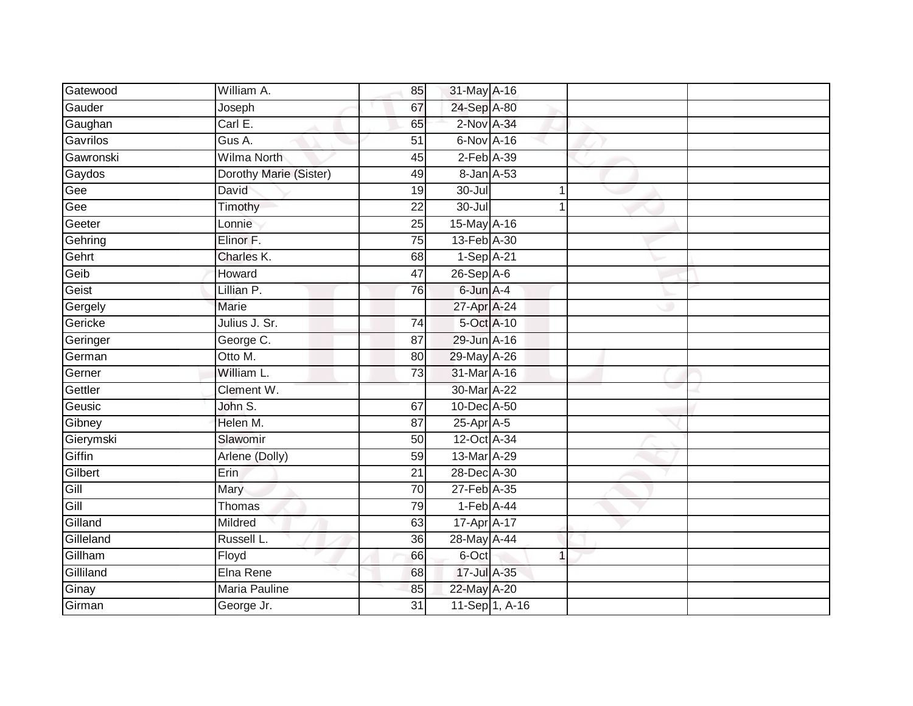| Gatewood  | William A.             | 85              | 31-May A-16     |                |  |
|-----------|------------------------|-----------------|-----------------|----------------|--|
| Gauder    | Joseph                 | 67              | 24-Sep A-80     |                |  |
| Gaughan   | Carl E.                | 65              | 2-Nov A-34      |                |  |
| Gavrilos  | Gus A.                 | 51              | 6-Nov A-16      |                |  |
| Gawronski | <b>Wilma North</b>     | 45              | $2$ -Feb $A-39$ |                |  |
| Gaydos    | Dorothy Marie (Sister) | 49              | 8-Jan A-53      |                |  |
| Gee       | David                  | 19              | $30 -$ Jul      | 1              |  |
| Gee       | Timothy                | 22              | $30 -$ Jul      | 1              |  |
| Geeter    | Lonnie                 | 25              | 15-May A-16     |                |  |
| Gehring   | Elinor F.              | $\overline{75}$ | 13-Feb A-30     |                |  |
| Gehrt     | Charles K.             | 68              | $1-Sep$ A-21    |                |  |
| Geib      | Howard                 | 47              | $26-Sep$ A-6    |                |  |
| Geist     | Lillian P.             | 76              | 6-Jun A-4       |                |  |
| Gergely   | <b>Marie</b>           |                 | 27-Apr A-24     |                |  |
| Gericke   | Julius J. Sr.          | $\overline{74}$ | 5-Oct A-10      |                |  |
| Geringer  | George C.              | 87              | 29-Jun A-16     |                |  |
| German    | Otto M.                | 80              | 29-May A-26     |                |  |
| Gerner    | William L.             | 73              | 31-Mar A-16     |                |  |
| Gettler   | Clement W.             |                 | 30-Mar A-22     |                |  |
| Geusic    | John S.                | 67              | 10-Dec A-50     |                |  |
| Gibney    | Helen M.               | 87              | 25-Apr A-5      |                |  |
| Gierymski | Slawomir               | 50              | 12-Oct A-34     |                |  |
| Giffin    | Arlene (Dolly)         | 59              | 13-Mar A-29     |                |  |
| Gilbert   | Erin                   | $\overline{21}$ | 28-Dec A-30     |                |  |
| Gill      | Mary                   | 70              | 27-Feb A-35     |                |  |
| Gill      | Thomas                 | 79              | $1-Feb$ A-44    |                |  |
| Gilland   | Mildred                | 63              | 17-Apr A-17     |                |  |
| Gilleland | Russell L.             | 36              | 28-May A-44     |                |  |
| Gillham   | Floyd                  | 66              | 6-Oct           | $\mathbf 1$    |  |
| Gilliland | Elna Rene              | 68              | 17-Jul A-35     |                |  |
| Ginay     | <b>Maria Pauline</b>   | 85              | 22-May A-20     |                |  |
| Girman    | George Jr.             | $\overline{31}$ |                 | 11-Sep 1, A-16 |  |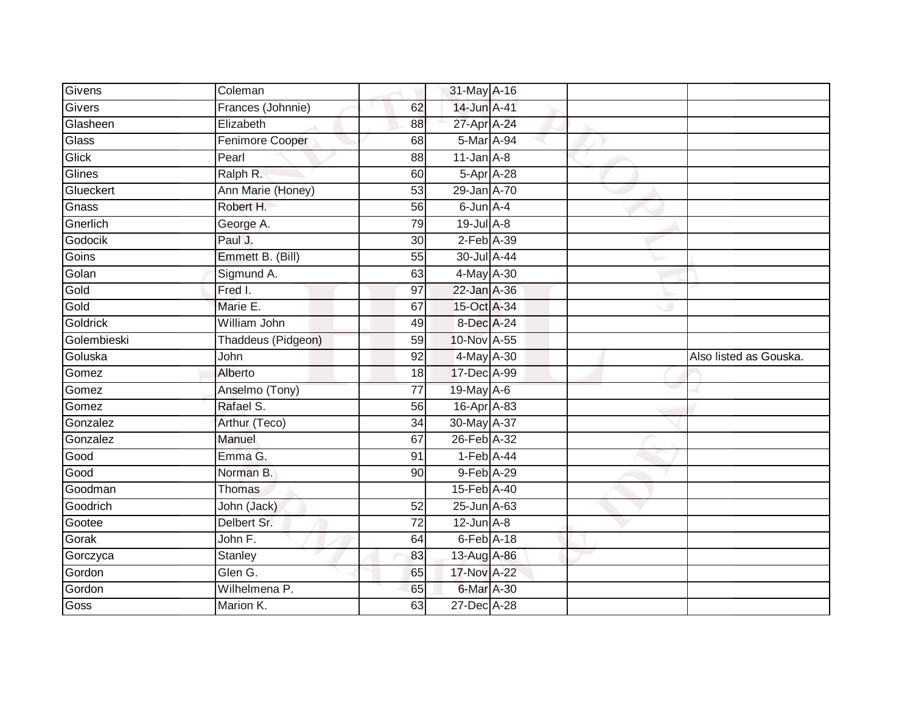| Givens         | Coleman                    |                 | 31-May A-16               |  |                        |
|----------------|----------------------------|-----------------|---------------------------|--|------------------------|
| Givers         | Frances (Johnnie)          | 62              | 14-Jun A-41               |  |                        |
| Glasheen       | Elizabeth                  | 88              | 27-Apr A-24               |  |                        |
| Glass          | Fenimore Cooper            | 68              | 5-Mar A-94                |  |                        |
| Glick          | Pearl                      | 88              | $11$ -Jan $A$ -8          |  |                        |
| Glines         | Ralph R.                   | 60              | 5-Apr A-28                |  |                        |
| Glueckert      | Ann Marie (Honey)          | 53              | 29-Jan A-70               |  |                        |
| Gnass          | Robert H.                  | 56              | $6$ -Jun $A - 4$          |  |                        |
| Gnerlich       | George A.                  | 79              | $19$ -Jul $A-8$           |  |                        |
| Godocik        | Paul J.                    | $\overline{30}$ | $2$ -Feb $A-39$           |  |                        |
| Goins          | Emmett B. (Bill)           | 55              | 30-Jul A-44               |  |                        |
| Golan          | Sigmund A.                 | 63              | 4-May A-30                |  |                        |
| Gold           | Fred I.                    | 97              | 22-Jan A-36               |  |                        |
| Gold           | Marie E.                   | 67              | 15-Oct A-34               |  |                        |
| Goldrick       | William John               | 49              | 8-Dec A-24                |  |                        |
| Golembieski    | Thaddeus (Pidgeon)         | 59              | 10-Nov A-55               |  |                        |
|                |                            |                 |                           |  |                        |
| Goluska        | John                       | 92              | 4-May A-30                |  | Also listed as Gouska. |
|                | Alberto                    | 18              | 17-Dec A-99               |  |                        |
| Gomez<br>Gomez | Anselmo (Tony)             | 77              | 19-May $A-6$              |  |                        |
| Gomez          | Rafael S.                  | 56              | 16-Apr A-83               |  |                        |
| Gonzalez       | Arthur (Teco)              | 34              | 30-May A-37               |  |                        |
| Gonzalez       | Manuel                     | 67              | 26-Feb A-32               |  |                        |
| Good           | Emma G.                    | 91              | $1-Feb$ A-44              |  |                        |
| Good           | Norman B.                  | 90              | 9-Feb A-29                |  |                        |
| Goodman        | Thomas                     |                 | 15-Feb A-40               |  |                        |
| Goodrich       | John (Jack)                | 52              | 25-Jun A-63               |  |                        |
| Gootee         | Delbert Sr.                | $\overline{72}$ | $12$ -Jun $A-8$           |  |                        |
| Gorak          | John F.                    | 64              | $6$ -Feb $A$ -18          |  |                        |
| Gorczyca       | Stanley                    | 83              | 13-Aug A-86               |  |                        |
| Gordon         | Glen G.                    | 65              | 17-Nov A-22               |  |                        |
| Gordon<br>Goss | Wilhelmena P.<br>Marion K. | 65              | 6-Mar A-30<br>27-Dec A-28 |  |                        |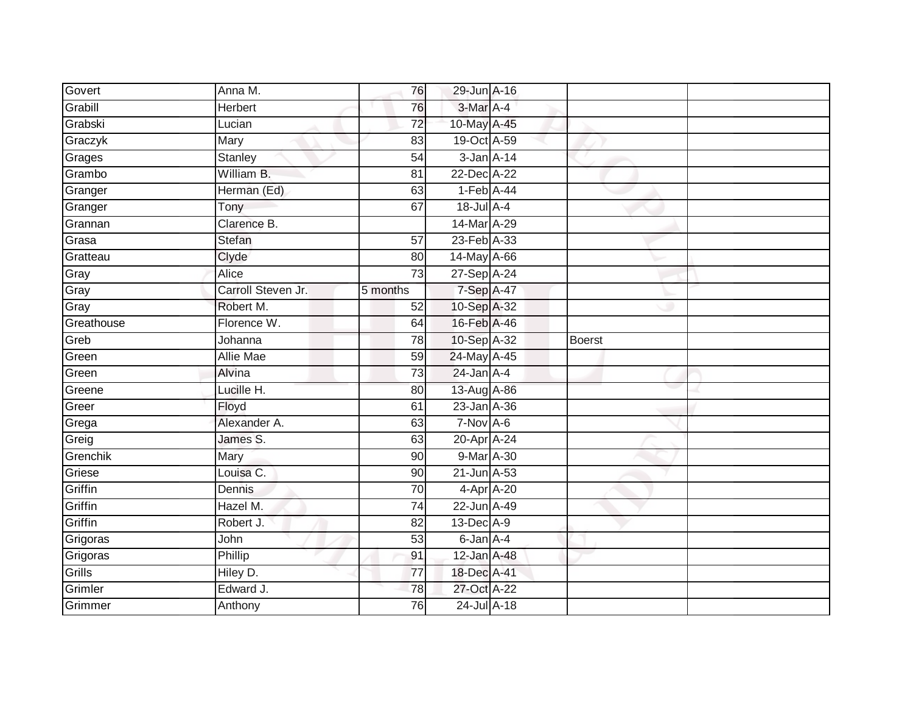| Govert     | Anna M.            | 76              | 29-Jun A-16       |               |  |
|------------|--------------------|-----------------|-------------------|---------------|--|
| Grabill    | Herbert            | 76              | 3-Mar A-4         |               |  |
| Grabski    | Lucian             | $\overline{72}$ | 10-May A-45       |               |  |
| Graczyk    | Mary               | 83              | 19-Oct A-59       |               |  |
| Grages     | <b>Stanley</b>     | 54              | $3$ -Jan $A-14$   |               |  |
| Grambo     | William B.         | 81              | 22-Dec A-22       |               |  |
| Granger    | Herman (Ed)        | 63              | $1-Feb$ A-44      |               |  |
| Granger    | Tony               | 67              | 18-Jul A-4        |               |  |
| Grannan    | Clarence B.        |                 | 14-Mar A-29       |               |  |
| Grasa      | Stefan             | 57              | 23-Feb A-33       |               |  |
| Gratteau   | Clyde              | 80              | $14$ -May $A$ -66 |               |  |
| Gray       | Alice              | 73              | 27-Sep A-24       |               |  |
| Gray       | Carroll Steven Jr. | 5 months        | 7-Sep A-47        |               |  |
| Gray       | Robert M.          | 52              | 10-Sep A-32       |               |  |
| Greathouse | Florence W.        | 64              | 16-Feb A-46       |               |  |
| Greb       | Johanna            | 78              | 10-Sep A-32       | <b>Boerst</b> |  |
| Green      | <b>Allie Mae</b>   | 59              | 24-May A-45       |               |  |
| Green      | Alvina             | 73              | $24$ -Jan $A-4$   |               |  |
| Greene     | Lucille H.         | 80              | 13-Aug A-86       |               |  |
| Greer      | Floyd              | 61              | 23-Jan A-36       |               |  |
| Grega      | Alexander A.       | 63              | $7-Nov A-6$       |               |  |
| Greig      | James S.           | 63              | 20-Apr A-24       |               |  |
| Grenchik   | Mary               | 90              | $9$ -Mar A-30     |               |  |
| Griese     | Louisa C.          | 90              | 21-Jun A-53       |               |  |
| Griffin    | Dennis             | 70              | 4-Apr A-20        |               |  |
| Griffin    | Hazel M.           | 74              | 22-Jun A-49       |               |  |
| Griffin    | Robert J.          | 82              | 13-Dec A-9        |               |  |
| Grigoras   | John               | 53              | $6$ -Jan $A$ -4   |               |  |
| Grigoras   | Phillip            | 91              | $12$ -Jan $A$ -48 |               |  |
| Grills     | Hiley D.           | $\overline{77}$ | 18-Dec A-41       |               |  |
| Grimler    | Edward J.          | 78              | 27-Oct A-22       |               |  |
| Grimmer    | Anthony            | 76              | 24-Jul A-18       |               |  |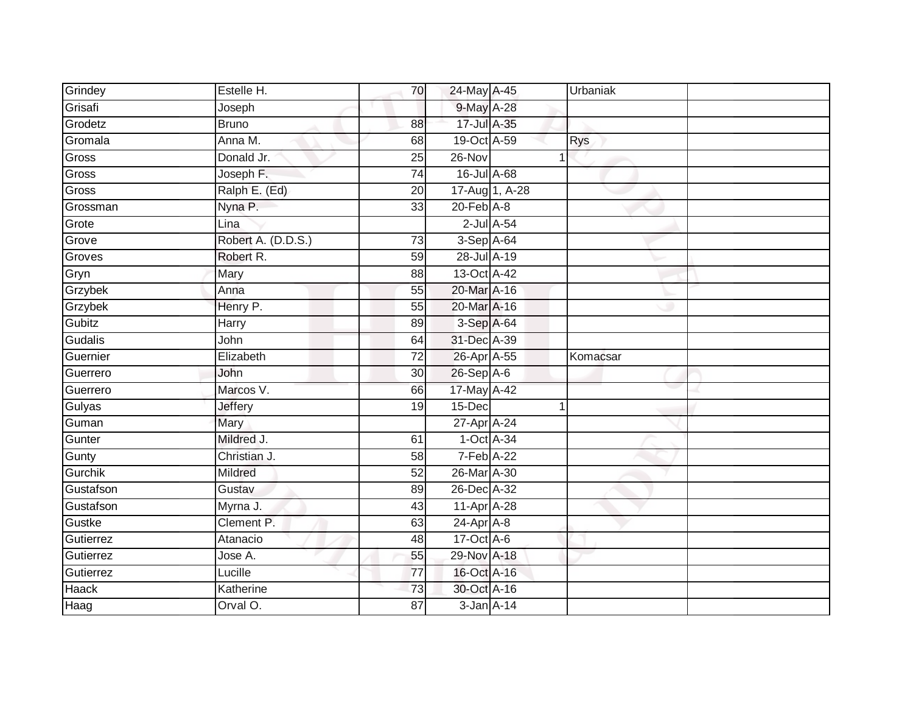| Grindey       | Estelle H.            | 70              | 24-May A-45                     | Urbaniak   |
|---------------|-----------------------|-----------------|---------------------------------|------------|
| Grisafi       | Joseph                |                 | 9-May A-28                      |            |
| Grodetz       | <b>Bruno</b>          | 88              | 17-Jul A-35                     |            |
| Gromala       | Anna M.               | 68              | 19-Oct A-59                     | <b>Rys</b> |
| Gross         | Donald Jr.            | 25              | 26-Nov                          |            |
| Gross         | Joseph F.             | 74              | 16-Jul A-68                     |            |
| Gross         | Ralph E. (Ed)         | 20              | 17-Aug 1, A-28                  |            |
| Grossman      | Nyna P.               | 33              | $20$ -Feb $A-8$                 |            |
| Grote         | Lina                  |                 | $2$ -Jul $A$ -54                |            |
| Grove         | Robert A. (D.D.S.)    | $\overline{73}$ | 3-Sep A-64                      |            |
| Groves        | Robert R.             | 59              | 28-Jul A-19                     |            |
| Gryn          | Mary                  | 88              | 13-Oct A-42                     |            |
| Grzybek       | Anna                  | 55              | 20-Mar A-16                     |            |
| Grzybek       | Henry P.              | 55              | 20-Mar A-16                     |            |
| Gubitz        | Harry                 | 89              | 3-Sep A-64                      |            |
| Gudalis       | John                  | 64              | 31-Dec A-39                     |            |
|               |                       |                 |                                 |            |
| Guernier      | Elizabeth             | 72              | 26-Apr A-55                     | Komacsar   |
| Guerrero      | John                  | 30              | $26-Sep$ A-6                    |            |
| Guerrero      | Marcos V.             | 66              | 17-May A-42                     |            |
| Gulyas        | <b>Jeffery</b>        | 19              | $15$ -Dec                       |            |
| Guman         | Mary                  |                 | 27-Apr A-24                     |            |
| Gunter        | Mildred J.            | 61              | 1-Oct A-34                      |            |
| Gunty         | Christian J.          | 58              | 7-Feb A-22                      |            |
| Gurchik       | Mildred               | 52              | 26-Mar A-30                     |            |
| Gustafson     | Gustav                | 89              | 26-Dec A-32                     |            |
| Gustafson     | Myrna J.              | 43              | 11-Apr A-28                     |            |
| Gustke        | Clement P.            | 63              | $24-Apr$ A-8                    |            |
| Gutierrez     | Atanacio              | 48              | 17-Oct A-6                      |            |
| Gutierrez     | Jose A.               | 55              | 29-Nov A-18                     |            |
| Gutierrez     | Lucille               | $\overline{77}$ | 16-Oct A-16                     |            |
| Haack<br>Haag | Katherine<br>Orval O. | 73              | 30-Oct A-16<br>$3 - Jan A - 14$ |            |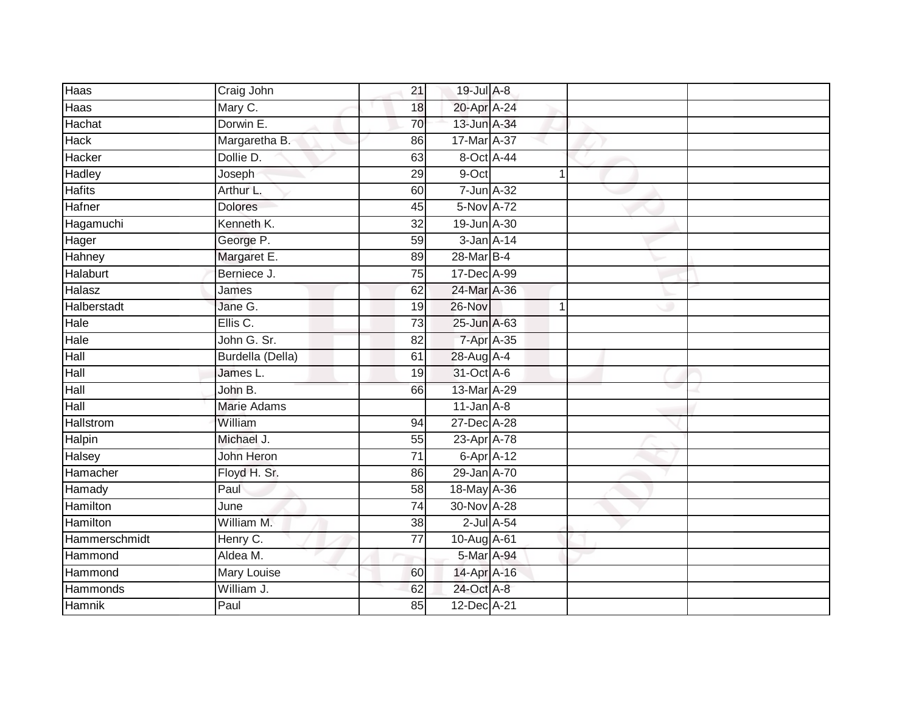| Haas             | Craig John         | 21              | 19-Jul A-8       |             |  |
|------------------|--------------------|-----------------|------------------|-------------|--|
| Haas             | Mary C.            | 18              | 20-Apr A-24      |             |  |
| Hachat           | Dorwin E.          | 70              | 13-Jun A-34      |             |  |
| Hack             | Margaretha B.      | 86              | 17-Mar A-37      |             |  |
| Hacker           | Dollie D.          | 63              | 8-Oct A-44       |             |  |
| Hadley           | Joseph             | 29              | 9-Oct            | $\mathbf 1$ |  |
| <b>Hafits</b>    | Arthur L.          | 60              | 7-Jun A-32       |             |  |
| Hafner           | <b>Dolores</b>     | 45              | 5-Nov A-72       |             |  |
| Hagamuchi        | Kenneth K.         | 32              | 19-Jun A-30      |             |  |
| Hager            | George P.          | 59              | $3$ -Jan $A-14$  |             |  |
| Hahney           | Margaret E.        | 89              | 28-Mar B-4       |             |  |
| Halaburt         | Berniece J.        | 75              | 17-Dec A-99      |             |  |
| Halasz           | James              | 62              | 24-Mar A-36      |             |  |
| Halberstadt      | Jane G.            | 19              | 26-Nov           | 1           |  |
| Hale             | Ellis C.           | $\overline{73}$ | 25-Jun A-63      |             |  |
| Hale             | John G. Sr.        | 82              | 7-Apr A-35       |             |  |
| Hall             | Burdella (Della)   | 61              | 28-Aug A-4       |             |  |
| Hall             | James L.           | 19              | 31-Oct A-6       |             |  |
| Hall             | John B.            | 66              | 13-Mar A-29      |             |  |
| Hall             | <b>Marie Adams</b> |                 | $11$ -Jan $A-8$  |             |  |
| <b>Hallstrom</b> | William            | 94              | 27-Dec A-28      |             |  |
| Halpin           | Michael J.         | 55              | 23-Apr A-78      |             |  |
| Halsey           | John Heron         | 71              | 6-Apr A-12       |             |  |
| Hamacher         | Floyd H. Sr.       | 86              | 29-Jan A-70      |             |  |
| Hamady           | Paul               | 58              | 18-May A-36      |             |  |
| Hamilton         | June               | 74              | 30-Nov A-28      |             |  |
| <b>Hamilton</b>  | William M.         | $\overline{38}$ | $2$ -Jul $A$ -54 |             |  |
| Hammerschmidt    | Henry C.           | $\overline{77}$ | 10-Aug A-61      |             |  |
| Hammond          | Aldea M.           |                 | 5-Mar A-94       |             |  |
| Hammond          | Mary Louise        | 60              | 14-Apr A-16      |             |  |
| Hammonds         | William J.         | 62              | 24-Oct A-8       |             |  |
| Hamnik           | Paul               | 85              | 12-Dec A-21      |             |  |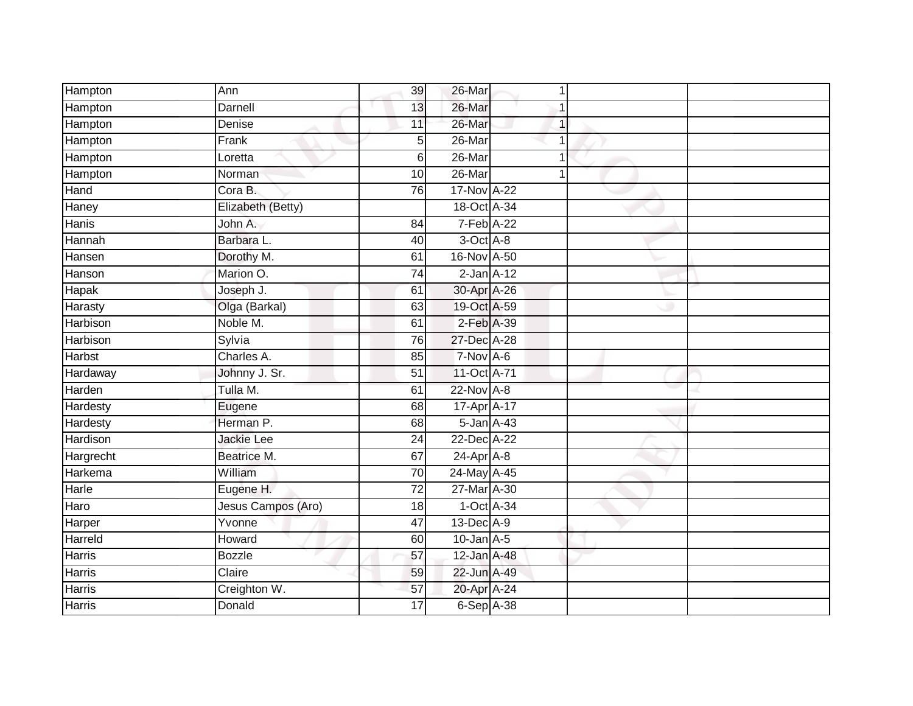| Hampton         | Ann                | 39              | 26-Mar            | 1 |  |
|-----------------|--------------------|-----------------|-------------------|---|--|
| Hampton         | Darnell            | 13              | 26-Mar            | 1 |  |
| Hampton         | Denise             | 11              | 26-Mar            | 1 |  |
| Hampton         | Frank              | 5               | 26-Mar            | 1 |  |
| Hampton         | Loretta            | 6               | $26$ -Mar         | 1 |  |
| Hampton         | Norman             | 10              | $26$ -Mar         | 1 |  |
| Hand            | Cora B.            | 76              | 17-Nov A-22       |   |  |
| Haney           | Elizabeth (Betty)  |                 | 18-Oct A-34       |   |  |
| Hanis           | John A.            | 84              | $7-Feb$ A-22      |   |  |
| Hannah          | Barbara L.         | 40              | 3-Oct A-8         |   |  |
| Hansen          | Dorothy M.         | 61              | 16-Nov A-50       |   |  |
| Hanson          | Marion O.          | $\overline{74}$ | $2$ -Jan $A-12$   |   |  |
| Hapak           | Joseph J.          | 61              | 30-Apr A-26       |   |  |
| Harasty         | Olga (Barkal)      | 63              | 19-Oct A-59       |   |  |
| Harbison        | Noble M.           | 61              | 2-Feb A-39        |   |  |
| Harbison        | Sylvia             | 76              | 27-Dec A-28       |   |  |
| <b>Harbst</b>   | Charles A.         | 85              | $7-Nov A-6$       |   |  |
| Hardaway        | Johnny J. Sr.      | $\overline{51}$ | 11-Oct A-71       |   |  |
| Harden          | Tulla M.           | 61              | 22-Nov A-8        |   |  |
| Hardesty        | Eugene             | 68              | 17-Apr A-17       |   |  |
| Hardesty        | Herman P.          | 68              | $5$ -Jan $A$ -43  |   |  |
| <b>Hardison</b> | <b>Jackie Lee</b>  | $\overline{24}$ | 22-Dec A-22       |   |  |
| Hargrecht       | Beatrice M.        | 67              | 24-Apr A-8        |   |  |
| Harkema         | William            | 70              | 24-May A-45       |   |  |
| Harle           | Eugene H.          | $\overline{72}$ | 27-Mar A-30       |   |  |
| Haro            | Jesus Campos (Aro) | 18              | $1-Oct$ A-34      |   |  |
| Harper          | Yvonne             | 47              | 13-Dec A-9        |   |  |
| Harreld         | Howard             | 60              | $10$ -Jan $A$ -5  |   |  |
| Harris          | <b>Bozzle</b>      | 57              | $12$ -Jan $A$ -48 |   |  |
| Harris          | Claire             | 59              | 22-Jun A-49       |   |  |
| Harris          | Creighton W.       | 57              | 20-Apr A-24       |   |  |
| <b>Harris</b>   | Donald             | 17              | $6-Sep$ A-38      |   |  |
|                 |                    |                 |                   |   |  |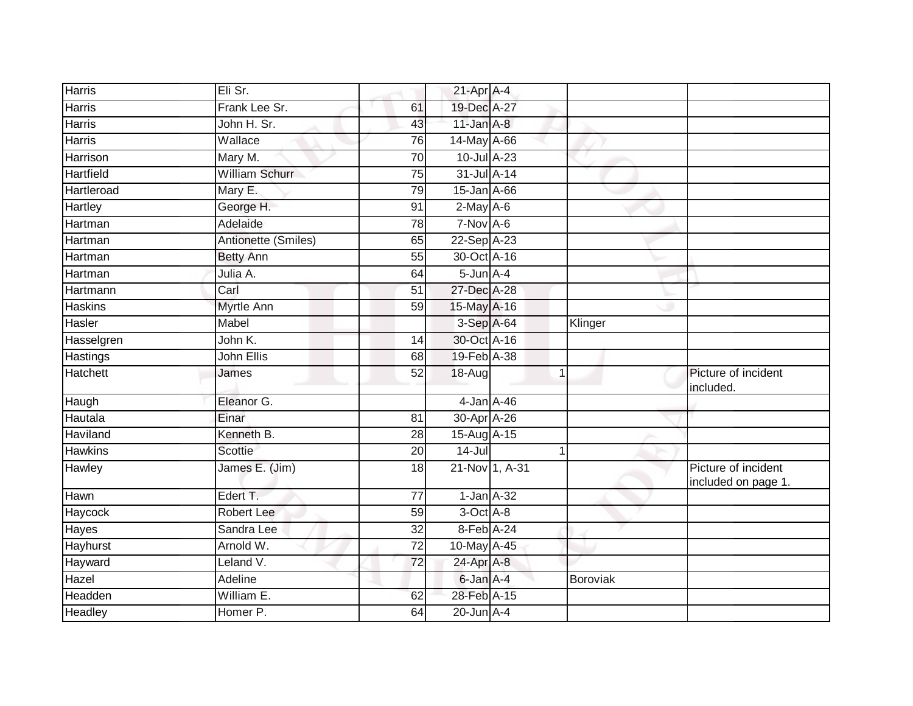| <b>Harris</b>   | Eli Sr.               |                 | $21$ -Apr $A$ -4 |          |                                            |
|-----------------|-----------------------|-----------------|------------------|----------|--------------------------------------------|
| Harris          | Frank Lee Sr.         | 61              | 19-Dec A-27      |          |                                            |
| <b>Harris</b>   | John H. Sr.           | 43              | $11$ -Jan $A-8$  |          |                                            |
| Harris          | Wallace               | 76              | 14-May A-66      |          |                                            |
| <b>Harrison</b> | Mary M.               | $\overline{70}$ | 10-Jul A-23      |          |                                            |
| Hartfield       | <b>William Schurr</b> | 75              | 31-Jul A-14      |          |                                            |
| Hartleroad      | Mary E.               | 79              | 15-Jan A-66      |          |                                            |
| Hartley         | George H.             | 91              | $2$ -May A-6     |          |                                            |
| Hartman         | Adelaide              | 78              | $7-Nov$ A-6      |          |                                            |
| <b>Hartman</b>  | Antionette (Smiles)   | 65              | 22-Sep A-23      |          |                                            |
| Hartman         | <b>Betty Ann</b>      | 55              | 30-Oct A-16      |          |                                            |
| Hartman         | Julia A.              | 64              | $5$ -Jun $A-4$   |          |                                            |
| Hartmann        | Carl                  | 51              | 27-Dec A-28      |          |                                            |
| <b>Haskins</b>  | Myrtle Ann            | 59              | 15-May A-16      |          |                                            |
| Hasler          | Mabel                 |                 | 3-Sep A-64       | Klinger  |                                            |
| Hasselgren      | John K.               | 14              | 30-Oct A-16      |          |                                            |
| Hastings        | John Ellis            | 68              | 19-Feb A-38      |          |                                            |
| Hatchett        | James                 | 52              | 18-Aug           | 1        | Picture of incident<br>included.           |
| Haugh           | Eleanor G.            |                 | 4-Jan A-46       |          |                                            |
| Hautala         | Einar                 | 81              | 30-Apr A-26      |          |                                            |
| Haviland        | Kenneth B.            | $\overline{28}$ | 15-Aug A-15      |          |                                            |
| <b>Hawkins</b>  | <b>Scottie</b>        | 20              | $14 -$ Jul       | 1        |                                            |
| Hawley          | James E. (Jim)        | 18              | 21-Nov 1, A-31   |          | Picture of incident<br>included on page 1. |
| Hawn            | Edert T.              | 77              | $1$ -Jan $A-32$  |          |                                            |
| Haycock         | <b>Robert Lee</b>     | $\overline{59}$ | $3-Oct$ $A-8$    |          |                                            |
| Hayes           | Sandra Lee            | 32              | 8-Feb A-24       |          |                                            |
| Hayhurst        | Arnold W.             | $\overline{72}$ | 10-May A-45      |          |                                            |
| Hayward         | Leland V.             | 72              | 24-Apr A-8       |          |                                            |
| Hazel           | Adeline               |                 | 6-Jan A-4        | Boroviak |                                            |
| Headden         | William E.            | 62              | 28-Feb A-15      |          |                                            |
| Headley         | Homer P.              | 64              | $20$ -Jun $A-4$  |          |                                            |
|                 |                       |                 |                  |          |                                            |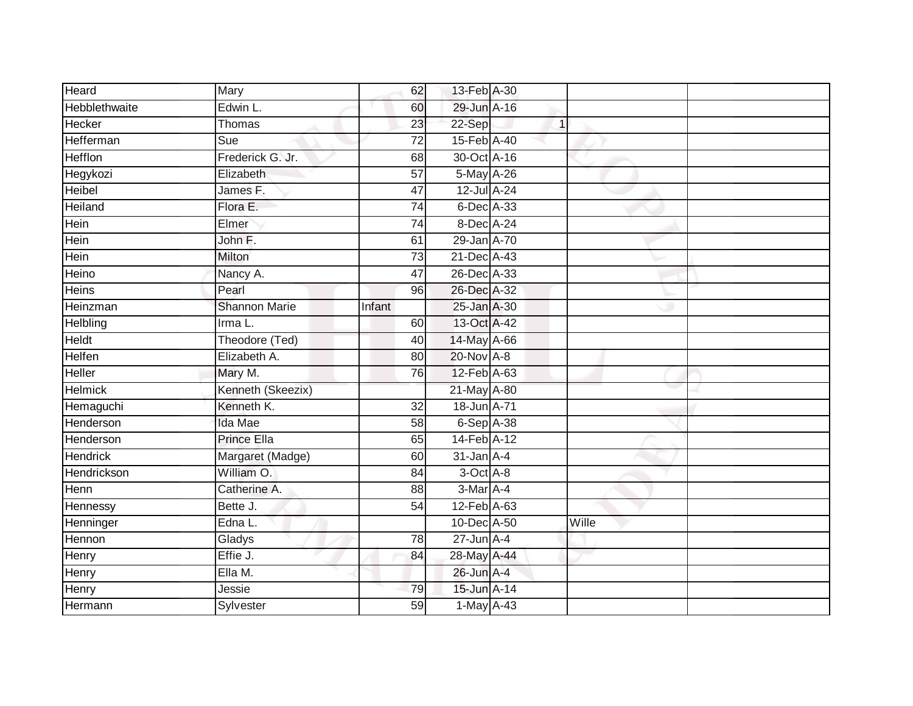| Heard                | Mary                 | 62              | 13-Feb A-30     |              |       |  |
|----------------------|----------------------|-----------------|-----------------|--------------|-------|--|
| <b>Hebblethwaite</b> | Edwin L.             | 60              | 29-Jun A-16     |              |       |  |
| Hecker               | Thomas               | 23              | 22-Sep          | $\mathbf{1}$ |       |  |
| Hefferman            | Sue                  | $\overline{72}$ | 15-Feb A-40     |              |       |  |
| <b>Hefflon</b>       | Frederick G. Jr.     | 68              | 30-Oct A-16     |              |       |  |
| Hegykozi             | Elizabeth            | $\overline{57}$ | 5-May A-26      |              |       |  |
| Heibel               | James F.             | 47              | 12-Jul A-24     |              |       |  |
| Heiland              | Flora E.             | 74              | 6-Dec A-33      |              |       |  |
| Hein                 | Elmer                | 74              | 8-Dec A-24      |              |       |  |
| Hein                 | John F.              | 61              | 29-Jan A-70     |              |       |  |
| Hein                 | Milton               | 73              | 21-Dec A-43     |              |       |  |
| Heino                | Nancy A.             | 47              | 26-Dec A-33     |              |       |  |
| Heins                | Pearl                | 96              | 26-Dec A-32     |              |       |  |
| Heinzman             | <b>Shannon Marie</b> | Infant          | 25-Jan A-30     |              |       |  |
| Helbling             | Irma L.              | 60              | 13-Oct A-42     |              |       |  |
| Heldt                | Theodore (Ted)       | 40              | 14-May A-66     |              |       |  |
| <b>Helfen</b>        | Elizabeth A.         | 80              | 20-Nov A-8      |              |       |  |
| Heller               | Mary M.              | 76              | 12-Feb A-63     |              |       |  |
| <b>Helmick</b>       | Kenneth (Skeezix)    |                 | 21-May A-80     |              |       |  |
| Hemaguchi            | Kenneth K.           | $\overline{32}$ | 18-Jun A-71     |              |       |  |
| Henderson            | Ida Mae              | 58              | $6-$ Sep $A-38$ |              |       |  |
| Henderson            | Prince Ella          | 65              | 14-Feb A-12     |              |       |  |
| <b>Hendrick</b>      | Margaret (Madge)     | 60              | $31$ -Jan $A-4$ |              |       |  |
| Hendrickson          | William O.           | 84              | 3-Oct A-8       |              |       |  |
| Henn                 | Catherine A.         | 88              | 3-Mar A-4       |              |       |  |
| Hennessy             | Bette J.             | 54              | 12-Feb A-63     |              |       |  |
| Henninger            | Edna L.              |                 | 10-Dec A-50     |              | Wille |  |
| Hennon               | Gladys               | 78              | $27$ -Jun $A-4$ |              |       |  |
| Henry                | Effie J.             | 84              | 28-May A-44     |              |       |  |
| Henry                | Ella M.              |                 | 26-Jun A-4      |              |       |  |
| Henry                | Jessie               | 79              | 15-Jun A-14     |              |       |  |
| Hermann              | Sylvester            | $\overline{59}$ | 1-May A-43      |              |       |  |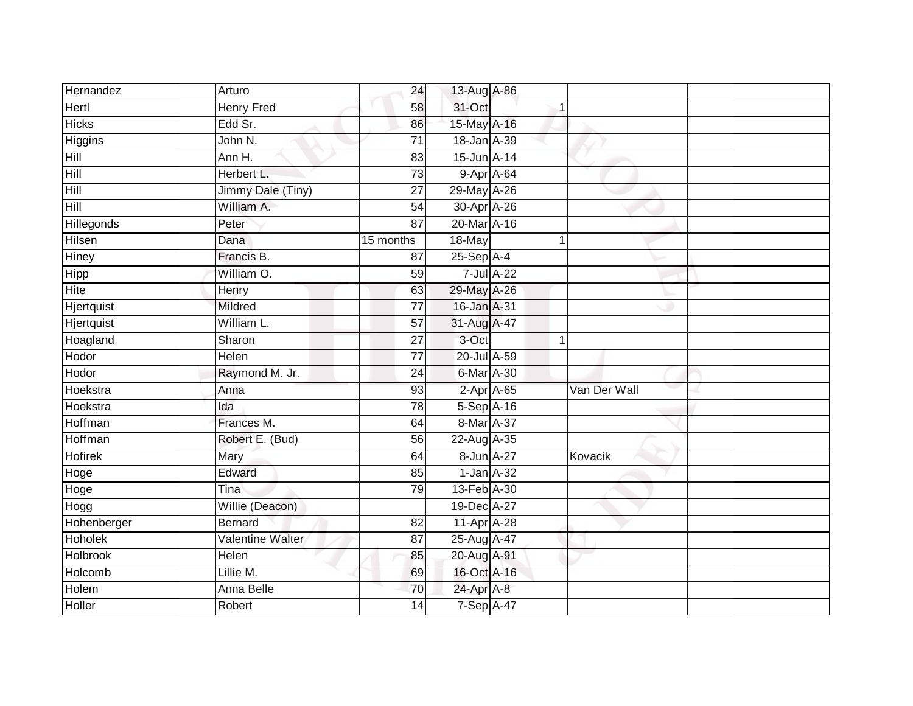| Hernandez         | Arturo            | 24              | 13-Aug A-86  |                  |              |  |
|-------------------|-------------------|-----------------|--------------|------------------|--------------|--|
| Hertl             | <b>Henry Fred</b> | 58              | 31-Oct       | 1                |              |  |
| <b>Hicks</b>      | Edd Sr.           | 86              | 15-May A-16  |                  |              |  |
| Higgins           | John N.           | $\overline{71}$ | 18-Jan A-39  |                  |              |  |
| Hill              | Ann H.            | 83              | 15-Jun A-14  |                  |              |  |
| Hill              | Herbert L.        | $\overline{73}$ | $9-AprA-64$  |                  |              |  |
| Hill              | Jimmy Dale (Tiny) | $\overline{27}$ | 29-May A-26  |                  |              |  |
| Hill              | William A.        | 54              | 30-Apr A-26  |                  |              |  |
| Hillegonds        | Peter             | $\overline{87}$ | 20-Mar A-16  |                  |              |  |
| <b>Hilsen</b>     | Dana              | 15 months       | 18-May       | 1                |              |  |
| <b>Hiney</b>      | Francis B.        | 87              | $25-Sep$ A-4 |                  |              |  |
| Hipp              | William O.        | 59              |              | 7-Jul A-22       |              |  |
| Hite              | Henry             | 63              | 29-May A-26  |                  |              |  |
| Hjertquist        | Mildred           | 77              | 16-Jan A-31  |                  |              |  |
| <b>Hjertquist</b> | William L.        | $\overline{57}$ | 31-Aug A-47  |                  |              |  |
| Hoagland          | Sharon            | 27              | 3-Oct        | 1                |              |  |
| Hodor             | Helen             | $\overline{77}$ | 20-Jul A-59  |                  |              |  |
| Hodor             | Raymond M. Jr.    | 24              | 6-Mar A-30   |                  |              |  |
| Hoekstra          | Anna              | 93              |              | $2-AprA-65$      | Van Der Wall |  |
| Hoekstra          | Ida               | 78              | 5-Sep A-16   |                  |              |  |
| Hoffman           | Frances M.        | 64              | 8-Mar A-37   |                  |              |  |
| Hoffman           | Robert E. (Bud)   | 56              | 22-Aug A-35  |                  |              |  |
| <b>Hofirek</b>    | Mary              | 64              |              | 8-Jun A-27       | Kovacik      |  |
| Hoge              | Edward            | 85              |              | $1$ -Jan $A$ -32 |              |  |
| Hoge              | Tina              | 79              | 13-Feb A-30  |                  |              |  |
| Hogg              | Willie (Deacon)   |                 | 19-Dec A-27  |                  |              |  |
| Hohenberger       | Bernard           | 82              | 11-Apr A-28  |                  |              |  |
| Hoholek           | Valentine Walter  | 87              | 25-Aug A-47  |                  |              |  |
| <b>Holbrook</b>   | Helen             | 85              | 20-Aug A-91  |                  |              |  |
| Holcomb           | Lillie M.         | 69              | 16-Oct A-16  |                  |              |  |
| Holem             | Anna Belle        | 70              | 24-Apr A-8   |                  |              |  |
| Holler            | Robert            | 14              | 7-Sep A-47   |                  |              |  |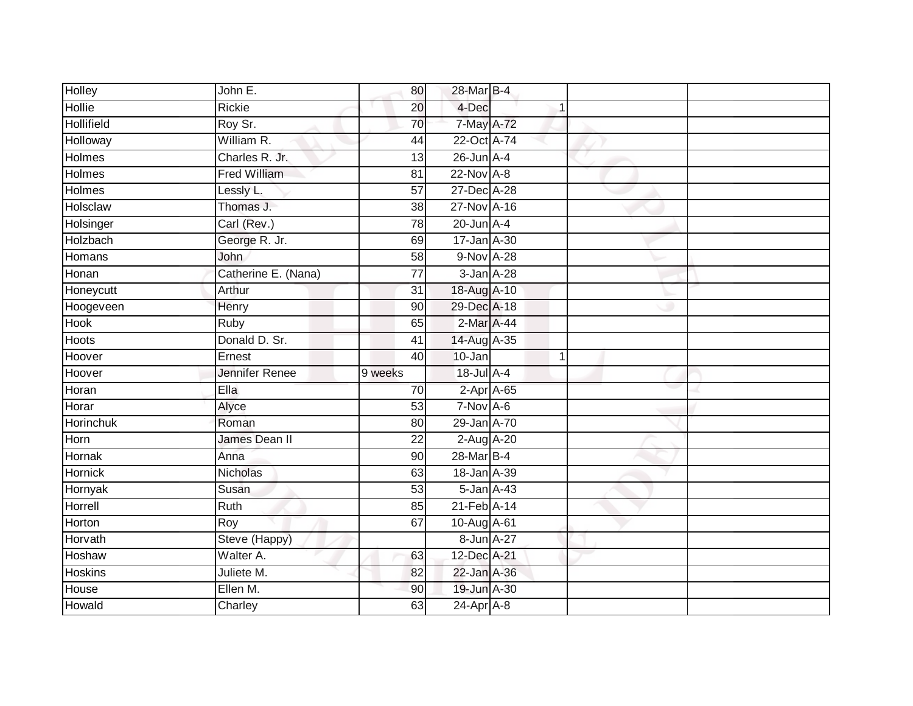| Holley            | John E.             | 80              | 28-Mar B-4      |                  |  |
|-------------------|---------------------|-----------------|-----------------|------------------|--|
| <b>Hollie</b>     | Rickie              | $\overline{20}$ | 4-Dec           |                  |  |
| <b>Hollifield</b> | Roy Sr.             | 70              | 7-May A-72      |                  |  |
| Holloway          | William R.          | 44              | 22-Oct A-74     |                  |  |
| <b>Holmes</b>     | Charles R. Jr.      | 13              | $26$ -Jun $A-4$ |                  |  |
| <b>Holmes</b>     | <b>Fred William</b> | 81              | $22$ -Nov $A-8$ |                  |  |
| Holmes            | Lessly L.           | 57              | 27-Dec A-28     |                  |  |
| Holsclaw          | Thomas J.           | 38              | 27-Nov A-16     |                  |  |
| Holsinger         | Carl (Rev.)         | 78              | $20$ -Jun $A-4$ |                  |  |
| Holzbach          | George R. Jr.       | 69              | 17-Jan A-30     |                  |  |
| Homans            | John                | $\overline{58}$ | 9-Nov A-28      |                  |  |
| Honan             | Catherine E. (Nana) | $\overline{77}$ | 3-Jan A-28      |                  |  |
| Honeycutt         | Arthur              | 31              | 18-Aug A-10     |                  |  |
| Hoogeveen         | Henry               | 90              | 29-Dec A-18     |                  |  |
| <b>Hook</b>       | <b>Ruby</b>         | 65              | 2-Mar A-44      |                  |  |
| <b>Hoots</b>      | Donald D. Sr.       | 41              | 14-Aug A-35     |                  |  |
| Hoover            | Ernest              | 40              | 10-Jan          | 1                |  |
| Hoover            | Jennifer Renee      | 9 weeks         | 18-Jul A-4      |                  |  |
| Horan             | Ella                | 70              |                 | $2$ -Apr $A$ -65 |  |
| Horar             | Alyce               | 53              | 7-Nov A-6       |                  |  |
| Horinchuk         | Roman               | 80              | 29-Jan A-70     |                  |  |
| Horn              | James Dean II       | $\overline{22}$ | 2-Aug A-20      |                  |  |
| Hornak            | Anna                | 90              | 28-Mar B-4      |                  |  |
| Hornick           | <b>Nicholas</b>     | 63              | 18-Jan A-39     |                  |  |
| Hornyak           | Susan               | 53              |                 | $5$ -Jan $A$ -43 |  |
| Horrell           | Ruth                | 85              | 21-Feb A-14     |                  |  |
| Horton            | Roy                 | 67              | 10-Aug A-61     |                  |  |
| Horvath           | Steve (Happy)       |                 |                 | 8-Jun A-27       |  |
| <b>Hoshaw</b>     | Walter A.           | 63              | 12-Dec A-21     |                  |  |
| <b>Hoskins</b>    | Juliete M.          | 82              | 22-Jan A-36     |                  |  |
| House             | Ellen M.            | 90              | 19-Jun A-30     |                  |  |
| Howald            | Charley             | 63              | 24-Apr A-8      |                  |  |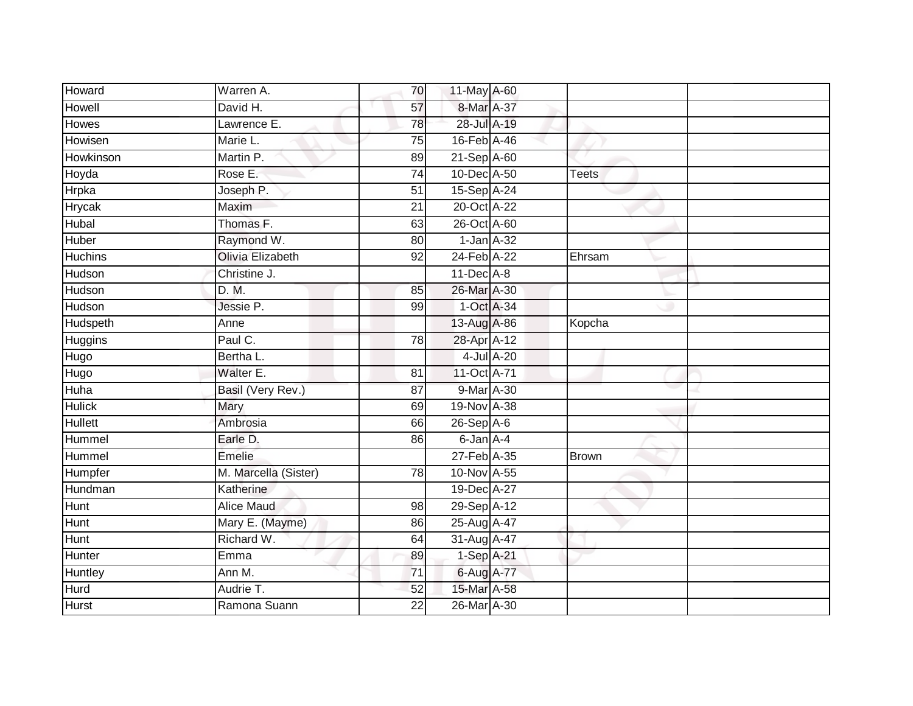| Howard         | Warren A.               | 70              | 11-May A-60      |              |  |
|----------------|-------------------------|-----------------|------------------|--------------|--|
| Howell         | David H.                | 57              | 8-Mar A-37       |              |  |
| <b>Howes</b>   | Lawrence E.             | 78              | 28-Jul A-19      |              |  |
| Howisen        | Marie L.                | 75              | 16-Feb A-46      |              |  |
| Howkinson      | Martin P.               | 89              | 21-Sep A-60      |              |  |
| Hoyda          | Rose E:                 | $\overline{74}$ | 10-Dec A-50      | <b>Teets</b> |  |
| Hrpka          | Joseph P.               | 51              | 15-Sep A-24      |              |  |
| Hrycak         | Maxim                   | 21              | 20-Oct A-22      |              |  |
| Hubal          | Thomas F.               | 63              | 26-Oct A-60      |              |  |
| Huber          | Raymond W.              | 80              | $1$ -Jan $A$ -32 |              |  |
| <b>Huchins</b> | <b>Olivia Elizabeth</b> | 92              | 24-Feb A-22      | Ehrsam       |  |
| Hudson         | Christine J.            |                 | $11$ -Dec $A-8$  |              |  |
| Hudson         | D. M.                   | 85              | 26-Mar A-30      |              |  |
| Hudson         | Jessie P.               | 99              | 1-Oct A-34       |              |  |
| Hudspeth       | Anne                    |                 | 13-Aug A-86      | Kopcha       |  |
| <b>Huggins</b> | Paul C.                 | 78              | 28-Apr A-12      |              |  |
| Hugo           | Bertha L.               |                 | 4-Jul A-20       |              |  |
| Hugo           | Walter E.               | 81              | 11-Oct A-71      |              |  |
| Huha           | Basil (Very Rev.)       | 87              | 9-Mar A-30       |              |  |
| <b>Hulick</b>  | Mary                    | 69              | 19-Nov A-38      |              |  |
| <b>Hullett</b> | Ambrosia                | 66              | $26-Sep$ A-6     |              |  |
| Hummel         | Earle D.                | 86              | 6-Jan A-4        |              |  |
| Hummel         | Emelie                  |                 | 27-Feb A-35      | <b>Brown</b> |  |
| Humpfer        | M. Marcella (Sister)    | $\overline{78}$ | 10-Nov A-55      |              |  |
| Hundman        | Katherine               |                 | 19-Dec A-27      |              |  |
| <b>Hunt</b>    | <b>Alice Maud</b>       | 98              | 29-Sep A-12      |              |  |
| Hunt           | Mary E. (Mayme)         | 86              | 25-Aug A-47      |              |  |
| Hunt           | Richard W.              | 64              | 31-Aug A-47      |              |  |
| Hunter         | Emma                    | 89              | $1-Sep$ A-21     |              |  |
| Huntley        | Ann M.                  | 71              | 6-Aug A-77       |              |  |
| Hurd           | Audrie T.               | 52              | 15-Mar A-58      |              |  |
| <b>Hurst</b>   | Ramona Suann            | $\overline{22}$ | 26-Mar A-30      |              |  |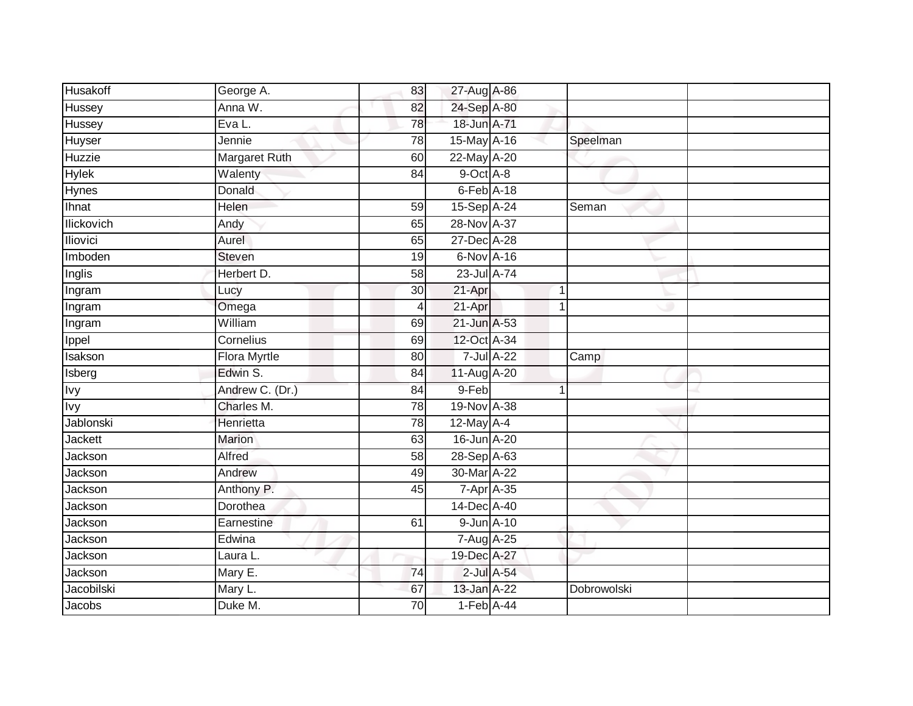| Husakoff          | George A.            | 83              | 27-Aug A-86     |            |                         |  |
|-------------------|----------------------|-----------------|-----------------|------------|-------------------------|--|
| Hussey            | Anna W.              | 82              | 24-Sep A-80     |            |                         |  |
| Hussey            | Eva L.               | 78              | 18-Jun A-71     |            |                         |  |
| Huyser            | Jennie               | 78              | 15-May A-16     |            | Speelman                |  |
| Huzzie            | <b>Margaret Ruth</b> | 60              | 22-May A-20     |            |                         |  |
| <b>Hylek</b>      | Walenty              | 84              | 9-Oct A-8       |            |                         |  |
| Hynes             | Donald               |                 | $6$ -Feb $A-18$ |            |                         |  |
| Ihnat             | Helen                | 59              | 15-Sep A-24     |            | Seman                   |  |
| <b>Ilickovich</b> | Andy                 | 65              | 28-Nov A-37     |            |                         |  |
| Iliovici          | Aurel                | 65              | 27-Dec A-28     |            |                         |  |
| Imboden           | <b>Steven</b>        | 19              | 6-Nov A-16      |            |                         |  |
| Inglis            | Herbert D.           | 58              | 23-Jul A-74     |            |                         |  |
| Ingram            | Lucy                 | 30              | 21-Apr          |            | $\overline{\mathbf{1}}$ |  |
| Ingram            | Omega                | 4               | 21-Apr          |            | 1                       |  |
| Ingram            | William              | 69              | 21-Jun A-53     |            |                         |  |
| Ippel             | Cornelius            | 69              | 12-Oct A-34     |            |                         |  |
| Isakson           | <b>Flora Myrtle</b>  | 80              |                 | 7-Jul A-22 | Camp                    |  |
| Isberg            | Edwin S.             | 84              | 11-Aug A-20     |            |                         |  |
| <b>Ivy</b>        | Andrew C. (Dr.)      | 84              | 9-Feb           |            |                         |  |
| <b>Ivy</b>        | Charles M.           | $\overline{78}$ | 19-Nov A-38     |            |                         |  |
| Jablonski         | Henrietta            | 78              | 12-May A-4      |            |                         |  |
| <b>Jackett</b>    | Marion               | 63              | 16-Jun A-20     |            |                         |  |
| Jackson           | Alfred               | 58              | 28-Sep A-63     |            |                         |  |
| Jackson           | Andrew               | 49              | 30-Mar A-22     |            |                         |  |
| Jackson           | Anthony P.           | 45              | 7-Apr A-35      |            |                         |  |
| Jackson           | Dorothea             |                 | 14-Dec A-40     |            |                         |  |
| Jackson           | Earnestine           | 61              | 9-Jun A-10      |            |                         |  |
| Jackson           | Edwina               |                 | 7-Aug A-25      |            |                         |  |
| Jackson           | Laura L.             |                 | 19-Dec A-27     |            |                         |  |
| Jackson           | Mary E.              | 74              |                 | 2-Jul A-54 |                         |  |
| Jacobilski        | Mary L.              | 67              | 13-Jan A-22     |            | Dobrowolski             |  |
| Jacobs            | Duke M.              | $\overline{70}$ | $1-Feb$ A-44    |            |                         |  |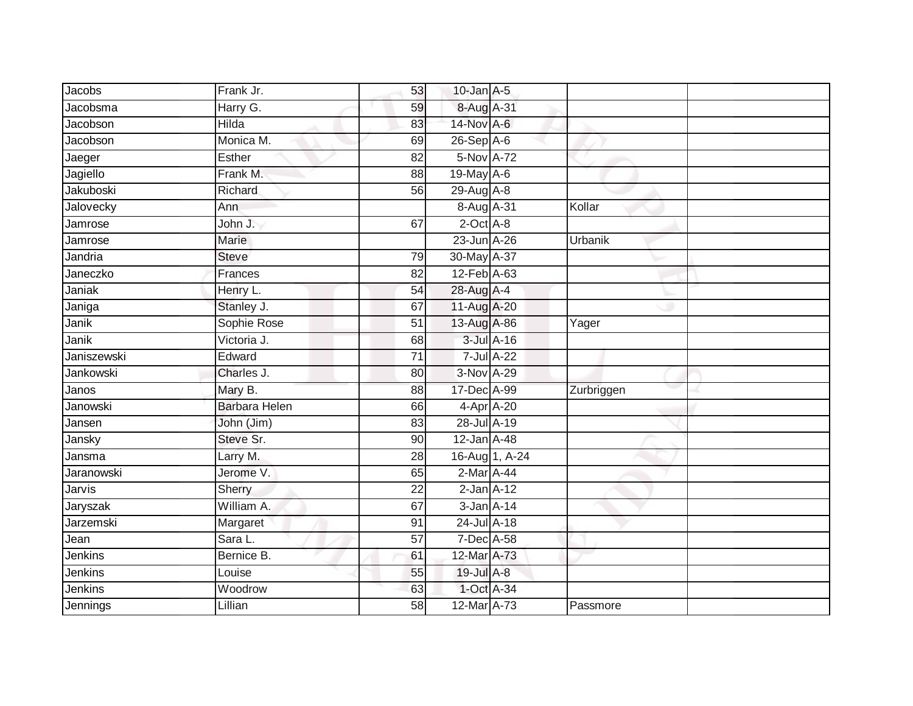| Jacobs           | Frank Jr.            | 53              | $10$ -Jan $A-5$ |                |            |  |
|------------------|----------------------|-----------------|-----------------|----------------|------------|--|
| Jacobsma         | Harry G.             | 59              | 8-Aug A-31      |                |            |  |
| Jacobson         | Hilda                | 83              | 14-Nov A-6      |                |            |  |
| Jacobson         | Monica M.            | 69              | 26-Sep A-6      |                |            |  |
| Jaeger           | Esther               | $\overline{82}$ | 5-Nov A-72      |                |            |  |
| Jagiello         | Frank M.             | 88              | 19-May A-6      |                |            |  |
| <b>Jakuboski</b> | Richard              | 56              | 29-Aug A-8      |                |            |  |
| Jalovecky        | Ann                  |                 | 8-Aug A-31      |                | Kollar     |  |
| Jamrose          | John J.              | 67              | $2$ -Oct $A$ -8 |                |            |  |
| Jamrose          | <b>Marie</b>         |                 | 23-Jun A-26     |                | Urbanik    |  |
| Jandria          | <b>Steve</b>         | 79              | 30-May A-37     |                |            |  |
| Janeczko         | Frances              | 82              | 12-Feb A-63     |                |            |  |
| Janiak           | Henry L.             | 54              | 28-Aug A-4      |                |            |  |
| Janiga           | Stanley J.           | 67              | 11-Aug A-20     |                |            |  |
| Janik            | Sophie Rose          | $\overline{51}$ | 13-Aug A-86     |                | Yager      |  |
| Janik            | Victoria J.          | 68              | 3-Jul A-16      |                |            |  |
| Janiszewski      | Edward               | 71              | 7-Jul A-22      |                |            |  |
| Jankowski        | Charles J.           | 80              | 3-Nov A-29      |                |            |  |
| Janos            | Mary B.              | 88              | 17-Dec A-99     |                | Zurbriggen |  |
| Janowski         | <b>Barbara Helen</b> | 66              | 4-Apr A-20      |                |            |  |
| Jansen           | John (Jim)           | 83              | 28-Jul A-19     |                |            |  |
| Jansky           | Steve Sr.            | $\overline{90}$ | 12-Jan A-48     |                |            |  |
| Jansma           | Larry M.             | 28              |                 | 16-Aug 1, A-24 |            |  |
| Jaranowski       | Jerome V.            | 65              | $2-Mar$ A-44    |                |            |  |
| Jarvis           | Sherry               | 22              | $2$ -Jan $A-12$ |                |            |  |
| Jaryszak         | William A.           | 67              | $3$ -Jan $A-14$ |                |            |  |
| Jarzemski        | Margaret             | 91              | 24-Jul A-18     |                |            |  |
| Jean             | Sara L.              | 57              | 7-Dec A-58      |                |            |  |
| Jenkins          | Bernice B.           | 61              | 12-Mar A-73     |                |            |  |
| Jenkins          | Louise               | 55              | 19-Jul A-8      |                |            |  |
| Jenkins          | Woodrow              | 63              | 1-Oct A-34      |                |            |  |
| Jennings         | Lillian              | $\overline{58}$ | 12-Mar A-73     |                | Passmore   |  |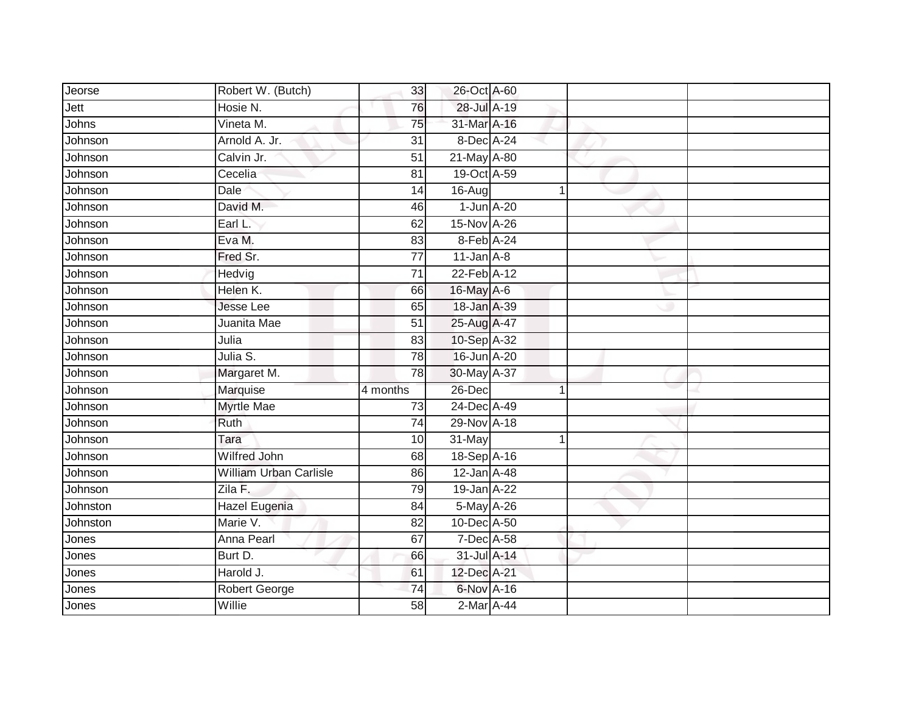| Jeorse   | Robert W. (Butch)             | 33              | 26-Oct A-60     |   |  |
|----------|-------------------------------|-----------------|-----------------|---|--|
| Jett     | Hosie N.                      | 76              | 28-Jul A-19     |   |  |
| Johns    | Vineta M.                     | 75              | 31-Mar A-16     |   |  |
| Johnson  | Arnold A. Jr.                 | 31              | 8-Dec A-24      |   |  |
| Johnson  | Calvin Jr.                    | $\overline{51}$ | 21-May A-80     |   |  |
| Johnson  | Cecelia                       | 81              | 19-Oct A-59     |   |  |
| Johnson  | Dale                          | 14              | 16-Aug          | 1 |  |
| Johnson  | David M.                      | 46              | $1$ -Jun $A-20$ |   |  |
| Johnson  | Earl L.                       | 62              | 15-Nov A-26     |   |  |
| Johnson  | Eva M.                        | 83              | 8-Feb A-24      |   |  |
| Johnson  | Fred Sr.                      | $\overline{77}$ | $11$ -Jan $A-8$ |   |  |
| Johnson  | Hedvig                        | $\overline{71}$ | 22-Feb A-12     |   |  |
| Johnson  | Helen K.                      | 66              | 16-May A-6      |   |  |
| Johnson  | <b>Jesse Lee</b>              | 65              | 18-Jan A-39     |   |  |
| Johnson  | Juanita Mae                   | $\overline{51}$ | 25-Aug A-47     |   |  |
| Johnson  | Julia                         | $\overline{83}$ | 10-Sep A-32     |   |  |
| Johnson  | Julia S.                      | 78              | 16-Jun A-20     |   |  |
| Johnson  | Margaret M.                   | 78              | 30-May A-37     |   |  |
| Johnson  | Marquise                      | 4 months        | 26-Dec          | 4 |  |
| Johnson  | <b>Myrtle Mae</b>             | 73              | 24-Dec A-49     |   |  |
| Johnson  | Ruth                          | 74              | 29-Nov A-18     |   |  |
| Johnson  | Tara                          | 10              | 31-May          |   |  |
| Johnson  | <b>Wilfred John</b>           | 68              | 18-Sep A-16     |   |  |
| Johnson  | <b>William Urban Carlisle</b> | 86              | 12-Jan A-48     |   |  |
| Johnson  | Zila F.                       | 79              | 19-Jan A-22     |   |  |
| Johnston | Hazel Eugenia                 | 84              | 5-May A-26      |   |  |
| Johnston | Marie V.                      | $\overline{82}$ | 10-Dec A-50     |   |  |
| Jones    | Anna Pearl                    | 67              | 7-Dec A-58      |   |  |
| Jones    | Burt D.                       | 66              | 31-Jul A-14     |   |  |
| Jones    | Harold J.                     | 61              | 12-Dec A-21     |   |  |
| Jones    | <b>Robert George</b>          | 74              | 6-Nov A-16      |   |  |
| Jones    | Willie                        | 58              | 2-Mar A-44      |   |  |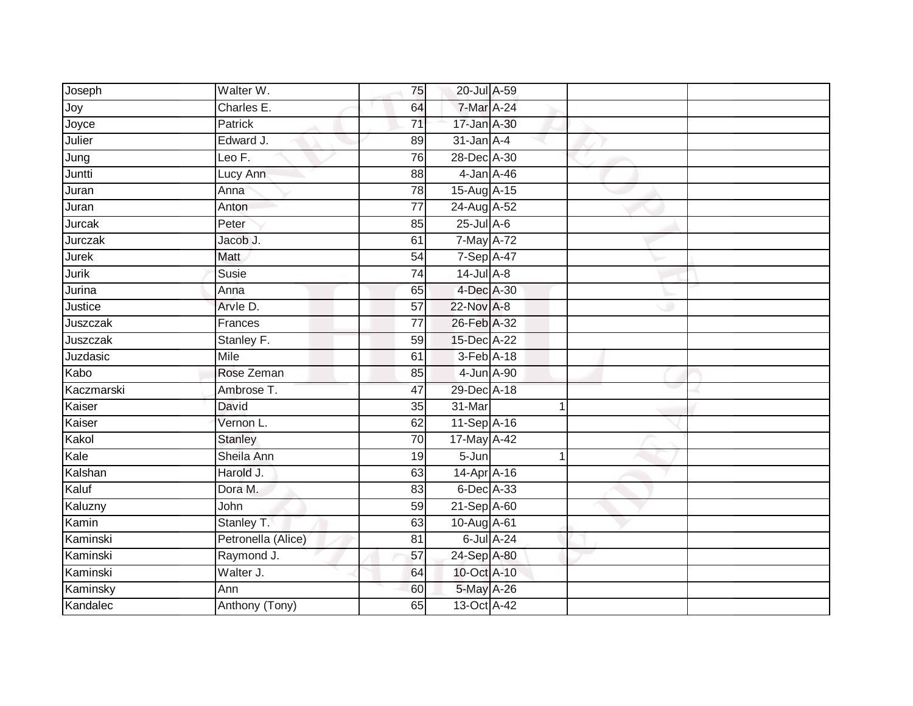| Joseph       | Walter W.          | 75              | 20-Jul A-59     |                  |  |
|--------------|--------------------|-----------------|-----------------|------------------|--|
| Joy          | Charles E.         | 64              | 7-Mar A-24      |                  |  |
| Joyce        | <b>Patrick</b>     | $\overline{71}$ | 17-Jan A-30     |                  |  |
| Julier       | Edward J.          | 89              | $31$ -Jan $A-4$ |                  |  |
| Jung         | Leo F.             | 76              | 28-Dec A-30     |                  |  |
| Juntti       | Lucy Ann           | 88              | 4-Jan A-46      |                  |  |
| Juran        | Anna               | 78              | 15-Aug A-15     |                  |  |
| Juran        | Anton              | 77              | 24-Aug A-52     |                  |  |
| Jurcak       | Peter              | 85              | $25$ -Jul $A-6$ |                  |  |
| Jurczak      | Jacob J.           | 61              | 7-May A-72      |                  |  |
| <b>Jurek</b> | Matt               | $\overline{54}$ | 7-Sep A-47      |                  |  |
| Jurik        | Susie              | 74              | $14$ -Jul $A-8$ |                  |  |
| Jurina       | Anna               | 65              | 4-Dec A-30      |                  |  |
| Justice      | Arvle D.           | 57              | 22-Nov A-8      |                  |  |
| Juszczak     | Frances            | $\overline{77}$ | 26-Feb A-32     |                  |  |
| Juszczak     | Stanley F.         | 59              | 15-Dec A-22     |                  |  |
| Juzdasic     | Mile               | 61              | 3-Feb A-18      |                  |  |
| Kabo         | Rose Zeman         | 85              | 4-Jun A-90      |                  |  |
| Kaczmarski   | Ambrose T.         | 47              | 29-Dec A-18     |                  |  |
| Kaiser       | David              | 35              | 31-Mar          | 1                |  |
| Kaiser       | Vernon L.          | 62              | 11-Sep A-16     |                  |  |
| Kakol        | <b>Stanley</b>     | 70              | 17-May A-42     |                  |  |
| Kale         | Sheila Ann         | 19              | 5-Jun           | 1                |  |
| Kalshan      | Harold J.          | 63              | 14-Apr A-16     |                  |  |
| Kaluf        | Dora M.            | 83              | 6-Dec A-33      |                  |  |
| Kaluzny      | John               | 59              | 21-Sep A-60     |                  |  |
| Kamin        | Stanley T.         | 63              | 10-Aug A-61     |                  |  |
| Kaminski     | Petronella (Alice) | 81              |                 | $6$ -Jul $A$ -24 |  |
| Kaminski     | Raymond J.         | 57              | 24-Sep A-80     |                  |  |
| Kaminski     | Walter J.          | 64              | 10-Oct A-10     |                  |  |
| Kaminsky     | Ann                | 60              | 5-May A-26      |                  |  |
| Kandalec     | Anthony (Tony)     | 65              | 13-Oct A-42     |                  |  |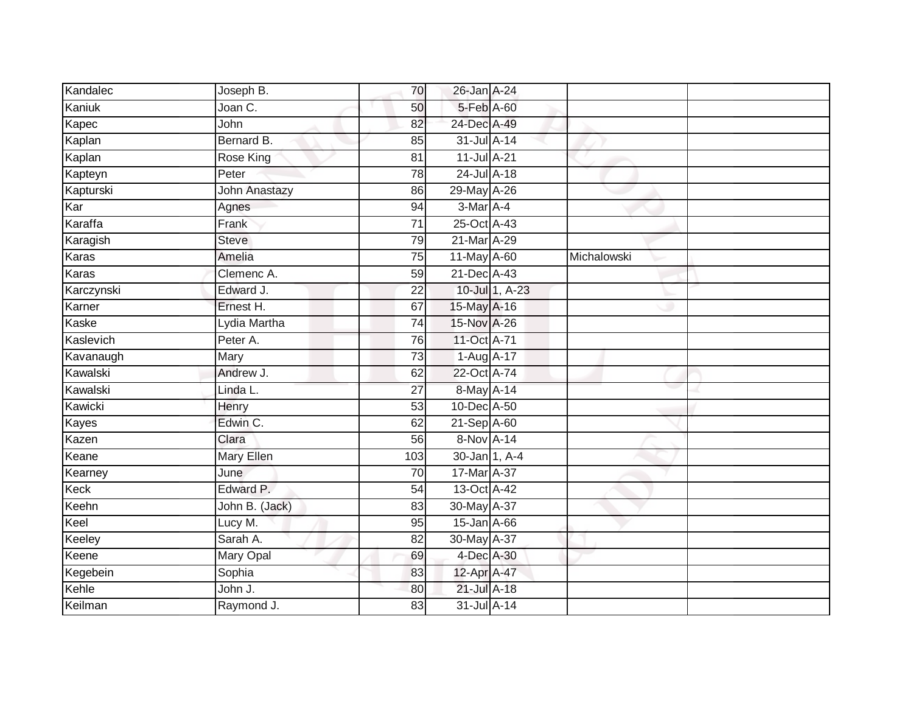| Kandalec     | Joseph B.            | 70              | 26-Jan A-24   |                |             |  |
|--------------|----------------------|-----------------|---------------|----------------|-------------|--|
| Kaniuk       | Joan C.              | 50              | 5-Feb A-60    |                |             |  |
| Kapec        | John                 | 82              | 24-Dec A-49   |                |             |  |
| Kaplan       | Bernard B.           | 85              | 31-Jul A-14   |                |             |  |
| Kaplan       | Rose King            | $\overline{81}$ | 11-Jul A-21   |                |             |  |
| Kapteyn      | Peter                | 78              | 24-Jul A-18   |                |             |  |
| Kapturski    | <b>John Anastazy</b> | 86              | 29-May A-26   |                |             |  |
| Kar          | Agnes                | 94              | 3-Mar A-4     |                |             |  |
| Karaffa      | Frank                | $\overline{71}$ | 25-Oct A-43   |                |             |  |
| Karagish     | <b>Steve</b>         | 79              | 21-Mar A-29   |                |             |  |
| Karas        | Amelia               | 75              | 11-May A-60   |                | Michalowski |  |
| Karas        | Clemenc A.           | 59              | 21-Dec A-43   |                |             |  |
| Karczynski   | Edward J.            | 22              |               | 10-Jul 1, A-23 |             |  |
| Karner       | Ernest H.            | 67              | 15-May A-16   |                |             |  |
| <b>Kaske</b> | Lydia Martha         | $\overline{74}$ | 15-Nov A-26   |                |             |  |
| Kaslevich    | Peter A.             | 76              | 11-Oct A-71   |                |             |  |
| Kavanaugh    | Mary                 | 73              | 1-Aug A-17    |                |             |  |
| Kawalski     | Andrew J.            | 62              | 22-Oct A-74   |                |             |  |
| Kawalski     | Linda L.             | 27              | 8-May A-14    |                |             |  |
| Kawicki      | Henry                | 53              | 10-Dec A-50   |                |             |  |
| Kayes        | Edwin C.             | 62              | 21-Sep A-60   |                |             |  |
| Kazen        | Clara                | 56              | 8-Nov A-14    |                |             |  |
| Keane        | Mary Ellen           | 103             | 30-Jan 1, A-4 |                |             |  |
| Kearney      | June                 | 70              | 17-Mar A-37   |                |             |  |
| Keck         | Edward P.            | 54              | 13-Oct A-42   |                |             |  |
| Keehn        | John B. (Jack)       | 83              | 30-May A-37   |                |             |  |
| Keel         | Lucy M.              | 95              | 15-Jan A-66   |                |             |  |
| Keeley       | Sarah A.             | 82              | 30-May A-37   |                |             |  |
| Keene        | <b>Mary Opal</b>     | 69              | 4-Dec A-30    |                |             |  |
| Kegebein     | Sophia               | 83              | 12-Apr A-47   |                |             |  |
| Kehle        | John J.              | 80              | 21-Jul A-18   |                |             |  |
| Keilman      | Raymond J.           | 83              | 31-Jul A-14   |                |             |  |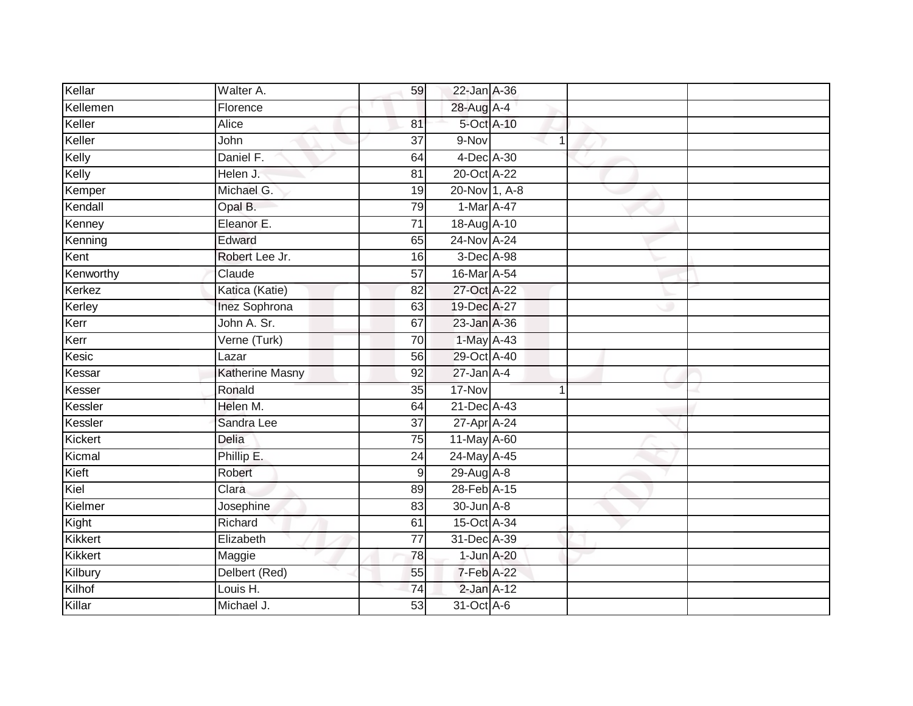| Kellar    | Walter A.       | 59              | 22-Jan A-36     |   |  |
|-----------|-----------------|-----------------|-----------------|---|--|
| Kellemen  | Florence        |                 | 28-Aug A-4      |   |  |
| Keller    | <b>Alice</b>    | 81              | 5-Oct A-10      |   |  |
| Keller    | John            | $\overline{37}$ | 9-Nov           | 1 |  |
| Kelly     | Daniel F.       | 64              | 4-Dec A-30      |   |  |
| Kelly     | Helen J.        | 81              | 20-Oct A-22     |   |  |
| Kemper    | Michael G.      | 19              | 20-Nov 1, A-8   |   |  |
| Kendall   | Opal B.         | 79              | 1-Mar A-47      |   |  |
| Kenney    | Eleanor E.      | $\overline{71}$ | 18-Aug A-10     |   |  |
| Kenning   | Edward          | 65              | 24-Nov A-24     |   |  |
| Kent      | Robert Lee Jr.  | 16              | 3-Dec A-98      |   |  |
| Kenworthy | Claude          | 57              | 16-Mar A-54     |   |  |
| Kerkez    | Katica (Katie)  | 82              | 27-Oct A-22     |   |  |
| Kerley    | Inez Sophrona   | 63              | 19-Dec A-27     |   |  |
| Kerr      | John A. Sr.     | 67              | 23-Jan A-36     |   |  |
| Kerr      | Verne (Turk)    | 70              | 1-May A-43      |   |  |
| Kesic     | Lazar           | 56              | 29-Oct A-40     |   |  |
| Kessar    | Katherine Masny | 92              | $27$ -Jan $A-4$ |   |  |
| Kesser    | Ronald          | 35              | 17-Nov          | и |  |
| Kessler   | Helen M.        | 64              | 21-Dec A-43     |   |  |
| Kessler   | Sandra Lee      | 37              | 27-Apr A-24     |   |  |
| Kickert   | Delia           | 75              | 11-May A-60     |   |  |
| Kicmal    | Phillip E.      | 24              | 24-May A-45     |   |  |
| Kieft     | Robert          | 9               | 29-Aug A-8      |   |  |
| Kiel      | Clara           | 89              | 28-Feb A-15     |   |  |
| Kielmer   | Josephine       | 83              | 30-Jun A-8      |   |  |
| Kight     | Richard         | 61              | 15-Oct A-34     |   |  |
| Kikkert   | Elizabeth       | 77              | 31-Dec A-39     |   |  |
| Kikkert   | Maggie          | 78              | 1-Jun A-20      |   |  |
| Kilbury   | Delbert (Red)   | 55              | 7-Feb A-22      |   |  |
| Kilhof    | Louis H.        | 74              | $2$ -Jan $A-12$ |   |  |
| Killar    | Michael J.      | 53              | 31-Oct A-6      |   |  |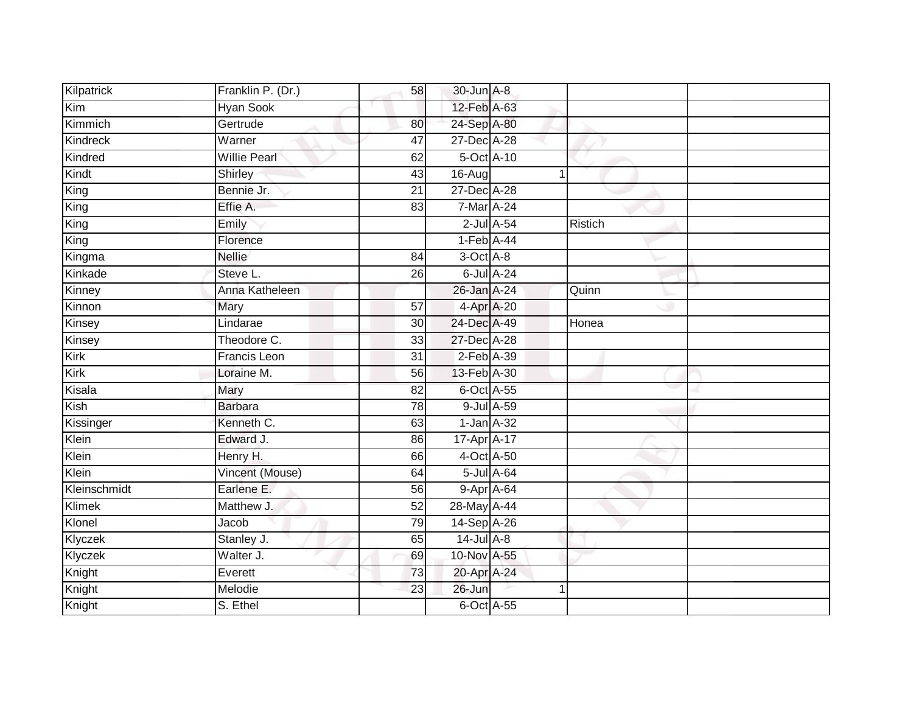| Kilpatrick   | Franklin P. (Dr.)   | 58 | 30-Jun A-8      |                  |         |  |
|--------------|---------------------|----|-----------------|------------------|---------|--|
| Kim          | Hyan Sook           |    | 12-Feb A-63     |                  |         |  |
| Kimmich      | Gertrude            | 80 | 24-Sep A-80     |                  |         |  |
| Kindreck     | Warner              | 47 | 27-Dec A-28     |                  |         |  |
| Kindred      | <b>Willie Pearl</b> | 62 | 5-Oct A-10      |                  |         |  |
| Kindt        | Shirley             | 43 | 16-Aug          | 1                |         |  |
| King         | Bennie Jr.          | 21 | 27-Dec A-28     |                  |         |  |
| King         | Effie A.            | 83 | $7-Mar A-24$    |                  |         |  |
| King         | Emily               |    |                 | $2$ -Jul $A$ -54 | Ristich |  |
| King         | Florence            |    | $1-Feb$ A-44    |                  |         |  |
| Kingma       | <b>Nellie</b>       | 84 | 3-Oct A-8       |                  |         |  |
| Kinkade      | Steve L.            | 26 |                 | 6-Jul A-24       |         |  |
| Kinney       | Anna Katheleen      |    | 26-Jan A-24     |                  | Quinn   |  |
| Kinnon       | Mary                | 57 | 4-Apr A-20      |                  |         |  |
| Kinsey       | Lindarae            | 30 | 24-Dec A-49     |                  | Honea   |  |
| Kinsey       | Theodore C.         | 33 | 27-Dec A-28     |                  |         |  |
| Kirk         | <b>Francis Leon</b> | 31 | $2$ -Feb $A-39$ |                  |         |  |
| Kirk         | Loraine M.          | 56 | 13-Feb A-30     |                  |         |  |
| Kisala       | Mary                | 82 | 6-Oct A-55      |                  |         |  |
| Kish         | <b>Barbara</b>      | 78 |                 | 9-Jul A-59       |         |  |
| Kissinger    | Kenneth C.          | 63 | $1-Jan A-32$    |                  |         |  |
| Klein        | Edward J.           | 86 | 17-Apr A-17     |                  |         |  |
| Klein        | Henry H.            | 66 | 4-Oct A-50      |                  |         |  |
| Klein        | Vincent (Mouse)     | 64 |                 | 5-Jul A-64       |         |  |
| Kleinschmidt | Earlene E.          | 56 | 9-Apr A-64      |                  |         |  |
| Klimek       | Matthew J.          | 52 | 28-May A-44     |                  |         |  |
| Klonel       | Jacob               | 79 | 14-Sep A-26     |                  |         |  |
| Klyczek      | Stanley J.          | 65 | $14$ -Jul $A-8$ |                  |         |  |
| Klyczek      | Walter J.           | 69 | 10-Nov A-55     |                  |         |  |
| Knight       | Everett             | 73 | 20-Apr A-24     |                  |         |  |
| Knight       | Melodie             | 23 | 26-Jun          |                  |         |  |
| Knight       | S. Ethel            |    | 6-Oct A-55      |                  |         |  |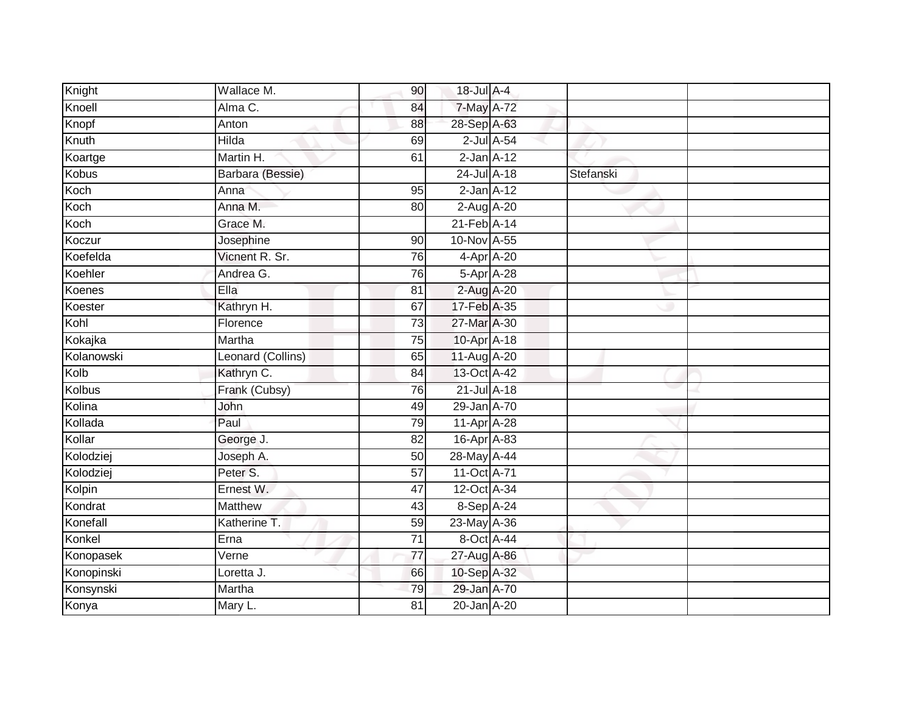|              | Wallace M.        | 90              | 18-Jul A-4      |                  |           |  |
|--------------|-------------------|-----------------|-----------------|------------------|-----------|--|
| Knight       |                   |                 |                 |                  |           |  |
| Knoell       | Alma C.           | 84              | 7-May A-72      |                  |           |  |
| Knopf        | Anton             | 88              | 28-Sep A-63     |                  |           |  |
| Knuth        | Hilda             | 69              |                 | $2$ -Jul $A$ -54 |           |  |
| Koartge      | Martin H.         | 61              | $2$ -Jan $A-12$ |                  |           |  |
| <b>Kobus</b> | Barbara (Bessie)  |                 | 24-Jul A-18     |                  | Stefanski |  |
| Koch         | Anna              | 95              | $2$ -Jan $A-12$ |                  |           |  |
| Koch         | Anna M.           | 80              | 2-Aug A-20      |                  |           |  |
| Koch         | Grace M.          |                 | 21-Feb A-14     |                  |           |  |
| Koczur       | Josephine         | 90              | 10-Nov A-55     |                  |           |  |
| Koefelda     | Vicnent R. Sr.    | 76              | 4-Apr A-20      |                  |           |  |
| Koehler      | Andrea G.         | 76              | 5-Apr A-28      |                  |           |  |
| Koenes       | Ella              | 81              | 2-Aug A-20      |                  |           |  |
| Koester      | Kathryn H.        | 67              | 17-Feb A-35     |                  |           |  |
| Kohl         | Florence          | 73              | 27-Mar A-30     |                  |           |  |
| Kokajka      | Martha            | 75              | 10-Apr A-18     |                  |           |  |
| Kolanowski   | Leonard (Collins) | 65              | 11-Aug A-20     |                  |           |  |
| Kolb         | Kathryn C.        | 84              | 13-Oct A-42     |                  |           |  |
| Kolbus       | Frank (Cubsy)     | 76              | 21-Jul A-18     |                  |           |  |
| Kolina       | John              | 49              | 29-Jan A-70     |                  |           |  |
| Kollada      | Paul              | 79              | 11-Apr A-28     |                  |           |  |
| Kollar       | George J.         | 82              | 16-Apr A-83     |                  |           |  |
| Kolodziej    | Joseph A.         | 50              | 28-May A-44     |                  |           |  |
| Kolodziej    | Peter S.          | 57              | 11-Oct A-71     |                  |           |  |
| Kolpin       | Ernest W.         | 47              | 12-Oct A-34     |                  |           |  |
| Kondrat      | <b>Matthew</b>    | 43              | 8-Sep A-24      |                  |           |  |
| Konefall     | Katherine T.      | 59              | 23-May A-36     |                  |           |  |
| Konkel       | Erna              | 71              | 8-Oct A-44      |                  |           |  |
| Konopasek    | Verne             | 77              | 27-Aug A-86     |                  |           |  |
| Konopinski   | Loretta J.        | 66              | 10-Sep A-32     |                  |           |  |
| Konsynski    | Martha            | 79              | 29-Jan A-70     |                  |           |  |
| Konya        | Mary L.           | $\overline{81}$ | 20-Jan A-20     |                  |           |  |
|              |                   |                 |                 |                  |           |  |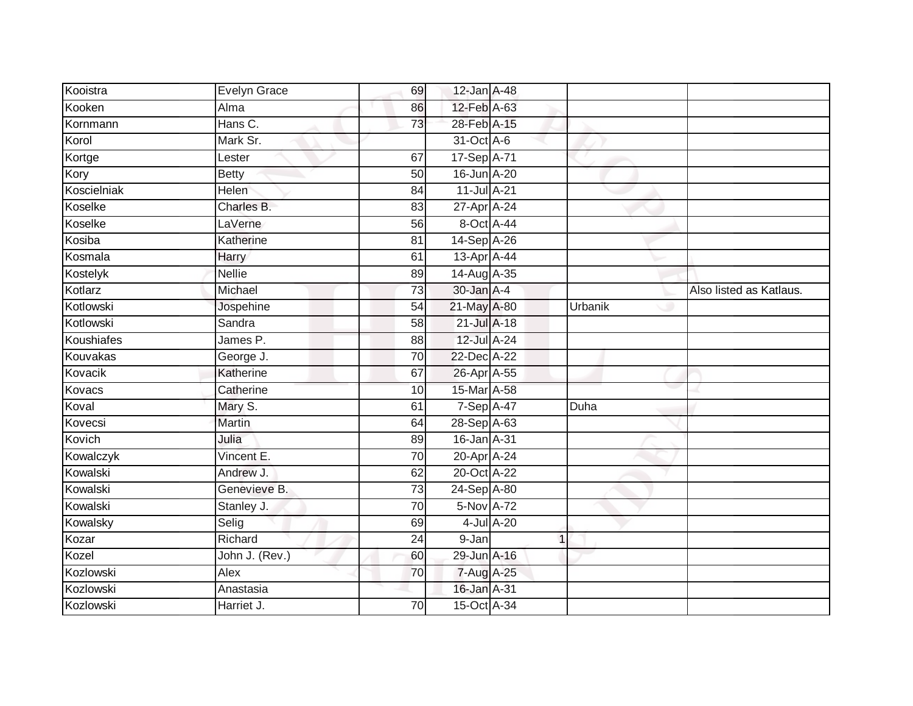| Kooistra    | Evelyn Grace   | 69              | 12-Jan A-48  |             |                         |
|-------------|----------------|-----------------|--------------|-------------|-------------------------|
| Kooken      | Alma           | 86              | 12-Feb A-63  |             |                         |
| Kornmann    | Hans C.        | 73              | 28-Feb A-15  |             |                         |
| Korol       | Mark Sr.       |                 | 31-Oct A-6   |             |                         |
| Kortge      | Lester         | 67              | 17-Sep A-71  |             |                         |
| Kory        | <b>Betty</b>   | 50              | 16-Jun A-20  |             |                         |
| Koscielniak | <b>Helen</b>   | 84              | 11-Jul A-21  |             |                         |
| Koselke     | Charles B.     | 83              | 27-Apr A-24  |             |                         |
| Koselke     | LaVerne        | 56              | 8-Oct A-44   |             |                         |
| Kosiba      | Katherine      | 81              | 14-Sep A-26  |             |                         |
| Kosmala     | Harry          | 61              | 13-Apr A-44  |             |                         |
| Kostelyk    | <b>Nellie</b>  | 89              | 14-Aug A-35  |             |                         |
| Kotlarz     | Michael        | 73              | 30-Jan A-4   |             | Also listed as Katlaus. |
| Kotlowski   | Jospehine      | 54              | 21-May A-80  | Urbanik     |                         |
| Kotlowski   | Sandra         | 58              | 21-Jul A-18  |             |                         |
| Koushiafes  | James P.       | 88              | 12-Jul A-24  |             |                         |
| Kouvakas    | George J.      | 70              | 22-Dec A-22  |             |                         |
| Kovacik     | Katherine      | 67              | 26-Apr A-55  |             |                         |
| Kovacs      | Catherine      | 10              | 15-Mar A-58  |             |                         |
| Koval       | Mary S.        | 61              | 7-Sep A-47   | Duha        |                         |
| Kovecsi     | Martin         | 64              | 28-Sep A-63  |             |                         |
| Kovich      | Julia          | 89              | 16-Jan A-31  |             |                         |
| Kowalczyk   | Vincent E.     | 70              | 20-Apr A-24  |             |                         |
| Kowalski    | Andrew J.      | 62              | 20-Oct A-22  |             |                         |
| Kowalski    | Genevieve B.   | $\overline{73}$ | 24-Sep A-80  |             |                         |
| Kowalski    | Stanley J.     | 70              | $5-Nov$ A-72 |             |                         |
| Kowalsky    | Selig          | 69              | 4-Jul A-20   |             |                         |
| Kozar       | Richard        | 24              | 9-Jan        | $\mathbf 1$ |                         |
| Kozel       | John J. (Rev.) | 60              | 29-Jun A-16  |             |                         |
| Kozlowski   | Alex           | 70              | 7-Aug A-25   |             |                         |
| Kozlowski   | Anastasia      |                 | 16-Jan A-31  |             |                         |
| Kozlowski   | Harriet J.     | $\overline{70}$ | 15-Oct A-34  |             |                         |
|             |                |                 |              |             |                         |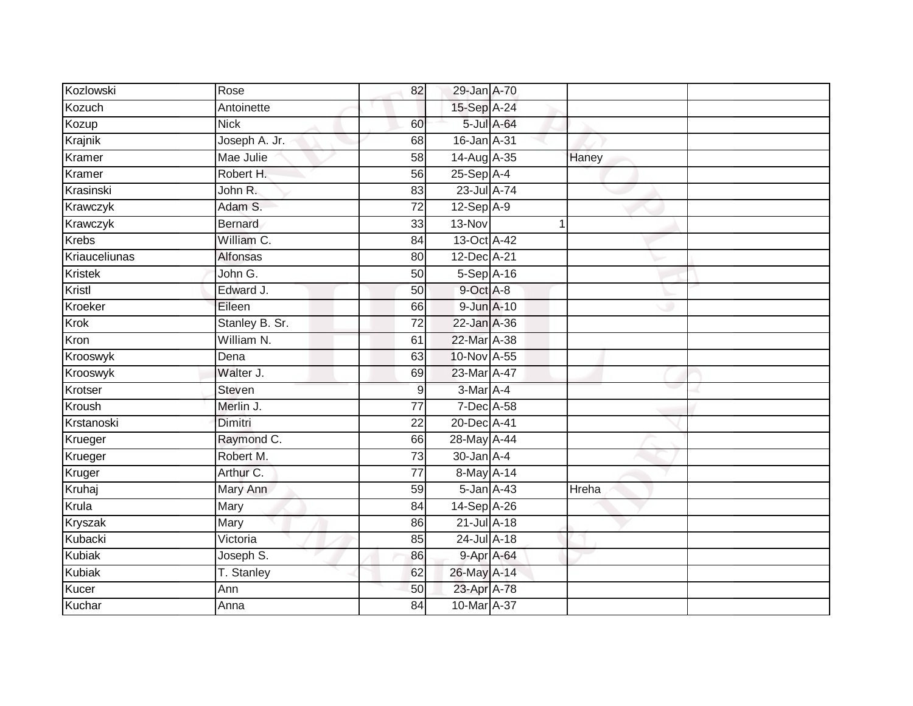| Kozlowski      | Rose           | 82              | 29-Jan A-70  |            |       |  |
|----------------|----------------|-----------------|--------------|------------|-------|--|
| Kozuch         | Antoinette     |                 | 15-Sep A-24  |            |       |  |
| Kozup          | <b>Nick</b>    | 60              |              | 5-Jul A-64 |       |  |
| Krajnik        | Joseph A. Jr.  | 68              | 16-Jan A-31  |            |       |  |
| Kramer         | Mae Julie      | $\overline{58}$ | 14-Aug A-35  |            | Haney |  |
| Kramer         | Robert H.      | 56              | $25-Sep$ A-4 |            |       |  |
| Krasinski      | John R.        | 83              | 23-Jul A-74  |            |       |  |
| Krawczyk       | Adam S.        | 72              | $12-Sep$ A-9 |            |       |  |
| Krawczyk       | <b>Bernard</b> | 33              | 13-Nov       |            |       |  |
| <b>Krebs</b>   | William C.     | $\overline{84}$ | 13-Oct A-42  |            |       |  |
| Kriauceliunas  | Alfonsas       | 80              | 12-Dec A-21  |            |       |  |
| Kristek        | John G.        | 50              | $5-Sep$ A-16 |            |       |  |
| Kristl         | Edward J.      | 50              | 9-Oct A-8    |            |       |  |
| Kroeker        | Eileen         | 66              | 9-Jun A-10   |            |       |  |
| Krok           | Stanley B. Sr. | $\overline{72}$ | 22-Jan A-36  |            |       |  |
| Kron           | William N.     | 61              | 22-Mar A-38  |            |       |  |
| Krooswyk       | Dena           | 63              | 10-Nov A-55  |            |       |  |
| Krooswyk       | Walter J.      | 69              | 23-Mar A-47  |            |       |  |
| Krotser        | <b>Steven</b>  | 9               | 3-Mar A-4    |            |       |  |
| Kroush         | Merlin J.      | $\overline{77}$ | 7-Dec A-58   |            |       |  |
| Krstanoski     | Dimitri        | 22              | 20-Dec A-41  |            |       |  |
| Krueger        | Raymond C.     | 66              | 28-May A-44  |            |       |  |
| Krueger        | Robert M.      | 73              | 30-Jan A-4   |            |       |  |
| Kruger         | Arthur C.      | $\overline{77}$ | 8-May A-14   |            |       |  |
| Kruhaj         | Mary Ann       | 59              | 5-Jan A-43   |            | Hreha |  |
| Krula          | Mary           | 84              | 14-Sep A-26  |            |       |  |
| <b>Kryszak</b> | Mary           | 86              | 21-Jul A-18  |            |       |  |
| Kubacki        | Victoria       | 85              | 24-Jul A-18  |            |       |  |
| <b>Kubiak</b>  | Joseph S.      | 86              |              | 9-Apr A-64 |       |  |
| Kubiak         | T. Stanley     | 62              | 26-May A-14  |            |       |  |
| Kucer          | Ann            | 50              | 23-Apr A-78  |            |       |  |
| Kuchar         | Anna           | 84              | 10-Mar A-37  |            |       |  |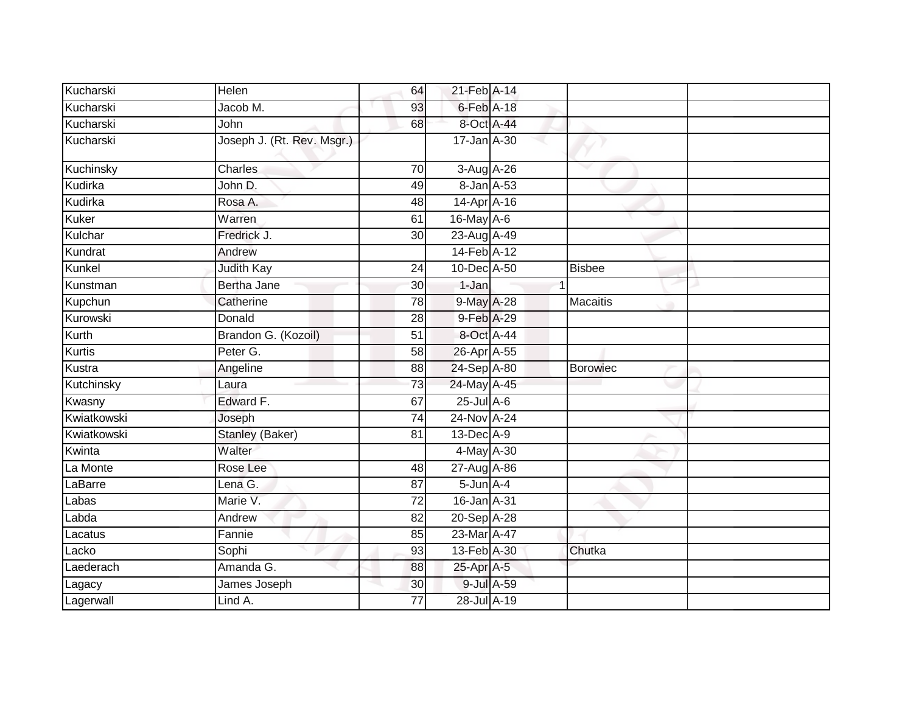| Kucharski     | Helen                      | 64              | 21-Feb A-14      |            |                 |  |
|---------------|----------------------------|-----------------|------------------|------------|-----------------|--|
| Kucharski     | Jacob M.                   | 93              | $6$ -Feb $A-18$  |            |                 |  |
| Kucharski     | John                       | 68              | 8-Oct A-44       |            |                 |  |
| Kucharski     | Joseph J. (Rt. Rev. Msgr.) |                 | 17-Jan A-30      |            |                 |  |
| Kuchinsky     | Charles                    | 70              | $3-Aug$ $A-26$   |            |                 |  |
| Kudirka       | John D.                    | 49              | 8-Jan A-53       |            |                 |  |
| Kudirka       | Rosa A.                    | 48              | 14-Apr A-16      |            |                 |  |
| Kuker         | Warren                     | 61              | 16-May A-6       |            |                 |  |
| Kulchar       | Fredrick J.                | 30              | 23-Aug A-49      |            |                 |  |
| Kundrat       | Andrew                     |                 | 14-Feb A-12      |            |                 |  |
| Kunkel        | <b>Judith Kay</b>          | 24              | 10-Dec A-50      |            | <b>Bisbee</b>   |  |
| Kunstman      | Bertha Jane                | 30              | 1-Jan            |            |                 |  |
| Kupchun       | Catherine                  | 78              | 9-May A-28       |            | <b>Macaitis</b> |  |
| Kurowski      | Donald                     | 28              | 9-Feb A-29       |            |                 |  |
| Kurth         | Brandon G. (Kozoil)        | $\overline{51}$ | 8-Oct A-44       |            |                 |  |
| <b>Kurtis</b> | Peter G.                   | $\overline{58}$ | 26-Apr A-55      |            |                 |  |
| Kustra        | Angeline                   | 88              | 24-Sep A-80      |            | <b>Borowiec</b> |  |
| Kutchinsky    | Laura                      | 73              | 24-May A-45      |            |                 |  |
| Kwasny        | Edward F.                  | 67              | $25$ -Jul $A$ -6 |            |                 |  |
| Kwiatkowski   | Joseph                     | 74              | 24-Nov A-24      |            |                 |  |
| Kwiatkowski   | Stanley (Baker)            | 81              | $13$ -Dec $A-9$  |            |                 |  |
| Kwinta        | Walter                     |                 | 4-May A-30       |            |                 |  |
| La Monte      | Rose Lee                   | 48              | 27-Aug A-86      |            |                 |  |
| LaBarre       | Lena G.                    | 87              | $5$ -Jun $A$ -4  |            |                 |  |
| Labas         | Marie V.                   | $\overline{72}$ | 16-Jan A-31      |            |                 |  |
| Labda         | Andrew                     | 82              | 20-Sep A-28      |            |                 |  |
| Lacatus       | Fannie                     | 85              | 23-Mar A-47      |            |                 |  |
| Lacko         | Sophi                      | 93              | 13-Feb A-30      |            | Chutka          |  |
| Laederach     | Amanda G.                  | 88              | 25-Apr A-5       |            |                 |  |
| Lagacy        | James Joseph               | 30              |                  | 9-Jul A-59 |                 |  |
| Lagerwall     | Lind A.                    | 77              | 28-Jul A-19      |            |                 |  |
|               |                            |                 |                  |            |                 |  |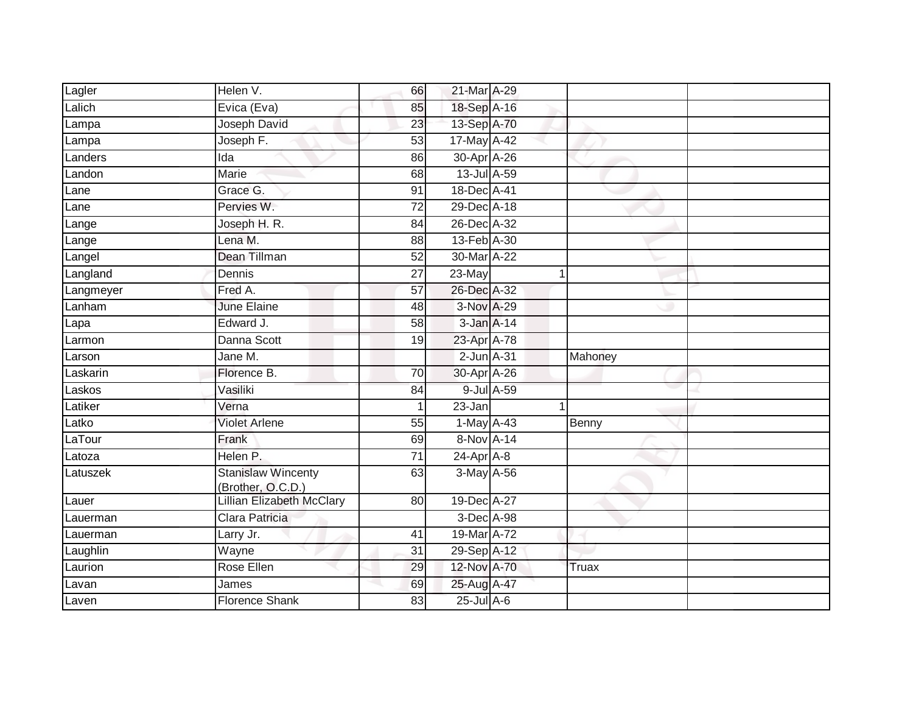| Lagler    | Helen V.                                       | 66              | 21-Mar A-29      |   |         |
|-----------|------------------------------------------------|-----------------|------------------|---|---------|
| Lalich    | Evica (Eva)                                    | 85              | 18-Sep A-16      |   |         |
| Lampa     | Joseph David                                   | 23              | 13-Sep A-70      |   |         |
| Lampa     | Joseph F.                                      | 53              | 17-May A-42      |   |         |
| Landers   | $\overline{Ida}$                               | 86              | 30-Apr A-26      |   |         |
| Landon    | <b>Marie</b>                                   | 68              | 13-Jul A-59      |   |         |
| Lane      | Grace G.                                       | 91              | 18-Dec A-41      |   |         |
| Lane      | Pervies W.                                     | $\overline{72}$ | 29-Dec A-18      |   |         |
| Lange     | Joseph H. R.                                   | 84              | 26-Dec A-32      |   |         |
| Lange     | Lena M.                                        | 88              | 13-Feb A-30      |   |         |
| Langel    | Dean Tillman                                   | 52              | 30-Mar A-22      |   |         |
| Langland  | Dennis                                         | 27              | 23-May           | 1 |         |
| Langmeyer | Fred A.                                        | 57              | 26-Dec A-32      |   |         |
| Lanham    | <b>June Elaine</b>                             | 48              | 3-Nov A-29       |   |         |
| Lapa      | Edward J.                                      | 58              | 3-Jan A-14       |   |         |
| Larmon    | Danna Scott                                    | $\overline{19}$ | 23-Apr A-78      |   |         |
| Larson    | Jane M.                                        |                 | $2$ -Jun $A-31$  |   | Mahoney |
| Laskarin  | Florence B.                                    | 70              | 30-Apr A-26      |   |         |
| Laskos    | Vasiliki                                       | 84              | 9-Jul A-59       |   |         |
| Latiker   | Verna                                          |                 | 23-Jan           | 1 |         |
| Latko     | <b>Violet Arlene</b>                           | 55              | $1-May$ A-43     |   | Benny   |
| LaTour    | Frank                                          | 69              | 8-Nov A-14       |   |         |
| Latoza    | Helen P.                                       | 71              | $24$ -Apr $A$ -8 |   |         |
| Latuszek  | <b>Stanislaw Wincenty</b><br>(Brother, O.C.D.) | 63              | $3-May$ A-56     |   |         |
| Lauer     | Lillian Elizabeth McClary                      | 80              | 19-Dec A-27      |   |         |
| Lauerman  | Clara Patricia                                 |                 | 3-Dec A-98       |   |         |
| Lauerman  | Larry Jr.                                      | 41              | 19-Mar A-72      |   |         |
| Laughlin  | Wayne                                          | $\overline{31}$ | 29-Sep A-12      |   |         |
| Laurion   | Rose Ellen                                     | 29              | 12-Nov A-70      |   | Truax   |
| Lavan     | James                                          | 69              | 25-Aug A-47      |   |         |
| Laven     | <b>Florence Shank</b>                          | 83              | 25-Jul A-6       |   |         |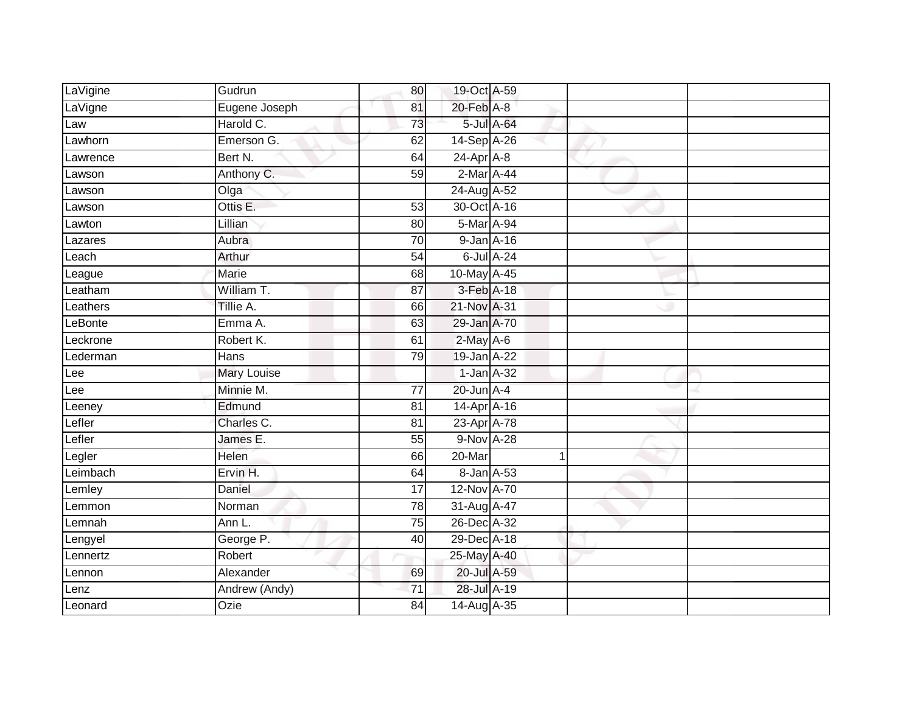| LaVigine | Gudrun             | 80              | 19-Oct A-59      |                  |  |
|----------|--------------------|-----------------|------------------|------------------|--|
| LaVigne  | Eugene Joseph      | 81              | 20-Feb A-8       |                  |  |
| Law      | Harold C.          | $\overline{73}$ |                  | 5-Jul A-64       |  |
| Lawhorn  | Emerson G.         | 62              | 14-Sep A-26      |                  |  |
| Lawrence | Bert N.            | 64              | $24$ -Apr $A$ -8 |                  |  |
| Lawson   | Anthony C.         | 59              | 2-Mar A-44       |                  |  |
| Lawson   | Olga               |                 | 24-Aug A-52      |                  |  |
| Lawson   | Ottis E.           | 53              | 30-Oct A-16      |                  |  |
| Lawton   | Lillian            | 80              | 5-Mar A-94       |                  |  |
| Lazares  | Aubra              | $\overline{70}$ | 9-Jan A-16       |                  |  |
| Leach    | Arthur             | 54              |                  | $6$ -Jul $A$ -24 |  |
| League   | Marie              | $\overline{68}$ | 10-May A-45      |                  |  |
| Leatham  | William T.         | 87              | 3-Feb A-18       |                  |  |
| Leathers | Tillie A.          | 66              | 21-Nov A-31      |                  |  |
| LeBonte  | Emma A.            | 63              | 29-Jan A-70      |                  |  |
| Leckrone | Robert K.          | 61              | $2$ -May A-6     |                  |  |
| Lederman | Hans               | 79              | 19-Jan A-22      |                  |  |
| Lee      | <b>Mary Louise</b> |                 | $1$ -Jan $A$ -32 |                  |  |
| Lee      | Minnie M.          | $\overline{77}$ | 20-Jun A-4       |                  |  |
| Leeney   | Edmund             | $\overline{81}$ | 14-Apr A-16      |                  |  |
| Lefler   | Charles C.         | 81              | 23-Apr A-78      |                  |  |
| Lefler   | James E.           | $\overline{55}$ | 9-Nov A-28       |                  |  |
| Legler   | Helen              | 66              | 20-Mar           |                  |  |
| Leimbach | Ervin H.           | 64              | 8-Jan A-53       |                  |  |
| Lemley   | Daniel             | 17              | 12-Nov A-70      |                  |  |
| Lemmon   | Norman             | $\overline{78}$ | 31-Aug A-47      |                  |  |
| Lemnah   | Ann L.             | 75              | 26-Dec A-32      |                  |  |
| Lengyel  | George P.          | 40              | 29-Dec A-18      |                  |  |
| Lennertz | Robert             |                 | 25-May A-40      |                  |  |
| Lennon   | Alexander          | 69              | 20-Jul A-59      |                  |  |
| Lenz     | Andrew (Andy)      | 71              | 28-Jul A-19      |                  |  |
| Leonard  | Ozie               | 84              | 14-Aug A-35      |                  |  |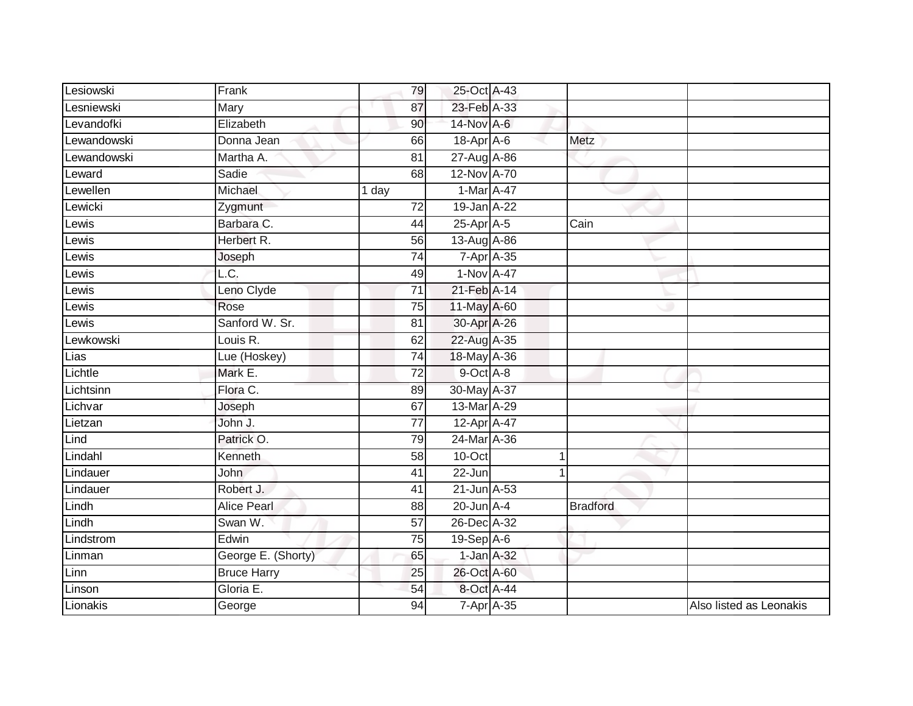| Lesiowski   | Frank                      | 79              | 25-Oct A-43      |   |                 |                         |
|-------------|----------------------------|-----------------|------------------|---|-----------------|-------------------------|
| Lesniewski  | Mary                       | 87              | 23-Feb A-33      |   |                 |                         |
| Levandofki  | Elizabeth                  | 90              | 14-Nov A-6       |   |                 |                         |
| Lewandowski | Donna Jean                 | 66              | 18-Apr A-6       |   | Metz            |                         |
| Lewandowski | Martha A.                  | $\overline{81}$ | 27-Aug A-86      |   |                 |                         |
| Leward      | Sadie                      | 68              | 12-Nov A-70      |   |                 |                         |
| Lewellen    | Michael                    | 1 day           | 1-Mar A-47       |   |                 |                         |
| Lewicki     | Zygmunt                    | $\overline{72}$ | 19-Jan A-22      |   |                 |                         |
| Lewis       | Barbara C.                 | 44              | 25-Apr A-5       |   | Cain            |                         |
| Lewis       | Herbert R.                 | 56              | 13-Aug A-86      |   |                 |                         |
| Lewis       | Joseph                     | 74              | 7-Apr A-35       |   |                 |                         |
| Lewis       | $\overline{\mathsf{L.C.}}$ | 49              | 1-Nov A-47       |   |                 |                         |
| Lewis       | Leno Clyde                 | $\overline{71}$ | 21-Feb A-14      |   |                 |                         |
| Lewis       | Rose                       | 75              | 11-May A-60      |   |                 |                         |
| Lewis       | Sanford W. Sr.             | 81              | 30-Apr A-26      |   |                 |                         |
| Lewkowski   | Louis R.                   | 62              | 22-Aug A-35      |   |                 |                         |
| Lias        | Lue (Hoskey)               | $\overline{74}$ | 18-May A-36      |   |                 |                         |
| Lichtle     | Mark E.                    | 72              | 9-Oct A-8        |   |                 |                         |
| Lichtsinn   | Flora C.                   | 89              | 30-May A-37      |   |                 |                         |
| Lichvar     | Joseph                     | 67              | 13-Mar A-29      |   |                 |                         |
| Lietzan     | John J.                    | 77              | 12-Apr A-47      |   |                 |                         |
| Lind        | Patrick O.                 | 79              | 24-Mar A-36      |   |                 |                         |
| Lindahl     | Kenneth                    | 58              | $10$ -Oct        | 1 |                 |                         |
| Lindauer    | <b>John</b>                | 41              | 22-Jun           |   |                 |                         |
| Lindauer    | Robert J.                  | 41              | 21-Jun A-53      |   |                 |                         |
| Lindh       | <b>Alice Pearl</b>         | 88              | 20-Jun A-4       |   | <b>Bradford</b> |                         |
| Lindh       | Swan W.                    | $\overline{57}$ | 26-Dec A-32      |   |                 |                         |
| Lindstrom   | Edwin                      | $\overline{75}$ | $19-Sep$ A-6     |   |                 |                         |
| Linman      | George E. (Shorty)         | 65              | 1-Jan A-32       |   |                 |                         |
| Linn        | <b>Bruce Harry</b>         | 25              | 26-Oct A-60      |   |                 |                         |
| Linson      | Gloria E.                  | 54              | 8-Oct A-44       |   |                 |                         |
| Lionakis    | George                     | 94              | $7$ -Apr $A$ -35 |   |                 | Also listed as Leonakis |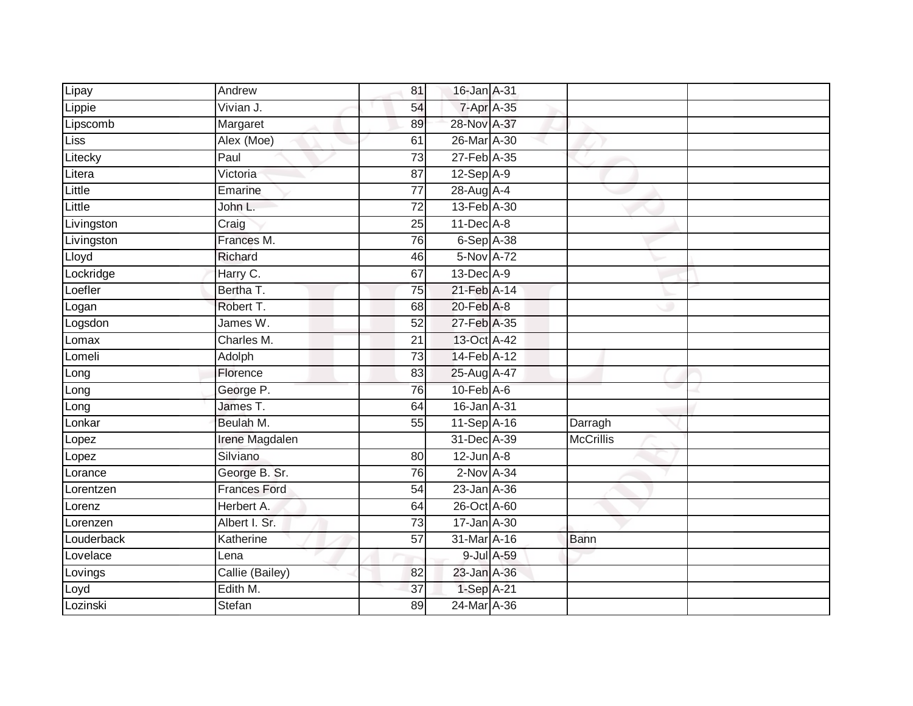| Lipay      | Andrew              | 81              | 16-Jan A-31       |                  |  |
|------------|---------------------|-----------------|-------------------|------------------|--|
| Lippie     | Vivian J.           | 54              | 7-Apr A-35        |                  |  |
| Lipscomb   | Margaret            | 89              | 28-Nov A-37       |                  |  |
| Liss       | Alex (Moe)          | 61              | 26-Mar A-30       |                  |  |
| Litecky    | Paul                | $\overline{73}$ | 27-Feb A-35       |                  |  |
| Litera     | Victoria            | 87              | $12-Sep$ A-9      |                  |  |
| Little     | Emarine             | $\overline{77}$ | 28-Aug A-4        |                  |  |
| Little     | John L.             | 72              | 13-Feb A-30       |                  |  |
| Livingston | Craig               | 25              | 11-Dec A-8        |                  |  |
| Livingston | Frances M.          | $\overline{76}$ | 6-Sep A-38        |                  |  |
| Lloyd      | Richard             | 46              | 5-Nov A-72        |                  |  |
| Lockridge  | Harry C.            | 67              | 13-Dec A-9        |                  |  |
| _oefler    | Bertha T.           | 75              | 21-Feb A-14       |                  |  |
| Logan      | Robert T.           | 68              | $20$ -Feb $A-8$   |                  |  |
| Logsdon    | James W.            | $\overline{52}$ | 27-Feb A-35       |                  |  |
| _omax      | Charles M.          | 21              | 13-Oct A-42       |                  |  |
| Lomeli     | Adolph              | 73              | 14-Feb A-12       |                  |  |
| Long       | Florence            | 83              | 25-Aug A-47       |                  |  |
| Long       | George P.           | 76              | $10$ -Feb $A$ -6  |                  |  |
| Long       | James T.            | 64              | 16-Jan A-31       |                  |  |
| Lonkar     | Beulah M.           | 55              | 11-Sep A-16       | Darragh          |  |
| _opez      | Irene Magdalen      |                 | 31-Dec A-39       | <b>McCrillis</b> |  |
| Lopez      | Silviano            | 80              | $12$ -Jun $A-8$   |                  |  |
| Lorance    | George B. Sr.       | 76              | $2-NovA-34$       |                  |  |
| _orentzen  | <b>Frances Ford</b> | 54              | $23$ -Jan $A$ -36 |                  |  |
| Lorenz     | Herbert A.          | 64              | 26-Oct A-60       |                  |  |
| Lorenzen   | Albert I. Sr.       | $\overline{73}$ | 17-Jan A-30       |                  |  |
| _ouderback | Katherine           | 57              | 31-Mar A-16       | Bann             |  |
| Lovelace   | Lena                |                 | 9-Jul A-59        |                  |  |
| Lovings    | Callie (Bailey)     | 82              | 23-Jan A-36       |                  |  |
| Loyd       | Edith M.            | 37              | 1-Sep A-21        |                  |  |
| Lozinski   | <b>Stefan</b>       | 89              | 24-Mar A-36       |                  |  |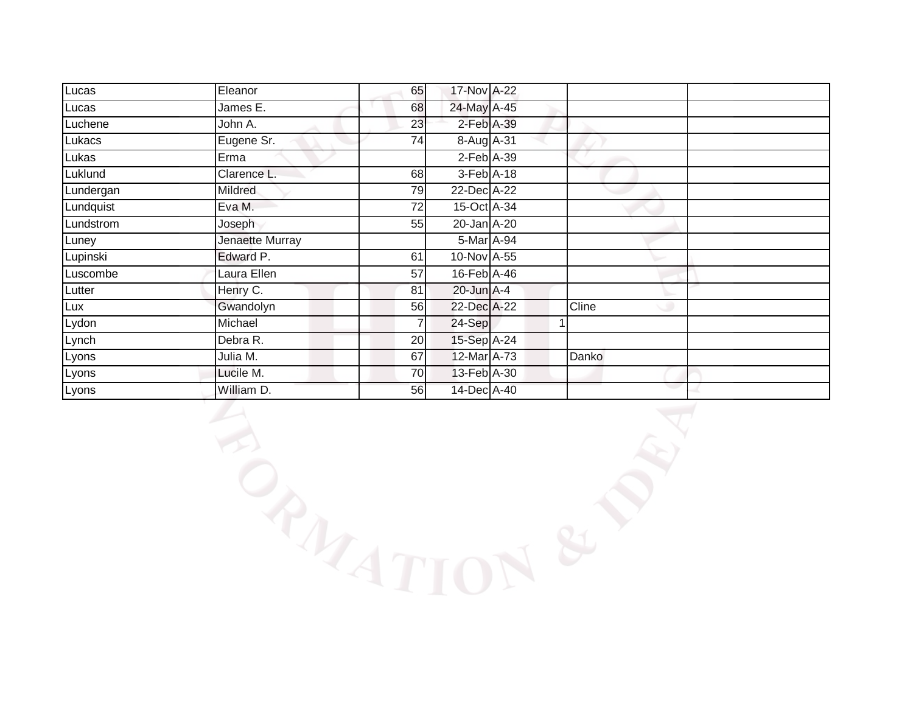| Lucas     | Eleanor         | 65 | 17-Nov A-22     |       |  |
|-----------|-----------------|----|-----------------|-------|--|
| Lucas     | James E.        | 68 | 24-May A-45     |       |  |
| Luchene   | John A.         | 23 | 2-Feb A-39      |       |  |
| Lukacs    | Eugene Sr.      | 74 | 8-Aug A-31      |       |  |
| Lukas     | Erma            |    | $2$ -Feb $A-39$ |       |  |
| Luklund   | Clarence L.     | 68 | 3-Feb A-18      |       |  |
| Lundergan | <b>Mildred</b>  | 79 | 22-Dec A-22     |       |  |
| Lundquist | Eva M.          | 72 | 15-Oct A-34     |       |  |
| Lundstrom | Joseph          | 55 | 20-Jan A-20     |       |  |
| Luney     | Jenaette Murray |    | 5-Mar A-94      |       |  |
| Lupinski  | Edward P.       | 61 | 10-Nov A-55     |       |  |
| Luscombe  | Laura Ellen     | 57 | 16-Feb A-46     |       |  |
| Lutter    | Henry C.        | 81 | 20-Jun A-4      |       |  |
| Lux       | Gwandolyn       | 56 | 22-Dec A-22     | Cline |  |
| Lydon     | Michael         |    | 24-Sep          |       |  |
| Lynch     | Debra R.        | 20 | 15-Sep A-24     |       |  |
| Lyons     | Julia M.        | 67 | 12-Mar A-73     | Danko |  |
| Lyons     | Lucile M.       | 70 | 13-Feb A-30     |       |  |
| Lyons     | William D.      | 56 | 14-Dec A-40     | e e   |  |

**LANDIS**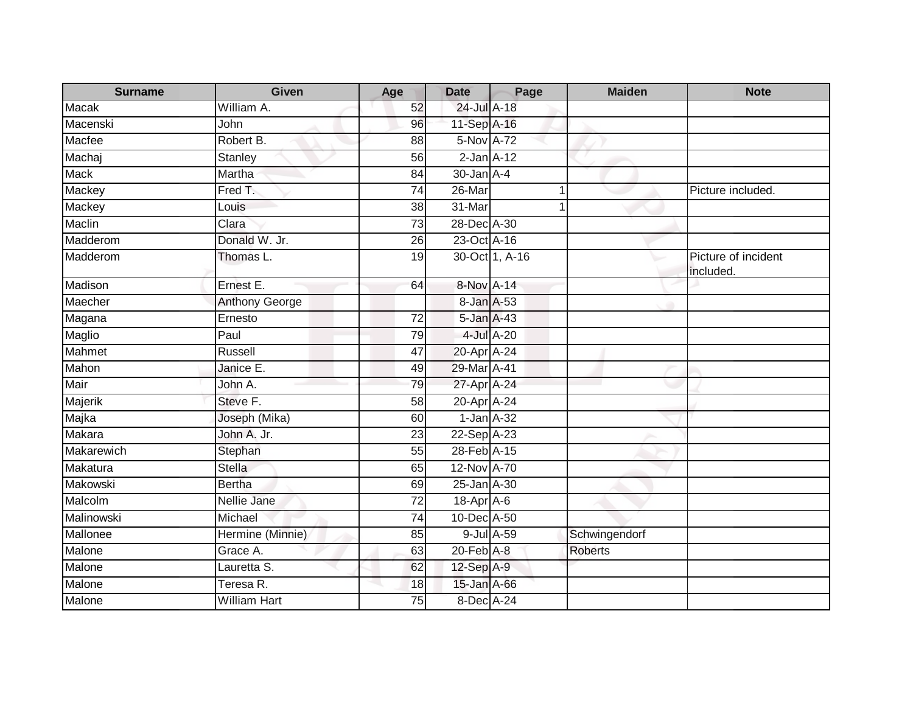| <b>Surname</b> | <b>Given</b>          | Age             | <b>Date</b>      | Page           | <b>Maiden</b>  | <b>Note</b>                      |
|----------------|-----------------------|-----------------|------------------|----------------|----------------|----------------------------------|
| <b>Macak</b>   | William A.            | 52              | 24-Jul A-18      |                |                |                                  |
| Macenski       | John                  | 96              | 11-Sep A-16      |                |                |                                  |
| Macfee         | Robert B.             | 88              | 5-Nov A-72       |                |                |                                  |
| Machaj         | Stanley               | 56              | $2$ -Jan $A-12$  |                |                |                                  |
| <b>Mack</b>    | Martha                | 84              | $30 - Jan A - 4$ |                |                |                                  |
| Mackey         | Fred T.               | 74              | 26-Mar           |                |                | Picture included.                |
| Mackey         | Louis                 | 38              | 31-Mar           |                | $\mathbf 1$    |                                  |
| Maclin         | Clara                 | 73              | 28-Dec A-30      |                |                |                                  |
| Madderom       | Donald W. Jr.         | 26              | 23-Oct A-16      |                |                |                                  |
| Madderom       | Thomas L.             | 19              |                  | 30-Oct 1, A-16 |                | Picture of incident<br>included. |
| Madison        | Ernest E.             | 64              | 8-Nov A-14       |                |                |                                  |
| Maecher        | <b>Anthony George</b> |                 | 8-Jan A-53       |                |                |                                  |
| Magana         | Ernesto               | 72              | 5-Jan A-43       |                |                |                                  |
| Maglio         | Paul                  | 79              |                  | 4-Jul A-20     |                |                                  |
| Mahmet         | <b>Russell</b>        | 47              | 20-Apr A-24      |                |                |                                  |
| Mahon          | Janice E.             | 49              | 29-Mar A-41      |                |                |                                  |
| Mair           | John A.               | 79              | 27-Apr A-24      |                |                |                                  |
| Majerik        | Steve F.              | 58              | 20-Apr A-24      |                |                |                                  |
| Majka          | Joseph (Mika)         | 60              | $1$ -Jan $A-32$  |                |                |                                  |
| Makara         | John A. Jr.           | 23              | 22-Sep A-23      |                |                |                                  |
| Makarewich     | Stephan               | 55              | 28-Feb A-15      |                |                |                                  |
| Makatura       | <b>Stella</b>         | 65              | 12-Nov A-70      |                |                |                                  |
| Makowski       | <b>Bertha</b>         | 69              | 25-Jan A-30      |                |                |                                  |
| Malcolm        | Nellie Jane           | $\overline{72}$ | $18-Apr$ A-6     |                |                |                                  |
| Malinowski     | Michael               | 74              | 10-Dec A-50      |                |                |                                  |
| Mallonee       | Hermine (Minnie)      | 85              |                  | 9-Jul A-59     | Schwingendorf  |                                  |
| Malone         | Grace A.              | 63              | $20$ -Feb $A-8$  |                | <b>Roberts</b> |                                  |
| Malone         | Lauretta S.           | 62              | 12-Sep A-9       |                |                |                                  |
| Malone         | Teresa R.             | 18              | 15-Jan A-66      |                |                |                                  |
| Malone         | <b>William Hart</b>   | 75              | 8-Dec A-24       |                |                |                                  |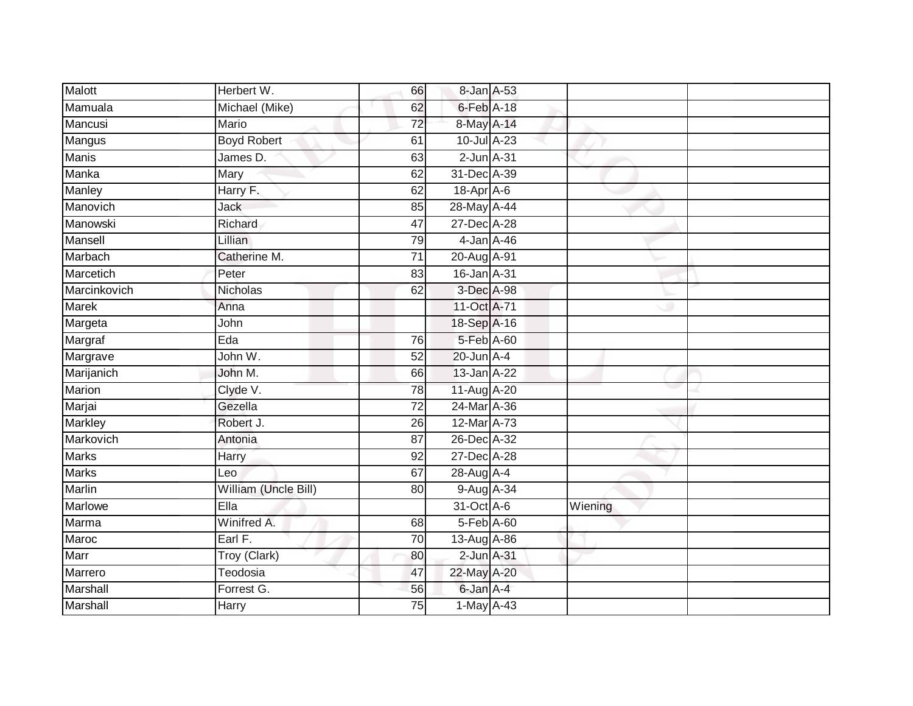| Malott       | Herbert W.           | 66              | 8-Jan A-53      |         |  |
|--------------|----------------------|-----------------|-----------------|---------|--|
| Mamuala      | Michael (Mike)       | 62              | $6$ -Feb $A-18$ |         |  |
| Mancusi      | <b>Mario</b>         | $\overline{72}$ | 8-May A-14      |         |  |
| Mangus       | <b>Boyd Robert</b>   | 61              | 10-Jul A-23     |         |  |
| <b>Manis</b> | James D.             | 63              | $2$ -Jun $A-31$ |         |  |
| Manka        | Mary                 | 62              | 31-Dec A-39     |         |  |
| Manley       | Harry F.             | 62              | 18-Apr A-6      |         |  |
| Manovich     | Jack                 | 85              | 28-May A-44     |         |  |
| Manowski     | Richard              | 47              | 27-Dec A-28     |         |  |
| Mansell      | Lillian              | 79              | 4-Jan A-46      |         |  |
| Marbach      | Catherine M.         | $\overline{71}$ | 20-Aug A-91     |         |  |
| Marcetich    | Peter                | 83              | 16-Jan A-31     |         |  |
| Marcinkovich | Nicholas             | 62              | 3-Dec A-98      |         |  |
| <b>Marek</b> | Anna                 |                 | 11-Oct A-71     |         |  |
| Margeta      | John                 |                 | 18-Sep A-16     |         |  |
| Margraf      | Eda                  | 76              | 5-Feb A-60      |         |  |
| Margrave     | John W.              | 52              | $20$ -Jun $A-4$ |         |  |
| Marijanich   | John M.              | 66              | 13-Jan A-22     |         |  |
| Marion       | Clyde V.             | 78              | 11-Aug A-20     |         |  |
| Marjai       | Gezella              | $\overline{72}$ | 24-Mar A-36     |         |  |
| Markley      | Robert J.            | 26              | 12-Mar A-73     |         |  |
| Markovich    | Antonia              | 87              | 26-Dec A-32     |         |  |
| <b>Marks</b> | Harry                | 92              | 27-Dec A-28     |         |  |
| <b>Marks</b> | Leo                  | 67              | 28-Aug A-4      |         |  |
| Marlin       | William (Uncle Bill) | 80              | 9-Aug A-34      |         |  |
| Marlowe      | Ella                 |                 | 31-Oct A-6      | Wiening |  |
| Marma        | Winifred A.          | 68              | 5-Feb A-60      |         |  |
| Maroc        | Earl F.              | 70              | 13-Aug A-86     |         |  |
| Marr         | Troy (Clark)         | 80              | 2-Jun A-31      |         |  |
| Marrero      | Teodosia             | 47              | 22-May A-20     |         |  |
| Marshall     | Forrest G.           | 56              | 6-Jan A-4       |         |  |
| Marshall     | Harry                | 75              | 1-May A-43      |         |  |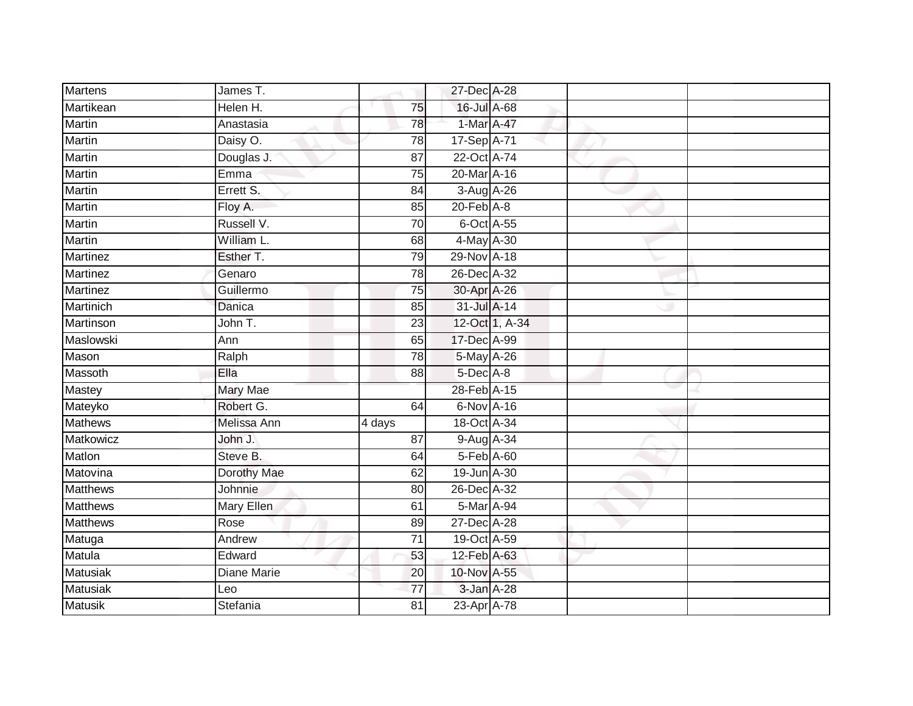| <b>Martens</b>   | James T.        |                 | 27-Dec A-28     |                |  |
|------------------|-----------------|-----------------|-----------------|----------------|--|
| Martikean        | Helen H.        | 75              | 16-Jul A-68     |                |  |
| Martin           | Anastasia       | 78              | 1-Mar A-47      |                |  |
| Martin           | Daisy O.        | 78              | 17-Sep A-71     |                |  |
| Martin           | Douglas J.      | $\overline{87}$ | 22-Oct A-74     |                |  |
| Martin           | Emma            | 75              | 20-Mar A-16     |                |  |
| Martin           | Errett S.       | 84              | 3-Aug A-26      |                |  |
| Martin           | Floy A.         | 85              | $20$ -Feb $A-8$ |                |  |
| Martin           | Russell V.      | 70              | 6-Oct A-55      |                |  |
| <b>Martin</b>    | William L.      | 68              | 4-May A-30      |                |  |
| Martinez         | Esther T.       | 79              | 29-Nov A-18     |                |  |
| <b>Martinez</b>  | Genaro          | 78              | 26-Dec A-32     |                |  |
| Martinez         | Guillermo       | 75              | 30-Apr A-26     |                |  |
| Martinich        | Danica          | 85              | 31-Jul A-14     |                |  |
| <b>Martinson</b> | John T.         | $\overline{23}$ |                 | 12-Oct 1, A-34 |  |
| Maslowski        | Ann             | 65              | 17-Dec A-99     |                |  |
| Mason            | Ralph           | $\overline{78}$ | 5-May A-26      |                |  |
| Massoth          | Ella            | 88              | $5$ -Dec $A$ -8 |                |  |
| Mastey           | <b>Mary Mae</b> |                 | 28-Feb A-15     |                |  |
| Mateyko          | Robert G.       | 64              | 6-Nov A-16      |                |  |
| <b>Mathews</b>   | Melissa Ann     | 4 days          | 18-Oct A-34     |                |  |
| Matkowicz        | John J.         | 87              | 9-Aug A-34      |                |  |
| Matlon           | Steve B.        | 64              | 5-Feb A-60      |                |  |
| Matovina         | Dorothy Mae     | 62              | 19-Jun A-30     |                |  |
| <b>Matthews</b>  | Johnnie         | 80              | 26-Dec A-32     |                |  |
| <b>Matthews</b>  | Mary Ellen      | 61              | 5-Mar A-94      |                |  |
| <b>Matthews</b>  | Rose            | 89              | 27-Dec A-28     |                |  |
| Matuga           | Andrew          | $\overline{71}$ | 19-Oct A-59     |                |  |
| Matula           | Edward          | 53              | 12-Feb A-63     |                |  |
| <b>Matusiak</b>  | Diane Marie     | 20              | 10-Nov A-55     |                |  |
| Matusiak         | Leo             | $\overline{77}$ | 3-Jan A-28      |                |  |
| <b>Matusik</b>   | Stefania        | $\overline{81}$ | 23-Apr A-78     |                |  |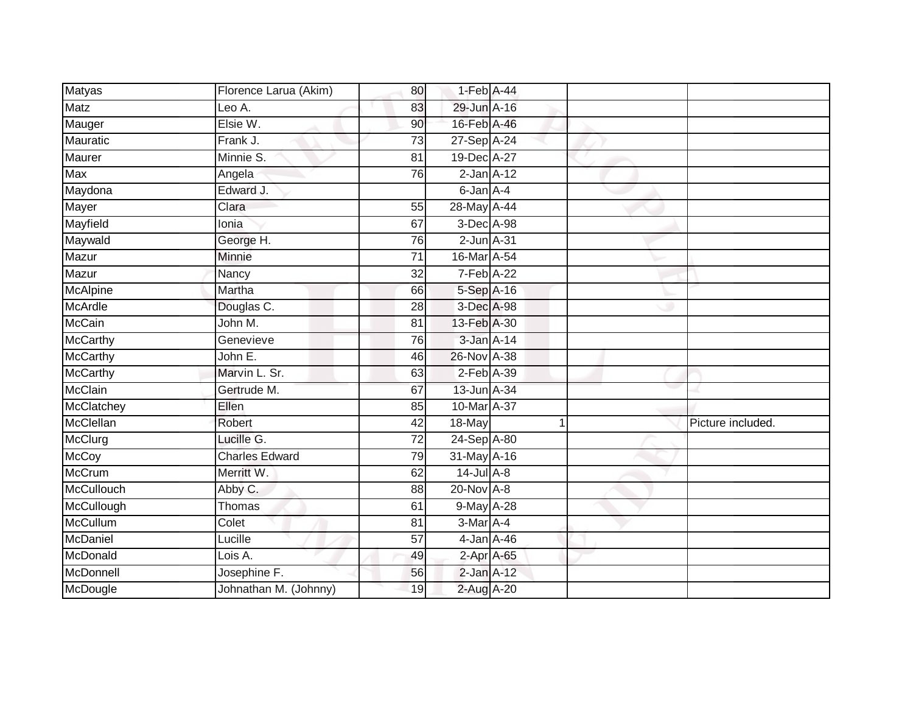| Matyas          | Florence Larua (Akim) | 80              | 1-Feb A-44      |   |                   |
|-----------------|-----------------------|-----------------|-----------------|---|-------------------|
| <b>Matz</b>     | Leo A.                | 83              | 29-Jun A-16     |   |                   |
| Mauger          | Elsie W.              | 90              | 16-Feb A-46     |   |                   |
| Mauratic        | Frank J.              | 73              | 27-Sep A-24     |   |                   |
| Maurer          | Minnie S.             | $\overline{81}$ | 19-Dec A-27     |   |                   |
| Max             | Angela                | 76              | $2$ -Jan $A-12$ |   |                   |
| Maydona         | Edward J.             |                 | 6-Jan A-4       |   |                   |
|                 | Clara                 | 55              | 28-May A-44     |   |                   |
| Mayer           |                       |                 |                 |   |                   |
| Mayfield        | Ionia                 | 67              | 3-Dec A-98      |   |                   |
| Maywald         | George H.             | 76              | $2$ -Jun $A-31$ |   |                   |
| Mazur           | Minnie                | 71              | 16-Mar A-54     |   |                   |
| Mazur           | Nancy                 | 32              | 7-Feb A-22      |   |                   |
| McAlpine        | Martha                | 66              | 5-Sep A-16      |   |                   |
| McArdle         | Douglas C.            | 28              | 3-Dec A-98      |   |                   |
| <b>McCain</b>   | John M.               | 81              | 13-Feb A-30     |   |                   |
| <b>McCarthy</b> | Genevieve             | 76              | 3-Jan A-14      |   |                   |
| <b>McCarthy</b> | John E.               | 46              | 26-Nov A-38     |   |                   |
| McCarthy        | Marvin L. Sr.         | 63              | $2$ -Feb $A-39$ |   |                   |
| <b>McClain</b>  | Gertrude M.           | 67              | 13-Jun A-34     |   |                   |
| McClatchey      | Ellen                 | 85              | 10-Mar A-37     |   |                   |
| McClellan       | Robert                | 42              | 18-May          | 1 | Picture included. |
| McClurg         | Lucille G.            | $\overline{72}$ | 24-Sep A-80     |   |                   |
| <b>McCoy</b>    | <b>Charles Edward</b> | 79              | 31-May A-16     |   |                   |
| <b>McCrum</b>   | Merritt W.            | 62              | $14$ -Jul A-8   |   |                   |
| McCullouch      | Abby C.               | 88              | 20-Nov A-8      |   |                   |
| McCullough      | Thomas                | 61              | 9-May A-28      |   |                   |
| McCullum        | Colet                 | 81              | 3-Mar A-4       |   |                   |
| McDaniel        | Lucille               | 57              | $4$ -Jan A-46   |   |                   |
| McDonald        | Lois A.               | 49              | 2-Apr A-65      |   |                   |
| McDonnell       | Josephine F.          | 56              | $2$ -Jan $A-12$ |   |                   |
| McDougle        | Johnathan M. (Johnny) | 19              | 2-Aug A-20      |   |                   |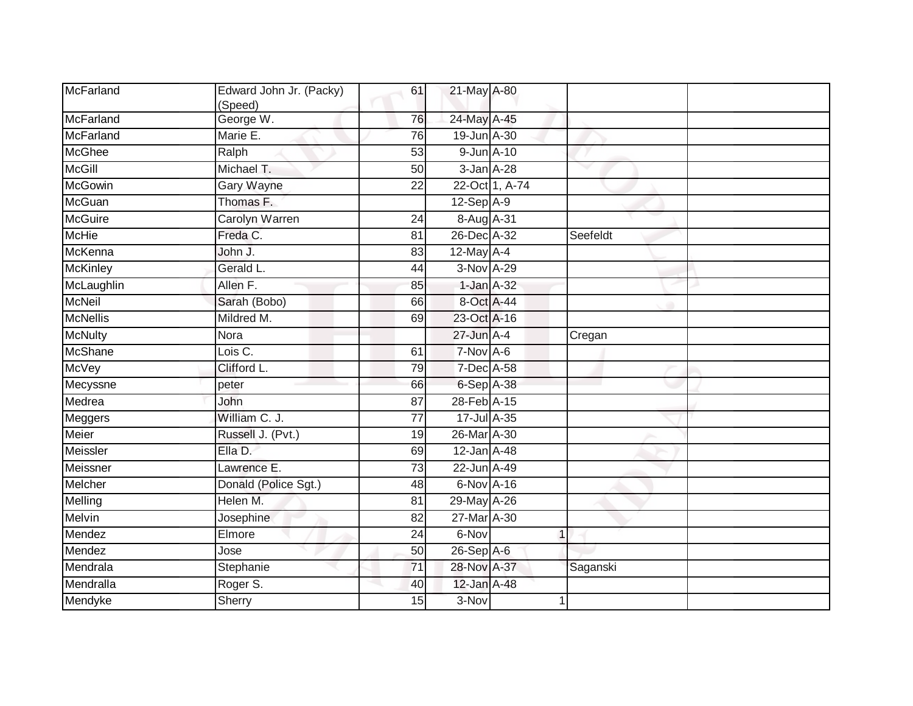| McFarland        | Edward John Jr. (Packy)<br>(Speed) | 61              | 21-May A-80 |                |             |  |
|------------------|------------------------------------|-----------------|-------------|----------------|-------------|--|
| McFarland        | George W.                          | 76              | 24-May A-45 |                |             |  |
| <b>McFarland</b> | Marie E.                           | $\overline{76}$ | 19-Jun A-30 |                |             |  |
| <b>McGhee</b>    | Ralph                              | 53              | 9-Jun A-10  |                |             |  |
| <b>McGill</b>    | Michael T.                         | 50              | 3-Jan A-28  |                |             |  |
| <b>McGowin</b>   | <b>Gary Wayne</b>                  | 22              |             | 22-Oct 1, A-74 |             |  |
| McGuan           | Thomas F.                          |                 | 12-Sep A-9  |                |             |  |
| <b>McGuire</b>   | Carolyn Warren                     | $\overline{24}$ | 8-Aug A-31  |                |             |  |
| <b>McHie</b>     | Freda C.                           | 81              | 26-Dec A-32 |                | Seefeldt    |  |
| McKenna          | John J.                            | 83              | 12-May A-4  |                |             |  |
| <b>McKinley</b>  | Gerald L.                          | 44              | 3-Nov A-29  |                |             |  |
| McLaughlin       | Allen F.                           | 85              | 1-Jan A-32  |                |             |  |
| <b>McNeil</b>    | Sarah (Bobo)                       | 66              | 8-Oct A-44  |                |             |  |
| <b>McNellis</b>  | Mildred M.                         | 69              | 23-Oct A-16 |                |             |  |
| <b>McNulty</b>   | Nora                               |                 | 27-Jun A-4  |                | Cregan      |  |
| McShane          | Lois C.                            | 61              | $7-Nov$ A-6 |                |             |  |
| McVey            | Clifford L.                        | 79              | 7-Dec A-58  |                |             |  |
| Mecyssne         | peter                              | 66              | 6-Sep A-38  |                |             |  |
| Medrea           | John                               | 87              | 28-Feb A-15 |                |             |  |
| Meggers          | William C. J.                      | 77              | 17-Jul A-35 |                |             |  |
| Meier            | Russell J. (Pvt.)                  | 19              | 26-Mar A-30 |                |             |  |
| Meissler         | Ella D.                            | 69              | 12-Jan A-48 |                |             |  |
| Meissner         | Lawrence E.                        | 73              | 22-Jun A-49 |                |             |  |
| Melcher          | Donald (Police Sgt.)               | 48              | 6-Nov A-16  |                |             |  |
| Melling          | Helen M.                           | 81              | 29-May A-26 |                |             |  |
| Melvin           | Josephine                          | 82              | 27-Mar A-30 |                |             |  |
| Mendez           | Elmore                             | $\overline{24}$ | 6-Nov       |                | $\mathbf 1$ |  |
| Mendez           | Jose                               | 50              | 26-Sep A-6  |                |             |  |
| Mendrala         | Stephanie                          | 71              | 28-Nov A-37 |                | Saganski    |  |
| Mendralla        | Roger S.                           | 40              | 12-Jan A-48 |                |             |  |
| Mendyke          | Sherry                             | 15              | 3-Nov       |                |             |  |
|                  |                                    |                 |             |                |             |  |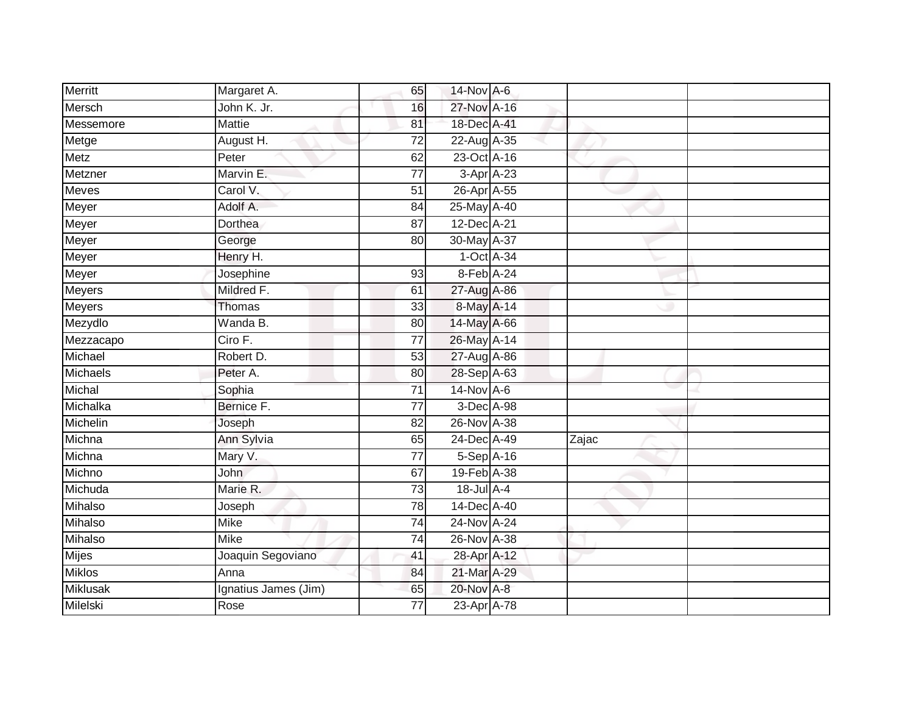| <b>Merritt</b>  | Margaret A.          | 65              | 14-Nov A-6      |       |  |
|-----------------|----------------------|-----------------|-----------------|-------|--|
| Mersch          | John K. Jr.          | 16              | 27-Nov A-16     |       |  |
| Messemore       | <b>Mattie</b>        | 81              | 18-Dec A-41     |       |  |
| Metge           | August H.            | 72              | 22-Aug A-35     |       |  |
| <b>Metz</b>     | Peter                | 62              | 23-Oct A-16     |       |  |
| Metzner         | Marvin E.            | $\overline{77}$ | 3-Apr A-23      |       |  |
| Meves           | Carol V.             | $\overline{51}$ | 26-Apr A-55     |       |  |
| Meyer           | Adolf A.             | 84              | 25-May A-40     |       |  |
| Meyer           | Dorthea              | 87              | 12-Dec A-21     |       |  |
| Meyer           | George               | 80              | 30-May A-37     |       |  |
| Meyer           | Henry H.             |                 | $1-Oct$ A-34    |       |  |
| Meyer           | Josephine            | 93              | 8-Feb A-24      |       |  |
| <b>Meyers</b>   | Mildred F.           | 61              | 27-Aug A-86     |       |  |
| <b>Meyers</b>   | <b>Thomas</b>        | 33              | 8-May A-14      |       |  |
| Mezydlo         | Wanda B.             | 80              | 14-May A-66     |       |  |
| Mezzacapo       | Ciro F.              | 77              | 26-May A-14     |       |  |
| Michael         | Robert D.            | 53              | 27-Aug A-86     |       |  |
| Michaels        | Peter A.             | 80              | 28-Sep A-63     |       |  |
| Michal          | Sophia               | 71              | $14$ -Nov A-6   |       |  |
| Michalka        | Bernice F.           | 77              | 3-Dec A-98      |       |  |
| Michelin        | Joseph               | 82              | 26-Nov A-38     |       |  |
| Michna          | Ann Sylvia           | 65              | 24-Dec A-49     | Zajac |  |
| Michna          | Mary V.              | 77              | 5-Sep A-16      |       |  |
| Michno          | John                 | 67              | 19-Feb A-38     |       |  |
| Michuda         | Marie R.             | 73              | $18$ -Jul $A-4$ |       |  |
| Mihalso         | Joseph               | 78              | 14-Dec A-40     |       |  |
| Mihalso         | <b>Mike</b>          | $\overline{74}$ | 24-Nov A-24     |       |  |
| Mihalso         | Mike                 | 74              | 26-Nov A-38     |       |  |
| Mijes           | Joaquin Segoviano    | 41              | 28-Apr A-12     |       |  |
| <b>Miklos</b>   | Anna                 | 84              | 21-Mar A-29     |       |  |
| <b>Miklusak</b> | Ignatius James (Jim) | 65              | 20-Nov A-8      |       |  |
| Milelski        | Rose                 | $\overline{77}$ | 23-Apr A-78     |       |  |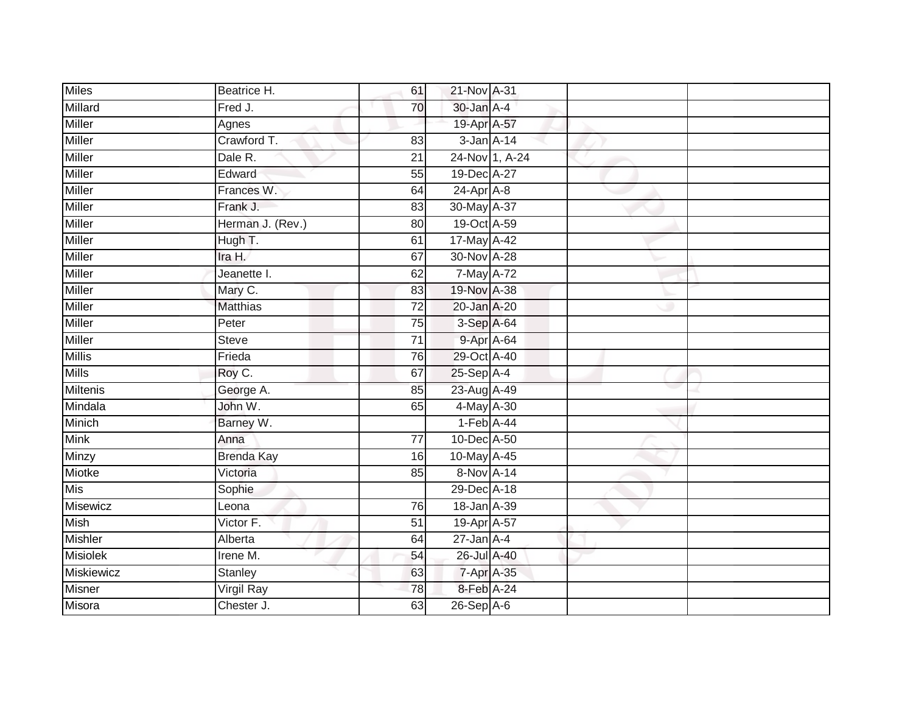| <b>Miles</b>      | Beatrice H.       | 61              | 21-Nov A-31      |  |  |
|-------------------|-------------------|-----------------|------------------|--|--|
| Millard           | Fred J.           | 70              | 30-Jan A-4       |  |  |
| <b>Miller</b>     | Agnes             |                 | 19-Apr A-57      |  |  |
| <b>Miller</b>     | Crawford T.       | 83              | $3$ -Jan $A-14$  |  |  |
| <b>Miller</b>     | Dale R.           | $\overline{21}$ | 24-Nov 1, A-24   |  |  |
| <b>Miller</b>     | Edward            | 55              | 19-Dec A-27      |  |  |
| Miller            | Frances W.        | 64              | $24$ -Apr $A$ -8 |  |  |
| Miller            | Frank J.          | 83              | 30-May A-37      |  |  |
| <b>Miller</b>     | Herman J. (Rev.)  | 80              | 19-Oct A-59      |  |  |
| <b>Miller</b>     | Hugh T.           | 61              | 17-May A-42      |  |  |
| <b>Miller</b>     | Ira H.            | 67              | 30-Nov A-28      |  |  |
| Miller            | Jeanette I.       | 62              | 7-May A-72       |  |  |
| Miller            | Mary C.           | 83              | 19-Nov A-38      |  |  |
| <b>Miller</b>     | <b>Matthias</b>   | 72              | 20-Jan A-20      |  |  |
| <b>Miller</b>     | Peter             | $\overline{75}$ | 3-Sep A-64       |  |  |
| <b>Miller</b>     | <b>Steve</b>      | $\overline{71}$ | 9-Apr A-64       |  |  |
| <b>Millis</b>     | Frieda            | 76              | 29-Oct A-40      |  |  |
| <b>Mills</b>      | Roy C.            | 67              | 25-Sep A-4       |  |  |
| <b>Miltenis</b>   | George A.         | 85              | 23-Aug A-49      |  |  |
| Mindala           | John W.           | 65              | 4-May A-30       |  |  |
| Minich            | Barney W.         |                 | $1-Feb$ A-44     |  |  |
| <b>Mink</b>       | Anna              | 77              | 10-Dec A-50      |  |  |
| Minzy             | <b>Brenda Kay</b> | 16              | 10-May A-45      |  |  |
| Miotke            | Victoria          | 85              | 8-Nov A-14       |  |  |
| Mis               | Sophie            |                 | 29-Dec A-18      |  |  |
| <b>Misewicz</b>   | Leona             | 76              | 18-Jan A-39      |  |  |
| <b>Mish</b>       | Victor F.         | $\overline{51}$ | 19-Apr A-57      |  |  |
| <b>Mishler</b>    | Alberta           | 64              | $27$ -Jan $A-4$  |  |  |
| <b>Misiolek</b>   | Irene M.          | 54              | 26-Jul A-40      |  |  |
| <b>Miskiewicz</b> | <b>Stanley</b>    | 63              | 7-Apr A-35       |  |  |
| Misner            | Virgil Ray        | 78              | 8-Feb A-24       |  |  |
| Misora            | Chester J.        | 63              | $26-Sep$ A-6     |  |  |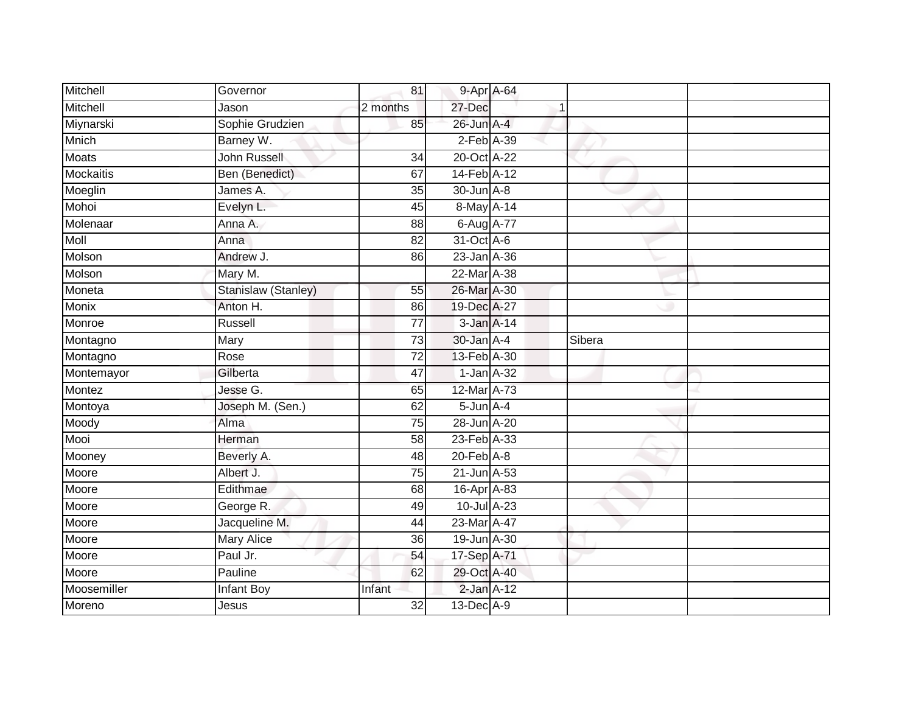| Mitchell         | Governor            | 81              | 9-Apr A-64        |        |  |
|------------------|---------------------|-----------------|-------------------|--------|--|
| Mitchell         | Jason               | 2 months        | 27-Dec            |        |  |
| Miynarski        | Sophie Grudzien     | 85              | 26-Jun A-4        |        |  |
| Mnich            | Barney W.           |                 | $2$ -Feb $A-39$   |        |  |
| <b>Moats</b>     | John Russell        | $\overline{34}$ | 20-Oct A-22       |        |  |
| <b>Mockaitis</b> | Ben (Benedict)      | 67              | 14-Feb A-12       |        |  |
| Moeglin          | James A.            | 35              | 30-Jun A-8        |        |  |
| Mohoi            | Evelyn L.           | 45              | 8-May A-14        |        |  |
| Molenaar         | Anna A.             | 88              | 6-Aug A-77        |        |  |
| <b>Moll</b>      | Anna                | 82              | 31-Oct A-6        |        |  |
| Molson           | Andrew J.           | 86              | 23-Jan A-36       |        |  |
| Molson           | Mary M.             |                 | 22-Mar A-38       |        |  |
| Moneta           | Stanislaw (Stanley) | 55              | 26-Mar A-30       |        |  |
| <b>Monix</b>     | Anton H.            | 86              | 19-Dec A-27       |        |  |
| Monroe           | Russell             | $\overline{77}$ | 3-Jan A-14        |        |  |
| Montagno         | Mary                | 73              | $30$ -Jan $A-4$   | Sibera |  |
| Montagno         | Rose                | 72              | 13-Feb A-30       |        |  |
| Montemayor       | Gilberta            | 47              | $1$ -Jan $A-32$   |        |  |
| Montez           | Jesse G.            | 65              | 12-Mar A-73       |        |  |
| Montoya          | Joseph M. (Sen.)    | 62              | $5 - Jun$ $A - 4$ |        |  |
| Moody            | Alma                | 75              | 28-Jun A-20       |        |  |
| Mooi             | Herman              | $\overline{58}$ | 23-Feb A-33       |        |  |
| Mooney           | Beverly A.          | 48              | $20$ -Feb $A-8$   |        |  |
| Moore            | Albert J.           | $\overline{75}$ | 21-Jun A-53       |        |  |
| Moore            | Edithmae            | 68              | $16$ -Apr $A$ -83 |        |  |
| Moore            | George R.           | 49              | $10$ -Jul $A-23$  |        |  |
| Moore            | Jacqueline M.       | 44              | 23-Mar A-47       |        |  |
| Moore            | Mary Alice          | 36              | 19-Jun A-30       |        |  |
| Moore            | Paul Jr.            | 54              | 17-Sep A-71       |        |  |
| Moore            | Pauline             | 62              | 29-Oct A-40       |        |  |
| Moosemiller      | Infant Boy          | Infant          | $2$ -Jan $A-12$   |        |  |
| Moreno           | Jesus               | $\overline{32}$ | 13-Dec A-9        |        |  |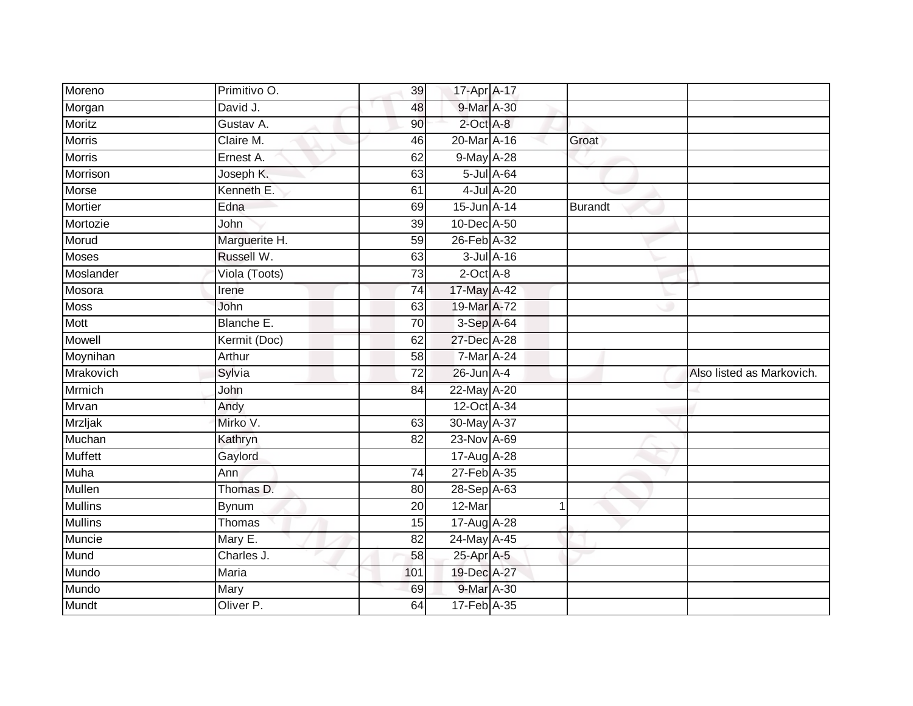| Moreno         | Primitivo O.  | 39              | 17-Apr A-17      |                  |         |                           |
|----------------|---------------|-----------------|------------------|------------------|---------|---------------------------|
| Morgan         | David J.      | 48              | 9-Mar A-30       |                  |         |                           |
| Moritz         | Gustav A.     | 90              | $2$ -Oct $A$ -8  |                  |         |                           |
| Morris         | Claire M.     | 46              | 20-Mar A-16      |                  | Groat   |                           |
| <b>Morris</b>  | Ernest A.     | 62              | 9-May A-28       |                  |         |                           |
| Morrison       | Joseph K.     | 63              |                  | $5$ -Jul $A$ -64 |         |                           |
| Morse          | Kenneth E.    | 61              |                  | 4-Jul A-20       |         |                           |
| Mortier        | Edna          | 69              | 15-Jun A-14      |                  | Burandt |                           |
| Mortozie       | John          | 39              | 10-Dec A-50      |                  |         |                           |
| Morud          | Marguerite H. | 59              | 26-Feb A-32      |                  |         |                           |
| Moses          | Russell W.    | 63              | $3$ -Jul $A$ -16 |                  |         |                           |
| Moslander      | Viola (Toots) | 73              | $2$ -Oct $A-8$   |                  |         |                           |
| Mosora         | Irene         | $\overline{74}$ | 17-May A-42      |                  |         |                           |
| Moss           | John          | 63              | 19-Mar A-72      |                  |         |                           |
| Mott           | Blanche E.    | $\overline{70}$ | 3-Sep A-64       |                  |         |                           |
| Mowell         | Kermit (Doc)  | 62              | 27-Dec A-28      |                  |         |                           |
| Moynihan       | Arthur        | 58              | $7$ -Mar A-24    |                  |         |                           |
| Mrakovich      | Sylvia        | 72              | $26$ -Jun $A-4$  |                  |         | Also listed as Markovich. |
| Mrmich         | John          | 84              | 22-May A-20      |                  |         |                           |
| Mrvan          | Andy          |                 | 12-Oct A-34      |                  |         |                           |
| <b>Mrzljak</b> | Mirko V.      | 63              | 30-May A-37      |                  |         |                           |
| Muchan         | Kathryn       | $\overline{82}$ | 23-Nov A-69      |                  |         |                           |
| <b>Muffett</b> | Gaylord       |                 | 17-Aug A-28      |                  |         |                           |
| Muha           | Ann           | $\overline{74}$ | 27-Feb A-35      |                  |         |                           |
| Mullen         | Thomas D.     | 80              | 28-Sep A-63      |                  |         |                           |
| <b>Mullins</b> | <b>Bynum</b>  | 20              | 12-Mar           |                  | 1       |                           |
| <b>Mullins</b> | Thomas        | 15              | 17-Aug A-28      |                  |         |                           |
| Muncie         | Mary E.       | 82              | 24-May A-45      |                  |         |                           |
| Mund           | Charles J.    | 58              | 25-Apr A-5       |                  |         |                           |
| Mundo          | Maria         | 101             | 19-Dec A-27      |                  |         |                           |
| Mundo          | Mary          | 69              | 9-Mar A-30       |                  |         |                           |
| Mundt          | Oliver P.     | 64              | 17-Feb A-35      |                  |         |                           |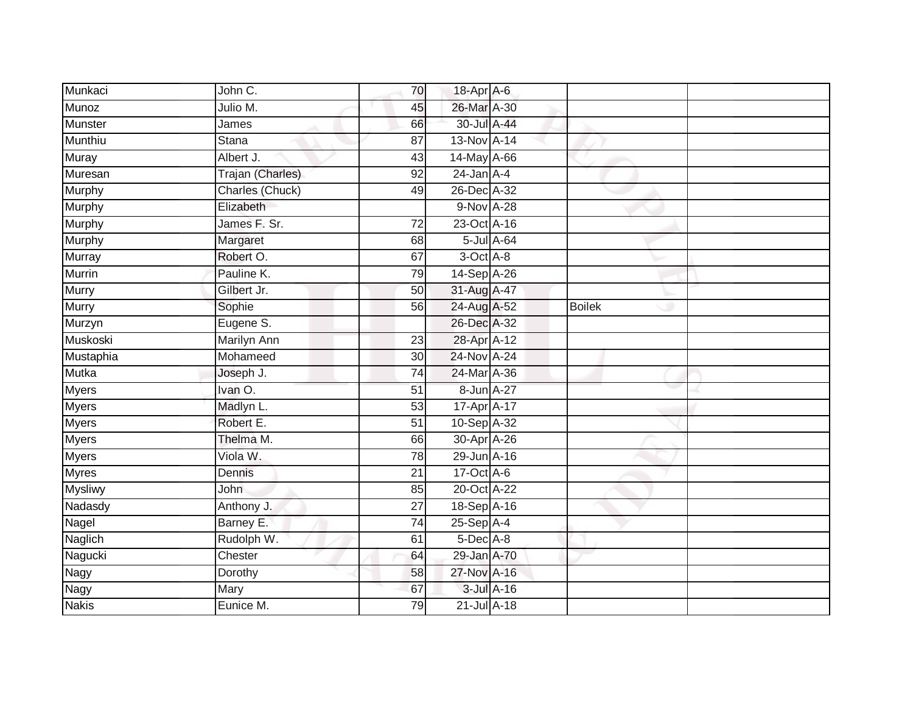| Munkaci        | John C.          | 70              | 18-Apr A-6      |            |               |  |
|----------------|------------------|-----------------|-----------------|------------|---------------|--|
| <b>Munoz</b>   | Julio M.         | 45              | 26-Mar A-30     |            |               |  |
| <b>Munster</b> | James            | 66              | 30-Jul A-44     |            |               |  |
| Munthiu        | Stana            | 87              | 13-Nov A-14     |            |               |  |
| <b>Muray</b>   | Albert J.        | 43              | 14-May A-66     |            |               |  |
| Muresan        | Trajan (Charles) | $\overline{92}$ | $24$ -Jan $A-4$ |            |               |  |
| Murphy         | Charles (Chuck)  | 49              | 26-Dec A-32     |            |               |  |
| Murphy         | Elizabeth        |                 | 9-Nov A-28      |            |               |  |
| Murphy         | James F. Sr.     | 72              | 23-Oct A-16     |            |               |  |
| <b>Murphy</b>  | Margaret         | 68              |                 | 5-Jul A-64 |               |  |
| Murray         | Robert O.        | 67              | 3-Oct A-8       |            |               |  |
| Murrin         | Pauline K.       | 79              | 14-Sep A-26     |            |               |  |
| Murry          | Gilbert Jr.      | 50              | 31-Aug A-47     |            |               |  |
| Murry          | Sophie           | 56              | 24-Aug A-52     |            | <b>Boilek</b> |  |
| Murzyn         | Eugene S.        |                 | 26-Dec A-32     |            |               |  |
| Muskoski       | Marilyn Ann      | 23              | 28-Apr A-12     |            |               |  |
| Mustaphia      | Mohameed         | 30              | 24-Nov A-24     |            |               |  |
| <b>Mutka</b>   | Joseph J.        | 74              | 24-Mar A-36     |            |               |  |
| Myers          | Ivan O.          | 51              | 8-Jun A-27      |            |               |  |
| <b>Myers</b>   | Madlyn L.        | 53              | 17-Apr A-17     |            |               |  |
| <b>Myers</b>   | Robert E.        | 51              | 10-Sep A-32     |            |               |  |
| <b>Myers</b>   | Thelma M.        | 66              | 30-Apr A-26     |            |               |  |
| <b>Myers</b>   | Viola W.         | 78              | 29-Jun A-16     |            |               |  |
| <b>Myres</b>   | Dennis           | 21              | 17-Oct A-6      |            |               |  |
| <b>Mysliwy</b> | John             | 85              | 20-Oct A-22     |            |               |  |
| Nadasdy        | Anthony J.       | $\overline{27}$ | 18-Sep A-16     |            |               |  |
| Nagel          | Barney E.        | $\overline{74}$ | $25-SepA-4$     |            |               |  |
| Naglich        | Rudolph W.       | 61              | 5-Dec A-8       |            |               |  |
| Nagucki        | Chester          | 64              | 29-Jan A-70     |            |               |  |
| Nagy           | Dorothy          | 58              | 27-Nov A-16     |            |               |  |
| Nagy           | Mary             | 67              |                 | 3-Jul A-16 |               |  |
| <b>Nakis</b>   | Eunice M.        | 79              | 21-Jul A-18     |            |               |  |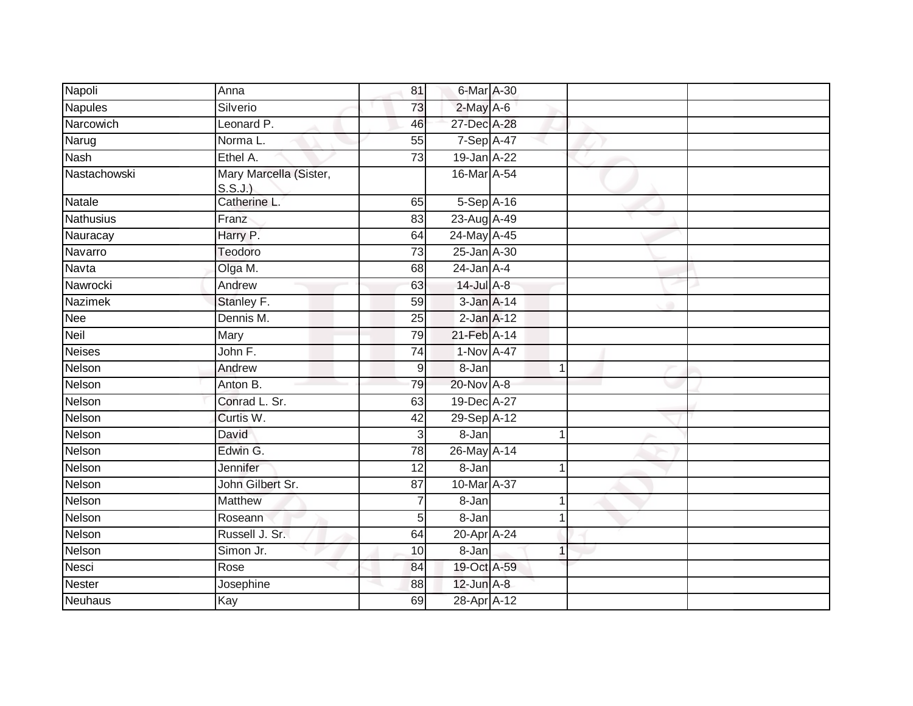| Napoli           | Anna                             | 81               | 6-Mar A-30      |              |  |
|------------------|----------------------------------|------------------|-----------------|--------------|--|
| <b>Napules</b>   | Silverio                         | 73               | $2$ -May $A$ -6 |              |  |
| Narcowich        | Leonard P.                       | 46               | 27-Dec A-28     |              |  |
| Narug            | Norma L.                         | 55               | 7-Sep A-47      |              |  |
| <b>Nash</b>      | Ethel A.                         | 73               | 19-Jan A-22     |              |  |
| Nastachowski     | Mary Marcella (Sister,<br>S.S.J. |                  | 16-Mar A-54     |              |  |
| <b>Natale</b>    | Catherine L.                     | 65               | 5-Sep A-16      |              |  |
| <b>Nathusius</b> | Franz                            | $\overline{83}$  | 23-Aug A-49     |              |  |
| Nauracay         | Harry P.                         | 64               | 24-May A-45     |              |  |
| Navarro          | Teodoro                          | 73               | 25-Jan A-30     |              |  |
| Navta            | Olga M.                          | 68               | $24$ -Jan $A-4$ |              |  |
| Nawrocki         | Andrew                           | 63               | 14-Jul A-8      |              |  |
| <b>Nazimek</b>   | Stanley F.                       | 59               | $3$ -Jan $A-14$ |              |  |
| Nee              | Dennis M.                        | 25               | $2$ -Jan $A-12$ |              |  |
| Neil             | Mary                             | 79               | 21-Feb A-14     |              |  |
| <b>Neises</b>    | John F.                          | 74               | 1-Nov A-47      |              |  |
| Nelson           | Andrew                           | $\boldsymbol{9}$ | 8-Jan           | $\mathbf{1}$ |  |
| Nelson           | Anton B.                         | 79               | 20-Nov A-8      |              |  |
| Nelson           | Conrad L. Sr.                    | 63               | 19-Dec A-27     |              |  |
| Nelson           | Curtis W.                        | 42               | 29-Sep A-12     |              |  |
| Nelson           | David                            | $\mathsf 3$      | 8-Jan           | 1            |  |
| Nelson           | Edwin G.                         | 78               | 26-May A-14     |              |  |
| Nelson           | Jennifer                         | 12               | 8-Jan           | 1            |  |
| Nelson           | John Gilbert Sr.                 | 87               | 10-Mar A-37     |              |  |
| Nelson           | <b>Matthew</b>                   |                  | 8-Jan           |              |  |
| Nelson           | Roseann                          | 5                | 8-Jan           | 1            |  |
| Nelson           | Russell J. Sr.                   | 64               | 20-Apr A-24     |              |  |
| Nelson           | Simon Jr.                        | 10               | 8-Jan           | 1            |  |
| Nesci            | Rose                             | 84               | 19-Oct A-59     |              |  |
| Nester           | Josephine                        | 88               | $12$ -Jun $A-8$ |              |  |
| Neuhaus          | Kay                              | 69               | 28-Apr A-12     |              |  |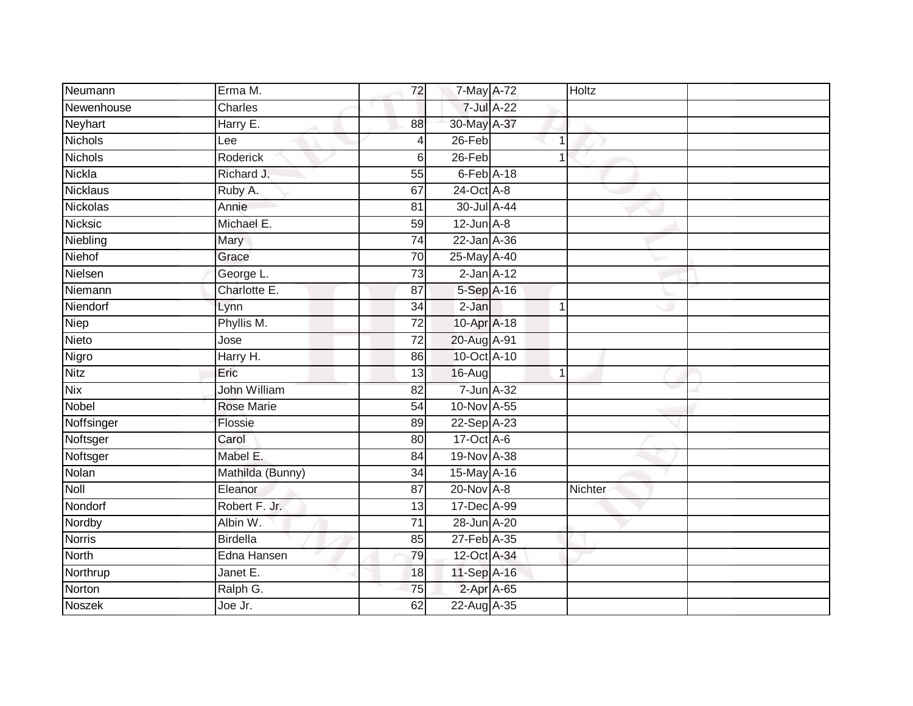| Neumann         | Erma M.           | 72              | 7-May A-72      |              | Holtz   |  |
|-----------------|-------------------|-----------------|-----------------|--------------|---------|--|
| Newenhouse      | Charles           |                 |                 | 7-Jul A-22   |         |  |
| Neyhart         | Harry E.          | 88              | 30-May A-37     |              |         |  |
| <b>Nichols</b>  | Lee               |                 | 26-Feb          | 1            |         |  |
| <b>Nichols</b>  | <b>Roderick</b>   | 6               | $26$ -Feb       | 1            |         |  |
| Nickla          | Richard J.        | 55              | $6$ -Feb $A-18$ |              |         |  |
| Nicklaus        | Ruby A.           | 67              | 24-Oct A-8      |              |         |  |
| <b>Nickolas</b> | Annie             | 81              | 30-Jul A-44     |              |         |  |
| <b>Nicksic</b>  | Michael E.        | 59              | $12$ -Jun $A-8$ |              |         |  |
| Niebling        | Mary              | $\overline{74}$ | 22-Jan A-36     |              |         |  |
| <b>Niehof</b>   | Grace             | 70              | 25-May A-40     |              |         |  |
| Nielsen         | George L.         | $\overline{73}$ | $2$ -Jan $A-12$ |              |         |  |
| Niemann         | Charlotte E.      | 87              | 5-Sep A-16      |              |         |  |
| Niendorf        | Lynn              | 34              | $2-Jan$         | 1            |         |  |
| Niep            | Phyllis M.        | 72              | 10-Apr A-18     |              |         |  |
| Nieto           | Jose              | 72              | 20-Aug A-91     |              |         |  |
| Nigro           | Harry H.          | 86              | 10-Oct A-10     |              |         |  |
| <b>Nitz</b>     | Eric              | 13              | 16-Aug          | $\mathbf{1}$ |         |  |
| <b>Nix</b>      | John William      | 82              | 7-Jun A-32      |              |         |  |
| Nobel           | <b>Rose Marie</b> | 54              | 10-Nov A-55     |              |         |  |
| Noffsinger      | Flossie           | 89              | 22-Sep A-23     |              |         |  |
| Noftsger        | Carol             | 80              | 17-Oct A-6      |              |         |  |
| Noftsger        | Mabel E.          | 84              | 19-Nov A-38     |              |         |  |
| Nolan           | Mathilda (Bunny)  | 34              | 15-May A-16     |              |         |  |
| <b>Noll</b>     | Eleanor           | 87              | 20-Nov A-8      |              | Nichter |  |
| Nondorf         | Robert F. Jr.     | 13              | 17-Dec A-99     |              |         |  |
| Nordby          | Albin W.          | $\overline{71}$ | 28-Jun A-20     |              |         |  |
| <b>Norris</b>   | <b>Birdella</b>   | 85              | 27-Feb A-35     |              |         |  |
| <b>North</b>    | Edna Hansen       | 79              | 12-Oct A-34     |              |         |  |
| Northrup        | Janet E.          | 18              | 11-Sep A-16     |              |         |  |
| Norton          | Ralph G.          | 75              | 2-Apr A-65      |              |         |  |
| <b>Noszek</b>   | Joe Jr.           | 62              | 22-Aug A-35     |              |         |  |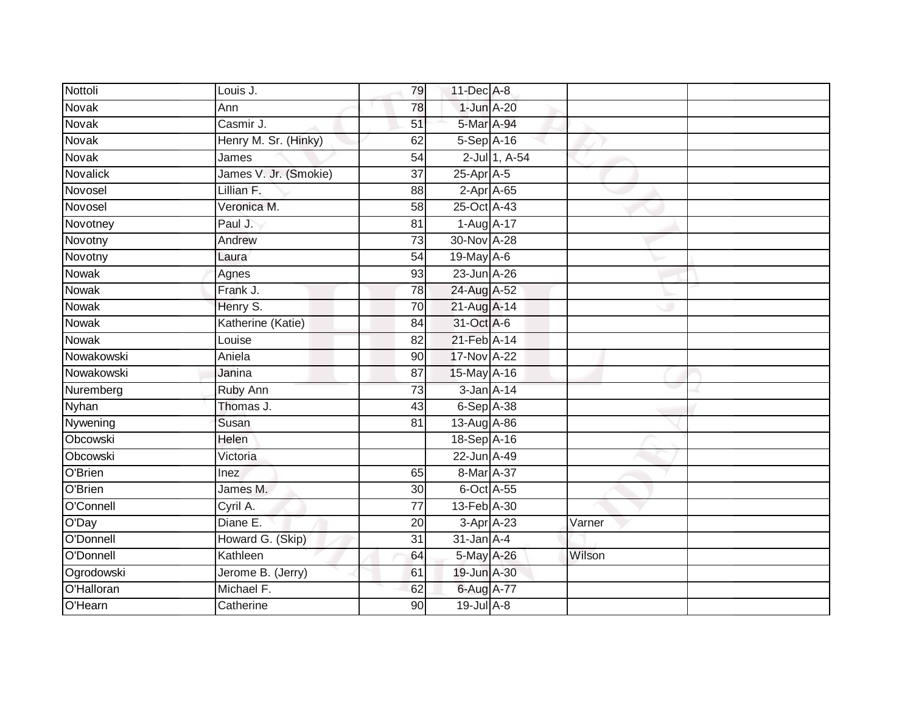| Nottoli      | Louis J.              | 79              | $11$ -Dec $A-8$ |                  |        |  |
|--------------|-----------------------|-----------------|-----------------|------------------|--------|--|
| Novak        | Ann                   | 78              | 1-Jun A-20      |                  |        |  |
| <b>Novak</b> | Casmir J.             | $\overline{51}$ | 5-Mar A-94      |                  |        |  |
| Novak        | Henry M. Sr. (Hinky)  | 62              | 5-Sep A-16      |                  |        |  |
| Novak        | James                 | $\overline{54}$ |                 | 2-Jul 1, A-54    |        |  |
| Novalick     | James V. Jr. (Smokie) | 37              | 25-Apr A-5      |                  |        |  |
| Novosel      | Lillian F.            | 88              |                 | $2$ -Apr $A$ -65 |        |  |
| Novosel      | Veronica M.           | 58              | 25-Oct A-43     |                  |        |  |
| Novotney     | Paul J.               | 81              | 1-Aug A-17      |                  |        |  |
| Novotny      | Andrew                | 73              | 30-Nov A-28     |                  |        |  |
| Novotny      | Laura                 | $\overline{54}$ | 19-May A-6      |                  |        |  |
| <b>Nowak</b> | Agnes                 | 93              | 23-Jun A-26     |                  |        |  |
| Nowak        | Frank J.              | 78              | 24-Aug A-52     |                  |        |  |
| Nowak        | Henry S.              | 70              | 21-Aug A-14     |                  |        |  |
| Nowak        | Katherine (Katie)     | 84              | 31-Oct A-6      |                  |        |  |
| Nowak        | Louise                | $\overline{82}$ | 21-Feb A-14     |                  |        |  |
| Nowakowski   | Aniela                | 90              | 17-Nov A-22     |                  |        |  |
| Nowakowski   | Janina                | 87              | 15-May A-16     |                  |        |  |
| Nuremberg    | Ruby Ann              | 73              | $3$ -Jan $A-14$ |                  |        |  |
| <b>Nyhan</b> | Thomas J.             | 43              | $6-Sep$ A-38    |                  |        |  |
| Nywening     | Susan                 | 81              | 13-Aug A-86     |                  |        |  |
| Obcowski     | Helen                 |                 | 18-Sep A-16     |                  |        |  |
| Obcowski     | Victoria              |                 | 22-Jun A-49     |                  |        |  |
| O'Brien      | <b>Inez</b>           | 65              | 8-Mar A-37      |                  |        |  |
| O'Brien      | James M.              | 30              | 6-Oct A-55      |                  |        |  |
| O'Connell    | Cyril A.              | $\overline{77}$ | 13-Feb A-30     |                  |        |  |
| O'Day        | Diane E.              | $\overline{20}$ |                 | $3-Apr$ $A-23$   | Varner |  |
| O'Donnell    | Howard G. (Skip)      | 31              | $31$ -Jan $A-4$ |                  |        |  |
| O'Donnell    | Kathleen              | 64              | 5-May A-26      |                  | Wilson |  |
| Ogrodowski   | Jerome B. (Jerry)     | 61              | 19-Jun A-30     |                  |        |  |
| O'Halloran   | Michael F.            | 62              | 6-Aug A-77      |                  |        |  |
| O'Hearn      | Catherine             | 90              | $19$ -Jul $A-8$ |                  |        |  |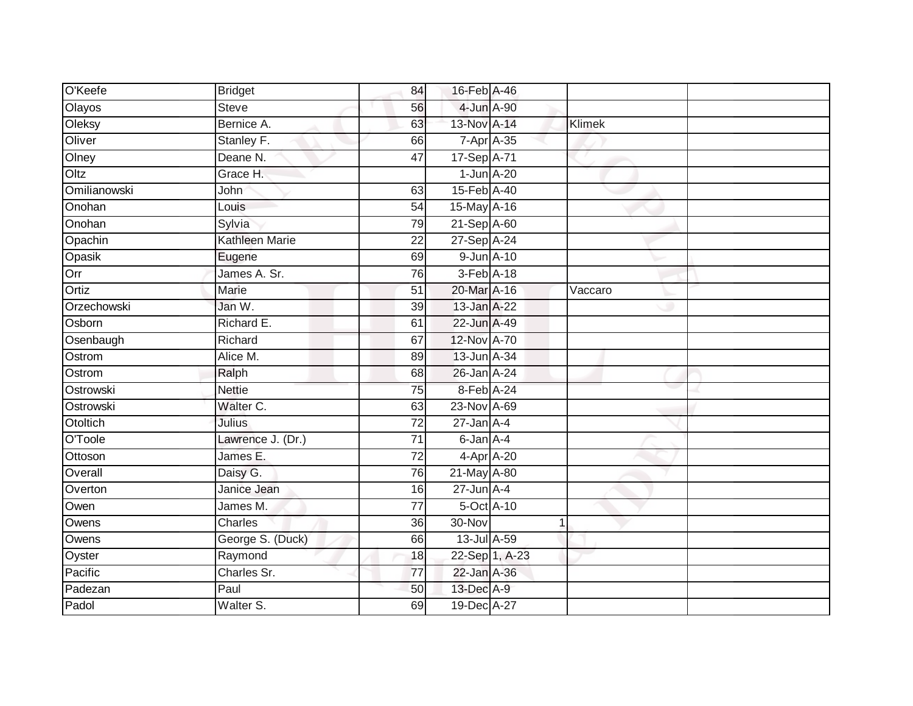| O'Keefe      | <b>Bridget</b>    | 84              | 16-Feb A-46     |                |         |  |
|--------------|-------------------|-----------------|-----------------|----------------|---------|--|
| Olayos       | <b>Steve</b>      | 56              | 4-Jun A-90      |                |         |  |
| Oleksy       | Bernice A.        | 63              | 13-Nov A-14     |                | Klimek  |  |
| Oliver       | Stanley F.        | 66              | 7-Apr A-35      |                |         |  |
| Olney        | Deane N.          | $\overline{47}$ | 17-Sep A-71     |                |         |  |
| Oltz         | Grace H.          |                 | $1$ -Jun $A-20$ |                |         |  |
| Omilianowski | John              | 63              | 15-Feb A-40     |                |         |  |
| Onohan       | Louis             | 54              | 15-May A-16     |                |         |  |
| Onohan       | Sylvia            | 79              | 21-Sep A-60     |                |         |  |
| Opachin      | Kathleen Marie    | $\overline{22}$ | 27-Sep A-24     |                |         |  |
| Opasik       | Eugene            | 69              | 9-Jun A-10      |                |         |  |
| Orr          | James A. Sr.      | 76              | 3-Feb A-18      |                |         |  |
| Ortiz        | Marie             | 51              | 20-Mar A-16     |                | Vaccaro |  |
| Orzechowski  | Jan W.            | 39              | 13-Jan A-22     |                |         |  |
| Osborn       | Richard E.        | 61              | 22-Jun A-49     |                |         |  |
| Osenbaugh    | Richard           | 67              | 12-Nov A-70     |                |         |  |
| Ostrom       | Alice M.          | 89              | 13-Jun A-34     |                |         |  |
| Ostrom       | Ralph             | 68              | 26-Jan A-24     |                |         |  |
| Ostrowski    | <b>Nettie</b>     | 75              | 8-Feb A-24      |                |         |  |
| Ostrowski    | Walter C.         | 63              | 23-Nov A-69     |                |         |  |
| Otoltich     | Julius            | 72              | $27$ -Jan $A-4$ |                |         |  |
| O'Toole      | Lawrence J. (Dr.) | $\overline{71}$ | 6-Jan A-4       |                |         |  |
| Ottoson      | James E.          | 72              | 4-Apr A-20      |                |         |  |
| Overall      | Daisy G.          | 76              | 21-May A-80     |                |         |  |
| Overton      | Janice Jean       | 16              | $27$ -Jun $A-4$ |                |         |  |
| Owen         | James M.          | $\overline{77}$ | 5-Oct A-10      |                |         |  |
| Owens        | Charles           | 36              | 30-Nov          |                |         |  |
| Owens        | George S. (Duck)  | 66              | 13-Jul A-59     |                |         |  |
| Oyster       | Raymond           | 18              |                 | 22-Sep 1, A-23 |         |  |
| Pacific      | Charles Sr.       | 77              | 22-Jan A-36     |                |         |  |
| Padezan      | Paul              | 50              | 13-Dec A-9      |                |         |  |
| Padol        | Walter S.         | 69              | 19-Dec A-27     |                |         |  |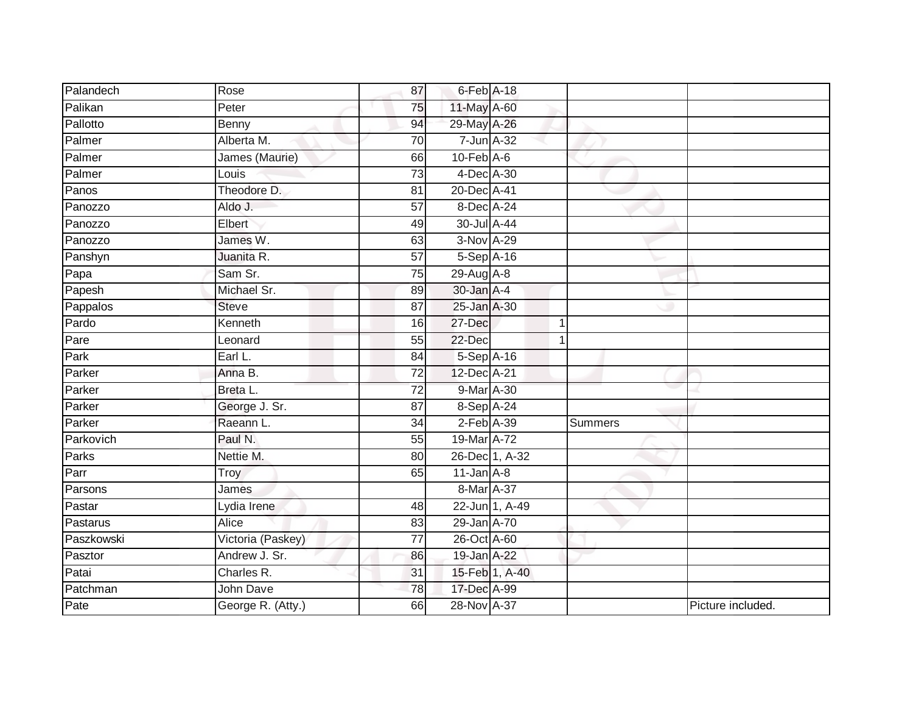| Palandech  | Rose              | 87              | 6-Feb A-18       |                |                |                   |
|------------|-------------------|-----------------|------------------|----------------|----------------|-------------------|
| Palikan    | Peter             | 75              | 11-May A-60      |                |                |                   |
| Pallotto   | Benny             | 94              | 29-May A-26      |                |                |                   |
| Palmer     | Alberta M.        | 70              | $7$ -Jun $A$ -32 |                |                |                   |
| Palmer     | James (Maurie)    | 66              | $10-Feb$ $A-6$   |                |                |                   |
| Palmer     | Louis             | 73              | 4-Dec A-30       |                |                |                   |
| Panos      | Theodore D.       | 81              | 20-Dec A-41      |                |                |                   |
| Panozzo    | Aldo J.           | 57              | 8-Dec A-24       |                |                |                   |
| Panozzo    | Elbert            | 49              | 30-Jul A-44      |                |                |                   |
| Panozzo    | James W.          | 63              | 3-Nov A-29       |                |                |                   |
| Panshyn    | Juanita R.        | 57              | 5-Sep A-16       |                |                |                   |
| Papa       | Sam Sr.           | $\overline{75}$ | 29-Aug A-8       |                |                |                   |
| Papesh     | Michael Sr.       | 89              | 30-Jan A-4       |                |                |                   |
| Pappalos   | <b>Steve</b>      | 87              | 25-Jan A-30      |                |                |                   |
| Pardo      | Kenneth           | 16              | 27-Dec           |                | 1              |                   |
| Pare       | Leonard           | 55              | $22 - Dec$       |                |                |                   |
| Park       | Earl L.           | 84              | 5-Sep A-16       |                |                |                   |
| Parker     | Anna B.           | 72              | 12-Dec A-21      |                |                |                   |
| Parker     | Breta L.          | 72              | 9-Mar A-30       |                |                |                   |
| Parker     | George J. Sr.     | 87              | 8-Sep A-24       |                |                |                   |
| Parker     | Raeann L.         | 34              | $2$ -Feb $A-39$  |                | <b>Summers</b> |                   |
| Parkovich  | Paul N.           | $\overline{55}$ | 19-Mar A-72      |                |                |                   |
| Parks      | Nettie M.         | 80              |                  | 26-Dec 1, A-32 |                |                   |
| Parr       | Troy              | 65              | $11$ -Jan $A-8$  |                |                |                   |
| Parsons    | James             |                 | 8-Mar A-37       |                |                |                   |
| Pastar     | Lydia Irene       | 48              |                  | 22-Jun 1, A-49 |                |                   |
| Pastarus   | <b>Alice</b>      | 83              | 29-Jan A-70      |                |                |                   |
| Paszkowski | Victoria (Paskey) | $\overline{77}$ | $26$ -Oct A-60   |                |                |                   |
| Pasztor    | Andrew J. Sr.     | 86              | 19-Jan A-22      |                |                |                   |
| Patai      | Charles R.        | 31              |                  | 15-Feb 1, A-40 |                |                   |
| Patchman   | John Dave         | 78              | 17-Dec A-99      |                |                |                   |
| Pate       | George R. (Atty.) | 66              | 28-Nov A-37      |                |                | Picture included. |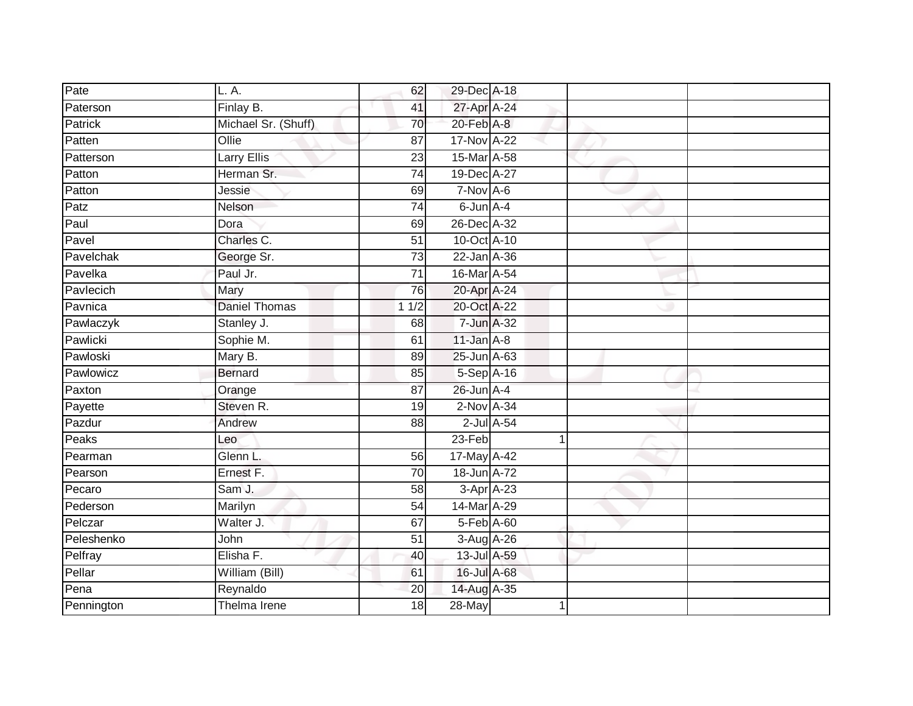| Pate       | L. A.               | 62              | 29-Dec A-18      |    |  |
|------------|---------------------|-----------------|------------------|----|--|
| Paterson   | Finlay B.           | 41              | 27-Apr A-24      |    |  |
| Patrick    | Michael Sr. (Shuff) | 70              | 20-Feb A-8       |    |  |
| Patten     | Ollie               | 87              | 17-Nov A-22      |    |  |
| Patterson  | Larry Ellis         | $\overline{23}$ | 15-Mar A-58      |    |  |
| Patton     | Herman Sr.          | $\overline{74}$ | 19-Dec A-27      |    |  |
| Patton     | Jessie              | 69              | $7-Nov$ A-6      |    |  |
| Patz       | Nelson              | 74              | 6-Jun A-4        |    |  |
| Paul       | Dora                | 69              | 26-Dec A-32      |    |  |
| Pavel      | Charles C.          | 51              | 10-Oct A-10      |    |  |
| Pavelchak  | George Sr.          | 73              | 22-Jan A-36      |    |  |
| Pavelka    | Paul Jr.            | $\overline{71}$ | 16-Mar A-54      |    |  |
| Pavlecich  | Mary                | 76              | 20-Apr A-24      |    |  |
| Pavnica    | Daniel Thomas       | 11/2            | 20-Oct A-22      |    |  |
| Pawlaczyk  | Stanley J.          | 68              | 7-Jun A-32       |    |  |
| Pawlicki   | Sophie M.           | 61              | $11$ -Jan $A-8$  |    |  |
| Pawloski   | Mary B.             | 89              | 25-Jun A-63      |    |  |
| Pawlowicz  | <b>Bernard</b>      | 85              | 5-Sep A-16       |    |  |
| Paxton     | Orange              | 87              | 26-Jun A-4       |    |  |
| Payette    | Steven R.           | 19              | $2$ -Nov $A-34$  |    |  |
| Pazdur     | Andrew              | 88              | $2$ -Jul $A$ -54 |    |  |
| Peaks      | Leo                 |                 | $23-Feb$         | -1 |  |
| Pearman    | Glenn L.            | 56              | 17-May A-42      |    |  |
| Pearson    | Ernest F.           | 70              | 18-Jun A-72      |    |  |
| Pecaro     | Sam J.              | 58              | 3-Apr A-23       |    |  |
| Pederson   | Marilyn             | 54              | 14-Mar A-29      |    |  |
| Pelczar    | Walter J.           | 67              | 5-Feb A-60       |    |  |
| Peleshenko | John                | 51              | 3-Aug A-26       |    |  |
| Pelfray    | Elisha F.           | 40              | 13-Jul A-59      |    |  |
| Pellar     | William (Bill)      | 61              | 16-Jul A-68      |    |  |
| Pena       | Reynaldo            | 20              | 14-Aug A-35      |    |  |
| Pennington | Thelma Irene        | $\overline{18}$ | 28-May           |    |  |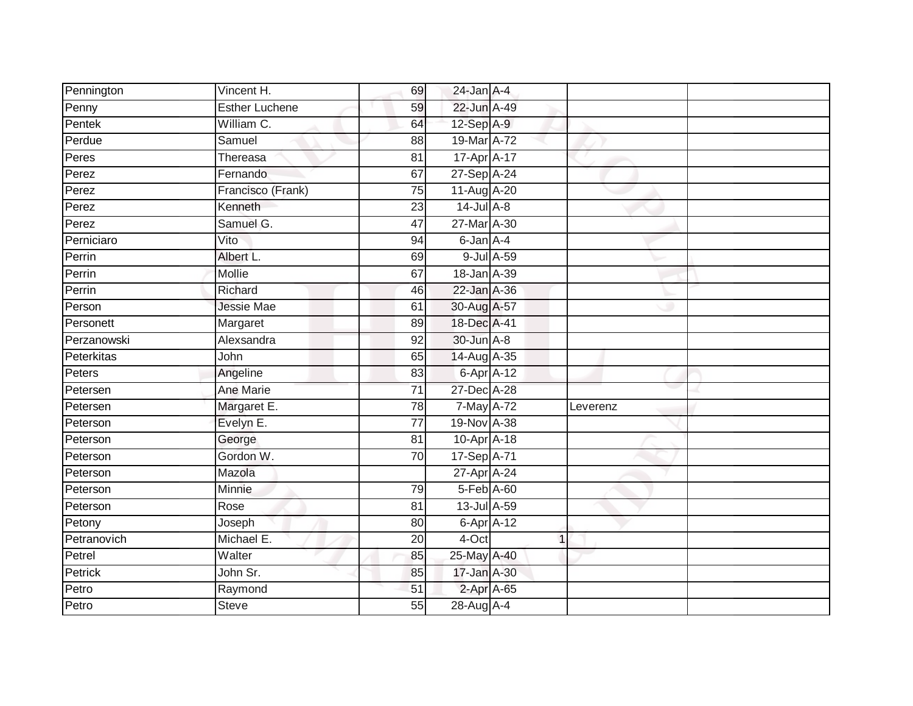| Pennington  | Vincent H.            | 69              | $24$ -Jan $A-4$ |             |          |
|-------------|-----------------------|-----------------|-----------------|-------------|----------|
| Penny       | <b>Esther Luchene</b> | 59              | 22-Jun A-49     |             |          |
| Pentek      | William C.            | 64              | 12-Sep A-9      |             |          |
| Perdue      | Samuel                | 88              | 19-Mar A-72     |             |          |
| Peres       | Thereasa              | $\overline{81}$ | 17-Apr A-17     |             |          |
| Perez       | Fernando              | 67              | 27-Sep A-24     |             |          |
| Perez       | Francisco (Frank)     | $\overline{75}$ | 11-Aug A-20     |             |          |
| Perez       | Kenneth               | 23              | $14$ -Jul $A-8$ |             |          |
| Perez       | Samuel G.             | 47              | 27-Mar A-30     |             |          |
| Perniciaro  | Vito                  | 94              | 6-Jan A-4       |             |          |
| Perrin      | Albert L.             | 69              | 9-Jul A-59      |             |          |
| Perrin      | Mollie                | 67              | 18-Jan A-39     |             |          |
| Perrin      | Richard               | 46              | 22-Jan A-36     |             |          |
| Person      | <b>Jessie Mae</b>     | 61              | 30-Aug A-57     |             |          |
| Personett   | Margaret              | 89              | 18-Dec A-41     |             |          |
| Perzanowski | Alexsandra            | 92              | 30-Jun A-8      |             |          |
| Peterkitas  | John                  | 65              | 14-Aug A-35     |             |          |
| Peters      | Angeline              | 83              | 6-Apr A-12      |             |          |
| Petersen    | Ane Marie             | 71              | 27-Dec A-28     |             |          |
| Petersen    | Margaret E.           | 78              | 7-May A-72      |             | Leverenz |
| Peterson    | Evelyn E.             | 77              | 19-Nov A-38     |             |          |
| Peterson    | George                | $\overline{81}$ | 10-Apr A-18     |             |          |
| Peterson    | Gordon W.             | 70              | 17-Sep A-71     |             |          |
| Peterson    | Mazola                |                 | 27-Apr A-24     |             |          |
| Peterson    | Minnie                | 79              | 5-Feb A-60      |             |          |
| Peterson    | Rose                  | 81              | 13-Jul A-59     |             |          |
| Petony      | Joseph                | 80              | 6-Apr A-12      |             |          |
| Petranovich | Michael E.            | 20              | 4-Oct           | $\mathbf 1$ |          |
| Petrel      | Walter                | 85              | 25-May A-40     |             |          |
| Petrick     | John Sr.              | 85              | 17-Jan A-30     |             |          |
| Petro       | Raymond               | 51              | 2-Apr A-65      |             |          |
| Petro       | <b>Steve</b>          | 55              | 28-Aug A-4      |             |          |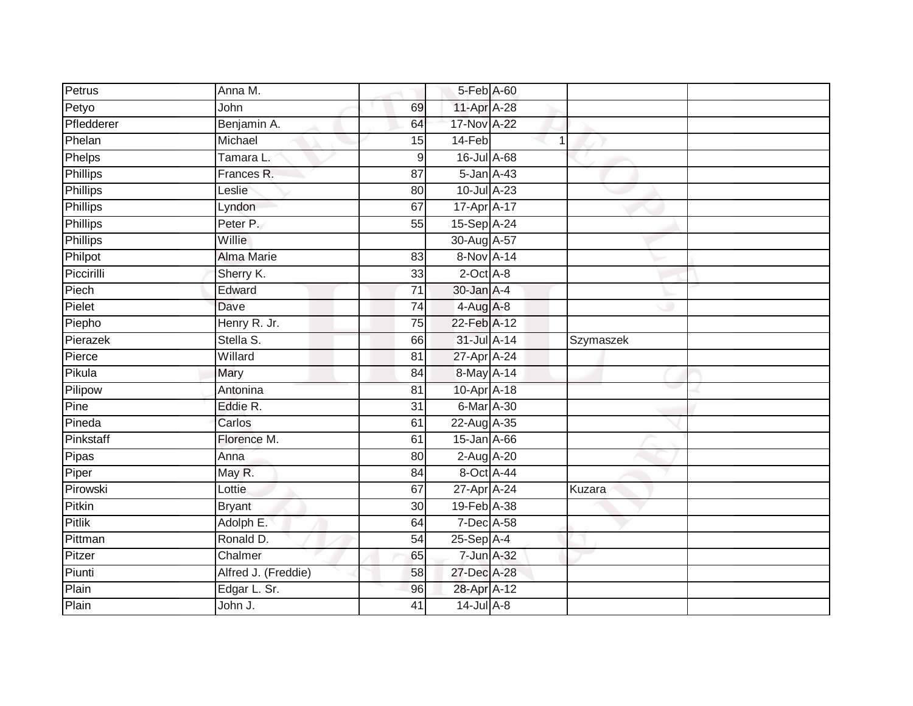| Petrus          | Anna M.             |                 | 5-Feb A-60      |           |  |
|-----------------|---------------------|-----------------|-----------------|-----------|--|
| Petyo           | John                | 69              | 11-Apr A-28     |           |  |
| Pfledderer      | Benjamin A.         | 64              | 17-Nov A-22     |           |  |
| Phelan          | Michael             | 15              | 14-Feb          | 1         |  |
| <b>Phelps</b>   | Tamara L.           | 9               | 16-Jul A-68     |           |  |
| <b>Phillips</b> | Frances R.          | 87              | 5-Jan A-43      |           |  |
| Phillips        | Leslie              | 80              | 10-Jul A-23     |           |  |
| Phillips        | Lyndon              | 67              | 17-Apr A-17     |           |  |
| Phillips        | Peter P.            | 55              | 15-Sep A-24     |           |  |
| <b>Phillips</b> | Willie              |                 | 30-Aug A-57     |           |  |
| Philpot         | <b>Alma Marie</b>   | 83              | 8-Nov A-14      |           |  |
| Piccirilli      | Sherry K.           | 33              | $2$ -Oct $A$ -8 |           |  |
| Piech           | Edward              | $\overline{71}$ | 30-Jan A-4      |           |  |
| Pielet          | Dave                | $\overline{74}$ | $4-Aug$ $A-8$   |           |  |
| Piepho          | Henry R. Jr.        | 75              | 22-Feb A-12     |           |  |
| Pierazek        | Stella S.           | 66              | 31-Jul A-14     | Szymaszek |  |
| Pierce          | Willard             | $\overline{81}$ | 27-Apr A-24     |           |  |
| Pikula          | Mary                | 84              | 8-May A-14      |           |  |
| Pilipow         | Antonina            | 81              | 10-Apr A-18     |           |  |
| Pine            | Eddie R.            | $\overline{31}$ | 6-Mar A-30      |           |  |
| Pineda          | Carlos              | 61              | 22-Aug A-35     |           |  |
| Pinkstaff       | Florence M.         | 61              | 15-Jan A-66     |           |  |
| Pipas           | Anna                | 80              | 2-Aug A-20      |           |  |
| Piper           | May R.              | 84              | 8-Oct A-44      |           |  |
| Pirowski        | Lottie              | 67              | 27-Apr A-24     | Kuzara    |  |
| Pitkin          | <b>Bryant</b>       | 30              | 19-Feb A-38     |           |  |
| <b>Pitlik</b>   | Adolph E.           | 64              | 7-Dec A-58      |           |  |
| Pittman         | Ronald D.           | 54              | $25-Sep$ A-4    |           |  |
| Pitzer          | Chalmer             | 65              | 7-Jun A-32      |           |  |
| Piunti          | Alfred J. (Freddie) | 58              | 27-Dec A-28     |           |  |
| Plain           | Edgar L. Sr.        | 96              | 28-Apr A-12     |           |  |
| Plain           | John J.             | 41              | $14$ -Jul $A-8$ |           |  |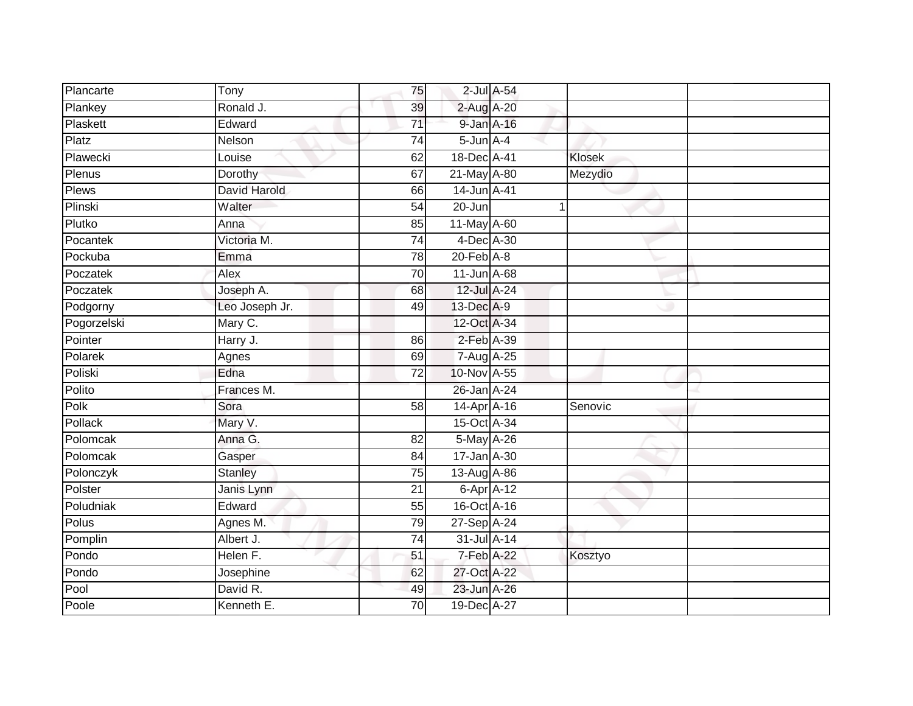| Plancarte   | Tony           | 75              |                 | $2$ -Jul $A$ -54 |         |
|-------------|----------------|-----------------|-----------------|------------------|---------|
| Plankey     | Ronald J.      | 39              | 2-Aug A-20      |                  |         |
| Plaskett    | Edward         | $\overline{71}$ | 9-Jan A-16      |                  |         |
| Platz       | Nelson         | $\overline{74}$ | $5$ -Jun $A$ -4 |                  |         |
| Plawecki    | Louise         | 62              | 18-Dec A-41     |                  | Klosek  |
| Plenus      | Dorothy        | 67              | 21-May A-80     |                  | Mezydio |
| Plews       | David Harold   | 66              | 14-Jun A-41     |                  |         |
| Plinski     | Walter         | 54              | 20-Jun          |                  |         |
| Plutko      | Anna           | 85              | 11-May A-60     |                  |         |
| Pocantek    | Victoria M.    | $\overline{74}$ | 4-Dec A-30      |                  |         |
| Pockuba     | Emma           | 78              | $20$ -Feb $A-8$ |                  |         |
| Poczatek    | Alex           | 70              | 11-Jun A-68     |                  |         |
| Poczatek    | Joseph A.      | 68              | 12-Jul A-24     |                  |         |
| Podgorny    | Leo Joseph Jr. | 49              | 13-Dec A-9      |                  |         |
| Pogorzelski | Mary C.        |                 | 12-Oct A-34     |                  |         |
| Pointer     | Harry J.       | 86              | 2-Feb A-39      |                  |         |
| Polarek     | Agnes          | 69              | 7-Aug A-25      |                  |         |
| Poliski     | Edna           | 72              | 10-Nov A-55     |                  |         |
| Polito      | Frances M.     |                 | 26-Jan A-24     |                  |         |
| Polk        | Sora           | 58              | 14-Apr A-16     |                  | Senovic |
| Pollack     | Mary V.        |                 | 15-Oct A-34     |                  |         |
| Polomcak    | Anna G.        | $\overline{82}$ | 5-May A-26      |                  |         |
| Polomcak    | Gasper         | 84              | 17-Jan A-30     |                  |         |
| Polonczyk   | <b>Stanley</b> | 75              | 13-Aug A-86     |                  |         |
| Polster     | Janis Lynn     | 21              |                 | 6-Apr A-12       |         |
| Poludniak   | Edward         | 55              | 16-Oct A-16     |                  |         |
| Polus       | Agnes M.       | 79              | 27-Sep A-24     |                  |         |
| Pomplin     | Albert J.      | 74              | 31-Jul A-14     |                  |         |
| Pondo       | Helen F.       | 51              | 7-Feb A-22      |                  | Kosztyo |
| Pondo       | Josephine      | 62              | 27-Oct A-22     |                  |         |
| Pool        | David R.       | 49              | 23-Jun A-26     |                  |         |
| Poole       | Kenneth E.     | 70              | 19-Dec A-27     |                  |         |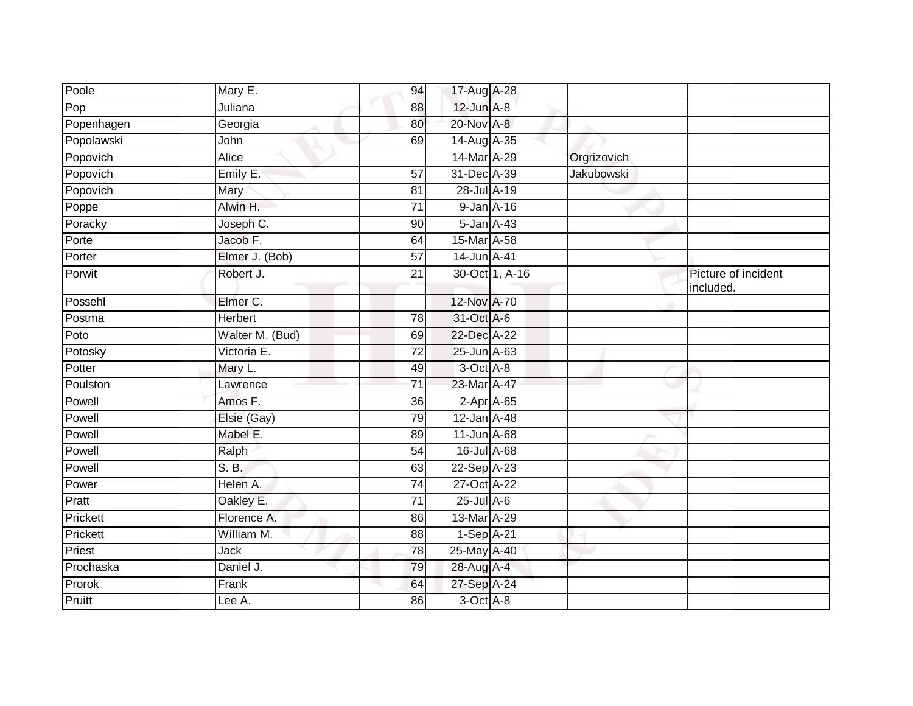| Poole      | Mary E.         | 94              | 17-Aug A-28       |                |                   |                                  |
|------------|-----------------|-----------------|-------------------|----------------|-------------------|----------------------------------|
| Pop        | Juliana         | 88              | 12-Jun A-8        |                |                   |                                  |
| Popenhagen | Georgia         | 80              | 20-Nov A-8        |                |                   |                                  |
| Popolawski | John            | 69              | 14-Aug A-35       |                |                   |                                  |
| Popovich   | <b>Alice</b>    |                 | 14-Mar A-29       |                | Orgrizovich       |                                  |
| Popovich   | Emily E.        | $\overline{57}$ | 31-Dec A-39       |                | <b>Jakubowski</b> |                                  |
| Popovich   | Mary            | 81              | 28-Jul A-19       |                |                   |                                  |
| Poppe      | Alwin H.        | 71              | 9-Jan A-16        |                |                   |                                  |
| Poracky    | Joseph C.       | 90              | 5-Jan A-43        |                |                   |                                  |
| Porte      | Jacob F.        | 64              | 15-Mar A-58       |                |                   |                                  |
| Porter     | Elmer J. (Bob)  | $\overline{57}$ | 14-Jun A-41       |                |                   |                                  |
| Porwit     | Robert J.       | 21              |                   | 30-Oct 1, A-16 |                   | Picture of incident<br>included. |
| Possehl    | Elmer C.        |                 | 12-Nov A-70       |                |                   |                                  |
| Postma     | <b>Herbert</b>  | 78              | 31-Oct A-6        |                |                   |                                  |
| Poto       | Walter M. (Bud) | 69              | 22-Dec A-22       |                |                   |                                  |
| Potosky    | Victoria E.     | 72              | 25-Jun A-63       |                |                   |                                  |
| Potter     | Mary L.         | 49              | 3-Oct A-8         |                |                   |                                  |
| Poulston   | Lawrence        | 71              | 23-Mar A-47       |                |                   |                                  |
| Powell     | Amos F.         | 36              | 2-Apr A-65        |                |                   |                                  |
| Powell     | Elsie (Gay)     | 79              | 12-Jan A-48       |                |                   |                                  |
| Powell     | Mabel E.        | 89              | 11-Jun A-68       |                |                   |                                  |
| Powell     | Ralph           | 54              | $16$ -Jul $A$ -68 |                |                   |                                  |
| Powell     | S. B.           | 63              | 22-Sep A-23       |                |                   |                                  |
| Power      | Helen A.        | 74              | 27-Oct A-22       |                |                   |                                  |
| Pratt      | Oakley E.       | $\overline{71}$ | $25$ -Jul $A-6$   |                |                   |                                  |
| Prickett   | Florence A.     | 86              | 13-Mar A-29       |                |                   |                                  |
| Prickett   | William M.      | 88              | $1-Sep$ A-21      |                |                   |                                  |
| Priest     | <b>Jack</b>     | 78              | 25-May A-40       |                |                   |                                  |
| Prochaska  | Daniel J.       | 79              | 28-Aug A-4        |                |                   |                                  |
| Prorok     | Frank           | 64              | 27-Sep A-24       |                |                   |                                  |
| Pruitt     | Lee A.          | 86              | 3-Oct A-8         |                |                   |                                  |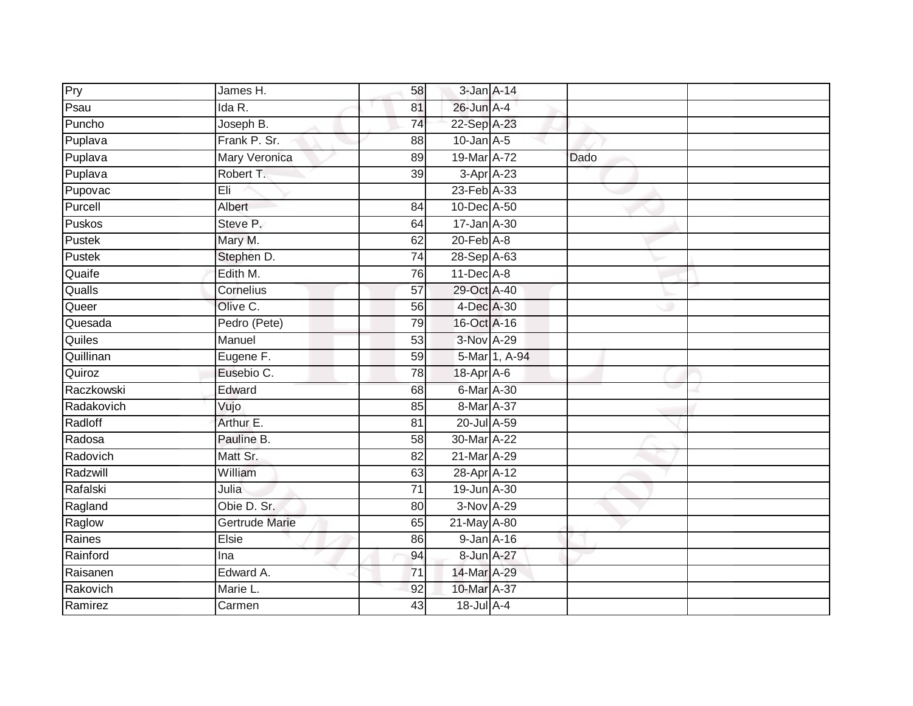| Pry        | James H.              | 58              | 3-Jan A-14                  |               |      |  |
|------------|-----------------------|-----------------|-----------------------------|---------------|------|--|
| Psau       | Ida R.                | 81              | 26-Jun A-4                  |               |      |  |
| Puncho     | Joseph B.             | 74              | 22-Sep A-23                 |               |      |  |
| Puplava    | Frank P. Sr.          | 88              | $10$ -Jan $A-5$             |               |      |  |
| Puplava    | <b>Mary Veronica</b>  | 89              | 19-Mar A-72                 |               | Dado |  |
| Puplava    | Robert T.             | 39              | 3-Apr A-23                  |               |      |  |
| Pupovac    | Eli                   |                 | 23-Feb A-33                 |               |      |  |
| Purcell    | Albert                | 84              | 10-Dec A-50                 |               |      |  |
| Puskos     | Steve P.              | 64              | 17-Jan A-30                 |               |      |  |
| Pustek     | Mary M.               | 62              | $20$ -Feb $\overline{A}$ -8 |               |      |  |
| Pustek     | Stephen D.            | 74              | 28-Sep A-63                 |               |      |  |
| Quaife     | Edith M.              | 76              | $11$ -Dec $A$ -8            |               |      |  |
| Qualls     | Cornelius             | 57              | 29-Oct A-40                 |               |      |  |
| Queer      | Olive C.              | 56              | 4-Dec A-30                  |               |      |  |
| Quesada    | Pedro (Pete)          | 79              | 16-Oct A-16                 |               |      |  |
| Quiles     | Manuel                | 53              | 3-Nov A-29                  |               |      |  |
| Quillinan  | Eugene F.             | 59              |                             | 5-Mar 1, A-94 |      |  |
| Quiroz     | Eusebio C.            | 78              | 18-Apr A-6                  |               |      |  |
| Raczkowski | Edward                | 68              | 6-Mar A-30                  |               |      |  |
| Radakovich | Vujo                  | 85              | 8-Mar A-37                  |               |      |  |
| Radloff    | Arthur E.             | 81              | 20-Jul A-59                 |               |      |  |
| Radosa     | Pauline B.            | $\overline{58}$ | 30-Mar A-22                 |               |      |  |
| Radovich   | Matt Sr.              | 82              | 21-Mar A-29                 |               |      |  |
| Radzwill   | William               | 63              | 28-Apr A-12                 |               |      |  |
| Rafalski   | Julia                 | 71              | 19-Jun A-30                 |               |      |  |
| Ragland    | Obie D. Sr.           | 80              | $3-Nov$ A-29                |               |      |  |
| Raglow     | <b>Gertrude Marie</b> | 65              | 21-May A-80                 |               |      |  |
| Raines     | Elsie                 | 86              | $9$ -Jan $A$ -16            |               |      |  |
| Rainford   | Ina                   | 94              | 8-Jun A-27                  |               |      |  |
| Raisanen   | Edward A.             | $\overline{71}$ | 14-Mar A-29                 |               |      |  |
| Rakovich   | Marie L.              | 92              | 10-Mar A-37                 |               |      |  |
| Ramirez    | Carmen                | 43              | 18-Jul A-4                  |               |      |  |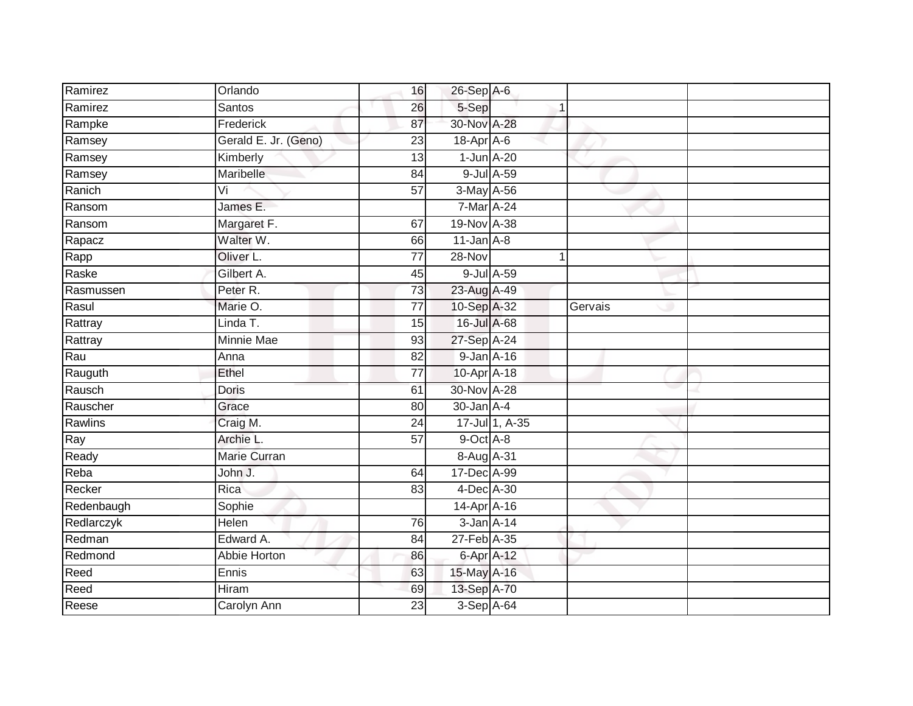| Ramirez    | Orlando              | 16              | $26$ -Sep $A$ -6 |                |         |  |
|------------|----------------------|-----------------|------------------|----------------|---------|--|
| Ramirez    | <b>Santos</b>        | 26              | 5-Sep            |                |         |  |
| Rampke     | Frederick            | 87              | 30-Nov A-28      |                |         |  |
| Ramsey     | Gerald E. Jr. (Geno) | 23              | $18$ -Apr $A$ -6 |                |         |  |
| Ramsey     | Kimberly             | $\overline{13}$ | $1$ -Jun $A-20$  |                |         |  |
| Ramsey     | Maribelle            | 84              |                  | 9-Jul A-59     |         |  |
| Ranich     | Vi                   | $\overline{57}$ | 3-May A-56       |                |         |  |
| Ransom     | James E.             |                 | 7-Mar A-24       |                |         |  |
| Ransom     | Margaret F.          | 67              | 19-Nov A-38      |                |         |  |
| Rapacz     | Walter W.            | 66              | $11$ -Jan $A-8$  |                |         |  |
| Rapp       | Oliver L.            | 77              | 28-Nov           | 1              |         |  |
| Raske      | Gilbert A.           | 45              |                  | 9-Jul A-59     |         |  |
| Rasmussen  | Peter R.             | 73              | 23-Aug A-49      |                |         |  |
| Rasul      | Marie O.             | 77              | 10-Sep A-32      |                | Gervais |  |
| Rattray    | Linda T.             | 15              | 16-Jul A-68      |                |         |  |
| Rattray    | Minnie Mae           | 93              | 27-Sep A-24      |                |         |  |
| Rau        | Anna                 | $\overline{82}$ | 9-Jan A-16       |                |         |  |
| Rauguth    | Ethel                | 77              | 10-Apr A-18      |                |         |  |
| Rausch     | <b>Doris</b>         | 61              | 30-Nov A-28      |                |         |  |
| Rauscher   | Grace                | $\overline{80}$ | $30 - Jan A - 4$ |                |         |  |
| Rawlins    | Craig M.             | 24              |                  | 17-Jul 1, A-35 |         |  |
| Ray        | Archie L.            | 57              | 9-Oct A-8        |                |         |  |
| Ready      | Marie Curran         |                 | 8-Aug A-31       |                |         |  |
| Reba       | John J.              | 64              | 17-Dec A-99      |                |         |  |
| Recker     | Rica                 | 83              | 4-Dec A-30       |                |         |  |
| Redenbaugh | Sophie               |                 | 14-Apr A-16      |                |         |  |
| Redlarczyk | Helen                | 76              | 3-Jan A-14       |                |         |  |
| Redman     | Edward A.            | 84              | 27-Feb A-35      |                |         |  |
| Redmond    | Abbie Horton         | 86              | $6$ -Apr $A$ -12 |                |         |  |
| Reed       | Ennis                | 63              | 15-May A-16      |                |         |  |
| Reed       | Hiram                | 69              | 13-Sep A-70      |                |         |  |
| Reese      | <b>Carolyn Ann</b>   | $\overline{23}$ | $3-Sep$ $A-64$   |                |         |  |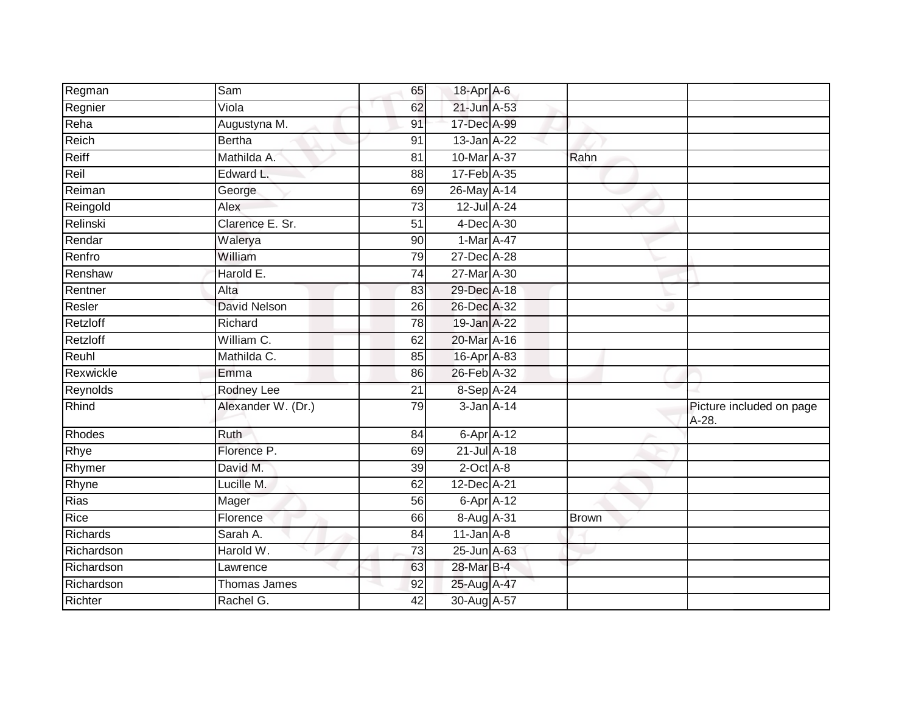| Regman        | Sam                 | 65              | 18-Apr A-6         |              |                                   |
|---------------|---------------------|-----------------|--------------------|--------------|-----------------------------------|
| Regnier       | Viola               | 62              | 21-Jun A-53        |              |                                   |
| Reha          | Augustyna M.        | 91              | 17-Dec A-99        |              |                                   |
| Reich         | <b>Bertha</b>       | 91              | $13$ -Jan $A-22$   |              |                                   |
| Reiff         | Mathilda A.         | $\overline{81}$ | 10-Mar A-37        | Rahn         |                                   |
| Reil          | Edward L.           | 88              | 17-Feb A-35        |              |                                   |
| Reiman        | George              | 69              | 26-May A-14        |              |                                   |
| Reingold      | Alex                | $\overline{73}$ | 12-Jul A-24        |              |                                   |
| Relinski      | Clarence E. Sr.     | 51              | 4-Dec A-30         |              |                                   |
| Rendar        | Walerya             | 90              | 1-Mar A-47         |              |                                   |
| Renfro        | William             | 79              | 27-Dec A-28        |              |                                   |
| Renshaw       | Harold E.           | $\overline{74}$ | 27-Mar A-30        |              |                                   |
| Rentner       | Alta                | 83              | 29-Dec A-18        |              |                                   |
| Resler        | <b>David Nelson</b> | 26              | 26-Dec A-32        |              |                                   |
| Retzloff      | Richard             | 78              | 19-Jan A-22        |              |                                   |
| Retzloff      | William C.          | 62              | 20-Mar A-16        |              |                                   |
| Reuhl         | Mathilda C.         | 85              | 16-Apr A-83        |              |                                   |
| Rexwickle     | Emma                | 86              | 26-Feb A-32        |              |                                   |
| Reynolds      | Rodney Lee          | 21              | 8-Sep A-24         |              |                                   |
| Rhind         | Alexander W. (Dr.)  | 79              | $3 - Jan$ $A - 14$ |              | Picture included on page<br>A-28. |
| <b>Rhodes</b> | <b>Ruth</b>         | 84              | $6$ -Apr $A$ -12   |              |                                   |
| Rhye          | Florence P.         | 69              | $21$ -Jul A-18     |              |                                   |
| Rhymer        | David M.            | 39              | $2$ -Oct $A$ -8    |              |                                   |
| Rhyne         | Lucille M.          | 62              | 12-Dec A-21        |              |                                   |
| <b>Rias</b>   | Mager               | 56              | 6-Apr A-12         |              |                                   |
| Rice          | Florence            | 66              | 8-Aug A-31         | <b>Brown</b> |                                   |
| Richards      | Sarah A.            | 84              | $11$ -Jan $A$ -8   |              |                                   |
| Richardson    | Harold W.           | $\overline{73}$ | 25-Jun A-63        |              |                                   |
| Richardson    | Lawrence            | 63              | 28-Mar B-4         |              |                                   |
| Richardson    | <b>Thomas James</b> | 92              | 25-Aug A-47        |              |                                   |
| Richter       | Rachel G.           | 42              | 30-Aug A-57        |              |                                   |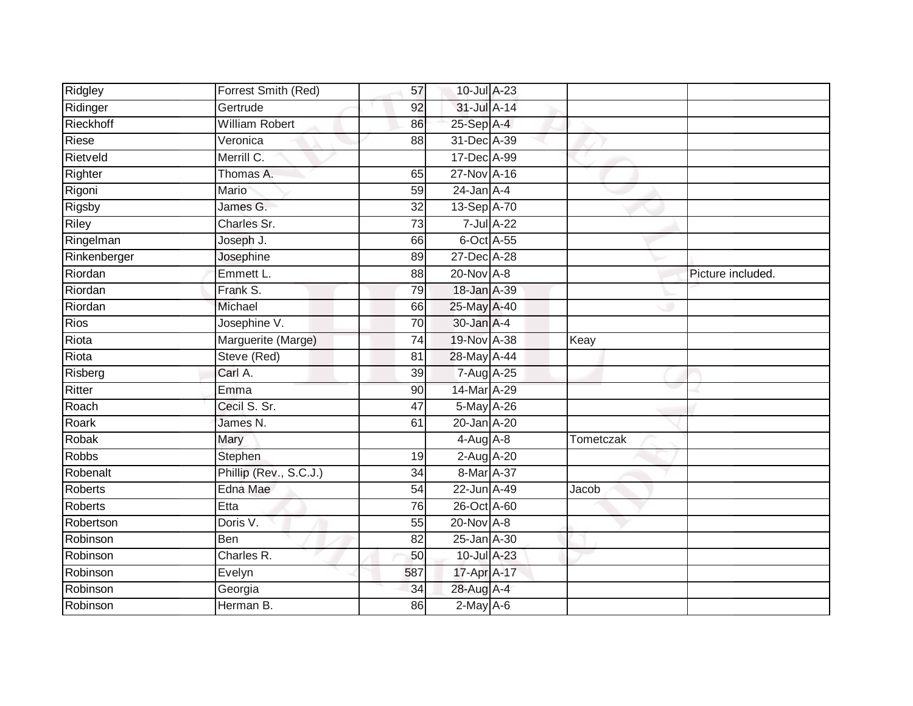| Ridgley        | Forrest Smith (Red)    | 57              | 10-Jul A-23      |                  |           |                   |
|----------------|------------------------|-----------------|------------------|------------------|-----------|-------------------|
| Ridinger       | Gertrude               | 92              | $31$ -Jul $A-14$ |                  |           |                   |
| Rieckhoff      | <b>William Robert</b>  | 86              | 25-Sep A-4       |                  |           |                   |
| Riese          | Veronica               | 88              | 31-Dec A-39      |                  |           |                   |
| Rietveld       | Merrill C.             |                 | 17-Dec A-99      |                  |           |                   |
| Righter        | Thomas A.              | 65              | 27-Nov A-16      |                  |           |                   |
| Rigoni         | Mario                  | 59              | $24$ -Jan $A-4$  |                  |           |                   |
| Rigsby         | James G.               | 32              | 13-Sep A-70      |                  |           |                   |
| Riley          | Charles Sr.            | 73              |                  | $7$ -Jul $A$ -22 |           |                   |
| Ringelman      | Joseph J.              | 66              | 6-Oct A-55       |                  |           |                   |
| Rinkenberger   | Josephine              | 89              | 27-Dec A-28      |                  |           |                   |
| Riordan        | Emmett L.              | 88              | $20$ -Nov $A-8$  |                  |           | Picture included. |
| Riordan        | Frank S.               | 79              | 18-Jan A-39      |                  |           |                   |
| Riordan        | Michael                | 66              | 25-May A-40      |                  |           |                   |
| <b>Rios</b>    | Josephine V.           | 70              | 30-Jan A-4       |                  |           |                   |
| Riota          | Marguerite (Marge)     | 74              | 19-Nov A-38      |                  | Keay      |                   |
| Riota          | Steve (Red)            | 81              | 28-May A-44      |                  |           |                   |
| Risberg        | Carl A.                | 39              | 7-Aug A-25       |                  |           |                   |
| Ritter         | Emma                   | 90              | 14-Mar A-29      |                  |           |                   |
| Roach          | Cecil S. Sr.           | 47              | 5-May A-26       |                  |           |                   |
| Roark          | James N.               | 61              | 20-Jan A-20      |                  |           |                   |
| Robak          | <b>Mary</b>            |                 | $4-Aug$ $A-8$    |                  | Tometczak |                   |
| <b>Robbs</b>   | Stephen                | 19              | $2$ -Aug $A$ -20 |                  |           |                   |
| Robenalt       | Phillip (Rev., S.C.J.) | 34              | 8-Mar A-37       |                  |           |                   |
| <b>Roberts</b> | Edna Mae               | 54              | 22-Jun A-49      |                  | Jacob     |                   |
| Roberts        | Etta                   | 76              | 26-Oct A-60      |                  |           |                   |
| Robertson      | Doris V.               | $\overline{55}$ | $20$ -Nov $A-8$  |                  |           |                   |
| Robinson       | Ben                    | 82              | 25-Jan A-30      |                  |           |                   |
| Robinson       | Charles R.             | 50              | 10-Jul A-23      |                  |           |                   |
| Robinson       | Evelyn                 | 587             | 17-Apr A-17      |                  |           |                   |
| Robinson       | Georgia                | 34              | 28-Aug A-4       |                  |           |                   |
| Robinson       | Herman B.              | 86              | $2-May$ $A-6$    |                  |           |                   |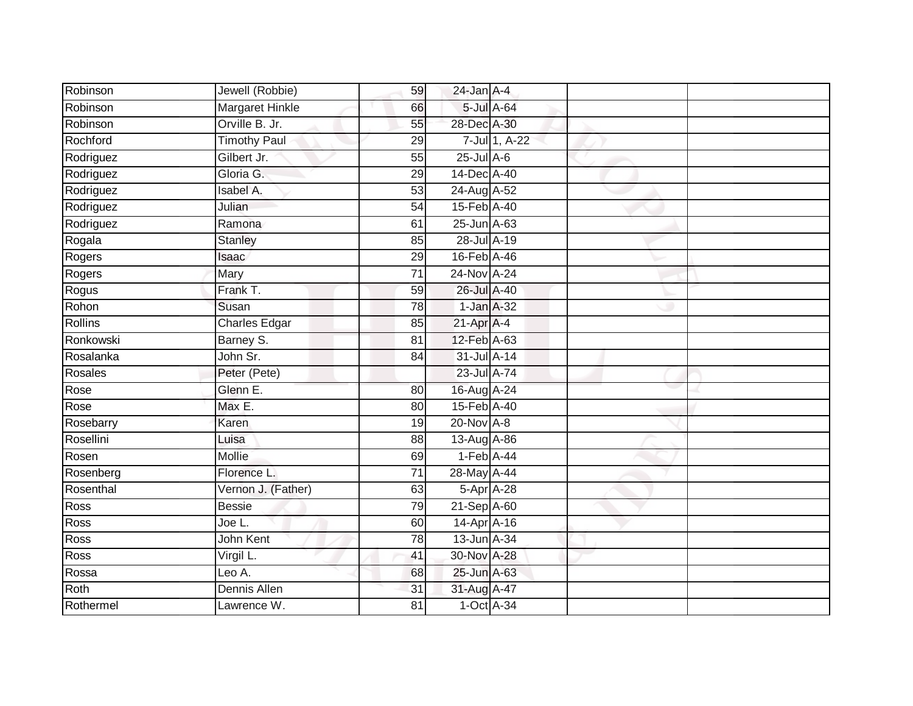| Robinson       | Jewell (Robbie)        | 59              | $24$ -Jan $A-4$ |               |  |
|----------------|------------------------|-----------------|-----------------|---------------|--|
| Robinson       | <b>Margaret Hinkle</b> | 66              |                 | 5-Jul A-64    |  |
| Robinson       | Orville B. Jr.         | 55              | 28-Dec A-30     |               |  |
| Rochford       | <b>Timothy Paul</b>    | 29              |                 | 7-Jul 1, A-22 |  |
| Rodriguez      | Gilbert Jr.            | $\overline{55}$ | $25$ -Jul $A-6$ |               |  |
| Rodriguez      | Gloria G.              | $\overline{29}$ | 14-Dec A-40     |               |  |
| Rodriguez      | Isabel A.              | 53              | 24-Aug A-52     |               |  |
| Rodriguez      | Julian                 | $\overline{54}$ | 15-Feb A-40     |               |  |
| Rodriguez      | Ramona                 | 61              | 25-Jun A-63     |               |  |
| Rogala         | <b>Stanley</b>         | 85              | 28-Jul A-19     |               |  |
| Rogers         | Isaac                  | 29              | 16-Feb A-46     |               |  |
| Rogers         | Mary                   | $\overline{71}$ | 24-Nov A-24     |               |  |
| Rogus          | Frank T.               | 59              | 26-Jul A-40     |               |  |
| Rohon          | Susan                  | 78              | 1-Jan A-32      |               |  |
| <b>Rollins</b> | <b>Charles Edgar</b>   | 85              | $21-Apr$ A-4    |               |  |
| Ronkowski      | Barney S.              | 81              | 12-Feb A-63     |               |  |
| Rosalanka      | John Sr.               | 84              | 31-Jul A-14     |               |  |
| Rosales        | Peter (Pete)           |                 | 23-Jul A-74     |               |  |
| Rose           | Glenn E.               | 80              | 16-Aug A-24     |               |  |
| Rose           | Max E.                 | 80              | 15-Feb A-40     |               |  |
| Rosebarry      | Karen                  | 19              | $20$ -Nov $A-8$ |               |  |
| Rosellini      | Luisa                  | 88              | 13-Aug A-86     |               |  |
| Rosen          | Mollie                 | 69              | $1-Feb$ A-44    |               |  |
| Rosenberg      | Florence L.            | $\overline{71}$ | 28-May A-44     |               |  |
| Rosenthal      | Vernon J. (Father)     | 63              | $5-Apr$ A-28    |               |  |
| Ross           | <b>Bessie</b>          | 79              | 21-Sep A-60     |               |  |
| <b>Ross</b>    | Joe L.                 | 60              | 14-Apr A-16     |               |  |
| <b>Ross</b>    | John Kent              | 78              | 13-Jun A-34     |               |  |
| <b>Ross</b>    | Virgil L.              | 41              | 30-Nov A-28     |               |  |
| Rossa          | Leo A.                 | 68              | 25-Jun A-63     |               |  |
| Roth           | Dennis Allen           | 31              | 31-Aug A-47     |               |  |
| Rothermel      | Lawrence W.            | 81              | $1-Oct$ A-34    |               |  |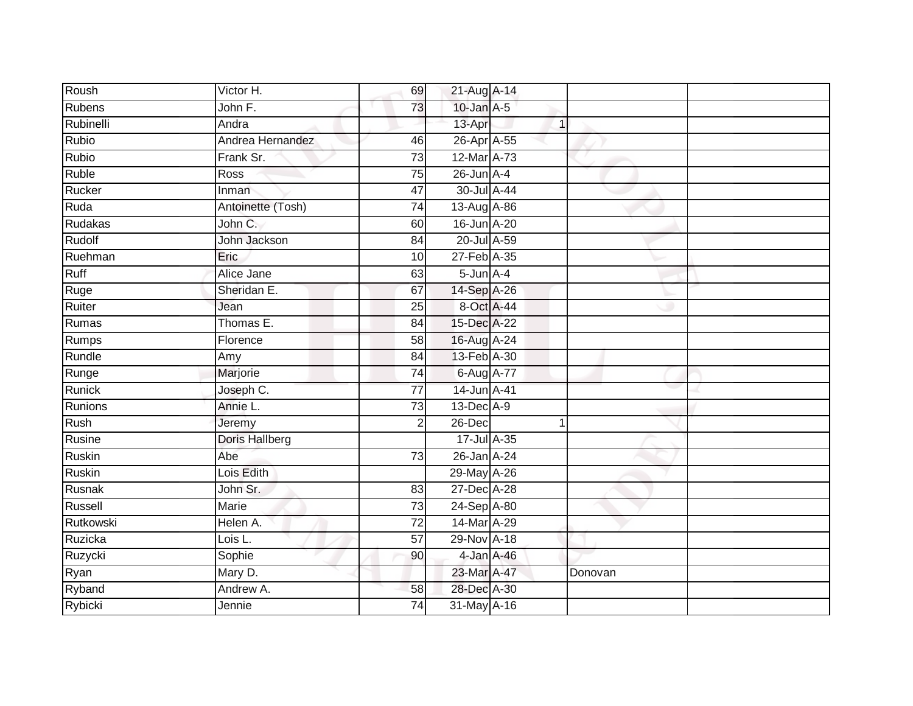| Roush         | Victor H.             | 69              | 21-Aug A-14     |              |         |  |
|---------------|-----------------------|-----------------|-----------------|--------------|---------|--|
| <b>Rubens</b> | John F.               | 73              | $10$ -Jan $A-5$ |              |         |  |
| Rubinelli     | Andra                 |                 | 13-Apr          | $\mathbf{1}$ |         |  |
| Rubio         | Andrea Hernandez      | 46              | 26-Apr A-55     |              |         |  |
| <b>Rubio</b>  | Frank Sr.             | $\overline{73}$ | 12-Mar A-73     |              |         |  |
| <b>Ruble</b>  | Ross                  | 75              | $26$ -Jun $A-4$ |              |         |  |
| Rucker        | Inman                 | 47              | 30-Jul A-44     |              |         |  |
| Ruda          | Antoinette (Tosh)     | 74              | 13-Aug A-86     |              |         |  |
| Rudakas       | John C.               | 60              | 16-Jun A-20     |              |         |  |
| Rudolf        | John Jackson          | 84              | 20-Jul A-59     |              |         |  |
| Ruehman       | Eric                  | 10              | 27-Feb A-35     |              |         |  |
| Ruff          | Alice Jane            | 63              | $5$ -Jun $A-4$  |              |         |  |
| Ruge          | Sheridan E.           | 67              | 14-Sep A-26     |              |         |  |
| Ruiter        | Jean                  | 25              | 8-Oct A-44      |              |         |  |
| Rumas         | Thomas E.             | 84              | 15-Dec A-22     |              |         |  |
| Rumps         | Florence              | 58              | 16-Aug A-24     |              |         |  |
| Rundle        | Amy                   | $\overline{84}$ | 13-Feb A-30     |              |         |  |
| Runge         | Marjorie              | 74              | 6-Aug A-77      |              |         |  |
| Runick        | Joseph C.             | $\overline{77}$ | 14-Jun A-41     |              |         |  |
| Runions       | Annie L.              | $\overline{73}$ | 13-Dec A-9      |              |         |  |
| Rush          | Jeremy                | $\overline{2}$  | 26-Dec          | 1            |         |  |
| Rusine        | <b>Doris Hallberg</b> |                 | 17-Jul A-35     |              |         |  |
| <b>Ruskin</b> | Abe                   | 73              | 26-Jan A-24     |              |         |  |
| <b>Ruskin</b> | Lois Edith            |                 | 29-May A-26     |              |         |  |
| Rusnak        | John Sr.              | 83              | 27-Dec A-28     |              |         |  |
| Russell       | Marie                 | 73              | 24-Sep A-80     |              |         |  |
| Rutkowski     | Helen A.              | $\overline{72}$ | 14-Mar A-29     |              |         |  |
| Ruzicka       | Lois L.               | 57              | 29-Nov A-18     |              |         |  |
| Ruzycki       | Sophie                | 90              | 4-Jan A-46      |              |         |  |
| Ryan          | Mary D.               |                 | 23-Mar A-47     |              | Donovan |  |
| Ryband        | Andrew A.             | 58              | 28-Dec A-30     |              |         |  |
| Rybicki       | Jennie                | $\overline{74}$ | 31-May A-16     |              |         |  |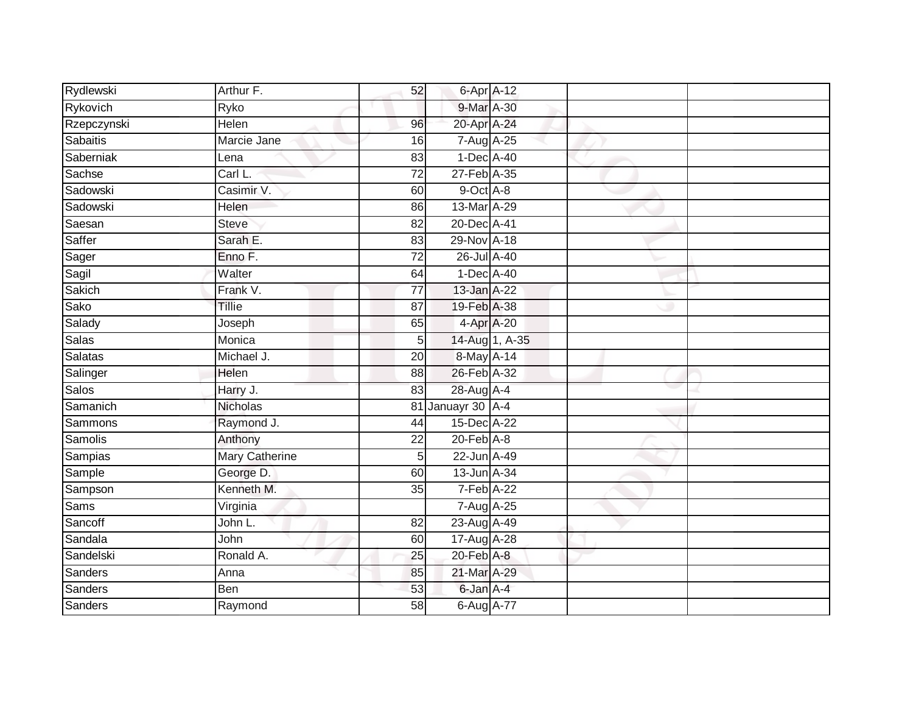| Rydlewski       | Arthur F.             | 52              | 6-Apr A-12        |                |  |
|-----------------|-----------------------|-----------------|-------------------|----------------|--|
| Rykovich        | Ryko                  |                 | 9-Mar A-30        |                |  |
| Rzepczynski     | <b>Helen</b>          | 96              | 20-Apr A-24       |                |  |
| <b>Sabaitis</b> | Marcie Jane           | 16              | 7-Aug A-25        |                |  |
| Saberniak       | Lena                  | $\overline{83}$ | 1-Dec A-40        |                |  |
| Sachse          | Carl L.               | $\overline{72}$ | 27-Feb A-35       |                |  |
| Sadowski        | Casimir V.            | 60              | 9-Oct A-8         |                |  |
| Sadowski        | Helen                 | 86              | 13-Mar A-29       |                |  |
| Saesan          | <b>Steve</b>          | 82              | 20-Dec A-41       |                |  |
| Saffer          | Sarah E.              | 83              | 29-Nov A-18       |                |  |
| Sager           | Enno F.               | 72              | 26-Jul A-40       |                |  |
| Sagil           | Walter                | 64              | 1-Dec A-40        |                |  |
| Sakich          | Frank V.              | $\overline{77}$ | 13-Jan A-22       |                |  |
| Sako            | <b>Tillie</b>         | 87              | 19-Feb A-38       |                |  |
| Salady          | Joseph                | 65              | 4-Apr A-20        |                |  |
| <b>Salas</b>    | Monica                | 5               |                   | 14-Aug 1, A-35 |  |
| <b>Salatas</b>  | Michael J.            | 20              | 8-May A-14        |                |  |
| Salinger        | Helen                 | 88              | 26-Feb A-32       |                |  |
| <b>Salos</b>    | Harry J.              | 83              | 28-Aug A-4        |                |  |
| Samanich        | Nicholas              |                 | 81 Januayr 30 A-4 |                |  |
| Sammons         | Raymond J.            | 44              | 15-Dec A-22       |                |  |
| Samolis         | Anthony               | $\overline{22}$ | $20$ -Feb $A-8$   |                |  |
| Sampias         | <b>Mary Catherine</b> | 5               | 22-Jun A-49       |                |  |
| Sample          | George D.             | 60              | 13-Jun A-34       |                |  |
| Sampson         | Kenneth M.            | 35              | 7-Feb A-22        |                |  |
| Sams            | Virginia              |                 | 7-Aug A-25        |                |  |
| Sancoff         | John L.               | 82              | 23-Aug A-49       |                |  |
| Sandala         | John                  | 60              | 17-Aug A-28       |                |  |
| Sandelski       | Ronald A.             | 25              | 20-Feb A-8        |                |  |
| Sanders         | Anna                  | 85              | 21-Mar A-29       |                |  |
| Sanders         | Ben                   | 53              | 6-Jan A-4         |                |  |
| <b>Sanders</b>  | Raymond               | $\overline{58}$ | 6-Aug A-77        |                |  |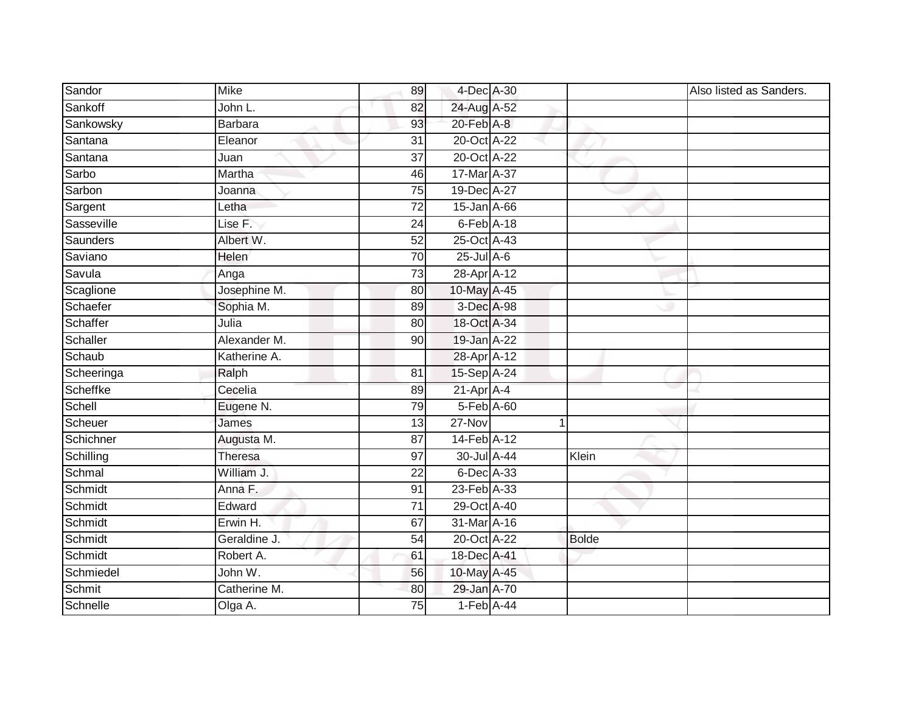| Sandor     | <b>Mike</b>    | 89              | 4-Dec A-30                  |              | Also listed as Sanders. |
|------------|----------------|-----------------|-----------------------------|--------------|-------------------------|
| Sankoff    | John L.        | 82              | 24-Aug A-52                 |              |                         |
| Sankowsky  | <b>Barbara</b> | 93              | $20$ -Feb $A-8$             |              |                         |
| Santana    | Eleanor        | 31              | 20-Oct A-22                 |              |                         |
| Santana    | Juan           | $\overline{37}$ | 20-Oct A-22                 |              |                         |
| Sarbo      | Martha         | 46              | 17-Mar A-37                 |              |                         |
| Sarbon     | Joanna         | 75              | 19-Dec A-27                 |              |                         |
| Sargent    | Letha          | 72              | 15-Jan A-66                 |              |                         |
| Sasseville | Lise F.        | 24              | $6$ -Feb $A$ -18            |              |                         |
| Saunders   | Albert W.      | 52              | 25-Oct A-43                 |              |                         |
| Saviano    | Helen          | 70              | $25$ -Jul A-6               |              |                         |
| Savula     | Anga           | $\overline{73}$ | 28-Apr A-12                 |              |                         |
| Scaglione  | Josephine M.   | 80              | 10-May A-45                 |              |                         |
| Schaefer   | Sophia M.      | 89              | 3-Dec A-98                  |              |                         |
| Schaffer   | Julia          | 80              | 18-Oct A-34                 |              |                         |
| Schaller   | Alexander M.   | 90              | 19-Jan A-22                 |              |                         |
| Schaub     | Katherine A.   |                 | 28-Apr A-12                 |              |                         |
| Scheeringa | Ralph          | 81              | 15-Sep A-24                 |              |                         |
| Scheffke   | Cecelia        | 89              | $21$ -Apr $A$ -4            |              |                         |
| Schell     | Eugene N.      | 79              | $5$ -Feb $\overline{A}$ -60 |              |                         |
| Scheuer    | James          | 13              | $27 - Nov$                  |              |                         |
| Schichner  | Augusta M.     | $\overline{87}$ | 14-Feb A-12                 |              |                         |
| Schilling  | Theresa        | 97              | 30-Jul A-44                 | Klein        |                         |
| Schmal     | William J.     | 22              | 6-Dec A-33                  |              |                         |
| Schmidt    | Anna F.        | 91              | 23-Feb A-33                 |              |                         |
| Schmidt    | Edward         | 71              | 29-Oct A-40                 |              |                         |
| Schmidt    | Erwin H.       | 67              | 31-Mar A-16                 |              |                         |
| Schmidt    | Geraldine J.   | 54              | 20-Oct A-22                 | <b>Bolde</b> |                         |
| Schmidt    | Robert A.      | 61              | 18-Dec A-41                 |              |                         |
| Schmiedel  | John W.        | 56              | 10-May A-45                 |              |                         |
| Schmit     | Catherine M.   | 80              | 29-Jan A-70                 |              |                         |
| Schnelle   | Olga A.        | 75              | $1-Feb$ A-44                |              |                         |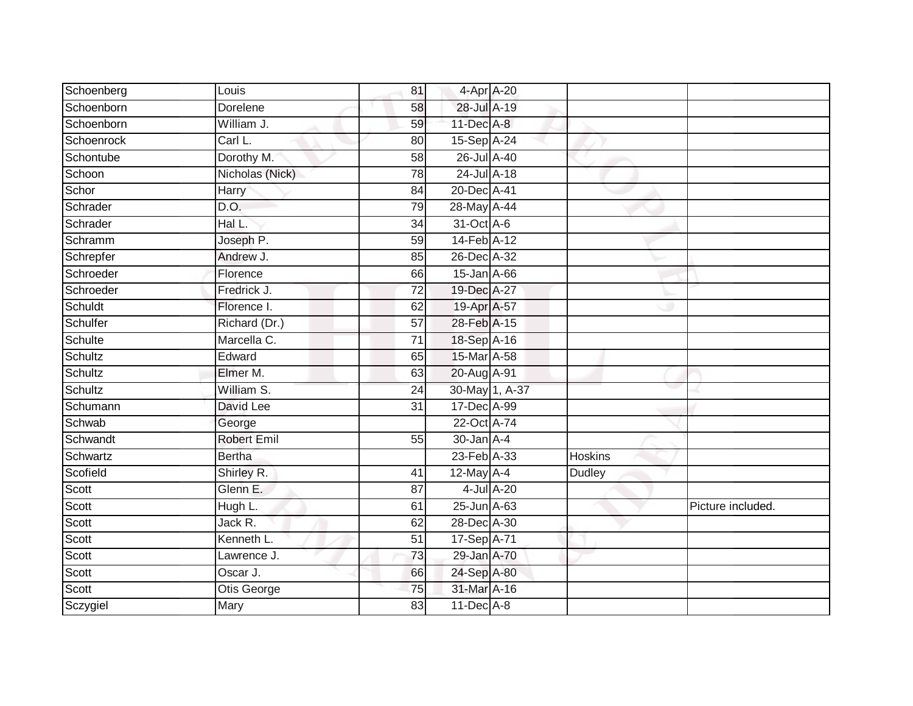| Schoenberg | Louis              | 81              | 4-Apr A-20       |                |                |                   |
|------------|--------------------|-----------------|------------------|----------------|----------------|-------------------|
| Schoenborn | Dorelene           | 58              | 28-Jul A-19      |                |                |                   |
| Schoenborn | William J.         | 59              | 11-Dec A-8       |                |                |                   |
| Schoenrock | Carl L.            | 80              | 15-Sep A-24      |                |                |                   |
| Schontube  | Dorothy M.         | $\overline{58}$ | 26-Jul A-40      |                |                |                   |
| Schoon     | Nicholas (Nick)    | 78              | 24-Jul A-18      |                |                |                   |
| Schor      | Harry              | 84              | 20-Dec A-41      |                |                |                   |
| Schrader   | D.O.               | 79              | 28-May A-44      |                |                |                   |
| Schrader   | Hal L.             | 34              | 31-Oct A-6       |                |                |                   |
| Schramm    | Joseph P.          | 59              | 14-Feb A-12      |                |                |                   |
| Schrepfer  | Andrew J.          | 85              | 26-Dec A-32      |                |                |                   |
| Schroeder  | Florence           | 66              | 15-Jan A-66      |                |                |                   |
| Schroeder  | Fredrick J.        | 72              | 19-Dec A-27      |                |                |                   |
| Schuldt    | Florence I.        | 62              | 19-Apr A-57      |                |                |                   |
| Schulfer   | Richard (Dr.)      | $\overline{57}$ | 28-Feb A-15      |                |                |                   |
| Schulte    | Marcella C.        | $\overline{71}$ | 18-Sep A-16      |                |                |                   |
| Schultz    | Edward             | 65              | 15-Mar A-58      |                |                |                   |
| Schultz    | Elmer M.           | 63              | 20-Aug A-91      |                |                |                   |
| Schultz    | William S.         | 24              |                  | 30-May 1, A-37 |                |                   |
| Schumann   | David Lee          | $\overline{31}$ | 17-Dec A-99      |                |                |                   |
| Schwab     | George             |                 | 22-Oct A-74      |                |                |                   |
| Schwandt   | <b>Robert Emil</b> | 55              | $30 - Jan A - 4$ |                |                |                   |
| Schwartz   | <b>Bertha</b>      |                 | 23-Feb A-33      |                | <b>Hoskins</b> |                   |
| Scofield   | Shirley R.         | 41              | $12$ -May $A-4$  |                | <b>Dudley</b>  |                   |
| Scott      | Glenn E.           | 87              |                  | 4-Jul A-20     |                |                   |
| Scott      | Hugh L.            | 61              | 25-Jun A-63      |                |                | Picture included. |
| Scott      | Jack R.            | 62              | 28-Dec A-30      |                |                |                   |
| Scott      | Kenneth L.         | 51              | 17-Sep A-71      |                |                |                   |
| Scott      | Lawrence J.        | 73              | 29-Jan A-70      |                |                |                   |
| Scott      | Oscar J.           | 66              | 24-Sep A-80      |                |                |                   |
| Scott      | Otis George        | 75              | 31-Mar A-16      |                |                |                   |
| Sczygiel   | Mary               | 83              | $11$ -Dec $A$ -8 |                |                |                   |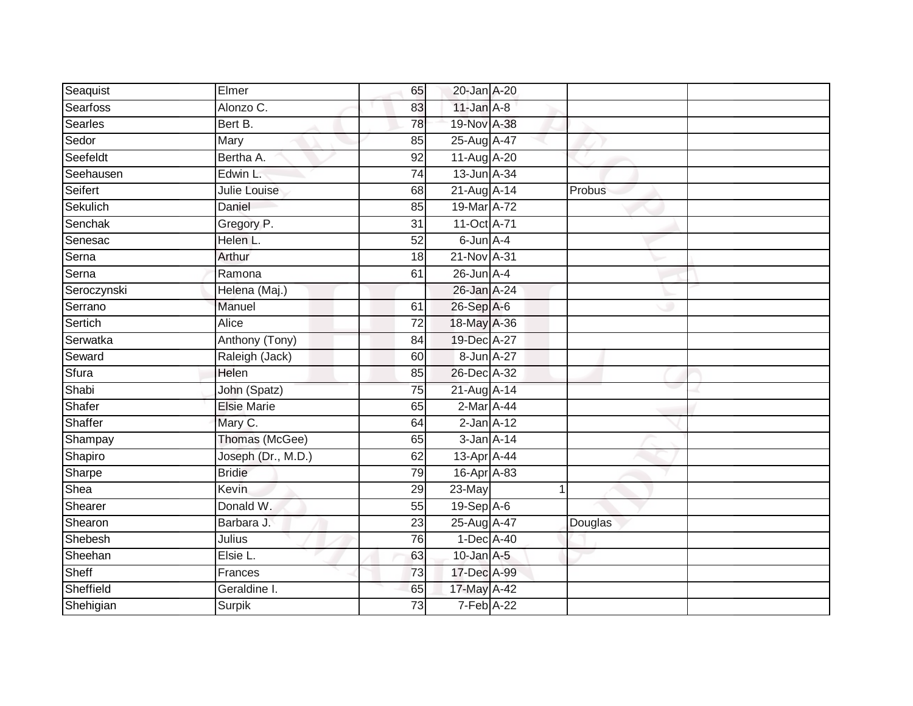| Seaquist       | Elmer              | 65              | 20-Jan A-20     |         |  |
|----------------|--------------------|-----------------|-----------------|---------|--|
| Searfoss       | Alonzo C.          | 83              | $11$ -Jan $A-8$ |         |  |
| <b>Searles</b> | Bert B.            | 78              | 19-Nov A-38     |         |  |
| Sedor          | Mary               | 85              | 25-Aug A-47     |         |  |
| Seefeldt       | Bertha A.          | $\overline{92}$ | 11-Aug A-20     |         |  |
| Seehausen      | Edwin L            | 74              | 13-Jun A-34     |         |  |
| Seifert        | Julie Louise       | 68              | 21-Aug A-14     | Probus  |  |
| Sekulich       | Daniel             | 85              | 19-Mar A-72     |         |  |
| Senchak        | Gregory P.         | 31              | 11-Oct A-71     |         |  |
| Senesac        | Helen L.           | 52              | 6-Jun A-4       |         |  |
| Serna          | Arthur             | 18              | 21-Nov A-31     |         |  |
| Serna          | Ramona             | 61              | $26$ -Jun $A-4$ |         |  |
| Seroczynski    | Helena (Maj.)      |                 | 26-Jan A-24     |         |  |
| Serrano        | Manuel             | 61              | 26-Sep A-6      |         |  |
| Sertich        | <b>Alice</b>       | $\overline{72}$ | 18-May A-36     |         |  |
| Serwatka       | Anthony (Tony)     | 84              | 19-Dec A-27     |         |  |
| Seward         | Raleigh (Jack)     | 60              | 8-Jun A-27      |         |  |
| Sfura          | Helen              | 85              | 26-Dec A-32     |         |  |
| Shabi          | John (Spatz)       | 75              | 21-Aug A-14     |         |  |
| Shafer         | <b>Elsie Marie</b> | 65              | 2-Mar A-44      |         |  |
| Shaffer        | Mary C.            | 64              | $2$ -Jan $A-12$ |         |  |
| Shampay        | Thomas (McGee)     | 65              | $3$ -Jan $A-14$ |         |  |
| Shapiro        | Joseph (Dr., M.D.) | 62              | 13-Apr A-44     |         |  |
| Sharpe         | <b>Bridie</b>      | $\overline{79}$ | 16-Apr A-83     |         |  |
| Shea           | Kevin              | 29              | 23-May          |         |  |
| Shearer        | Donald W.          | 55              | $19-Sep$ A-6    |         |  |
| Shearon        | Barbara J.         | $\overline{23}$ | 25-Aug A-47     | Douglas |  |
| Shebesh        | Julius             | 76              | $1-Dec$ A-40    |         |  |
| Sheehan        | Elsie L.           | 63              | $10$ -Jan $A-5$ |         |  |
| Sheff          | Frances            | 73              | 17-Dec A-99     |         |  |
| Sheffield      | Geraldine I.       | 65              | 17-May A-42     |         |  |
| Shehigian      | <b>Surpik</b>      | $\overline{73}$ | 7-Feb A-22      |         |  |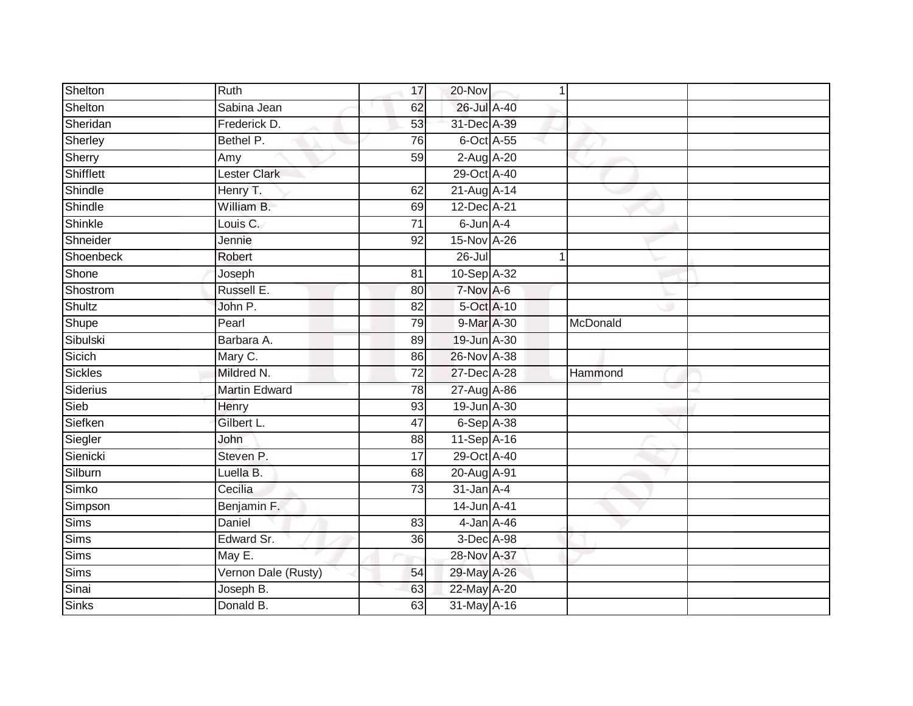| Shelton        | Ruth                 | 17              | 20-Nov          |          |  |
|----------------|----------------------|-----------------|-----------------|----------|--|
| Shelton        | Sabina Jean          | 62              | 26-Jul A-40     |          |  |
| Sheridan       | Frederick D.         | 53              | 31-Dec A-39     |          |  |
| Sherley        | Bethel P.            | 76              | 6-Oct A-55      |          |  |
| Sherry         | Amy                  | 59              | 2-Aug A-20      |          |  |
| Shifflett      | <b>Lester Clark</b>  |                 | 29-Oct A-40     |          |  |
| Shindle        | Henry T.             | 62              | 21-Aug A-14     |          |  |
| Shindle        | William B.           | 69              | 12-Dec A-21     |          |  |
| Shinkle        | Louis C.             | $\overline{71}$ | 6-Jun A-4       |          |  |
| Shneider       | Jennie               | 92              | 15-Nov A-26     |          |  |
| Shoenbeck      | Robert               |                 | $26 -$ Jul      |          |  |
| Shone          | Joseph               | $\overline{81}$ | 10-Sep A-32     |          |  |
| Shostrom       | Russell E.           | 80              | 7-Nov A-6       |          |  |
| Shultz         | John P.              | 82              | 5-Oct A-10      |          |  |
| Shupe          | Pearl                | 79              | 9-Mar A-30      | McDonald |  |
| Sibulski       | Barbara A.           | 89              | 19-Jun A-30     |          |  |
| Sicich         | Mary C.              | 86              | 26-Nov A-38     |          |  |
| <b>Sickles</b> | Mildred N.           | 72              | 27-Dec A-28     | Hammond  |  |
| Siderius       | <b>Martin Edward</b> | 78              | 27-Aug A-86     |          |  |
| Sieb           | Henry                | 93              | 19-Jun A-30     |          |  |
| Siefken        | Gilbert L.           | 47              | 6-Sep A-38      |          |  |
| Siegler        | John                 | 88              | 11-Sep A-16     |          |  |
| Sienicki       | Steven P.            | 17              | 29-Oct A-40     |          |  |
| Silburn        | Luella B.            | 68              | 20-Aug A-91     |          |  |
| Simko          | Cecilia              | 73              | $31$ -Jan $A-4$ |          |  |
| Simpson        | Benjamin F.          |                 | 14-Jun A-41     |          |  |
| <b>Sims</b>    | Daniel               | 83              | 4-Jan A-46      |          |  |
| Sims           | Edward Sr.           | 36              | 3-Dec A-98      |          |  |
| Sims           | May E.               |                 | 28-Nov A-37     |          |  |
| Sims           | Vernon Dale (Rusty)  | 54              | 29-May A-26     |          |  |
| Sinai          | Joseph B.            | 63              | 22-May A-20     |          |  |
| <b>Sinks</b>   | Donald B.            | 63              | 31-May A-16     |          |  |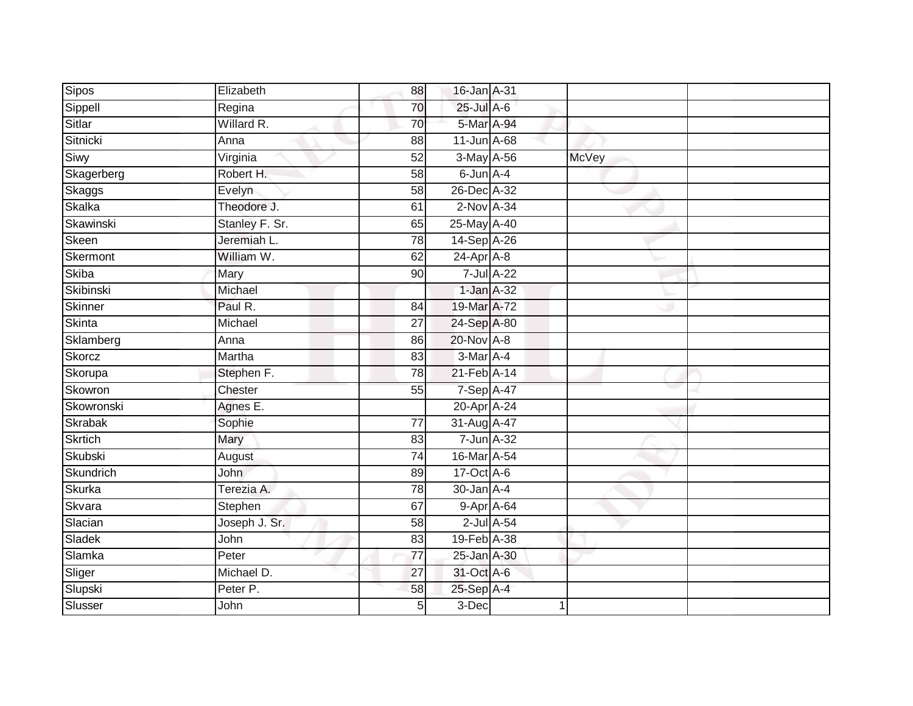| Sipos          | Elizabeth      | 88              | 16-Jan A-31       |              |  |
|----------------|----------------|-----------------|-------------------|--------------|--|
| Sippell        | Regina         | 70              | $25$ -Jul $A$ -6  |              |  |
| Sitlar         | Willard R.     | 70              | 5-Mar A-94        |              |  |
| Sitnicki       | Anna           | 88              | $11$ -Jun $A$ -68 |              |  |
| Siwy           | Virginia       | 52              | 3-May A-56        | <b>McVey</b> |  |
| Skagerberg     | Robert H.      | 58              | 6-Jun A-4         |              |  |
| Skaggs         | Evelyn         | 58              | 26-Dec A-32       |              |  |
| Skalka         | Theodore J.    | 61              | $2$ -Nov $A-34$   |              |  |
| Skawinski      | Stanley F. Sr. | 65              | 25-May A-40       |              |  |
| Skeen          | Jeremiah L.    | 78              | 14-Sep A-26       |              |  |
| Skermont       | William W.     | 62              | $24$ -Apr $A$ -8  |              |  |
| <b>Skiba</b>   | Mary           | 90              | $7$ -Jul $A-22$   |              |  |
| Skibinski      | Michael        |                 | $1$ -Jan $A-32$   |              |  |
| Skinner        | Paul R.        | 84              | 19-Mar A-72       |              |  |
| <b>Skinta</b>  | Michael        | $\overline{27}$ | 24-Sep A-80       |              |  |
| Sklamberg      | Anna           | 86              | 20-Nov A-8        |              |  |
| Skorcz         | Martha         | 83              | $3-Mar$ A-4       |              |  |
| Skorupa        | Stephen F.     | 78              | 21-Feb A-14       |              |  |
| Skowron        | Chester        | 55              | 7-Sep A-47        |              |  |
| Skowronski     | Agnes E.       |                 | 20-Apr A-24       |              |  |
| Skrabak        | Sophie         | $\overline{77}$ | 31-Aug A-47       |              |  |
| <b>Skrtich</b> | Mary           | 83              | 7-Jun A-32        |              |  |
| Skubski        | August         | 74              | 16-Mar A-54       |              |  |
| Skundrich      | <b>John</b>    | 89              | 17-Oct A-6        |              |  |
| <b>Skurka</b>  | Terezia A.     | 78              | 30-Jan A-4        |              |  |
| Skvara         | Stephen        | 67              | 9-Apr A-64        |              |  |
| Slacian        | Joseph J. Sr.  | 58              | $2$ -Jul $A$ -54  |              |  |
| Sladek         | John           | 83              | 19-Feb A-38       |              |  |
| Slamka         | Peter          | 77              | 25-Jan A-30       |              |  |
| Sliger         | Michael D.     | $\overline{27}$ | 31-Oct A-6        |              |  |
| Slupski        | Peter P.       | 58              | 25-Sep A-4        |              |  |
| Slusser        | John           | 5               | $3-Dec$           |              |  |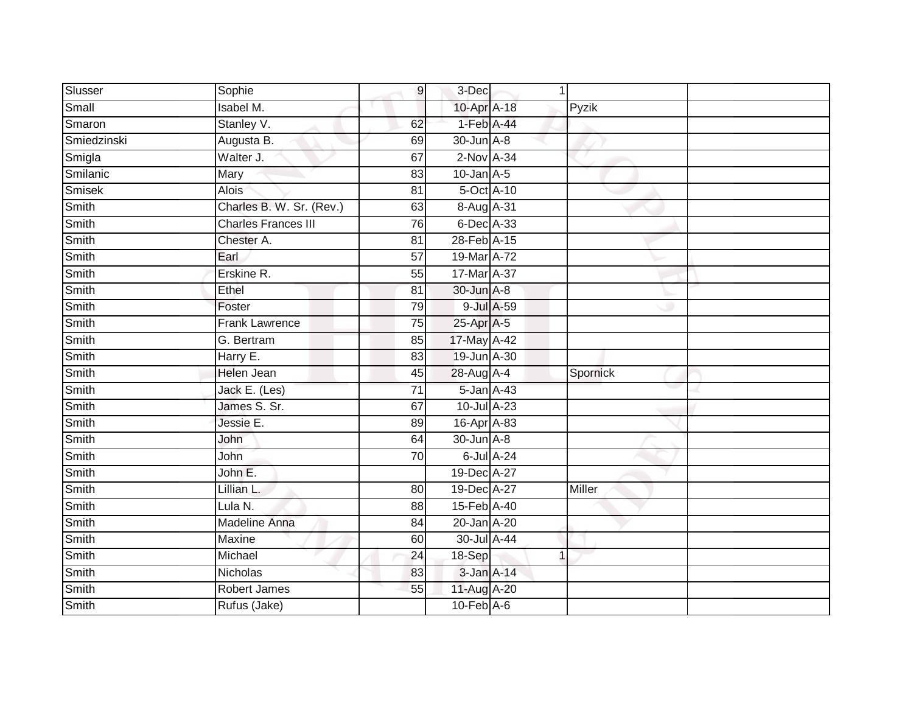| Slusser     | Sophie                     | $\overline{9}$  | 3-Dec                  |                  |          |  |
|-------------|----------------------------|-----------------|------------------------|------------------|----------|--|
| Small       | Isabel M.                  |                 | 10-Apr A-18            |                  | Pyzik    |  |
| Smaron      | Stanley V.                 | 62              | 1-Feb A-44             |                  |          |  |
| Smiedzinski | Augusta B.                 | 69              | 30-Jun A-8             |                  |          |  |
| Smigla      | Walter J.                  | 67              | 2-Nov A-34             |                  |          |  |
| Smilanic    | Mary                       | 83              | $10$ -Jan $A-5$        |                  |          |  |
| Smisek      | <b>Alois</b>               | 81              | 5-Oct A-10             |                  |          |  |
| Smith       | Charles B. W. Sr. (Rev.)   | 63              | 8-Aug A-31             |                  |          |  |
| Smith       | <b>Charles Frances III</b> | 76              | 6-Dec A-33             |                  |          |  |
| Smith       | Chester A.                 | $\overline{81}$ | 28-Feb A-15            |                  |          |  |
| Smith       | Earl                       | $\overline{57}$ | 19-Mar A-72            |                  |          |  |
| Smith       | Erskine R.                 | 55              | 17-Mar A-37            |                  |          |  |
| Smith       | Ethel                      | 81              | 30-Jun A-8             |                  |          |  |
| Smith       | Foster                     | 79              |                        | 9-Jul A-59       |          |  |
| Smith       | <b>Frank Lawrence</b>      | 75              | 25-Apr A-5             |                  |          |  |
| Smith       | G. Bertram                 | 85              | 17-May A-42            |                  |          |  |
| Smith       | Harry E.                   | 83              | 19-Jun A-30            |                  |          |  |
| Smith       | Helen Jean                 | 45              | 28-Aug A-4             |                  | Spornick |  |
| Smith       | Jack E. (Les)              | $\overline{71}$ | 5-Jan A-43             |                  |          |  |
| Smith       | James S. Sr.               | 67              | 10-Jul A-23            |                  |          |  |
| Smith       | Jessie E.                  | 89              | 16-Apr <sup>A-83</sup> |                  |          |  |
| Smith       | John                       | 64              | 30-Jun A-8             |                  |          |  |
| Smith       | John                       | 70              |                        | $6$ -Jul $A$ -24 |          |  |
| Smith       | John E.                    |                 | 19-Dec A-27            |                  |          |  |
| Smith       | Lillian L.                 | 80              | 19-Dec A-27            |                  | Miller   |  |
| Smith       | Lula N.                    | 88              | 15-Feb A-40            |                  |          |  |
| Smith       | <b>Madeline Anna</b>       | $\overline{84}$ | 20-Jan A-20            |                  |          |  |
| Smith       | Maxine                     | 60              | 30-Jul A-44            |                  |          |  |
| Smith       | Michael                    | 24              | 18-Sep                 |                  |          |  |
| Smith       | Nicholas                   | 83              | 3-Jan A-14             |                  |          |  |
| Smith       | Robert James               | 55              | 11-Aug A-20            |                  |          |  |
| Smith       | Rufus (Jake)               |                 | $10-Feb$ $A-6$         |                  |          |  |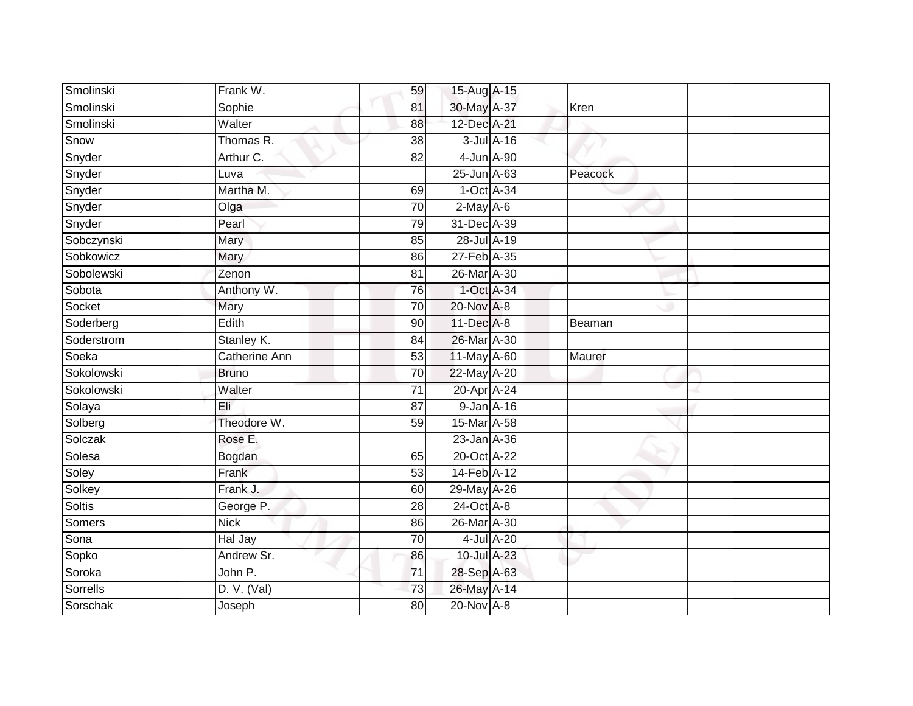| Smolinski  | Frank W.             | 59              | 15-Aug A-15  |                  |         |  |
|------------|----------------------|-----------------|--------------|------------------|---------|--|
| Smolinski  | Sophie               | 81              | 30-May A-37  |                  | Kren    |  |
| Smolinski  | Walter               | 88              | 12-Dec A-21  |                  |         |  |
| Snow       | Thomas R.            | 38              |              | $3$ -Jul $A$ -16 |         |  |
| Snyder     | Arthur C.            | $\overline{82}$ | 4-Jun A-90   |                  |         |  |
| Snyder     | Luva                 |                 | 25-Jun A-63  |                  | Peacock |  |
| Snyder     | Martha M.            | 69              | 1-Oct A-34   |                  |         |  |
| Snyder     | Olga                 | 70              | $2$ -May A-6 |                  |         |  |
| Snyder     | Pearl                | 79              | 31-Dec A-39  |                  |         |  |
| Sobczynski | <b>Mary</b>          | 85              | 28-Jul A-19  |                  |         |  |
| Sobkowicz  | Mary                 | 86              | 27-Feb A-35  |                  |         |  |
| Sobolewski | Zenon                | 81              | 26-Mar A-30  |                  |         |  |
| Sobota     | Anthony W.           | 76              | 1-Oct A-34   |                  |         |  |
| Socket     | Mary                 | 70              | 20-Nov A-8   |                  |         |  |
| Soderberg  | Edith                | 90              | 11-Dec A-8   |                  | Beaman  |  |
| Soderstrom | Stanley K.           | 84              | 26-Mar A-30  |                  |         |  |
| Soeka      | <b>Catherine Ann</b> | 53              | 11-May A-60  |                  | Maurer  |  |
| Sokolowski | <b>Bruno</b>         | 70              | 22-May A-20  |                  |         |  |
| Sokolowski | Walter               | 71              | 20-Apr A-24  |                  |         |  |
| Solaya     | Eli                  | 87              | 9-Jan A-16   |                  |         |  |
| Solberg    | Theodore W.          | 59              | 15-Mar A-58  |                  |         |  |
| Solczak    | Rose E.              |                 | 23-Jan A-36  |                  |         |  |
| Solesa     | Bogdan               | 65              | 20-Oct A-22  |                  |         |  |
| Soley      | Frank                | $\overline{53}$ | 14-Feb A-12  |                  |         |  |
| Solkey     | Frank J.             | 60              | 29-May A-26  |                  |         |  |
| Soltis     | George P.            | 28              | 24-Oct A-8   |                  |         |  |
| Somers     | <b>Nick</b>          | 86              | 26-Mar A-30  |                  |         |  |
| Sona       | Hal Jay              | 70              |              | $4$ -Jul $A$ -20 |         |  |
| Sopko      | Andrew Sr.           | 86              | 10-Jul A-23  |                  |         |  |
| Soroka     | John P.              | $\overline{71}$ | 28-Sep A-63  |                  |         |  |
| Sorrells   | D. V. (Val)          | 73              | 26-May A-14  |                  |         |  |
| Sorschak   | Joseph               | $\overline{80}$ | 20-Nov A-8   |                  |         |  |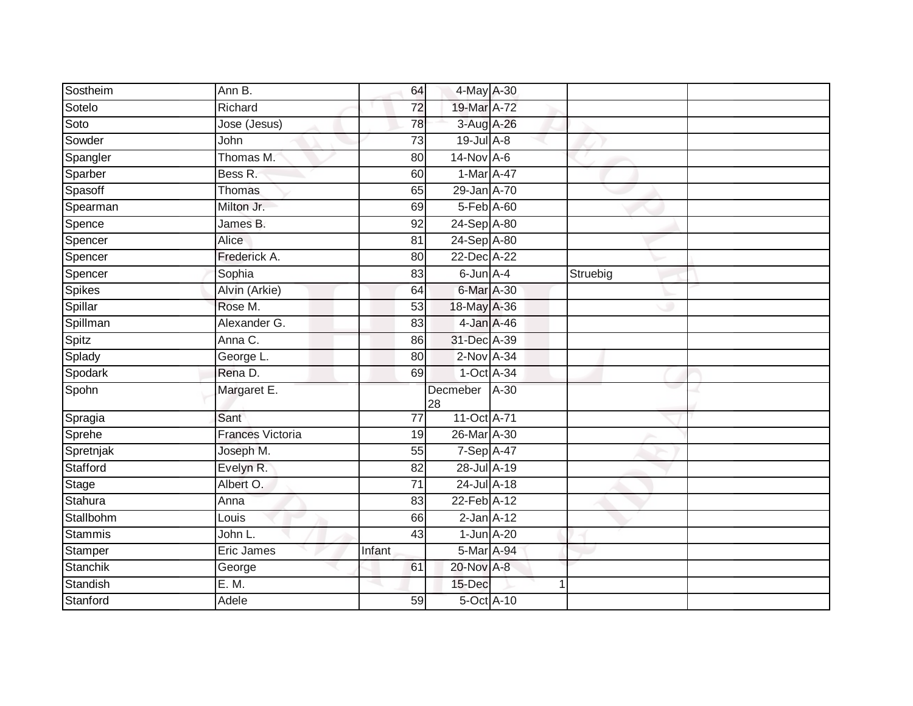| Sostheim      | Ann B.                  | 64              | 4-May A-30                  |        |          |  |
|---------------|-------------------------|-----------------|-----------------------------|--------|----------|--|
| Sotelo        | Richard                 | 72              | 19-Mar A-72                 |        |          |  |
| Soto          | Jose (Jesus)            | 78              | 3-Aug A-26                  |        |          |  |
| Sowder        | John                    | 73              | $19$ -Jul $A-8$             |        |          |  |
| Spangler      | Thomas M.               | 80              | $14$ -Nov $A$ -6            |        |          |  |
| Sparber       | Bess R.                 | 60              | 1-Mar A-47                  |        |          |  |
| Spasoff       | Thomas                  | 65              | 29-Jan A-70                 |        |          |  |
| Spearman      | Milton Jr.              | 69              | 5-Feb A-60                  |        |          |  |
| Spence        | James B.                | 92              | 24-Sep A-80                 |        |          |  |
| Spencer       | Alice                   | 81              | 24-Sep A-80                 |        |          |  |
| Spencer       | Frederick A.            | 80              | 22-Dec A-22                 |        |          |  |
| Spencer       | Sophia                  | 83              | $6$ -Jun $A$ -4             |        | Struebig |  |
| <b>Spikes</b> | Alvin (Arkie)           | 64              | $6$ -Mar $\overline{A}$ -30 |        |          |  |
| Spillar       | Rose M.                 | 53              | 18-May A-36                 |        |          |  |
| Spillman      | Alexander G.            | 83              | 4-Jan A-46                  |        |          |  |
| Spitz         | Anna C.                 | 86              | 31-Dec A-39                 |        |          |  |
| Splady        | George L.               | 80              | $2$ -Nov $A-34$             |        |          |  |
| Spodark       | Rena D.                 | 69              | 1-Oct A-34                  |        |          |  |
| Spohn         | Margaret E.             |                 | Decmeber<br>28              | $A-30$ |          |  |
| Spragia       | Sant                    | 77              | 11-Oct A-71                 |        |          |  |
| Sprehe        | <b>Frances Victoria</b> | 19              | 26-Mar A-30                 |        |          |  |
| Spretnjak     | Joseph M.               | 55              | 7-Sep A-47                  |        |          |  |
| Stafford      | Evelyn R.               | 82              | 28-Jul A-19                 |        |          |  |
| Stage         | Albert O.               | 71              | 24-Jul A-18                 |        |          |  |
| Stahura       | Anna                    | $\overline{83}$ | 22-Feb A-12                 |        |          |  |
| Stallbohm     | Louis                   | 66              | $2$ -Jan $A-12$             |        |          |  |
| Stammis       | John L.                 | 43              | $1$ -Jun $A-20$             |        |          |  |
| Stamper       | Eric James              | Infant          | 5-Mar A-94                  |        |          |  |
| Stanchik      | George                  | 61              | 20-Nov A-8                  |        |          |  |
| Standish      | E. M.                   |                 | 15-Dec                      |        |          |  |
| Stanford      | Adele                   | 59              | 5-Oct A-10                  |        |          |  |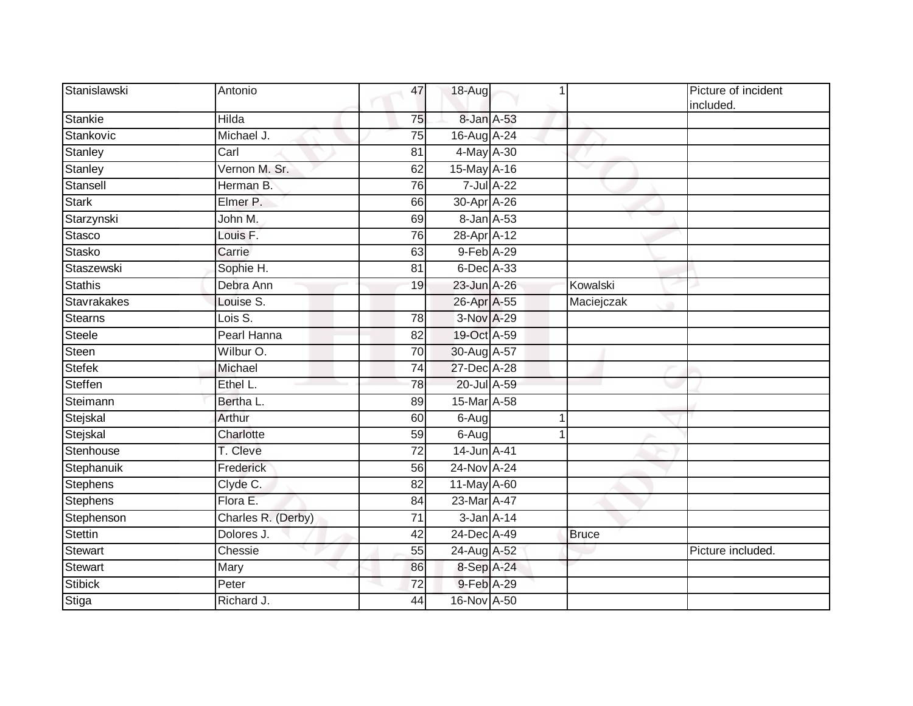| Stanislawski    | Antonio             | 47              | $18-Aug$         |              | Picture of incident<br>included. |
|-----------------|---------------------|-----------------|------------------|--------------|----------------------------------|
| Stankie         | <b>Hilda</b>        | 75              | 8-Jan A-53       |              |                                  |
| Stankovic       | Michael J.          | 75              | 16-Aug A-24      |              |                                  |
| Stanley         | Carl                | 81              | 4-May A-30       |              |                                  |
| Stanley         | Vernon M. Sr.       | 62              | 15-May A-16      |              |                                  |
| Stansell        | Herman B.           | 76              | 7-Jul A-22       |              |                                  |
| <b>Stark</b>    | Elmer P.            | 66              | 30-Apr A-26      |              |                                  |
| Starzynski      | John M.             | 69              | 8-Jan A-53       |              |                                  |
| Stasco          | Louis <sub>F.</sub> | 76              | 28-Apr A-12      |              |                                  |
| Stasko          | Carrie              | 63              | 9-Feb A-29       |              |                                  |
| Staszewski      | Sophie H.           | 81              | $6$ -Dec $A$ -33 |              |                                  |
| <b>Stathis</b>  | Debra Ann           | 19              | 23-Jun A-26      | Kowalski     |                                  |
| Stavrakakes     | Louise S.           |                 | 26-Apr A-55      | Maciejczak   |                                  |
| <b>Stearns</b>  | Lois S.             | 78              | 3-Nov A-29       |              |                                  |
| <b>Steele</b>   | Pearl Hanna         | $\overline{82}$ | 19-Oct A-59      |              |                                  |
| Steen           | Wilbur O.           | 70              | 30-Aug A-57      |              |                                  |
| <b>Stefek</b>   | Michael             | 74              | 27-Dec A-28      |              |                                  |
| Steffen         | Ethel L.            | 78              | 20-Jul A-59      |              |                                  |
| Steimann        | Bertha L.           | 89              | 15-Mar A-58      |              |                                  |
| Stejskal        | Arthur              | 60              | $6-Aug$          |              |                                  |
| Stejskal        | Charlotte           | 59              | $6-Aug$          |              |                                  |
| Stenhouse       | T. Cleve            | $\overline{72}$ | 14-Jun A-41      |              |                                  |
| Stephanuik      | Frederick           | 56              | 24-Nov A-24      |              |                                  |
| <b>Stephens</b> | Clyde C.            | 82              | 11-May A-60      |              |                                  |
| <b>Stephens</b> | Flora E.            | 84              | 23-Mar A-47      |              |                                  |
| Stephenson      | Charles R. (Derby)  | 71              | 3-Jan A-14       |              |                                  |
| <b>Stettin</b>  | Dolores J.          | 42              | 24-Dec A-49      | <b>Bruce</b> |                                  |
| <b>Stewart</b>  | Chessie             | 55              | 24-Aug A-52      |              | Picture included.                |
| <b>Stewart</b>  | Mary                | 86              | 8-Sep A-24       |              |                                  |
| <b>Stibick</b>  | Peter               | 72              | 9-Feb A-29       |              |                                  |
| Stiga           | Richard J.          | 44              | 16-Nov A-50      |              |                                  |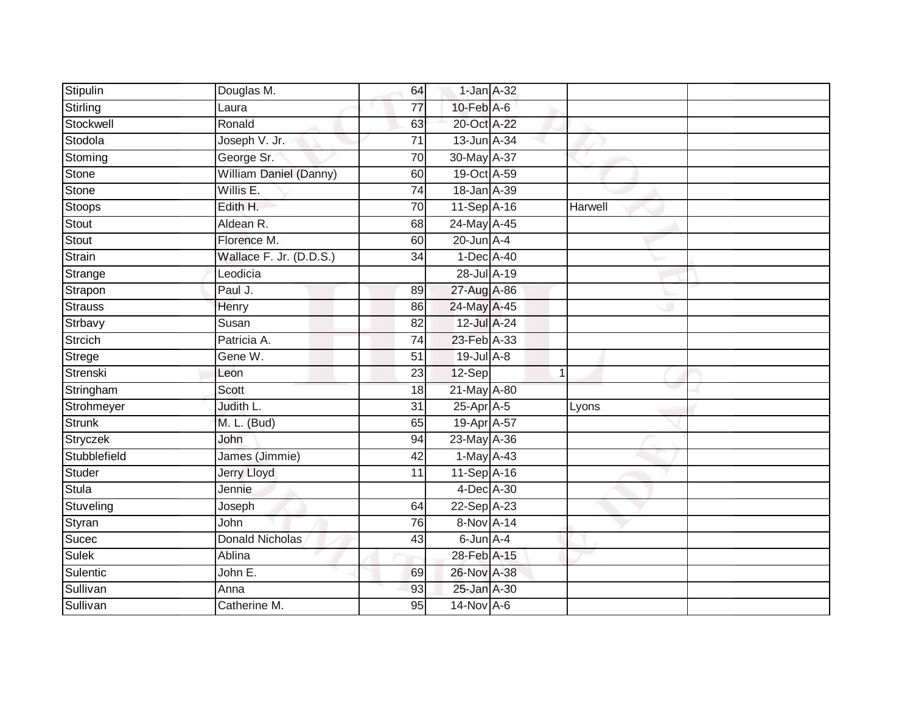| Stipulin       | Douglas M.                    | 64              | $1$ -Jan $A$ -32 |                |  |
|----------------|-------------------------------|-----------------|------------------|----------------|--|
| Stirling       | Laura                         | 77              | $10$ -Feb $A$ -6 |                |  |
| Stockwell      | Ronald                        | 63              | 20-Oct A-22      |                |  |
| Stodola        | Joseph V. Jr.                 | 71              | 13-Jun A-34      |                |  |
| Stoming        | George Sr.                    | $\overline{70}$ | 30-May A-37      |                |  |
| Stone          | <b>William Daniel (Danny)</b> | 60              | 19-Oct A-59      |                |  |
| Stone          | Willis E.                     | $\overline{74}$ | 18-Jan A-39      |                |  |
| Stoops         | Edith H.                      | 70              | 11-Sep A-16      | Harwell        |  |
| Stout          | Aldean R.                     | 68              | 24-May A-45      |                |  |
| <b>Stout</b>   | Florence M.                   | 60              | $20$ -Jun $A-4$  |                |  |
| Strain         | Wallace F. Jr. (D.D.S.)       | 34              | 1-Dec A-40       |                |  |
| Strange        | Leodicia                      |                 | 28-Jul A-19      |                |  |
| Strapon        | Paul J.                       | 89              | 27-Aug A-86      |                |  |
| Strauss        | Henry                         | 86              | 24-May A-45      |                |  |
| Strbavy        | Susan                         | $\overline{82}$ | 12-Jul A-24      |                |  |
| <b>Strcich</b> | Patricia A.                   | 74              | 23-Feb A-33      |                |  |
| Strege         | Gene W.                       | $\overline{51}$ | $19$ -Jul $A-8$  |                |  |
| Strenski       | Leon                          | 23              | 12-Sep           | $\overline{1}$ |  |
| Stringham      | <b>Scott</b>                  | 18              | 21-May A-80      |                |  |
| Strohmeyer     | Judith L.                     | $\overline{31}$ | $25$ -Apr $A$ -5 | Lyons          |  |
| <b>Strunk</b>  | M. L. (Bud)                   | 65              | 19-Apr A-57      |                |  |
| Stryczek       | John                          | 94              | 23-May A-36      |                |  |
| Stubblefield   | James (Jimmie)                | 42              | $1-May$ A-43     |                |  |
| <b>Studer</b>  | <b>Jerry Lloyd</b>            | 11              | 11-Sep A-16      |                |  |
| Stula          | Jennie                        |                 | 4-Dec A-30       |                |  |
| Stuveling      | Joseph                        | 64              | 22-Sep A-23      |                |  |
| Styran         | John                          | $\overline{76}$ | 8-Nov A-14       |                |  |
| Sucec          | <b>Donald Nicholas</b>        | 43              | 6-Jun A-4        |                |  |
| <b>Sulek</b>   | Ablina                        |                 | 28-Feb A-15      |                |  |
| Sulentic       | John E.                       | 69              | 26-Nov A-38      |                |  |
| Sullivan       | Anna                          | 93              | 25-Jan A-30      |                |  |
| Sullivan       | Catherine M.                  | $\overline{95}$ | 14-Nov A-6       |                |  |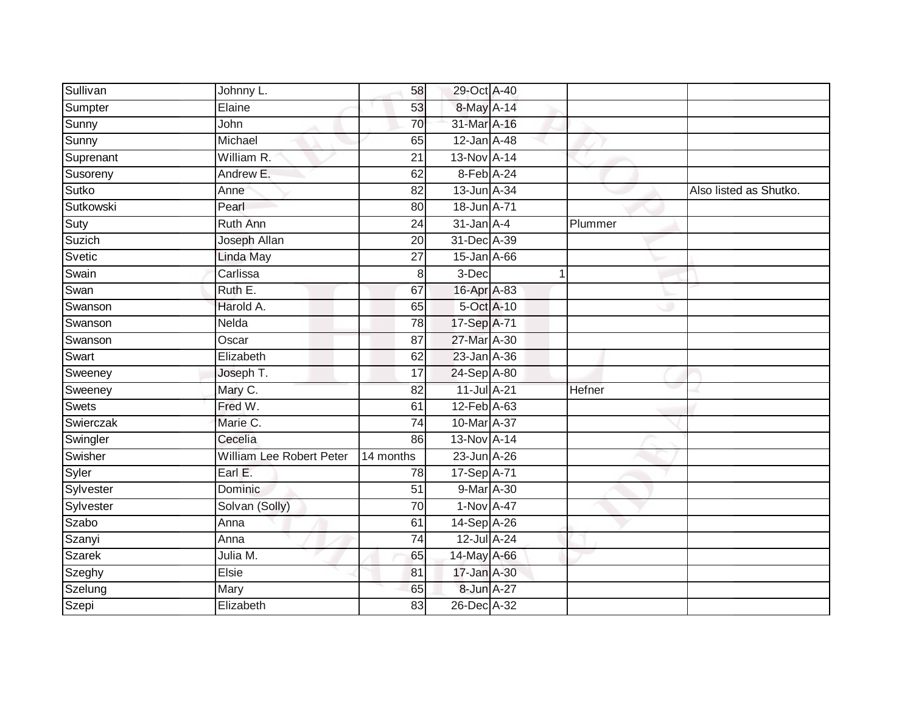| Sullivan      | Johnny L.                | 58              | 29-Oct A-40       |             |         |                        |
|---------------|--------------------------|-----------------|-------------------|-------------|---------|------------------------|
| Sumpter       | Elaine                   | 53              | 8-May A-14        |             |         |                        |
| Sunny         | John                     | 70              | 31-Mar A-16       |             |         |                        |
| Sunny         | Michael                  | 65              | 12-Jan A-48       |             |         |                        |
| Suprenant     | William R.               | $\overline{21}$ | 13-Nov A-14       |             |         |                        |
| Susoreny      | Andrew E.                | 62              | 8-Feb A-24        |             |         |                        |
| Sutko         | Anne                     | 82              | 13-Jun A-34       |             |         | Also listed as Shutko. |
| Sutkowski     | Pearl                    | 80              | 18-Jun A-71       |             |         |                        |
| Suty          | <b>Ruth Ann</b>          | 24              | $31$ -Jan $A-4$   |             | Plummer |                        |
| Suzich        | Joseph Allan             | 20              | 31-Dec A-39       |             |         |                        |
| Svetic        | Linda May                | 27              | $15$ -Jan $A$ -66 |             |         |                        |
| Swain         | Carlissa                 | 8               | 3-Dec             | $\mathbf 1$ |         |                        |
| Swan          | Ruth E.                  | 67              | 16-Apr A-83       |             |         |                        |
| Swanson       | Harold A.                | 65              | 5-Oct A-10        |             |         |                        |
| Swanson       | Nelda                    | 78              | 17-Sep A-71       |             |         |                        |
| Swanson       | Oscar                    | 87              | 27-Mar A-30       |             |         |                        |
| Swart         | Elizabeth                | 62              | 23-Jan A-36       |             |         |                        |
| Sweeney       | Joseph T.                | 17              | 24-Sep A-80       |             |         |                        |
| Sweeney       | Mary C.                  | 82              | 11-Jul A-21       |             | Hefner  |                        |
| Swets         | Fred W.                  | 61              | 12-Feb A-63       |             |         |                        |
| Swierczak     | Marie C.                 | $\overline{74}$ | 10-Mar A-37       |             |         |                        |
| Swingler      | Cecelia                  | 86              | 13-Nov A-14       |             |         |                        |
| Swisher       | William Lee Robert Peter | 14 months       | 23-Jun A-26       |             |         |                        |
| Syler         | Earl E.                  | 78              | 17-Sep A-71       |             |         |                        |
| Sylvester     | Dominic                  | 51              | 9-Mar A-30        |             |         |                        |
| Sylvester     | Solvan (Solly)           | 70              | 1-Nov A-47        |             |         |                        |
| Szabo         | Anna                     | 61              | 14-Sep A-26       |             |         |                        |
| Szanyi        | Anna                     | $\overline{74}$ | 12-Jul A-24       |             |         |                        |
| <b>Szarek</b> | Julia M.                 | 65              | 14-May A-66       |             |         |                        |
| Szeghy        | Elsie                    | 81              | 17-Jan A-30       |             |         |                        |
| Szelung       | Mary                     | 65              | 8-Jun A-27        |             |         |                        |
| Szepi         | Elizabeth                | $\overline{83}$ | 26-Dec A-32       |             |         |                        |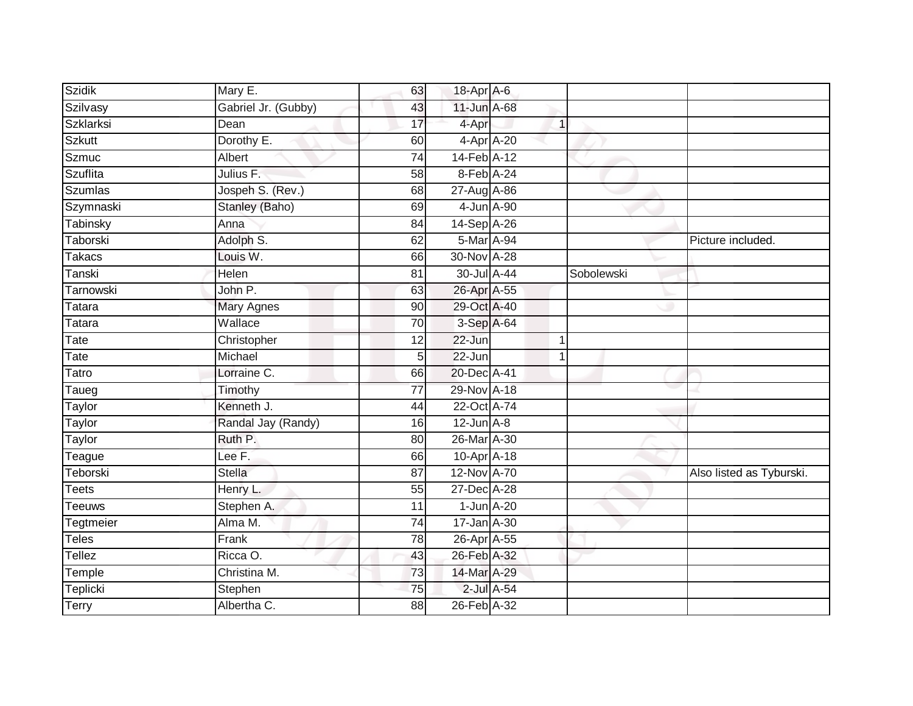| <b>Szidik</b> | Mary E.             | 63              | 18-Apr A-6      |              |            |                          |
|---------------|---------------------|-----------------|-----------------|--------------|------------|--------------------------|
| Szilvasy      | Gabriel Jr. (Gubby) | 43              | 11-Jun A-68     |              |            |                          |
| Szklarksi     | Dean                | 17              | 4-Apr           | $\mathbf{1}$ |            |                          |
| <b>Szkutt</b> | Dorothy E.          | 60              | 4-Apr A-20      |              |            |                          |
| <b>Szmuc</b>  | Albert              | $\overline{74}$ | 14-Feb A-12     |              |            |                          |
| Szuflita      | Julius F.           | 58              | 8-Feb A-24      |              |            |                          |
| Szumlas       | Jospeh S. (Rev.)    | 68              | 27-Aug A-86     |              |            |                          |
| Szymnaski     | Stanley (Baho)      | 69              | 4-Jun A-90      |              |            |                          |
| Tabinsky      | Anna                | 84              | 14-Sep A-26     |              |            |                          |
| Taborski      | Adolph S.           | 62              | 5-Mar A-94      |              |            | Picture included.        |
| <b>Takacs</b> | Louis W.            | 66              | 30-Nov A-28     |              |            |                          |
| Tanski        | Helen               | 81              | 30-Jul A-44     |              | Sobolewski |                          |
| Tarnowski     | John P.             | 63              | 26-Apr A-55     |              |            |                          |
| Tatara        | <b>Mary Agnes</b>   | 90              | 29-Oct A-40     |              |            |                          |
| Tatara        | Wallace             | 70              | 3-Sep A-64      |              |            |                          |
| Tate          | Christopher         | 12              | 22-Jun          | 1            |            |                          |
| Tate          | Michael             | 5               | 22-Jun          | $\mathbf{1}$ |            |                          |
| Tatro         | Lorraine C.         | 66              | 20-Dec A-41     |              |            |                          |
| Taueg         | Timothy             | $\overline{77}$ | 29-Nov A-18     |              |            |                          |
| <b>Taylor</b> | Kenneth J.          | 44              | 22-Oct A-74     |              |            |                          |
| Taylor        | Randal Jay (Randy)  | 16              | $12$ -Jun $A-8$ |              |            |                          |
| <b>Taylor</b> | Ruth P.             | 80              | 26-Mar A-30     |              |            |                          |
| Teague        | Lee F.              | 66              | 10-Apr A-18     |              |            |                          |
| Teborski      | <b>Stella</b>       | 87              | 12-Nov A-70     |              |            | Also listed as Tyburski. |
| <b>Teets</b>  | Henry L.            | 55              | 27-Dec A-28     |              |            |                          |
| Teeuws        | Stephen A.          | 11              | $1$ -Jun $A-20$ |              |            |                          |
| Tegtmeier     | Alma M.             | $\overline{74}$ | 17-Jan A-30     |              |            |                          |
| Teles         | Frank               | 78              | 26-Apr A-55     |              |            |                          |
| Tellez        | Ricca O.            | 43              | 26-Feb A-32     |              |            |                          |
| Temple        | Christina M.        | 73              | 14-Mar A-29     |              |            |                          |
| Teplicki      | Stephen             | $\overline{75}$ | 2-Jul A-54      |              |            |                          |
| <b>Terry</b>  | Albertha C.         | $\overline{88}$ | 26-Feb A-32     |              |            |                          |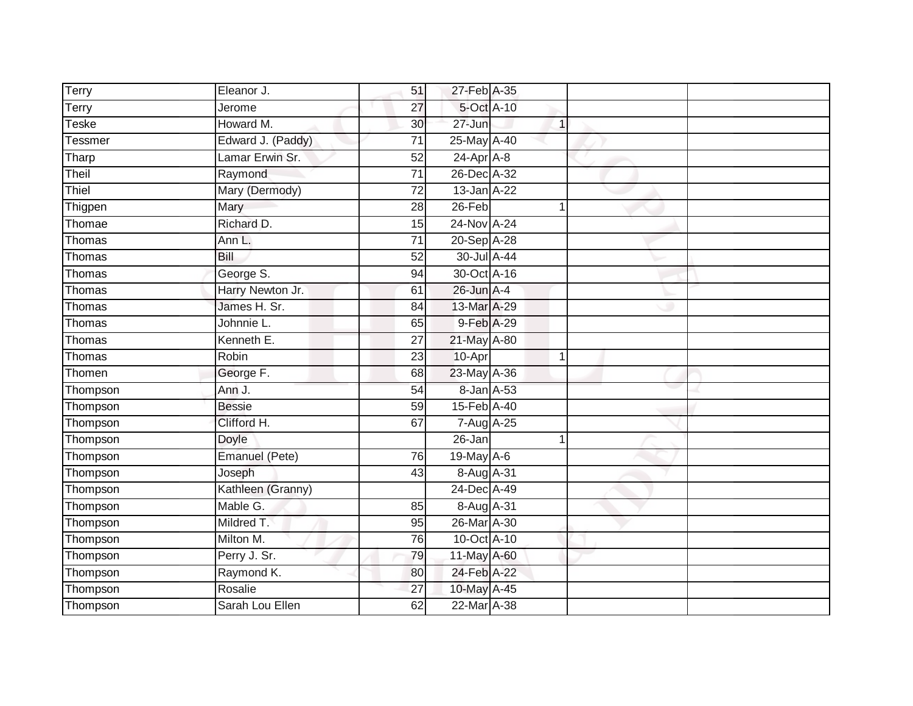| Terry          | Eleanor J.        | 51              | 27-Feb A-35  |              |  |
|----------------|-------------------|-----------------|--------------|--------------|--|
| Terry          | Jerome            | 27              | 5-Oct A-10   |              |  |
| Teske          | Howard M.         | 30              | $27 - Jun$   | $\mathbf{1}$ |  |
| <b>Tessmer</b> | Edward J. (Paddy) | 71              | 25-May A-40  |              |  |
| Tharp          | Lamar Erwin Sr.   | 52              | $24-Apr$ A-8 |              |  |
| Theil          | Raymond           | $\overline{71}$ | 26-Dec A-32  |              |  |
| Thiel          | Mary (Dermody)    | $\overline{72}$ | 13-Jan A-22  |              |  |
| Thigpen        | Mary              | 28              | $26$ -Feb    |              |  |
| Thomae         | Richard D.        | 15              | 24-Nov A-24  |              |  |
| Thomas         | Ann L.            | $\overline{71}$ | 20-Sep A-28  |              |  |
| Thomas         | Bill              | 52              | 30-Jul A-44  |              |  |
| Thomas         | George S.         | 94              | 30-Oct A-16  |              |  |
| Thomas         | Harry Newton Jr.  | 61              | 26-Jun A-4   |              |  |
| Thomas         | James H. Sr.      | 84              | 13-Mar A-29  |              |  |
| Thomas         | Johnnie L.        | 65              | 9-Feb A-29   |              |  |
| Thomas         | Kenneth E.        | 27              | 21-May A-80  |              |  |
| Thomas         | Robin             | 23              | 10-Apr       | $\mathbf 1$  |  |
| Thomen         | George F.         | 68              | 23-May A-36  |              |  |
| Thompson       | Ann J.            | 54              | 8-Jan A-53   |              |  |
| Thompson       | <b>Bessie</b>     | 59              | 15-Feb A-40  |              |  |
| Thompson       | Clifford H.       | 67              | 7-Aug A-25   |              |  |
| Thompson       | Doyle             |                 | 26-Jan       |              |  |
| Thompson       | Emanuel (Pete)    | 76              | 19-May A-6   |              |  |
| Thompson       | Joseph            | 43              | 8-Aug A-31   |              |  |
| Thompson       | Kathleen (Granny) |                 | 24-Dec A-49  |              |  |
| Thompson       | Mable G.          | 85              | 8-Aug A-31   |              |  |
| Thompson       | Mildred T.        | 95              | 26-Mar A-30  |              |  |
| Thompson       | Milton M.         | 76              | 10-Oct A-10  |              |  |
| Thompson       | Perry J. Sr.      | 79              | 11-May A-60  |              |  |
| Thompson       | Raymond K.        | 80              | 24-Feb A-22  |              |  |
| Thompson       | Rosalie           | 27              | 10-May A-45  |              |  |
| Thompson       | Sarah Lou Ellen   | 62              | 22-Mar A-38  |              |  |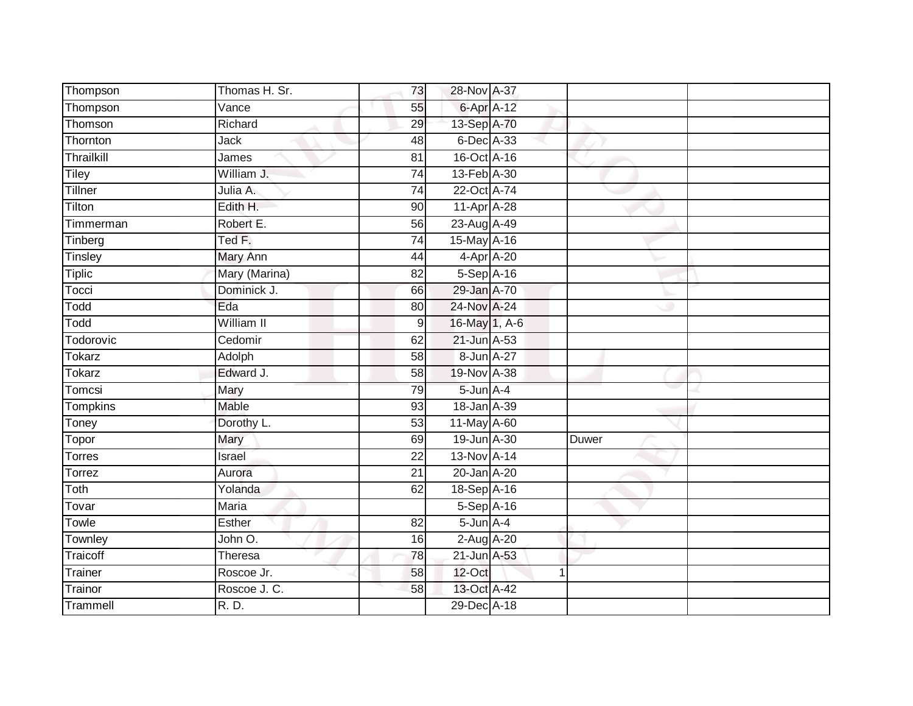| Thompson      | Thomas H. Sr. | 73              | 28-Nov A-37       |              |       |
|---------------|---------------|-----------------|-------------------|--------------|-------|
| Thompson      | Vance         | 55              | 6-Apr A-12        |              |       |
| Thomson       | Richard       | 29              | 13-Sep A-70       |              |       |
| Thornton      | Jack          | 48              | 6-Dec A-33        |              |       |
| Thrailkill    | James         | $\overline{81}$ | 16-Oct A-16       |              |       |
| Tiley         | William J.    | 74              | 13-Feb A-30       |              |       |
| Tillner       | Julia A.      | $\overline{74}$ | 22-Oct A-74       |              |       |
| Tilton        | Edith H.      | 90              | 11-Apr A-28       |              |       |
| Timmerman     | Robert E.     | 56              | 23-Aug A-49       |              |       |
| Tinberg       | Ted F.        | 74              | 15-May A-16       |              |       |
| Tinsley       | Mary Ann      | 44              | $4-Apr$ $A-20$    |              |       |
| <b>Tiplic</b> | Mary (Marina) | 82              | 5-Sep A-16        |              |       |
| Tocci         | Dominick J.   | 66              | 29-Jan A-70       |              |       |
| Todd          | Eda           | 80              | 24-Nov A-24       |              |       |
| Todd          | William II    | 9               | 16-May 1, A-6     |              |       |
| Todorovic     | Cedomir       | 62              | 21-Jun A-53       |              |       |
| Tokarz        | Adolph        | $\overline{58}$ | 8-Jun A-27        |              |       |
| <b>Tokarz</b> | Edward J.     | 58              | 19-Nov A-38       |              |       |
| Tomcsi        | Mary          | 79              | $5$ -Jun $A-4$    |              |       |
| Tompkins      | <b>Mable</b>  | 93              | 18-Jan A-39       |              |       |
| Toney         | Dorothy L.    | 53              | 11-May A-60       |              |       |
| Topor         | Mary          | 69              | 19-Jun A-30       |              | Duwer |
| <b>Torres</b> | Israel        | 22              | 13-Nov A-14       |              |       |
| Torrez        | Aurora        | 21              | 20-Jan A-20       |              |       |
| Toth          | Yolanda       | 62              | 18-Sep A-16       |              |       |
| Tovar         | <b>Maria</b>  |                 | 5-Sep A-16        |              |       |
| Towle         | Esther        | $\overline{82}$ | $5 - Jun$ $A - 4$ |              |       |
| Townley       | John O.       | 16              | 2-Aug A-20        |              |       |
| Traicoff      | Theresa       | 78              | $21$ -Jun $A-53$  |              |       |
| Trainer       | Roscoe Jr.    | 58              | $12$ -Oct         | $\mathbf{1}$ |       |
| Trainor       | Roscoe J. C.  | 58              | 13-Oct A-42       |              |       |
| Trammell      | R. D.         |                 | 29-Dec A-18       |              |       |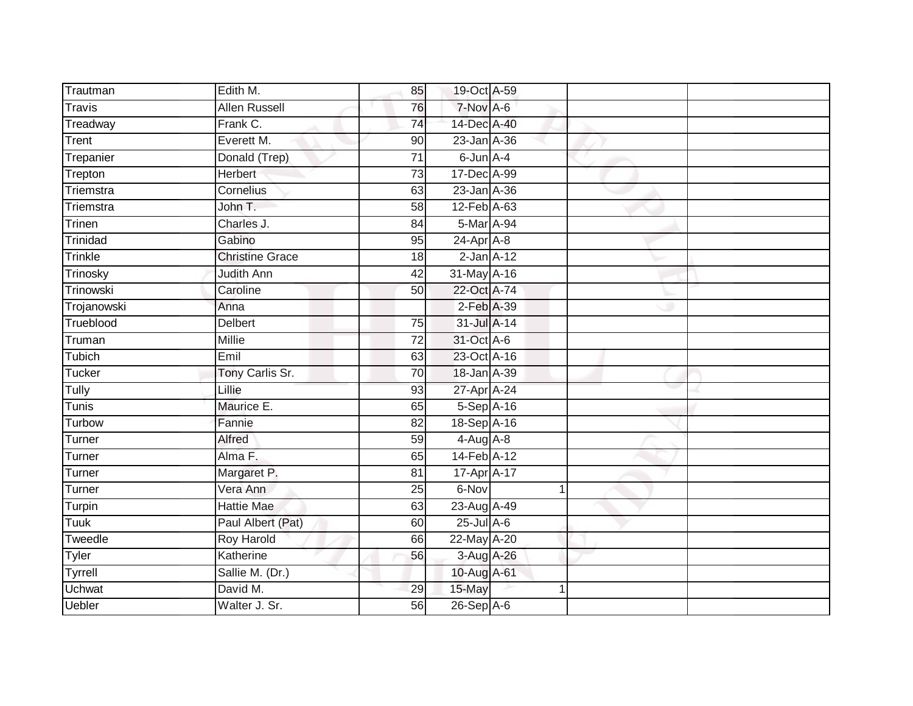| Trautman      | Edith M.               | 85              | 19-Oct A-59     |   |  |
|---------------|------------------------|-----------------|-----------------|---|--|
| <b>Travis</b> | <b>Allen Russell</b>   | 76              | 7-Nov A-6       |   |  |
| Treadway      | Frank C.               | 74              | 14-Dec A-40     |   |  |
| Trent         | Everett M.             | 90              | 23-Jan A-36     |   |  |
| Trepanier     | Donald (Trep)          | $\overline{71}$ | 6-Jun A-4       |   |  |
| Trepton       | Herbert                | $\overline{73}$ | 17-Dec A-99     |   |  |
| Triemstra     | Cornelius              | 63              | 23-Jan A-36     |   |  |
| Triemstra     | John T.                | 58              | 12-Feb A-63     |   |  |
| Trinen        | Charles J.             | 84              | 5-Mar A-94      |   |  |
| Trinidad      | Gabino                 | 95              | $24-Apr$ A-8    |   |  |
| Trinkle       | <b>Christine Grace</b> | 18              | $2$ -Jan $A-12$ |   |  |
| Trinosky      | <b>Judith Ann</b>      | $\overline{42}$ | 31-May A-16     |   |  |
| Trinowski     | Caroline               | 50              | 22-Oct A-74     |   |  |
| Trojanowski   | Anna                   |                 | $2$ -Feb $A-39$ |   |  |
| Trueblood     | Delbert                | 75              | 31-Jul A-14     |   |  |
| Truman        | <b>Millie</b>          | $\overline{72}$ | 31-Oct A-6      |   |  |
| Tubich        | Emil                   | 63              | 23-Oct A-16     |   |  |
| Tucker        | Tony Carlis Sr.        | 70              | 18-Jan A-39     |   |  |
| Tully         | Lillie                 | 93              | 27-Apr A-24     |   |  |
| <b>Tunis</b>  | Maurice E.             | 65              | 5-Sep A-16      |   |  |
| Turbow        | Fannie                 | 82              | 18-Sep A-16     |   |  |
| Turner        | Alfred                 | 59              | $4-Aug$ $A-8$   |   |  |
| Turner        | Alma F.                | 65              | 14-Feb A-12     |   |  |
| Turner        | Margaret P.            | 81              | 17-Apr A-17     |   |  |
| Turner        | Vera Ann               | 25              | 6-Nov           | 1 |  |
| Turpin        | <b>Hattie Mae</b>      | 63              | 23-Aug A-49     |   |  |
| <b>Tuuk</b>   | Paul Albert (Pat)      | 60              | $25$ -Jul $A-6$ |   |  |
| Tweedle       | <b>Roy Harold</b>      | 66              | 22-May A-20     |   |  |
| Tyler         | Katherine              | 56              | 3-Aug A-26      |   |  |
| Tyrrell       | Sallie M. (Dr.)        |                 | 10-Aug A-61     |   |  |
| <b>Uchwat</b> | David M.               | 29              | 15-May          | 1 |  |
| <b>Uebler</b> | Walter J. Sr.          | 56              | 26-Sep A-6      |   |  |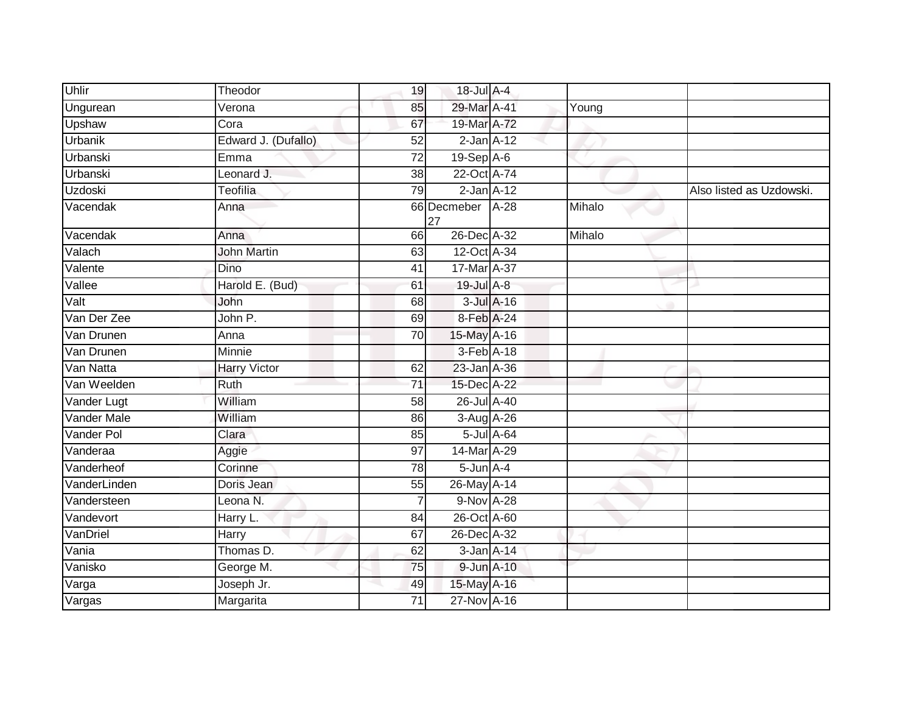| Uhlir          | Theodor             | 19              | 18-Jul A-4        |            |        |                          |
|----------------|---------------------|-----------------|-------------------|------------|--------|--------------------------|
| Ungurean       | Verona              | 85              | 29-Mar A-41       |            | Young  |                          |
| Upshaw         | Cora                | 67              | 19-Mar A-72       |            |        |                          |
| Urbanik        | Edward J. (Dufallo) | 52              | $2$ -Jan $A-12$   |            |        |                          |
| Urbanski       | Emma                | $\overline{72}$ | $19-Sep$ A-6      |            |        |                          |
| Urbanski       | Leonard J.          | $\overline{38}$ | 22-Oct A-74       |            |        |                          |
| <b>Uzdoski</b> | Teofilia            | 79              | $2$ -Jan $A-12$   |            |        | Also listed as Uzdowski. |
| Vacendak       | Anna                |                 | 66 Decmeber<br>27 | $A-28$     | Mihalo |                          |
| Vacendak       | Anna                | 66              | 26-Dec A-32       |            | Mihalo |                          |
| Valach         | <b>John Martin</b>  | 63              | 12-Oct A-34       |            |        |                          |
| Valente        | Dino                | 41              | 17-Mar A-37       |            |        |                          |
| Vallee         | Harold E. (Bud)     | 61              | 19-Jul A-8        |            |        |                          |
| Valt           | John                | 68              |                   | 3-Jul A-16 |        |                          |
| Van Der Zee    | John P.             | 69              | 8-Feb A-24        |            |        |                          |
| Van Drunen     | Anna                | 70              | 15-May A-16       |            |        |                          |
| Van Drunen     | Minnie              |                 | $3-Feb$ A-18      |            |        |                          |
| Van Natta      | <b>Harry Victor</b> | 62              | 23-Jan A-36       |            |        |                          |
| Van Weelden    | Ruth                | 71              | 15-Dec A-22       |            |        |                          |
| Vander Lugt    | William             | 58              | 26-Jul A-40       |            |        |                          |
| Vander Male    | William             | 86              | 3-Aug A-26        |            |        |                          |
| Vander Pol     | Clara               | 85              |                   | 5-Jul A-64 |        |                          |
| Vanderaa       | Aggie               | 97              | 14-Mar A-29       |            |        |                          |
| Vanderheof     | Corinne             | 78              | $5$ -Jun $A$ -4   |            |        |                          |
| VanderLinden   | Doris Jean          | 55              | 26-May A-14       |            |        |                          |
| Vandersteen    | Leona <sub>N.</sub> |                 | 9-Nov A-28        |            |        |                          |
| Vandevort      | Harry L.            | 84              | 26-Oct A-60       |            |        |                          |
| VanDriel       | Harry               | 67              | 26-Dec A-32       |            |        |                          |
| Vania          | Thomas D.           | 62              | $3$ -Jan $A$ -14  |            |        |                          |
| Vanisko        | George M.           | 75              | 9-Jun A-10        |            |        |                          |
| Varga          | Joseph Jr.          | 49              | 15-May A-16       |            |        |                          |
| Vargas         | Margarita           | 71              | 27-Nov A-16       |            |        |                          |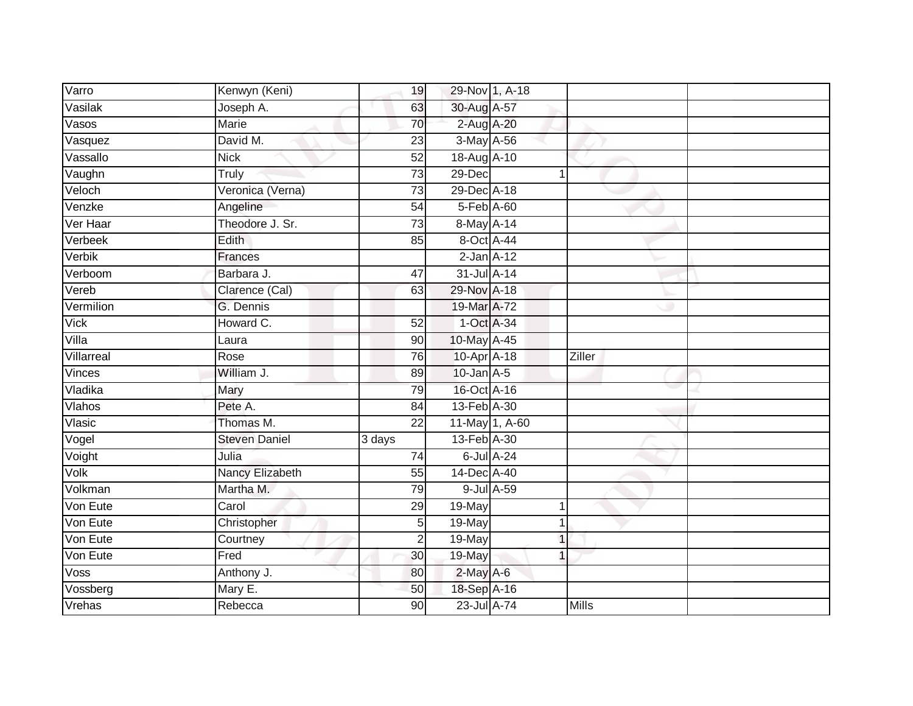| Varro                     | Kenwyn (Keni)        | 19              | 29-Nov 1, A-18  |                  |               |  |
|---------------------------|----------------------|-----------------|-----------------|------------------|---------------|--|
| Vasilak                   | Joseph A.            | 63              | 30-Aug A-57     |                  |               |  |
| Vasos                     | <b>Marie</b>         | 70              | 2-Aug A-20      |                  |               |  |
| Vasquez                   | David M.             | 23              | 3-May A-56      |                  |               |  |
| Vassallo                  | <b>Nick</b>          | 52              | 18-Aug A-10     |                  |               |  |
| Vaughn                    | Truly                | 73              | 29-Dec          | $\mathbf 1$      |               |  |
| Veloch                    | Veronica (Verna)     | $\overline{73}$ | 29-Dec A-18     |                  |               |  |
| Venzke                    | Angeline             | 54              | 5-Feb A-60      |                  |               |  |
| Ver Haar                  | Theodore J. Sr.      | $\overline{73}$ | 8-May A-14      |                  |               |  |
| Verbeek                   | <b>Edith</b>         | 85              | 8-Oct A-44      |                  |               |  |
| Verbik                    | Frances              |                 | $2$ -Jan $A-12$ |                  |               |  |
| Verboom                   | Barbara J.           | 47              | 31-Jul A-14     |                  |               |  |
| Vereb                     | Clarence (Cal)       | 63              | 29-Nov A-18     |                  |               |  |
| Vermilion                 | G. Dennis            |                 | 19-Mar A-72     |                  |               |  |
| <b>Vick</b>               | Howard C.            | 52              | 1-Oct A-34      |                  |               |  |
| Villa                     | Laura                | 90              | 10-May A-45     |                  |               |  |
| Villarreal                | Rose                 | $\overline{76}$ | 10-Apr A-18     |                  | <b>Ziller</b> |  |
| Vinces                    | William J.           | 89              | $10$ -Jan $A-5$ |                  |               |  |
| Vladika                   | Mary                 | 79              | 16-Oct A-16     |                  |               |  |
| Vlahos                    | Pete A.              | $\overline{84}$ | 13-Feb A-30     |                  |               |  |
| Vlasic                    | Thomas M.            | $\overline{22}$ |                 | 11-May 1, A-60   |               |  |
| $\overline{\vee}$ ogel    | <b>Steven Daniel</b> | 3 days          | 13-Feb A-30     |                  |               |  |
| Voight                    | Julia                | 74              |                 | $6$ -Jul $A$ -24 |               |  |
| Volk                      | Nancy Elizabeth      | 55              | 14-Dec A-40     |                  |               |  |
| Volkman                   | Martha M.            | 79              |                 | 9-Jul A-59       |               |  |
| Von Eute                  | Carol                | 29              | 19-May          | 1                |               |  |
| Von Eute                  | Christopher          | 5               | 19-May          | 1                |               |  |
| Von Eute                  | Courtney             | $\overline{2}$  | $19$ -May       | $\mathbf 1$      |               |  |
| Von Eute                  | Fred                 | 30              | 19-May          | 1                |               |  |
| Voss                      | Anthony J.           | 80              | $2$ -May A-6    |                  |               |  |
| $\overline{\vee}$ ossberg | Mary E.              | 50              | 18-Sep A-16     |                  |               |  |
| Vrehas                    | Rebecca              | $\overline{90}$ | 23-Jul A-74     |                  | <b>Mills</b>  |  |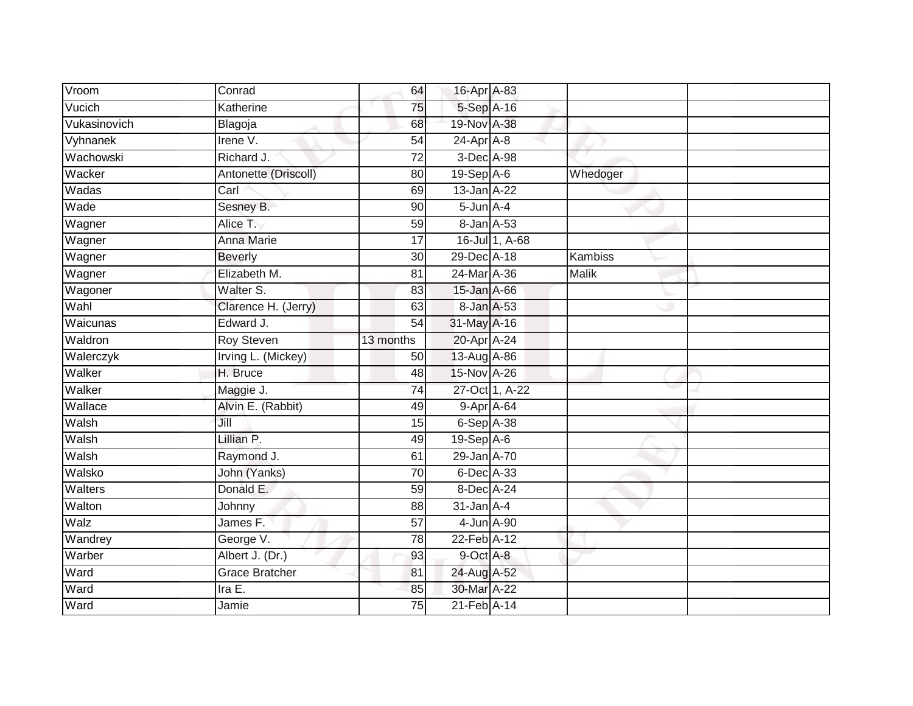| Vroom        | $\overline{\mathrm{Conrad}}$ | 64              | 16-Apr A-83     |                |                |  |
|--------------|------------------------------|-----------------|-----------------|----------------|----------------|--|
| Vucich       | Katherine                    | 75              | 5-Sep A-16      |                |                |  |
| Vukasinovich | Blagoja                      | 68              | 19-Nov A-38     |                |                |  |
| Vyhnanek     | Irene V.                     | 54              | 24-Apr A-8      |                |                |  |
| Wachowski    | Richard J.                   | $\overline{72}$ | 3-Dec A-98      |                |                |  |
| Wacker       | Antonette (Driscoll)         | 80              | $19-Sep$ A-6    |                | Whedoger       |  |
| Wadas        | Carl                         | 69              | 13-Jan A-22     |                |                |  |
| Wade         | Sesney B.                    | 90              | $5$ -Jun $A$ -4 |                |                |  |
| Wagner       | Alice T.                     | 59              | 8-Jan A-53      |                |                |  |
| Wagner       | Anna Marie                   | 17              |                 | 16-Jul 1, A-68 |                |  |
| Wagner       | <b>Beverly</b>               | 30              | 29-Dec A-18     |                | <b>Kambiss</b> |  |
| Wagner       | Elizabeth M.                 | 81              | 24-Mar A-36     |                | Malik          |  |
| Wagoner      | Walter S.                    | 83              | 15-Jan A-66     |                |                |  |
| Wahl         | Clarence H. (Jerry)          | 63              | 8-Jan A-53      |                |                |  |
| Waicunas     | Edward J.                    | 54              | 31-May A-16     |                |                |  |
| Waldron      | Roy Steven                   | 13 months       | 20-Apr A-24     |                |                |  |
| Walerczyk    | Irving L. (Mickey)           | 50              | 13-Aug A-86     |                |                |  |
| Walker       | H. Bruce                     | 48              | 15-Nov A-26     |                |                |  |
| Walker       | Maggie J.                    | 74              |                 | 27-Oct 1, A-22 |                |  |
| Wallace      | Alvin E. (Rabbit)            | 49              | 9-Apr A-64      |                |                |  |
| Walsh        | Jill                         | 15              | $6-Sep$ A-38    |                |                |  |
| Walsh        | Lillian P.                   | 49              | $19-Sep$ A-6    |                |                |  |
| Walsh        | Raymond J.                   | 61              | 29-Jan A-70     |                |                |  |
| Walsko       | John (Yanks)                 | 70              | 6-Dec A-33      |                |                |  |
| Walters      | Donald E.                    | 59              | 8-Dec A-24      |                |                |  |
| Walton       | Johnny                       | 88              | $31$ -Jan $A-4$ |                |                |  |
| Walz         | James F.                     | 57              | 4-Jun A-90      |                |                |  |
| Wandrey      | George V.                    | 78              | 22-Feb A-12     |                |                |  |
| Warber       | Albert J. (Dr.)              | 93              | 9-Oct A-8       |                |                |  |
| Ward         | <b>Grace Bratcher</b>        | 81              | 24-Aug A-52     |                |                |  |
| Ward         | Ira E.                       | 85              | 30-Mar A-22     |                |                |  |
| Ward         | Jamie                        | $\overline{75}$ | 21-Feb A-14     |                |                |  |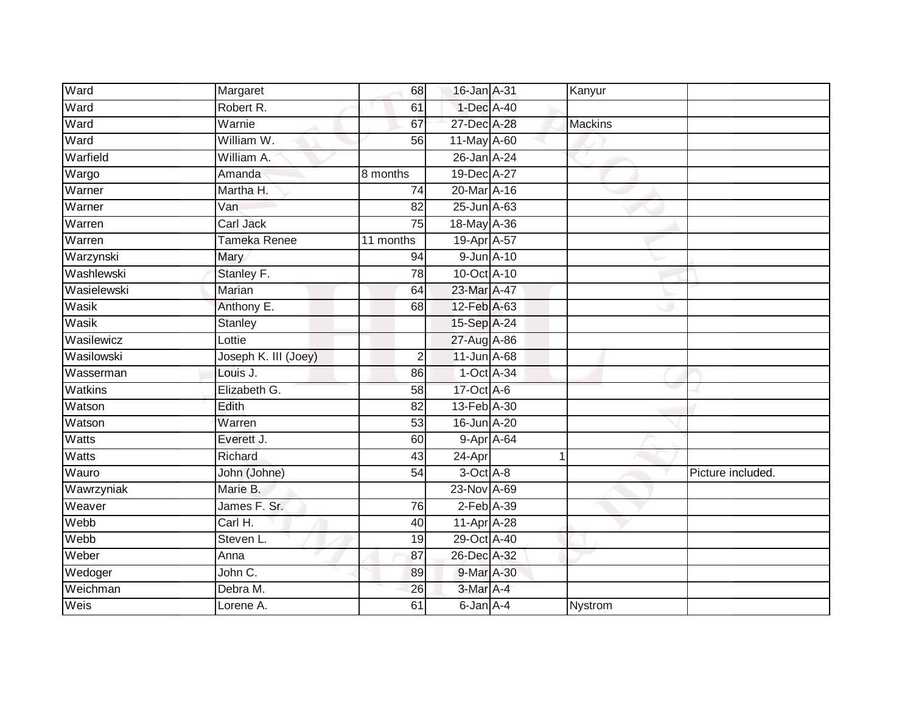| Ward         | Margaret             | 68        | 16-Jan A-31     |            | Kanyur         |                   |
|--------------|----------------------|-----------|-----------------|------------|----------------|-------------------|
| Ward         | Robert R.            | 61        | 1-Dec A-40      |            |                |                   |
| Ward         | Warnie               | 67        | 27-Dec A-28     |            | <b>Mackins</b> |                   |
| Ward         | William W.           | 56        | 11-May A-60     |            |                |                   |
| Warfield     | William A.           |           | 26-Jan A-24     |            |                |                   |
| Wargo        | Amanda               | 8 months  | 19-Dec A-27     |            |                |                   |
| Warner       | Martha H.            | 74        | 20-Mar A-16     |            |                |                   |
| Warner       | Van                  | 82        | 25-Jun A-63     |            |                |                   |
| Warren       | Carl Jack            | 75        | 18-May A-36     |            |                |                   |
| Warren       | <b>Tameka Renee</b>  | 11 months | 19-Apr A-57     |            |                |                   |
| Warzynski    | Mary                 | 94        | 9-Jun A-10      |            |                |                   |
| Washlewski   | Stanley F.           | 78        | 10-Oct A-10     |            |                |                   |
| Wasielewski  | Marian               | 64        | 23-Mar A-47     |            |                |                   |
| Wasik        | Anthony E.           | 68        | 12-Feb A-63     |            |                |                   |
| Wasik        | <b>Stanley</b>       |           | 15-Sep A-24     |            |                |                   |
| Wasilewicz   | Lottie               |           | 27-Aug A-86     |            |                |                   |
| Wasilowski   | Joseph K. III (Joey) | 2         | 11-Jun A-68     |            |                |                   |
| Wasserman    | Louis J.             | 86        | 1-Oct A-34      |            |                |                   |
| Watkins      | Elizabeth G.         | 58        | 17-Oct A-6      |            |                |                   |
| Watson       | Edith                | 82        | 13-Feb A-30     |            |                |                   |
| Watson       | Warren               | 53        | 16-Jun A-20     |            |                |                   |
| Watts        | Everett J.           | 60        |                 | 9-Apr A-64 |                |                   |
| <b>Watts</b> | Richard              | 43        | 24-Apr          |            |                |                   |
| Wauro        | John (Johne)         | 54        | $3-Oct$ A-8     |            |                | Picture included. |
| Wawrzyniak   | Marie B.             |           | 23-Nov A-69     |            |                |                   |
| Weaver       | James F. Sr.         | 76        | $2$ -Feb $A-39$ |            |                |                   |
| Webb         | Carl H.              | 40        | 11-Apr A-28     |            |                |                   |
| Webb         | Steven L.            | 19        | 29-Oct A-40     |            |                |                   |
| Weber        | Anna                 | 87        | 26-Dec A-32     |            |                |                   |
| Wedoger      | John C.              | 89        | 9-Mar A-30      |            |                |                   |
| Weichman     | Debra M.             | 26        | 3-Mar A-4       |            |                |                   |
| Weis         | Lorene A.            | 61        | $6$ -Jan $A$ -4 |            | Nystrom        |                   |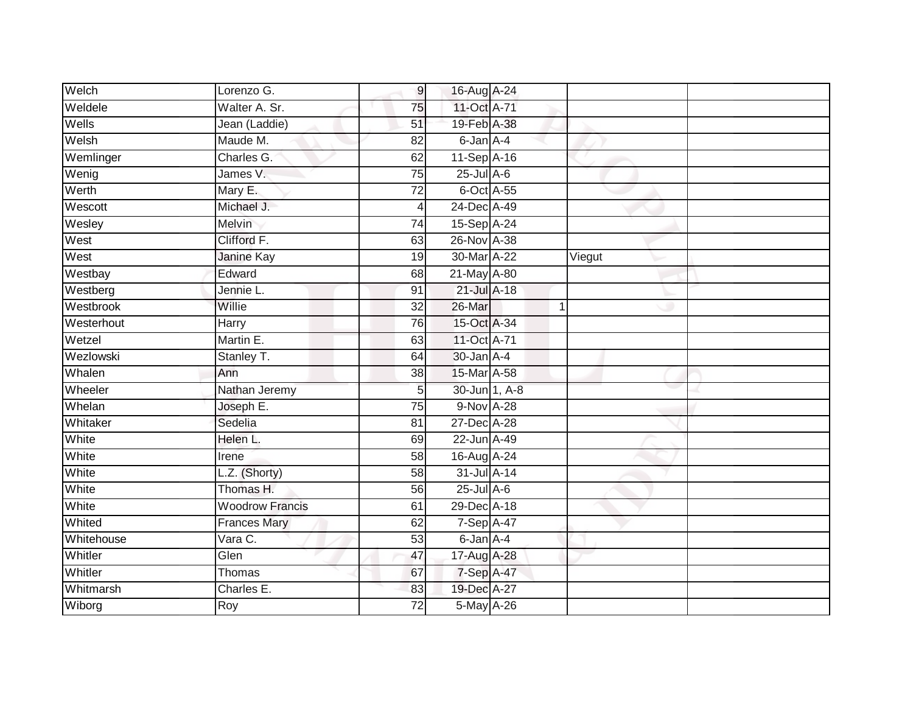| Welch      | Lorenzo G.             | 9               | 16-Aug A-24      |   |        |  |
|------------|------------------------|-----------------|------------------|---|--------|--|
| Weldele    | Walter A. Sr.          | 75              | 11-Oct A-71      |   |        |  |
| Wells      | Jean (Laddie)          | 51              | 19-Feb A-38      |   |        |  |
| Welsh      | Maude M.               | 82              | 6-Jan A-4        |   |        |  |
| Wemlinger  | Charles G.             | 62              | 11-Sep A-16      |   |        |  |
| Wenig      | James V.               | 75              | $25$ -Jul $A-6$  |   |        |  |
| Werth      | Mary E.                | $\overline{72}$ | 6-Oct A-55       |   |        |  |
| Wescott    | Michael J.             | 4               | 24-Dec A-49      |   |        |  |
| Wesley     | Melvin                 | 74              | 15-Sep A-24      |   |        |  |
| West       | Clifford F.            | 63              | 26-Nov A-38      |   |        |  |
| West       | Janine Kay             | 19              | 30-Mar A-22      |   | Viegut |  |
| Westbay    | Edward                 | 68              | 21-May A-80      |   |        |  |
| Westberg   | Jennie L.              | 91              | 21-Jul A-18      |   |        |  |
| Westbrook  | Willie                 | 32              | 26-Mar           | 1 |        |  |
| Westerhout | Harry                  | 76              | 15-Oct A-34      |   |        |  |
| Wetzel     | Martin E.              | 63              | 11-Oct A-71      |   |        |  |
| Wezlowski  | Stanley T.             | 64              | 30-Jan A-4       |   |        |  |
| Whalen     | Ann                    | 38              | 15-Mar A-58      |   |        |  |
| Wheeler    | Nathan Jeremy          | 5               | 30-Jun 1, A-8    |   |        |  |
| Whelan     | Joseph E.              | $\overline{75}$ | 9-Nov A-28       |   |        |  |
| Whitaker   | Sedelia                | 81              | 27-Dec A-28      |   |        |  |
| White      | Helen L.               | 69              | 22-Jun A-49      |   |        |  |
| White      | Irene                  | 58              | 16-Aug A-24      |   |        |  |
| White      | L.Z. (Shorty)          | 58              | 31-Jul A-14      |   |        |  |
| White      | Thomas H.              | 56              | $25$ -Jul $A$ -6 |   |        |  |
| White      | <b>Woodrow Francis</b> | 61              | 29-Dec A-18      |   |        |  |
| Whited     | <b>Frances Mary</b>    | 62              | 7-Sep A-47       |   |        |  |
| Whitehouse | Vara C.                | 53              | 6-Jan A-4        |   |        |  |
| Whitler    | Glen                   | 47              | 17-Aug A-28      |   |        |  |
| Whitler    | Thomas                 | 67              | 7-Sep A-47       |   |        |  |
| Whitmarsh  | Charles E.             | 83              | 19-Dec A-27      |   |        |  |
| Wiborg     | Roy                    | $\overline{72}$ | 5-May A-26       |   |        |  |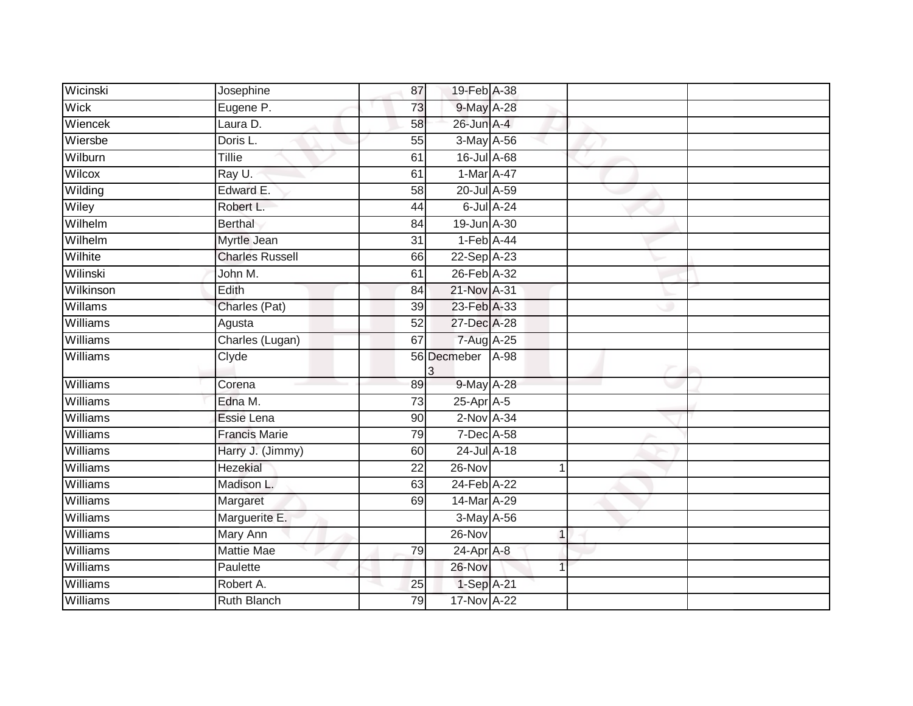| Wicinski        | Josephine              | 87              | 19-Feb A-38        |              |  |
|-----------------|------------------------|-----------------|--------------------|--------------|--|
| Wick            | Eugene P.              | 73              | 9-May A-28         |              |  |
| Wiencek         | Laura D.               | 58              | 26-Jun A-4         |              |  |
| Wiersbe         | Doris L.               | 55              | 3-May A-56         |              |  |
| Wilburn         | <b>Tillie</b>          | 61              | $16$ -Jul $A$ -68  |              |  |
| Wilcox          | Ray U.                 | 61              | 1-Mar A-47         |              |  |
| Wilding         | Edward E.              | 58              | 20-Jul A-59        |              |  |
| Wiley           | Robert L.              | 44              | 6-Jul A-24         |              |  |
| Wilhelm         | <b>Berthal</b>         | 84              | 19-Jun A-30        |              |  |
| Wilhelm         | Myrtle Jean            | $\overline{31}$ | $1-Feb$ A-44       |              |  |
| Wilhite         | <b>Charles Russell</b> | 66              | 22-Sep A-23        |              |  |
| Wilinski        | John M.                | 61              | 26-Feb A-32        |              |  |
| Wilkinson       | Edith                  | 84              | 21-Nov A-31        |              |  |
| Willams         | Charles (Pat)          | 39              | 23-Feb A-33        |              |  |
| <b>Williams</b> | Agusta                 | 52              | 27-Dec A-28        |              |  |
| Williams        | Charles (Lugan)        | 67              | $7 - Aug$ $A - 25$ |              |  |
| Williams        | Clyde                  | 3               | 56 Decmeber        | $A-98$       |  |
| Williams        | Corena                 |                 |                    |              |  |
|                 |                        | 89              | 9-May A-28         |              |  |
| Williams        | Edna M.                | 73              | $25$ -Apr $A$ -5   |              |  |
| Williams        | Essie Lena             | 90              | $2$ -Nov $A-34$    |              |  |
| Williams        | <b>Francis Marie</b>   | 79              | 7-Dec A-58         |              |  |
| Williams        | Harry J. (Jimmy)       | 60              | 24-Jul A-18        |              |  |
| Williams        | Hezekial               | 22              | 26-Nov             | 1            |  |
| Williams        | Madison L.             | 63              | 24-Feb A-22        |              |  |
| <b>Williams</b> | Margaret               | 69              | 14-Mar A-29        |              |  |
| Williams        | Marguerite E.          |                 | $3-May$ $A-56$     |              |  |
| Williams        | Mary Ann               |                 | $26 - Nov$         | $\mathbf{1}$ |  |
| Williams        | <b>Mattie Mae</b>      | 79              | 24-Apr A-8         |              |  |
| Williams        | Paulette               |                 | 26-Nov             |              |  |
| Williams        | Robert A.              | 25              | 1-Sep A-21         |              |  |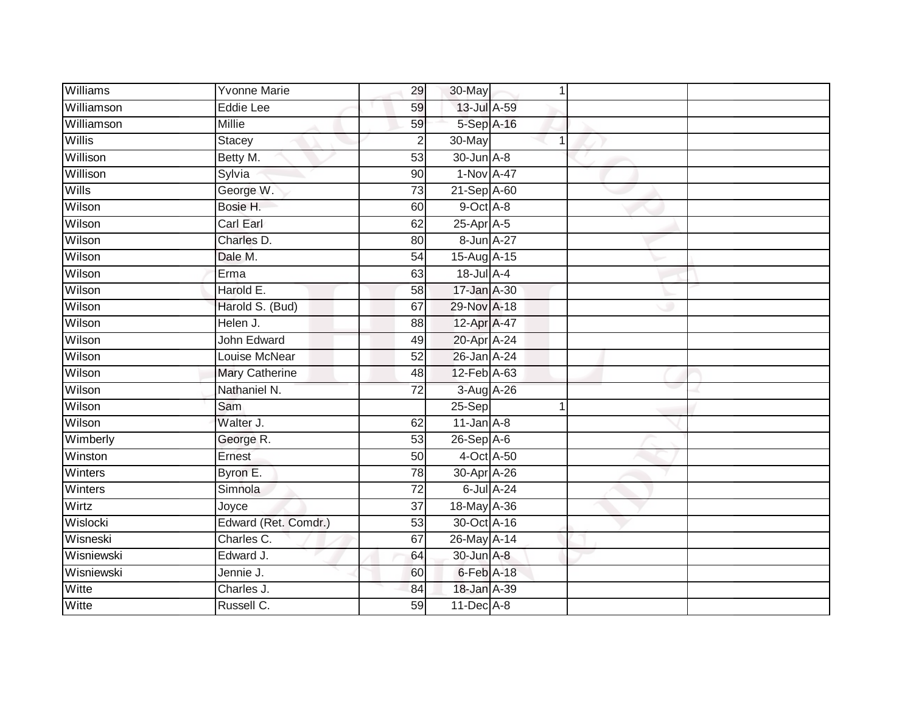| <b>Williams</b> | <b>Yvonne Marie</b>   | 29              | 30-May            |            |  |
|-----------------|-----------------------|-----------------|-------------------|------------|--|
| Williamson      | <b>Eddie Lee</b>      | 59              | 13-Jul A-59       |            |  |
| Williamson      | <b>Millie</b>         | 59              | 5-Sep A-16        |            |  |
| Willis          | <b>Stacey</b>         | $\overline{c}$  | 30-May            |            |  |
| Willison        | Betty M.              | 53              | 30-Jun A-8        |            |  |
| Willison        | Sylvia                | 90              | 1-Nov A-47        |            |  |
| Wills           | George W.             | 73              | 21-Sep A-60       |            |  |
| Wilson          | Bosie H.              | 60              | 9-Oct A-8         |            |  |
| Wilson          | Carl Earl             | 62              | 25-Apr A-5        |            |  |
| Wilson          | Charles D.            | 80              | 8-Jun A-27        |            |  |
| Wilson          | Dale M.               | 54              | $15$ -Aug $A$ -15 |            |  |
| Wilson          | Erma                  | 63              | 18-Jul A-4        |            |  |
| Wilson          | Harold E.             | 58              | 17-Jan A-30       |            |  |
| Wilson          | Harold S. (Bud)       | 67              | 29-Nov A-18       |            |  |
| Wilson          | Helen J.              | 88              | 12-Apr A-47       |            |  |
| Wilson          | John Edward           | 49              | 20-Apr A-24       |            |  |
| Wilson          | Louise McNear         | 52              | 26-Jan A-24       |            |  |
| Wilson          | <b>Mary Catherine</b> | 48              | 12-Feb A-63       |            |  |
| Wilson          | Nathaniel N.          | 72              | 3-Aug A-26        |            |  |
| Wilson          | Sam                   |                 | $25-Sep$          |            |  |
| Wilson          | Walter J.             | 62              | $11$ -Jan $A-8$   |            |  |
| Wimberly        | George R.             | 53              | $26-SepA-6$       |            |  |
| Winston         | Ernest                | 50              | 4-Oct A-50        |            |  |
| Winters         | Byron E.              | 78              | 30-Apr A-26       |            |  |
| Winters         | Simnola               | $\overline{72}$ |                   | 6-Jul A-24 |  |
| Wirtz           | Joyce                 | 37              | 18-May A-36       |            |  |
| Wislocki        | Edward (Ret. Comdr.)  | 53              | 30-Oct A-16       |            |  |
| Wisneski        | Charles C.            | 67              | $26$ -May $A$ -14 |            |  |
| Wisniewski      | Edward J.             | 64              | 30-Jun A-8        |            |  |
| Wisniewski      | Jennie J.             | 60              | 6-Feb A-18        |            |  |
| Witte           | Charles J.            | 84              | 18-Jan A-39       |            |  |
| Witte           | Russell C.            | 59              | $11$ -Dec $A$ -8  |            |  |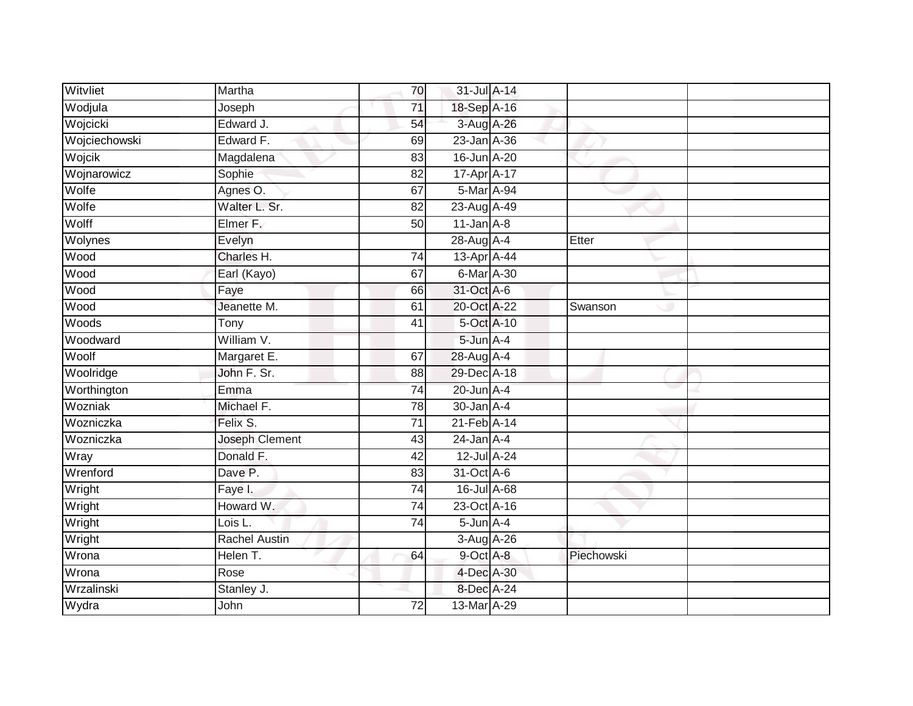| Witvliet      | Martha                | 70              | 31-Jul A-14            |            |  |
|---------------|-----------------------|-----------------|------------------------|------------|--|
| Wodjula       | Joseph                | $\overline{71}$ | 18-Sep A-16            |            |  |
| Wojcicki      | Edward J.             | 54              | 3-Aug A-26             |            |  |
| Wojciechowski | Edward F.             | 69              | 23-Jan A-36            |            |  |
| Wojcik        | Magdalena             | $\overline{83}$ | 16-Jun A-20            |            |  |
| Wojnarowicz   | Sophie                | 82              | 17-Apr <sub>A-17</sub> |            |  |
| Wolfe         | Agnes O.              | 67              | 5-Mar A-94             |            |  |
| Wolfe         | Walter L. Sr.         | 82              | 23-Aug A-49            |            |  |
| Wolff         | Elmer F.              | 50              | $11$ -Jan $A-8$        |            |  |
| Wolynes       | Evelyn                |                 | 28-Aug A-4             | Etter      |  |
| Wood          | Charles H.            | 74              | 13-Apr A-44            |            |  |
| Wood          | Earl (Kayo)           | 67              | 6-Mar A-30             |            |  |
| Wood          | Faye                  | 66              | 31-Oct A-6             |            |  |
| Wood          | Jeanette M.           | 61              | 20-Oct A-22            | Swanson    |  |
| Woods         | Tony                  | $\overline{41}$ | 5-Oct A-10             |            |  |
| Woodward      | William V.            |                 | 5-Jun A-4              |            |  |
| Woolf         | Margaret E.           | 67              | 28-Aug A-4             |            |  |
| Woolridge     | John F. Sr.           | 88              | 29-Dec A-18            |            |  |
| Worthington   | Emma                  | 74              | 20-Jun A-4             |            |  |
| Wozniak       | Michael F.            | 78              | $30 - Jan$ A-4         |            |  |
| Wozniczka     | Felix S.              | 71              | 21-Feb A-14            |            |  |
| Wozniczka     | <b>Joseph Clement</b> | 43              | $24$ -Jan $A-4$        |            |  |
| Wray          | Donald F.             | 42              | 12-Jul A-24            |            |  |
| Wrenford      | Dave P.               | 83              | 31-Oct A-6             |            |  |
| Wright        | Faye I.               | 74              | 16-Jul A-68            |            |  |
| Wright        | Howard W.             | $\overline{74}$ | 23-Oct A-16            |            |  |
| Wright        | Lois L.               | $\overline{74}$ | $5$ -Jun $A-4$         |            |  |
| Wright        | <b>Rachel Austin</b>  |                 | 3-Aug A-26             |            |  |
| Wrona         | Helen T.              | 64              | $9$ -Oct $A$ -8        | Piechowski |  |
| Wrona         | Rose                  |                 | 4-Dec A-30             |            |  |
| Wrzalinski    | Stanley J.            |                 | 8-Dec A-24             |            |  |
| Wydra         | John                  | $\overline{72}$ | 13-Mar A-29            |            |  |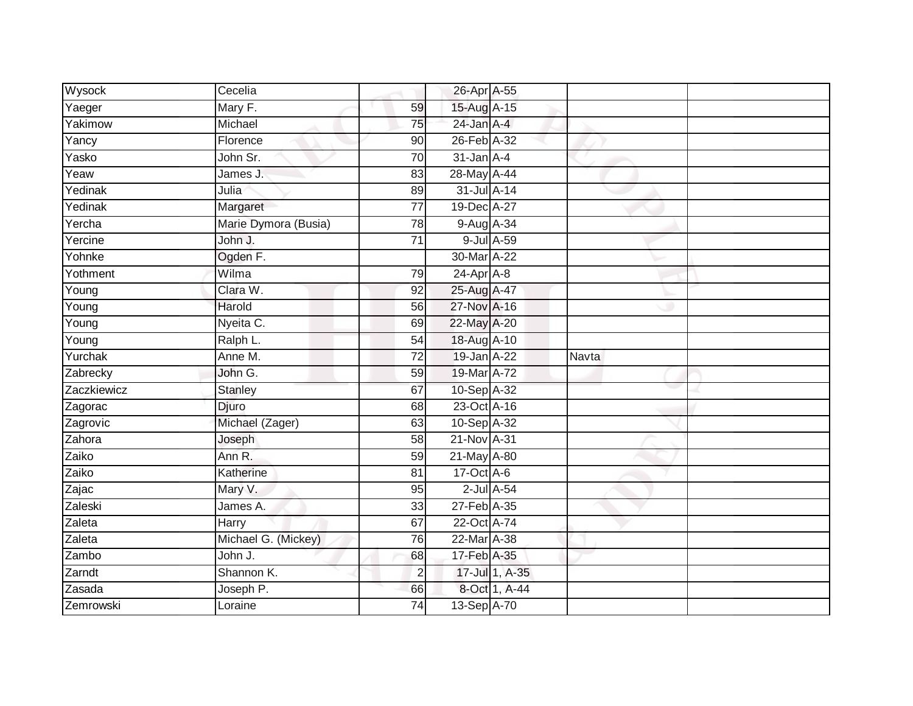| Wysock      | Cecelia              |                 | 26-Apr A-55      |                  |              |  |
|-------------|----------------------|-----------------|------------------|------------------|--------------|--|
| Yaeger      | Mary F.              | 59              | 15-Aug A-15      |                  |              |  |
| Yakimow     | Michael              | 75              | $24$ -Jan $A-4$  |                  |              |  |
| Yancy       | Florence             | 90              | 26-Feb A-32      |                  |              |  |
| Yasko       | John Sr.             | 70              | $31$ -Jan $A-4$  |                  |              |  |
| Yeaw        | James J.             | 83              | 28-May A-44      |                  |              |  |
| Yedinak     | Julia                | 89              | $31$ -Jul $A-14$ |                  |              |  |
| Yedinak     | Margaret             | 77              | 19-Dec A-27      |                  |              |  |
| Yercha      | Marie Dymora (Busia) | 78              | 9-Aug A-34       |                  |              |  |
| Yercine     | John J.              | $\overline{71}$ |                  | 9-Jul A-59       |              |  |
| Yohnke      | Ogden F.             |                 | 30-Mar A-22      |                  |              |  |
| Yothment    | Wilma                | 79              | 24-Apr A-8       |                  |              |  |
| Young       | Clara W.             | 92              | 25-Aug A-47      |                  |              |  |
| Young       | Harold               | 56              | 27-Nov A-16      |                  |              |  |
| Young       | Nyeita C.            | 69              | 22-May A-20      |                  |              |  |
| Young       | Ralph L.             | 54              | 18-Aug A-10      |                  |              |  |
| Yurchak     | Anne M.              | $\overline{72}$ | 19-Jan A-22      |                  | <b>Navta</b> |  |
| Zabrecky    | John G.              | 59              | 19-Mar A-72      |                  |              |  |
| Zaczkiewicz | Stanley              | 67              | 10-Sep A-32      |                  |              |  |
| Zagorac     | Djuro                | 68              | 23-Oct A-16      |                  |              |  |
| Zagrovic    | Michael (Zager)      | 63              | 10-Sep A-32      |                  |              |  |
| Zahora      | Joseph               | 58              | 21-Nov A-31      |                  |              |  |
| Zaiko       | Ann R.               | 59              | 21-May A-80      |                  |              |  |
| Zaiko       | Katherine            | 81              | 17-Oct A-6       |                  |              |  |
| Zajac       | Mary V.              | 95              |                  | $2$ -Jul $A$ -54 |              |  |
| Zaleski     | James A.             | 33              | 27-Feb A-35      |                  |              |  |
| Zaleta      | Harry                | 67              | 22-Oct A-74      |                  |              |  |
| Zaleta      | Michael G. (Mickey)  | 76              | 22-Mar A-38      |                  |              |  |
| Zambo       | John J.              | 68              | 17-Feb A-35      |                  |              |  |
| Zarndt      | Shannon K.           | $\overline{2}$  |                  | 17-Jul 1, A-35   |              |  |
| Zasada      | Joseph P.            | 66              |                  | 8-Oct 1, A-44    |              |  |
| Zemrowski   | Loraine              | 74              | 13-Sep A-70      |                  |              |  |